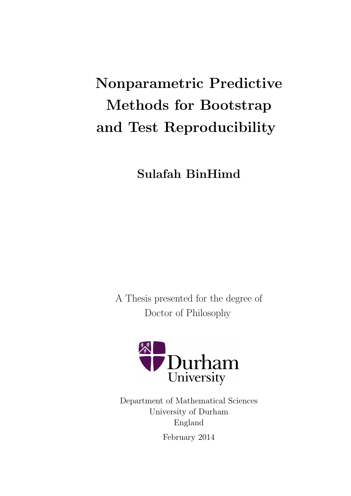# Nonparametric Predictive Methods for Bootstrap and Test Reproducibility

Sulafah BinHimd

A Thesis presented for the degree of Doctor of Philosophy



Department of Mathematical Sciences University of Durham England February 2014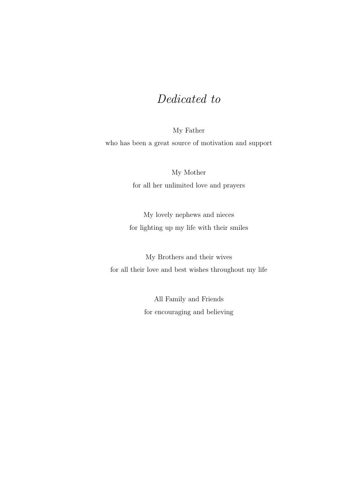## Dedicated to

My Father who has been a great source of motivation and support

> My Mother for all her unlimited love and prayers

My lovely nephews and nieces for lighting up my life with their smiles

My Brothers and their wives for all their love and best wishes throughout my life

> All Family and Friends for encouraging and believing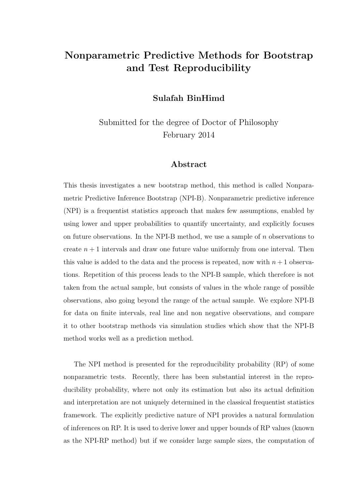## Nonparametric Predictive Methods for Bootstrap and Test Reproducibility

Sulafah BinHimd

Submitted for the degree of Doctor of Philosophy February 2014

#### Abstract

This thesis investigates a new bootstrap method, this method is called Nonparametric Predictive Inference Bootstrap (NPI-B). Nonparametric predictive inference (NPI) is a frequentist statistics approach that makes few assumptions, enabled by using lower and upper probabilities to quantify uncertainty, and explicitly focuses on future observations. In the NPI-B method, we use a sample of  $n$  observations to create  $n + 1$  intervals and draw one future value uniformly from one interval. Then this value is added to the data and the process is repeated, now with  $n + 1$  observations. Repetition of this process leads to the NPI-B sample, which therefore is not taken from the actual sample, but consists of values in the whole range of possible observations, also going beyond the range of the actual sample. We explore NPI-B for data on finite intervals, real line and non negative observations, and compare it to other bootstrap methods via simulation studies which show that the NPI-B method works well as a prediction method.

The NPI method is presented for the reproducibility probability (RP) of some nonparametric tests. Recently, there has been substantial interest in the reproducibility probability, where not only its estimation but also its actual definition and interpretation are not uniquely determined in the classical frequentist statistics framework. The explicitly predictive nature of NPI provides a natural formulation of inferences on RP. It is used to derive lower and upper bounds of RP values (known as the NPI-RP method) but if we consider large sample sizes, the computation of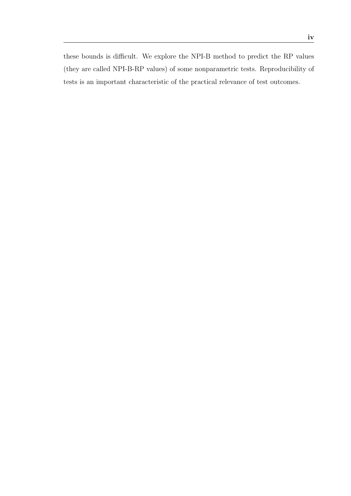iv

these bounds is difficult. We explore the NPI-B method to predict the RP values (they are called NPI-B-RP values) of some nonparametric tests. Reproducibility of tests is an important characteristic of the practical relevance of test outcomes.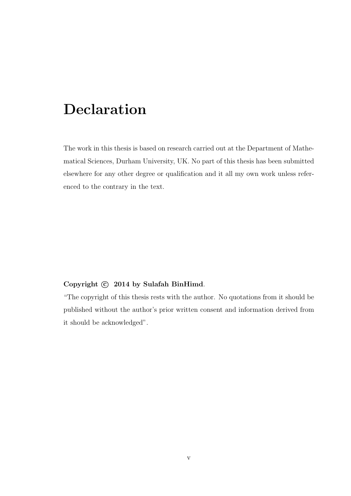## Declaration

The work in this thesis is based on research carried out at the Department of Mathematical Sciences, Durham University, UK. No part of this thesis has been submitted elsewhere for any other degree or qualification and it all my own work unless referenced to the contrary in the text.

#### Copyright  $\odot$  2014 by Sulafah BinHimd.

"The copyright of this thesis rests with the author. No quotations from it should be published without the author's prior written consent and information derived from it should be acknowledged".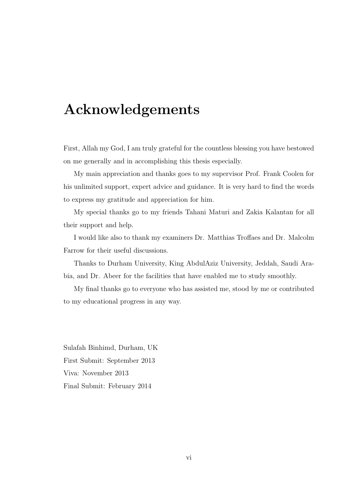## Acknowledgements

First, Allah my God, I am truly grateful for the countless blessing you have bestowed on me generally and in accomplishing this thesis especially.

My main appreciation and thanks goes to my supervisor Prof. Frank Coolen for his unlimited support, expert advice and guidance. It is very hard to find the words to express my gratitude and appreciation for him.

My special thanks go to my friends Tahani Maturi and Zakia Kalantan for all their support and help.

I would like also to thank my examiners Dr. Matthias Troffaes and Dr. Malcolm Farrow for their useful discussions.

Thanks to Durham University, King AbdulAziz University, Jeddah, Saudi Arabia, and Dr. Abeer for the facilities that have enabled me to study smoothly.

My final thanks go to everyone who has assisted me, stood by me or contributed to my educational progress in any way.

Sulafah Binhimd, Durham, UK First Submit: September 2013 Viva: November 2013 Final Submit: February 2014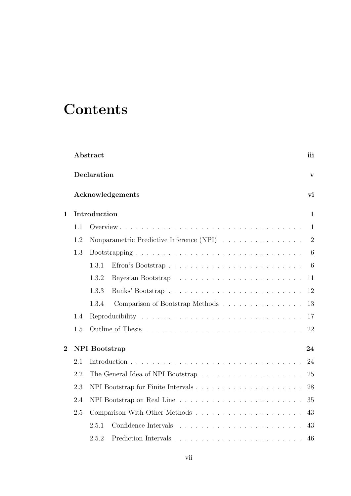## **Contents**

|                                        |             | Abstract                                 | iii            |  |
|----------------------------------------|-------------|------------------------------------------|----------------|--|
|                                        | Declaration |                                          |                |  |
|                                        |             | Acknowledgements                         | vi             |  |
| $\mathbf 1$                            |             | Introduction                             | $\mathbf{1}$   |  |
|                                        | 1.1         |                                          | $\mathbf{1}$   |  |
|                                        | 1.2         | Nonparametric Predictive Inference (NPI) | $\overline{2}$ |  |
|                                        | 1.3         |                                          | 6              |  |
|                                        |             | Efron's Bootstrap<br>1.3.1               | 6              |  |
|                                        |             | Bayesian Bootstrap<br>1.3.2              | 11             |  |
|                                        |             | Banks' Bootstrap<br>1.3.3                | 12             |  |
|                                        |             | 1.3.4<br>Comparison of Bootstrap Methods | 13             |  |
|                                        | 1.4         |                                          | 17             |  |
|                                        | 1.5         |                                          | 22             |  |
| $\overline{2}$<br><b>NPI</b> Bootstrap |             |                                          | 24             |  |
|                                        | 2.1         |                                          | 24             |  |
|                                        | 2.2         | The General Idea of NPI Bootstrap        | 25             |  |
|                                        | 2.3         |                                          | 28             |  |
|                                        | 2.4         |                                          | 35             |  |
|                                        | 2.5         |                                          | 43             |  |
|                                        |             | 2.5.1                                    | 43             |  |
|                                        |             | 2.5.2                                    | 46             |  |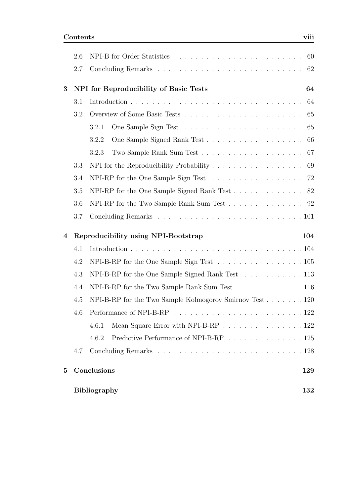|                                                      | 2.6 |                                                                                              | 60  |  |
|------------------------------------------------------|-----|----------------------------------------------------------------------------------------------|-----|--|
|                                                      | 2.7 |                                                                                              | 62  |  |
| 3                                                    |     | NPI for Reproducibility of Basic Tests<br>64                                                 |     |  |
|                                                      | 3.1 |                                                                                              | 64  |  |
|                                                      | 3.2 |                                                                                              | 65  |  |
|                                                      |     | 3.2.1                                                                                        | 65  |  |
|                                                      |     | 3.2.2                                                                                        | 66  |  |
|                                                      |     | 3.2.3                                                                                        | 67  |  |
|                                                      | 3.3 | NPI for the Reproducibility Probability $\ldots \ldots \ldots \ldots \ldots \ldots$          | 69  |  |
|                                                      | 3.4 | NPI-RP for the One Sample Sign Test $\ldots \ldots \ldots \ldots \ldots$                     | 72  |  |
|                                                      | 3.5 | NPI-RP for the One Sample Signed Rank Test $\ldots \ldots \ldots \ldots$                     | 82  |  |
|                                                      | 3.6 | NPI-RP for the Two Sample Rank Sum Test $\ldots \ldots \ldots \ldots \ldots$ 92              |     |  |
|                                                      | 3.7 |                                                                                              |     |  |
| 4                                                    |     | Reproducibility using NPI-Bootstrap                                                          | 104 |  |
|                                                      | 4.1 |                                                                                              |     |  |
|                                                      | 4.2 | NPI-B-RP for the One Sample Sign Test $\ldots \ldots \ldots \ldots \ldots \ldots \ldots 105$ |     |  |
|                                                      | 4.3 | NPI-B-RP for the One Sample Signed Rank Test 113                                             |     |  |
| NPI-B-RP for the Two Sample Rank Sum Test 116<br>4.4 |     |                                                                                              |     |  |
|                                                      | 4.5 | NPI-B-RP for the Two Sample Kolmogorov Smirnov Test $\ldots \ldots \ldots 120$               |     |  |
|                                                      |     |                                                                                              |     |  |
|                                                      |     | Mean Square Error with NPI-B-RP 122<br>4.6.1                                                 |     |  |
|                                                      |     | Predictive Performance of NPI-B-RP $\ldots \ldots \ldots \ldots \ldots 125$<br>4.6.2         |     |  |
|                                                      | 4.7 |                                                                                              |     |  |
| $\overline{5}$                                       |     | Conclusions                                                                                  | 129 |  |
|                                                      |     | <b>Bibliography</b>                                                                          | 132 |  |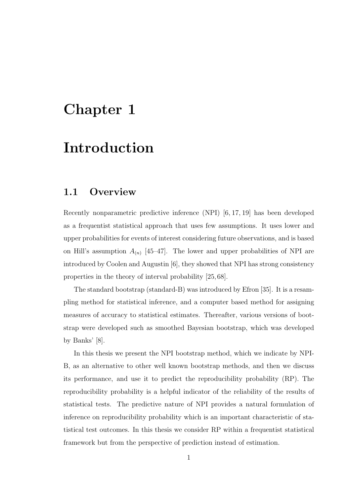## Chapter 1

## Introduction

### 1.1 Overview

Recently nonparametric predictive inference (NPI) [6, 17, 19] has been developed as a frequentist statistical approach that uses few assumptions. It uses lower and upper probabilities for events of interest considering future observations, and is based on Hill's assumption  $A_{(n)}$  [45–47]. The lower and upper probabilities of NPI are introduced by Coolen and Augustin [6], they showed that NPI has strong consistency properties in the theory of interval probability [25, 68].

The standard bootstrap (standard-B) was introduced by Efron [35]. It is a resampling method for statistical inference, and a computer based method for assigning measures of accuracy to statistical estimates. Thereafter, various versions of bootstrap were developed such as smoothed Bayesian bootstrap, which was developed by Banks' [8].

In this thesis we present the NPI bootstrap method, which we indicate by NPI-B, as an alternative to other well known bootstrap methods, and then we discuss its performance, and use it to predict the reproducibility probability (RP). The reproducibility probability is a helpful indicator of the reliability of the results of statistical tests. The predictive nature of NPI provides a natural formulation of inference on reproducibility probability which is an important characteristic of statistical test outcomes. In this thesis we consider RP within a frequentist statistical framework but from the perspective of prediction instead of estimation.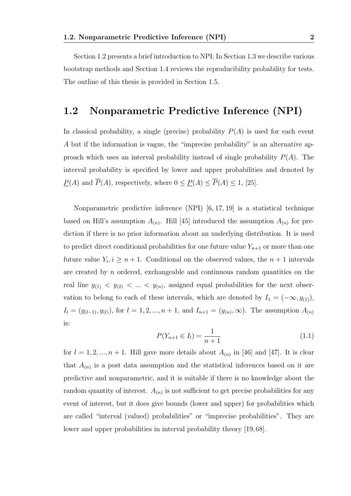Section 1.2 presents a brief introduction to NPI. In Section 1.3 we describe various bootstrap methods and Section 1.4 reviews the reproducibility probability for tests. The outline of this thesis is provided in Section 1.5.

### 1.2 Nonparametric Predictive Inference (NPI)

In classical probability, a single (precise) probability  $P(A)$  is used for each event A but if the information is vague, the "imprecise probability" is an alternative approach which uses an interval probability instead of single probability  $P(A)$ . The interval probability is specified by lower and upper probabilities and denoted by  $\underline{P}(A)$  and  $\overline{P}(A)$ , respectively, where  $0 \leq \underline{P}(A) \leq \overline{P}(A) \leq 1$ , [25].

Nonparametric predictive inference (NPI) [6, 17, 19] is a statistical technique based on Hill's assumption  $A_{(n)}$ . Hill [45] introduced the assumption  $A_{(n)}$  for prediction if there is no prior information about an underlying distribution. It is used to predict direct conditional probabilities for one future value  $Y_{n+1}$  or more than one future value  $Y_i, i \geq n+1$ . Conditional on the observed values, the  $n+1$  intervals are created by n ordered, exchangeable and continuous random quantities on the real line  $y_{(1)} < y_{(2)} < ... < y_{(n)}$ , assigned equal probabilities for the next observation to belong to each of these intervals, which are denoted by  $I_1 = (-\infty, y_{(1)})$ ,  $I_l = (y_{(l-1)}, y_{(l)})$ , for  $l = 1, 2, ..., n+1$ , and  $I_{n+1} = (y_{(n)}, \infty)$ . The assumption  $A_{(n)}$ is:

$$
P(Y_{n+1} \in I_l) = \frac{1}{n+1}
$$
\n(1.1)

for  $l = 1, 2, ..., n + 1$ . Hill gave more details about  $A_{(n)}$  in [46] and [47]. It is clear that  $A_{(n)}$  is a post data assumption and the statistical inferences based on it are predictive and nonparametric, and it is suitable if there is no knowledge about the random quantity of interest.  $A_{(n)}$  is not sufficient to get precise probabilities for any event of interest, but it does give bounds (lower and upper) for probabilities which are called "interval (valued) probabilities" or "imprecise probabilities". They are lower and upper probabilities in interval probability theory [19, 68].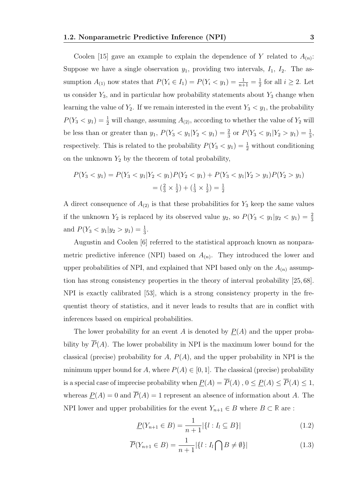Coolen [15] gave an example to explain the dependence of Y related to  $A_{(n)}$ : Suppose we have a single observation  $y_1$ , providing two intervals,  $I_1$ ,  $I_2$ . The assumption  $A_{(1)}$  now states that  $P(Y_i \in I_1) = P(Y_i \lt y_1) = \frac{1}{n+1} = \frac{1}{2}$  $\frac{1}{2}$  for all  $i \geq 2$ . Let us consider  $Y_3$ , and in particular how probability statements about  $Y_3$  change when learning the value of  $Y_2$ . If we remain interested in the event  $Y_3 < y_1$ , the probability  $P(Y_3 < y_1) = \frac{1}{2}$  will change, assuming  $A_{(2)}$ , according to whether the value of  $Y_2$  will be less than or greater than  $y_1$ ,  $P(Y_3 < y_1 | Y_2 < y_1) = \frac{2}{3}$  or  $P(Y_3 < y_1 | Y_2 > y_1) = \frac{1}{3}$ , respectively. This is related to the probability  $P(Y_3 \lt y_1) = \frac{1}{2}$  without conditioning on the unknown  $Y_2$  by the theorem of total probability,

$$
P(Y_3 < y_1) = P(Y_3 < y_1 | Y_2 < y_1) P(Y_2 < y_1) + P(Y_3 < y_1 | Y_2 > y_1) P(Y_2 > y_1) \\
= \left(\frac{2}{3} \times \frac{1}{2}\right) + \left(\frac{1}{3} \times \frac{1}{2}\right) = \frac{1}{2}
$$

A direct consequence of  $A_{(2)}$  is that these probabilities for  $Y_3$  keep the same values if the unknown  $Y_2$  is replaced by its observed value  $y_2$ , so  $P(Y_3 \lt y_1 | y_2 \lt y_1) = \frac{2}{3}$ and  $P(Y_3 < y_1 | y_2 > y_1) = \frac{1}{3}$ .

Augustin and Coolen [6] referred to the statistical approach known as nonparametric predictive inference (NPI) based on  $A_{(n)}$ . They introduced the lower and upper probabilities of NPI, and explained that NPI based only on the  $A_{(n)}$  assumption has strong consistency properties in the theory of interval probability [25, 68]. NPI is exactly calibrated [53], which is a strong consistency property in the frequentist theory of statistics, and it never leads to results that are in conflict with inferences based on empirical probabilities.

The lower probability for an event A is denoted by  $P(A)$  and the upper probability by  $\overline{P}(A)$ . The lower probability in NPI is the maximum lower bound for the classical (precise) probability for  $A, P(A)$ , and the upper probability in NPI is the minimum upper bound for A, where  $P(A) \in [0, 1]$ . The classical (precise) probability is a special case of imprecise probability when  $\underline{P}(A) = \overline{P}(A)$ ,  $0 \le \underline{P}(A) \le \overline{P}(A) \le 1$ , whereas  $\underline{P}(A) = 0$  and  $\overline{P}(A) = 1$  represent an absence of information about A. The NPI lower and upper probabilities for the event  $Y_{n+1} \in B$  where  $B \subset \mathbb{R}$  are :

$$
\underline{P}(Y_{n+1} \in B) = \frac{1}{n+1} |\{l : I_l \subseteq B\}| \tag{1.2}
$$

$$
\overline{P}(Y_{n+1} \in B) = \frac{1}{n+1} |\{l : I_l \cap B \neq \emptyset\}| \tag{1.3}
$$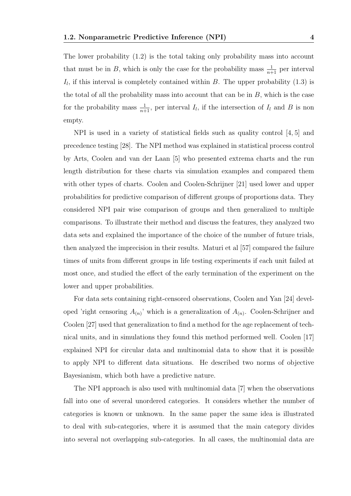The lower probability (1.2) is the total taking only probability mass into account that must be in B, which is only the case for the probability mass  $\frac{1}{n+1}$  per interval  $I_l$ , if this interval is completely contained within B. The upper probability  $(1.3)$  is the total of all the probability mass into account that can be in  $B$ , which is the case for the probability mass  $\frac{1}{n+1}$ , per interval  $I_l$ , if the intersection of  $I_l$  and B is non empty.

NPI is used in a variety of statistical fields such as quality control [4, 5] and precedence testing [28]. The NPI method was explained in statistical process control by Arts, Coolen and van der Laan [5] who presented extrema charts and the run length distribution for these charts via simulation examples and compared them with other types of charts. Coolen and Coolen-Schrijner [21] used lower and upper probabilities for predictive comparison of different groups of proportions data. They considered NPI pair wise comparison of groups and then generalized to multiple comparisons. To illustrate their method and discuss the features, they analyzed two data sets and explained the importance of the choice of the number of future trials, then analyzed the imprecision in their results. Maturi et al [57] compared the failure times of units from different groups in life testing experiments if each unit failed at most once, and studied the effect of the early termination of the experiment on the lower and upper probabilities.

For data sets containing right-censored observations, Coolen and Yan [24] developed 'right censoring  $A_{(n)}$ ' which is a generalization of  $A_{(n)}$ . Coolen-Schrijner and Coolen [27] used that generalization to find a method for the age replacement of technical units, and in simulations they found this method performed well. Coolen [17] explained NPI for circular data and multinomial data to show that it is possible to apply NPI to different data situations. He described two norms of objective Bayesianism, which both have a predictive nature.

The NPI approach is also used with multinomial data [7] when the observations fall into one of several unordered categories. It considers whether the number of categories is known or unknown. In the same paper the same idea is illustrated to deal with sub-categories, where it is assumed that the main category divides into several not overlapping sub-categories. In all cases, the multinomial data are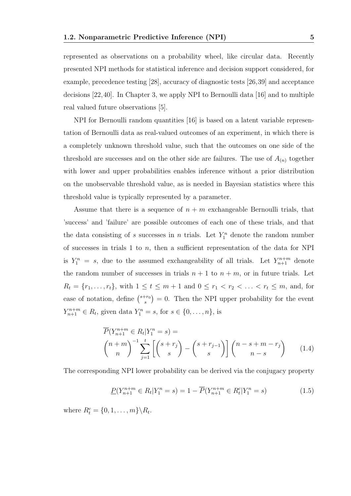represented as observations on a probability wheel, like circular data. Recently presented NPI methods for statistical inference and decision support considered, for example, precedence testing [28], accuracy of diagnostic tests [26,39] and acceptance decisions [22,40]. In Chapter 3, we apply NPI to Bernoulli data [16] and to multiple real valued future observations [5].

NPI for Bernoulli random quantities [16] is based on a latent variable representation of Bernoulli data as real-valued outcomes of an experiment, in which there is a completely unknown threshold value, such that the outcomes on one side of the threshold are successes and on the other side are failures. The use of  $A_{(n)}$  together with lower and upper probabilities enables inference without a prior distribution on the unobservable threshold value, as is needed in Bayesian statistics where this threshold value is typically represented by a parameter.

Assume that there is a sequence of  $n + m$  exchangeable Bernoulli trials, that 'success' and 'failure' are possible outcomes of each one of these trials, and that the data consisting of s successes in n trials. Let  $Y_1^n$  denote the random number of successes in trials 1 to  $n$ , then a sufficient representation of the data for NPI is  $Y_1^n = s$ , due to the assumed exchangeability of all trials. Let  $Y_{n+1}^{n+m}$  denote the random number of successes in trials  $n + 1$  to  $n + m$ , or in future trials. Let  $R_t = \{r_1, \ldots, r_t\}$ , with  $1 \le t \le m + 1$  and  $0 \le r_1 < r_2 < \ldots < r_t \le m$ , and, for ease of notation, define  $\binom{s+r_0}{s}$  $s^{(r_0)}$  = 0. Then the NPI upper probability for the event  $Y_{n+1}^{n+m} \in R_t$ , given data  $Y_1^n = s$ , for  $s \in \{0, ..., n\}$ , is

$$
\overline{P}(Y_{n+1}^{n+m} \in R_t | Y_1^n = s) =
$$
\n
$$
\binom{n+m}{n}^{-1} \sum_{j=1}^t \left[ \binom{s+r_j}{s} - \binom{s+r_{j-1}}{s} \right] \binom{n-s+m-r_j}{n-s} \tag{1.4}
$$

The corresponding NPI lower probability can be derived via the conjugacy property

$$
\underline{P}(Y_{n+1}^{n+m} \in R_t | Y_1^n = s) = 1 - \overline{P}(Y_{n+1}^{n+m} \in R_t^c | Y_1^n = s)
$$
\n(1.5)

where  $R_t^c = \{0, 1, \ldots, m\} \backslash R_t$ .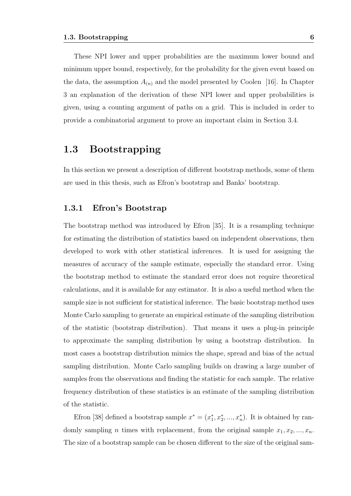These NPI lower and upper probabilities are the maximum lower bound and minimum upper bound, respectively, for the probability for the given event based on the data, the assumption  $A_{(n)}$  and the model presented by Coolen [16]. In Chapter 3 an explanation of the derivation of these NPI lower and upper probabilities is given, using a counting argument of paths on a grid. This is included in order to provide a combinatorial argument to prove an important claim in Section 3.4.

### 1.3 Bootstrapping

In this section we present a description of different bootstrap methods, some of them are used in this thesis, such as Efron's bootstrap and Banks' bootstrap.

#### 1.3.1 Efron's Bootstrap

The bootstrap method was introduced by Efron [35]. It is a resampling technique for estimating the distribution of statistics based on independent observations, then developed to work with other statistical inferences. It is used for assigning the measures of accuracy of the sample estimate, especially the standard error. Using the bootstrap method to estimate the standard error does not require theoretical calculations, and it is available for any estimator. It is also a useful method when the sample size is not sufficient for statistical inference. The basic bootstrap method uses Monte Carlo sampling to generate an empirical estimate of the sampling distribution of the statistic (bootstrap distribution). That means it uses a plug-in principle to approximate the sampling distribution by using a bootstrap distribution. In most cases a bootstrap distribution mimics the shape, spread and bias of the actual sampling distribution. Monte Carlo sampling builds on drawing a large number of samples from the observations and finding the statistic for each sample. The relative frequency distribution of these statistics is an estimate of the sampling distribution of the statistic.

Efron [38] defined a bootstrap sample  $x^* = (x_1^*, x_2^*, ..., x_n^*)$ . It is obtained by randomly sampling *n* times with replacement, from the original sample  $x_1, x_2, ..., x_n$ . The size of a bootstrap sample can be chosen different to the size of the original sam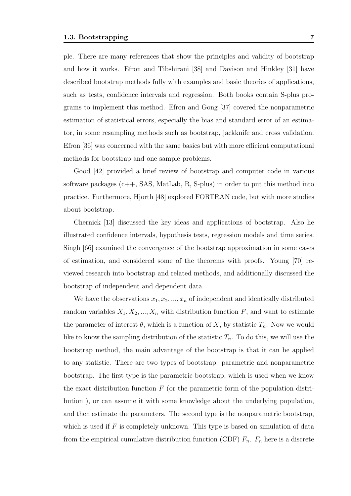ple. There are many references that show the principles and validity of bootstrap and how it works. Efron and Tibshirani [38] and Davison and Hinkley [31] have described bootstrap methods fully with examples and basic theories of applications, such as tests, confidence intervals and regression. Both books contain S-plus programs to implement this method. Efron and Gong [37] covered the nonparametric estimation of statistical errors, especially the bias and standard error of an estimator, in some resampling methods such as bootstrap, jackknife and cross validation. Efron [36] was concerned with the same basics but with more efficient computational methods for bootstrap and one sample problems.

Good [42] provided a brief review of bootstrap and computer code in various software packages  $(c_{++}, SAS, MatLab, R, S-plus)$  in order to put this method into practice. Furthermore, Hjorth [48] explored FORTRAN code, but with more studies about bootstrap.

Chernick [13] discussed the key ideas and applications of bootstrap. Also he illustrated confidence intervals, hypothesis tests, regression models and time series. Singh [66] examined the convergence of the bootstrap approximation in some cases of estimation, and considered some of the theorems with proofs. Young [70] reviewed research into bootstrap and related methods, and additionally discussed the bootstrap of independent and dependent data.

We have the observations  $x_1, x_2, ..., x_n$  of independent and identically distributed random variables  $X_1, X_2, ..., X_n$  with distribution function F, and want to estimate the parameter of interest  $\theta$ , which is a function of X, by statistic  $T_n$ . Now we would like to know the sampling distribution of the statistic  $T_n$ . To do this, we will use the bootstrap method, the main advantage of the bootstrap is that it can be applied to any statistic. There are two types of bootstrap: parametric and nonparametric bootstrap. The first type is the parametric bootstrap, which is used when we know the exact distribution function  $F$  (or the parametric form of the population distribution ), or can assume it with some knowledge about the underlying population, and then estimate the parameters. The second type is the nonparametric bootstrap, which is used if  $F$  is completely unknown. This type is based on simulation of data from the empirical cumulative distribution function (CDF)  $F_n$ .  $F_n$  here is a discrete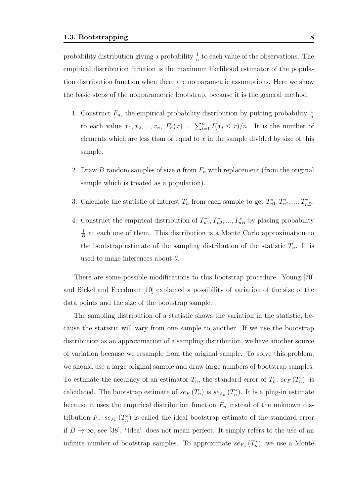probability distribution giving a probability  $\frac{1}{n}$  to each value of the observations. The empirical distribution function is the maximum likelihood estimator of the population distribution function when there are no parametric assumptions. Here we show the basic steps of the nonparametric bootstrap, because it is the general method:

- 1. Construct  $F_n$ , the empirical probability distribution by putting probability  $\frac{1}{n}$ to each value  $x_1, x_2, ..., x_n$ ,  $F_n(x) = \sum_{i=1}^n I(x_i \leq x)/n$ . It is the number of elements which are less than or equal to x in the sample divided by size of this sample.
- 2. Draw B random samples of size n from  $F_n$  with replacement (from the original sample which is treated as a population).
- 3. Calculate the statistic of interest  $T_n$  from each sample to get  $T_{n1}^*, T_{n2}^*, ..., T_{nB}^*$ .
- 4. Construct the empirical distribution of  $T_{n1}^*, T_{n2}^*, ..., T_{nB}^*$  by placing probability 1  $\frac{1}{B}$  at each one of them. This distribution is a Monte Carlo approximation to the bootstrap estimate of the sampling distribution of the statistic  $T_n$ . It is used to make inferences about  $\theta$ .

There are some possible modifications to this bootstrap procedure. Young [70] and Bickel and Freedman [10] explained a possibility of variation of the size of the data points and the size of the bootstrap sample.

The sampling distribution of a statistic shows the variation in the statistic, because the statistic will vary from one sample to another. If we use the bootstrap distribution as an approximation of a sampling distribution, we have another source of variation because we resample from the original sample. To solve this problem, we should use a large original sample and draw large numbers of bootstrap samples. To estimate the accuracy of an estimator  $T_n$ , the standard error of  $T_n$ , se<sub>F</sub>  $(T_n)$ , is calculated. The bootstrap estimate of  $se_F(T_n)$  is  $se_{F_n}(T_n^*)$ . It is a plug-in estimate because it uses the empirical distribution function  $F_n$  instead of the unknown distribution F.  $se_{F_n}(T_n^*)$  is called the ideal bootstrap estimate of the standard error if  $B \to \infty$ , see [38], "idea" does not mean perfect. It simply refers to the use of an infinite number of bootstrap samples. To approximate  $se_{F_n}(T_n^*)$ , we use a Monte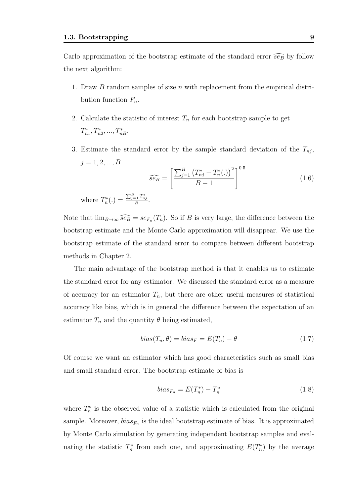Carlo approximation of the bootstrap estimate of the standard error  $\widehat{se_B}$  by follow the next algorithm:

- 1. Draw  $B$  random samples of size  $n$  with replacement from the empirical distribution function  $F_n$ .
- 2. Calculate the statistic of interest  $T_n$  for each bootstrap sample to get  $T_{n1}^*, T_{n2}^*, ..., T_{nB}^*.$
- 3. Estimate the standard error by the sample standard deviation of the  $T_{nj}$ ,  $j = 1, 2, ..., B$

$$
\widehat{se_B} = \left[ \frac{\sum_{j=1}^{B} (T_{nj}^* - T_n^*(.))^2}{B - 1} \right]^{0.5}
$$
  
where  $T_n^*(.) = \frac{\sum_{j=1}^{B} T_{nj}^*}{B}.$  (1.6)

Note that  $\lim_{B\to\infty} \widehat{se_B} = se_{F_n}(T_n)$ . So if B is very large, the difference between the bootstrap estimate and the Monte Carlo approximation will disappear. We use the bootstrap estimate of the standard error to compare between different bootstrap methods in Chapter 2.

B

The main advantage of the bootstrap method is that it enables us to estimate the standard error for any estimator. We discussed the standard error as a measure of accuracy for an estimator  $T_n$ , but there are other useful measures of statistical accuracy like bias, which is in general the difference between the expectation of an estimator  $T_n$  and the quantity  $\theta$  being estimated,

$$
bias(T_n, \theta) = bias_F = E(T_n) - \theta \tag{1.7}
$$

Of course we want an estimator which has good characteristics such as small bias and small standard error. The bootstrap estimate of bias is

$$
bias_{F_n} = E(T_n^*) - T_n^o \tag{1.8}
$$

where  $T_n^o$  is the observed value of a statistic which is calculated from the original sample. Moreover,  $bias_{F_n}$  is the ideal bootstrap estimate of bias. It is approximated by Monte Carlo simulation by generating independent bootstrap samples and evaluating the statistic  $T_n^*$  from each one, and approximating  $E(T_n^*)$  by the average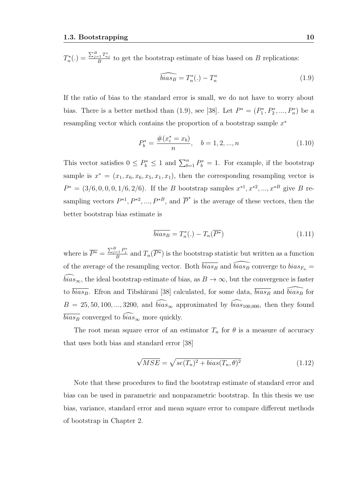$T_n^*(.) = \frac{\sum_{j=1}^B T_{nj}^*}{B}$  to get the bootstrap estimate of bias based on B replications:

$$
\widehat{bias_B} = T_n^*(.) - T_n^o \tag{1.9}
$$

If the ratio of bias to the standard error is small, we do not have to worry about bias. There is a better method than (1.9), see [38]. Let  $P^* = (P_1^*, P_2^*, ..., P_n^*)$  be a resampling vector which contains the proportion of a bootstrap sample  $x^*$ 

$$
P_b^* = \frac{\#(x_i^* = x_b)}{n}, \quad b = 1, 2, ..., n
$$
\n(1.10)

This vector satisfies  $0 \le P_b^* \le 1$  and  $\sum_{b=1}^n P_b^* = 1$ . For example, if the bootstrap sample is  $x^* = (x_1, x_6, x_6, x_5, x_1, x_1)$ , then the corresponding resampling vector is  $P^* = (3/6, 0, 0, 0, 1/6, 2/6)$ . If the B bootstrap samples  $x^{*1}, x^{*2}, ..., x^{*B}$  give B resampling vectors  $P^{*1}, P^{*2}, ..., P^{*B}$ , and  $\overline{P}^*$  is the average of these vectors, then the better bootstrap bias estimate is

$$
\overline{bias_B} = T_n^*(.) - T_n(\overline{P^*})
$$
\n(1.11)

where is  $\overline{P^*} = \frac{\sum_{j=1}^B P_j^*}{B}$  and  $T_n(\overline{P^*})$  is the bootstrap statistic but written as a function of the average of the resampling vector. Both  $\overline{bias_B}$  and  $\widehat{bias_B}$  converge to  $bias_{F_n} =$  $\widehat{bias}_{\infty}$ , the ideal bootstrap estimate of bias, as  $B \to \infty$ , but the convergence is faster to  $\overline{bias_B}$ . Efron and Tibshirani [38] calculated, for some data,  $\overline{bias_B}$  and  $\overline{bias_B}$  for  $B = 25, 50, 100, ..., 3200$ , and  $\widehat{bias}_{\infty}$  approximated by  $\widehat{bias}_{100,000}$ , then they found  $\overline{bias_B}$  converged to  $\widehat{bias}_{\infty}$  more quickly.

The root mean square error of an estimator  $T_n$  for  $\theta$  is a measure of accuracy that uses both bias and standard error [38]

$$
\sqrt{MSE} = \sqrt{se(T_n)^2 + bias(T_n, \theta)^2}
$$
\n(1.12)

Note that these procedures to find the bootstrap estimate of standard error and bias can be used in parametric and nonparametric bootstrap. In this thesis we use bias, variance, standard error and mean square error to compare different methods of bootstrap in Chapter 2.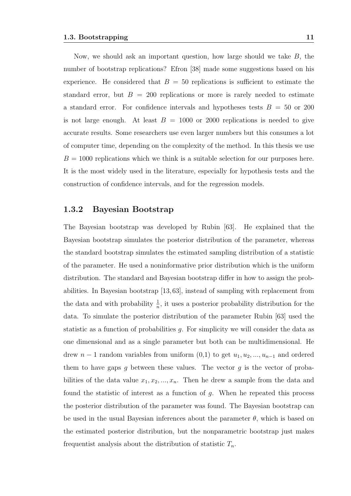Now, we should ask an important question, how large should we take  $B$ , the number of bootstrap replications? Efron [38] made some suggestions based on his experience. He considered that  $B = 50$  replications is sufficient to estimate the standard error, but  $B = 200$  replications or more is rarely needed to estimate a standard error. For confidence intervals and hypotheses tests  $B = 50$  or 200 is not large enough. At least  $B = 1000$  or 2000 replications is needed to give accurate results. Some researchers use even larger numbers but this consumes a lot of computer time, depending on the complexity of the method. In this thesis we use  $B = 1000$  replications which we think is a suitable selection for our purposes here. It is the most widely used in the literature, especially for hypothesis tests and the construction of confidence intervals, and for the regression models.

#### 1.3.2 Bayesian Bootstrap

The Bayesian bootstrap was developed by Rubin [63]. He explained that the Bayesian bootstrap simulates the posterior distribution of the parameter, whereas the standard bootstrap simulates the estimated sampling distribution of a statistic of the parameter. He used a noninformative prior distribution which is the uniform distribution. The standard and Bayesian bootstrap differ in how to assign the probabilities. In Bayesian bootstrap [13,63], instead of sampling with replacement from the data and with probability  $\frac{1}{n}$ , it uses a posterior probability distribution for the data. To simulate the posterior distribution of the parameter Rubin [63] used the statistic as a function of probabilities g. For simplicity we will consider the data as one dimensional and as a single parameter but both can be multidimensional. He drew  $n-1$  random variables from uniform  $(0,1)$  to get  $u_1, u_2, ..., u_{n-1}$  and ordered them to have gaps g between these values. The vector g is the vector of probabilities of the data value  $x_1, x_2, ..., x_n$ . Then he drew a sample from the data and found the statistic of interest as a function of g. When he repeated this process the posterior distribution of the parameter was found. The Bayesian bootstrap can be used in the usual Bayesian inferences about the parameter  $\theta$ , which is based on the estimated posterior distribution, but the nonparametric bootstrap just makes frequentist analysis about the distribution of statistic  $T_n$ .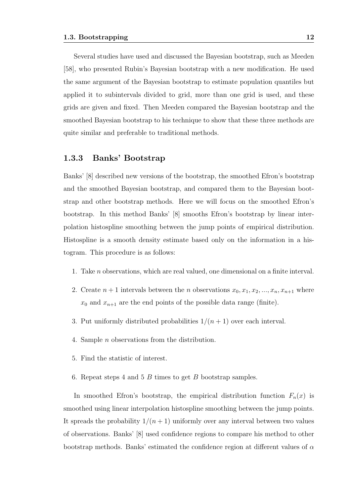Several studies have used and discussed the Bayesian bootstrap, such as Meeden [58], who presented Rubin's Bayesian bootstrap with a new modification. He used the same argument of the Bayesian bootstrap to estimate population quantiles but applied it to subintervals divided to grid, more than one grid is used, and these grids are given and fixed. Then Meeden compared the Bayesian bootstrap and the smoothed Bayesian bootstrap to his technique to show that these three methods are quite similar and preferable to traditional methods.

#### 1.3.3 Banks' Bootstrap

Banks' [8] described new versions of the bootstrap, the smoothed Efron's bootstrap and the smoothed Bayesian bootstrap, and compared them to the Bayesian bootstrap and other bootstrap methods. Here we will focus on the smoothed Efron's bootstrap. In this method Banks' [8] smooths Efron's bootstrap by linear interpolation histospline smoothing between the jump points of empirical distribution. Histospline is a smooth density estimate based only on the information in a histogram. This procedure is as follows:

- 1. Take n observations, which are real valued, one dimensional on a finite interval.
- 2. Create  $n+1$  intervals between the n observations  $x_0, x_1, x_2, ..., x_n, x_{n+1}$  where  $x_0$  and  $x_{n+1}$  are the end points of the possible data range (finite).
- 3. Put uniformly distributed probabilities  $1/(n+1)$  over each interval.
- 4. Sample n observations from the distribution.
- 5. Find the statistic of interest.
- 6. Repeat steps 4 and 5 B times to get B bootstrap samples.

In smoothed Efron's bootstrap, the empirical distribution function  $F_n(x)$  is smoothed using linear interpolation histospline smoothing between the jump points. It spreads the probability  $1/(n+1)$  uniformly over any interval between two values of observations. Banks' [8] used confidence regions to compare his method to other bootstrap methods. Banks' estimated the confidence region at different values of  $\alpha$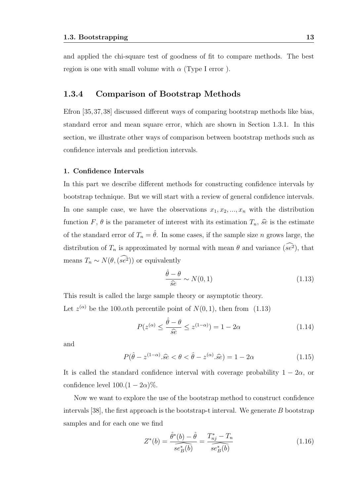and applied the chi-square test of goodness of fit to compare methods. The best region is one with small volume with  $\alpha$  (Type I error).

#### 1.3.4 Comparison of Bootstrap Methods

Efron [35,37,38] discussed different ways of comparing bootstrap methods like bias, standard error and mean square error, which are shown in Section 1.3.1. In this section, we illustrate other ways of comparison between bootstrap methods such as confidence intervals and prediction intervals.

#### 1. Confidence Intervals

In this part we describe different methods for constructing confidence intervals by bootstrap technique. But we will start with a review of general confidence intervals. In one sample case, we have the observations  $x_1, x_2, ..., x_n$  with the distribution function F,  $\theta$  is the parameter of interest with its estimation  $T_n$ ,  $\hat{s}$  is the estimate of the standard error of  $T_n = \hat{\theta}$ . In some cases, if the sample size n grows large, the distribution of  $T_n$  is approximated by normal with mean  $\theta$  and variance  $(se^2)$ , that means  $T_n \sim N(\theta, (se^2))$  or equivalently

$$
\frac{\hat{\theta} - \theta}{\hat{s}e} \sim N(0, 1) \tag{1.13}
$$

This result is called the large sample theory or asymptotic theory. Let  $z^{(\alpha)}$  be the 100. $\alpha$ th percentile point of  $N(0, 1)$ , then from (1.13)

$$
P(z^{(\alpha)} \le \frac{\hat{\theta} - \theta}{\hat{s}e} \le z^{(1-\alpha)}) = 1 - 2\alpha \tag{1.14}
$$

and

$$
P(\hat{\theta} - z^{(1-\alpha)}.\hat{s}e < \theta < \hat{\theta} - z^{(\alpha)}.\hat{s}e) = 1 - 2\alpha
$$
\n(1.15)

It is called the standard confidence interval with coverage probability  $1 - 2\alpha$ , or confidence level  $100.(1 - 2\alpha)\%$ .

Now we want to explore the use of the bootstrap method to construct confidence intervals [38], the first approach is the bootstrap-t interval. We generate  $B$  bootstrap samples and for each one we find

$$
Z^*(b) = \frac{\hat{\theta}^*(b) - \hat{\theta}}{se_B^*(b)} = \frac{T_{nj}^* - T_n}{se_B^*(b)}
$$
(1.16)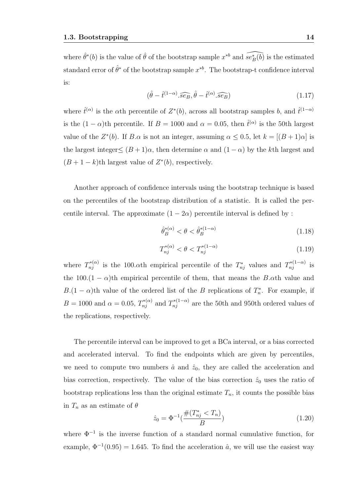where  $\hat{\theta}^*(b)$  is the value of  $\hat{\theta}$  of the bootstrap sample  $x^{*b}$  and  $\widehat{se^*_B(b)}$  is the estimated standard error of  $\hat{\theta}^*$  of the bootstrap sample  $x^{*b}$ . The bootstrap-t confidence interval is:

$$
(\hat{\theta} - \hat{t}^{(1-\alpha)} \cdot \widehat{se_B}, \hat{\theta} - \hat{t}^{(\alpha)} \cdot \widehat{se_B})
$$
\n(1.17)

where  $\hat{t}^{(\alpha)}$  is the  $\alpha$ th percentile of  $Z^*(b)$ , across all bootstrap samples b, and  $\hat{t}^{(1-\alpha)}$ is the  $(1 - \alpha)$ th percentile. If  $B = 1000$  and  $\alpha = 0.05$ , then  $\hat{t}^{(\alpha)}$  is the 50th largest value of the  $Z^*(b)$ . If  $B.\alpha$  is not an integer, assuming  $\alpha \leq 0.5$ , let  $k = |(B+1)\alpha|$  is the largest integer $\leq (B+1)\alpha$ , then determine  $\alpha$  and  $(1-\alpha)$  by the k<sup>th</sup> largest and  $(B+1-k)$ th largest value of  $Z^*(b)$ , respectively.

Another approach of confidence intervals using the bootstrap technique is based on the percentiles of the bootstrap distribution of a statistic. It is called the percentile interval. The approximate  $(1 - 2\alpha)$  percentile interval is defined by :

$$
\hat{\theta}_B^{*(\alpha)} < \theta < \hat{\theta}_B^{*(1-\alpha)} \tag{1.18}
$$

$$
T_{nj}^{*(\alpha)} < \theta < T_{nj}^{*(1-\alpha)} \tag{1.19}
$$

where  $T_{nj}^{*(\alpha)}$  is the 100. $\alpha$ th empirical percentile of the  $T_{nj}^*$  values and  $T_{nj}^{*(1-\alpha)}$  is the 100. $(1 - \alpha)$ th empirical percentile of them, that means the B. $\alpha$ th value and  $B(1-\alpha)$ th value of the ordered list of the B replications of  $T_n^*$ . For example, if  $B = 1000$  and  $\alpha = 0.05$ ,  $T_{nj}^{*(\alpha)}$  and  $T_{nj}^{*(1-\alpha)}$  are the 50th and 950th ordered values of the replications, respectively.

The percentile interval can be improved to get a BCa interval, or a bias corrected and accelerated interval. To find the endpoints which are given by percentiles, we need to compute two numbers  $\hat{a}$  and  $\hat{z}_0$ , they are called the acceleration and bias correction, respectively. The value of the bias correction  $\hat{z}_0$  uses the ratio of bootstrap replications less than the original estimate  $T_n$ , it counts the possible bias in  $T_n$  as an estimate of  $\theta$ 

$$
\hat{z}_0 = \Phi^{-1}(\frac{\#(T_{nj}^* < T_n)}{B})\tag{1.20}
$$

where  $\Phi^{-1}$  is the inverse function of a standard normal cumulative function, for example,  $\Phi^{-1}(0.95) = 1.645$ . To find the acceleration  $\hat{a}$ , we will use the easiest way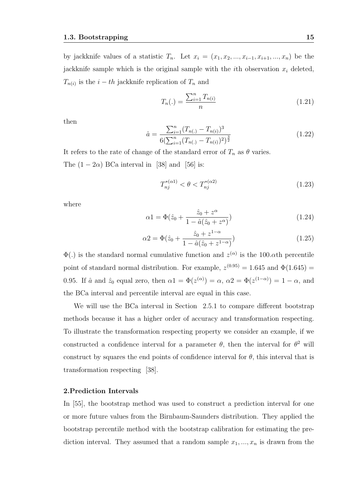by jackknife values of a statistic  $T_n$ . Let  $x_i = (x_1, x_2, ..., x_{i-1}, x_{i+1}, ..., x_n)$  be the jackknife sample which is the original sample with the *i*th observation  $x_i$  deleted,  $T_{n(i)}$  is the  $i-th$  jackknife replication of  $T_n$  and

$$
T_n(.) = \frac{\sum_{i=1}^n T_{n(i)}}{n} \tag{1.21}
$$

then

$$
\hat{a} = \frac{\sum_{i=1}^{n} (T_{n(i)} - T_{n(i)})^3}{6(\sum_{i=1}^{n} (T_{n(i)} - T_{n(i)})^2)^{\frac{3}{2}}} \tag{1.22}
$$

It refers to the rate of change of the standard error of  $T_n$  as  $\theta$  varies. The  $(1 - 2\alpha)$  BCa interval in [38] and [56] is:

$$
T_{nj}^{*(\alpha 1)} < \theta < T_{nj}^{*(\alpha 2)} \tag{1.23}
$$

where

$$
\alpha 1 = \Phi(\hat{z}_0 + \frac{\hat{z}_0 + z^{\alpha}}{1 - \hat{a}(\hat{z}_0 + z^{\alpha})})
$$
\n(1.24)

$$
\alpha 2 = \Phi(\hat{z}_0 + \frac{\hat{z}_0 + z^{1-\alpha}}{1 - \hat{a}(\hat{z}_0 + z^{1-\alpha})})
$$
\n(1.25)

 $\Phi(.)$  is the standard normal cumulative function and  $z^{(\alpha)}$  is the 100. $\alpha$ <sup>th</sup> percentile point of standard normal distribution. For example,  $z^{(0.95)} = 1.645$  and  $\Phi(1.645) =$ 0.95. If  $\hat{a}$  and  $\hat{z}_0$  equal zero, then  $\alpha_1 = \Phi(z^{(\alpha)}) = \alpha$ ,  $\alpha_2 = \Phi(z^{(1-\alpha)}) = 1-\alpha$ , and the BCa interval and percentile interval are equal in this case.

We will use the BCa interval in Section 2.5.1 to compare different bootstrap methods because it has a higher order of accuracy and transformation respecting. To illustrate the transformation respecting property we consider an example, if we constructed a confidence interval for a parameter  $\theta$ , then the interval for  $\theta^2$  will construct by squares the end points of confidence interval for  $\theta$ , this interval that is transformation respecting [38].

#### 2.Prediction Intervals

In [55], the bootstrap method was used to construct a prediction interval for one or more future values from the Birnbaum-Saunders distribution. They applied the bootstrap percentile method with the bootstrap calibration for estimating the prediction interval. They assumed that a random sample  $x_1, ..., x_n$  is drawn from the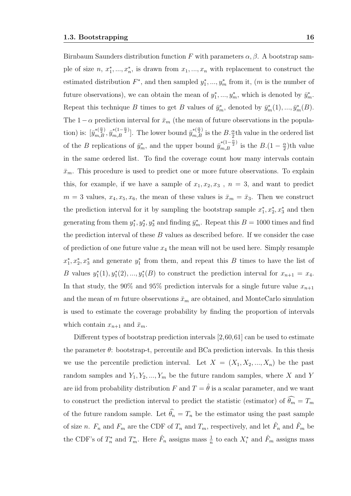Birnbaum Saunders distribution function F with parameters  $\alpha$ ,  $\beta$ . A bootstrap sample of size  $n, x_1^*, ..., x_n^*$ , is drawn from  $x_1, ..., x_n$  with replacement to construct the estimated distribution  $F^*$ , and then sampled  $y_1^*,..., y_m^*$  from it,  $(m$  is the number of future observations), we can obtain the mean of  $y_1^*,..., y_m^*$ , which is denoted by  $\bar{y}_m^*$ . Repeat this technique B times to get B values of  $\bar{y}_m^*$ , denoted by  $\bar{y}_m^*(1), ..., \bar{y}_m^*(B)$ . The  $1-\alpha$  prediction interval for  $\bar{x}_m$  (the mean of future observations in the population) is:  $[\bar{y}_{m,B}^{*(\frac{\alpha}{2})}, \bar{y}_{m,B}^{*(1-\frac{\alpha}{2})}]$ . The lower bound  $\bar{y}_{m,B}^{*(\frac{\alpha}{2})}$  is the  $B.\frac{\alpha}{2}$ th value in the ordered list of the B replications of  $\bar{y}_m^*$ , and the upper bound  $\bar{y}_{m,B}^{*(1-\frac{\alpha}{2})}$  is the  $B.(1-\frac{\alpha}{2})$  $\frac{\alpha}{2}$ )th value in the same ordered list. To find the coverage count how many intervals contain  $\bar{x}_m$ . This procedure is used to predict one or more future observations. To explain this, for example, if we have a sample of  $x_1, x_2, x_3$ ,  $n = 3$ , and want to predict  $m = 3$  values,  $x_4, x_5, x_6$ , the mean of these values is  $\bar{x}_m = \bar{x}_3$ . Then we construct the prediction interval for it by sampling the bootstrap sample  $x_1^*, x_2^*, x_3^*$  and then generating from them  $y_1^*, y_2^*, y_3^*$  and finding  $\bar{y}_m^*$ . Repeat this  $B = 1000$  times and find the prediction interval of these B values as described before. If we consider the case of prediction of one future value  $x_4$  the mean will not be used here. Simply resample  $x_1^*, x_2^*, x_3^*$  and generate  $y_1^*$  from them, and repeat this B times to have the list of B values  $y_1^*(1), y_1^*(2), ..., y_1^*(B)$  to construct the prediction interval for  $x_{n+1} = x_4$ . In that study, the 90% and 95% prediction intervals for a single future value  $x_{n+1}$ and the mean of m future observations  $\bar{x}_m$  are obtained, and MonteCarlo simulation is used to estimate the coverage probability by finding the proportion of intervals which contain  $x_{n+1}$  and  $\bar{x}_m$ .

Different types of bootstrap prediction intervals [2,60,61] can be used to estimate the parameter  $\theta$ : bootstrap-t, percentile and BCa prediction intervals. In this thesis we use the percentile prediction interval. Let  $X = (X_1, X_2, ..., X_n)$  be the past random samples and  $Y_1, Y_2, ..., Y_m$  be the future random samples, where X and Y are iid from probability distribution  $F$  and  $T = \hat{\theta}$  is a scalar parameter, and we want to construct the prediction interval to predict the statistic (estimator) of  $\widehat{\theta_m} = T_m$ of the future random sample. Let  $\widehat{\theta}_n = T_n$  be the estimator using the past sample of size *n*.  $F_n$  and  $F_m$  are the CDF of  $T_n$  and  $T_m$ , respectively, and let  $\hat{F}_n$  and  $\hat{F}_m$  be the CDF's of  $T_n^*$  and  $T_m^*$ . Here  $\hat{F}_n$  assigns mass  $\frac{1}{n}$  to each  $X_i^*$  and  $\hat{F}_m$  assigns mass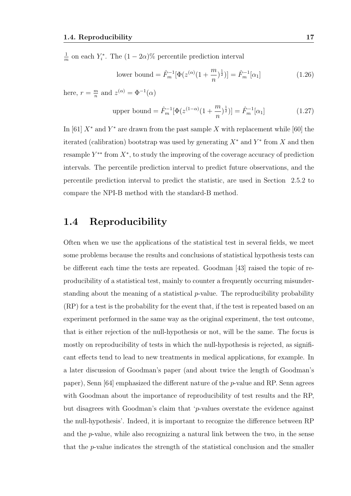1  $\frac{1}{m}$  on each  $Y_i^*$ . The  $(1-2\alpha)\%$  percentile prediction interval

lower bound = 
$$
\hat{F}_m^{-1}[\Phi(z^{(\alpha)}(1+\frac{m}{n})^{\frac{1}{2}})] = \hat{F}_m^{-1}[\alpha_1]
$$
 (1.26)

here,  $r = \frac{m}{n}$  $\frac{m}{n}$  and  $z^{(\alpha)} = \Phi^{-1}(\alpha)$ 

upper bound = 
$$
\hat{F}_m^{-1}[\Phi(z^{(1-\alpha)}(1+\frac{m}{n})^{\frac{1}{2}})] = \hat{F}_m^{-1}[\alpha_1]
$$
 (1.27)

In [61]  $X^*$  and  $Y^*$  are drawn from the past sample X with replacement while [60] the iterated (calibration) bootstrap was used by generating  $X^*$  and  $Y^*$  from X and then resample  $Y^{**}$  from  $X^*$ , to study the improving of the coverage accuracy of prediction intervals. The percentile prediction interval to predict future observations, and the percentile prediction interval to predict the statistic, are used in Section 2.5.2 to compare the NPI-B method with the standard-B method.

### 1.4 Reproducibility

Often when we use the applications of the statistical test in several fields, we meet some problems because the results and conclusions of statistical hypothesis tests can be different each time the tests are repeated. Goodman [43] raised the topic of reproducibility of a statistical test, mainly to counter a frequently occurring misunderstanding about the meaning of a statistical  $p$ -value. The reproducibility probability (RP) for a test is the probability for the event that, if the test is repeated based on an experiment performed in the same way as the original experiment, the test outcome, that is either rejection of the null-hypothesis or not, will be the same. The focus is mostly on reproducibility of tests in which the null-hypothesis is rejected, as significant effects tend to lead to new treatments in medical applications, for example. In a later discussion of Goodman's paper (and about twice the length of Goodman's paper), Senn [64] emphasized the different nature of the p-value and RP. Senn agrees with Goodman about the importance of reproducibility of test results and the RP, but disagrees with Goodman's claim that 'p-values overstate the evidence against the null-hypothesis'. Indeed, it is important to recognize the difference between RP and the  $p$ -value, while also recognizing a natural link between the two, in the sense that the p-value indicates the strength of the statistical conclusion and the smaller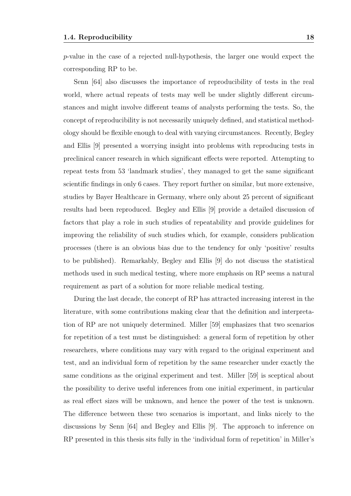p-value in the case of a rejected null-hypothesis, the larger one would expect the corresponding RP to be.

Senn [64] also discusses the importance of reproducibility of tests in the real world, where actual repeats of tests may well be under slightly different circumstances and might involve different teams of analysts performing the tests. So, the concept of reproducibility is not necessarily uniquely defined, and statistical methodology should be flexible enough to deal with varying circumstances. Recently, Begley and Ellis [9] presented a worrying insight into problems with reproducing tests in preclinical cancer research in which significant effects were reported. Attempting to repeat tests from 53 'landmark studies', they managed to get the same significant scientific findings in only 6 cases. They report further on similar, but more extensive, studies by Bayer Healthcare in Germany, where only about 25 percent of significant results had been reproduced. Begley and Ellis [9] provide a detailed discussion of factors that play a role in such studies of repeatability and provide guidelines for improving the reliability of such studies which, for example, considers publication processes (there is an obvious bias due to the tendency for only 'positive' results to be published). Remarkably, Begley and Ellis [9] do not discuss the statistical methods used in such medical testing, where more emphasis on RP seems a natural requirement as part of a solution for more reliable medical testing.

During the last decade, the concept of RP has attracted increasing interest in the literature, with some contributions making clear that the definition and interpretation of RP are not uniquely determined. Miller [59] emphasizes that two scenarios for repetition of a test must be distinguished: a general form of repetition by other researchers, where conditions may vary with regard to the original experiment and test, and an individual form of repetition by the same researcher under exactly the same conditions as the original experiment and test. Miller [59] is sceptical about the possibility to derive useful inferences from one initial experiment, in particular as real effect sizes will be unknown, and hence the power of the test is unknown. The difference between these two scenarios is important, and links nicely to the discussions by Senn [64] and Begley and Ellis [9]. The approach to inference on RP presented in this thesis sits fully in the 'individual form of repetition' in Miller's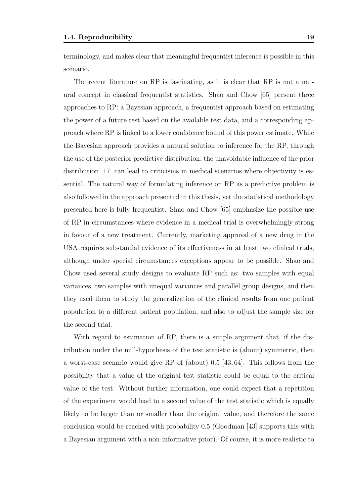terminology, and makes clear that meaningful frequentist inference is possible in this scenario.

The recent literature on RP is fascinating, as it is clear that RP is not a natural concept in classical frequentist statistics. Shao and Chow [65] present three approaches to RP: a Bayesian approach, a frequentist approach based on estimating the power of a future test based on the available test data, and a corresponding approach where RP is linked to a lower confidence bound of this power estimate. While the Bayesian approach provides a natural solution to inference for the RP, through the use of the posterior predictive distribution, the unavoidable influence of the prior distribution [17] can lead to criticisms in medical scenarios where objectivity is essential. The natural way of formulating inference on RP as a predictive problem is also followed in the approach presented in this thesis, yet the statistical methodology presented here is fully frequentist. Shao and Chow [65] emphasize the possible use of RP in circumstances where evidence in a medical trial is overwhelmingly strong in favour of a new treatment. Currently, marketing approval of a new drug in the USA requires substantial evidence of its effectiveness in at least two clinical trials, although under special circumstances exceptions appear to be possible. Shao and Chow used several study designs to evaluate RP such as: two samples with equal variances, two samples with unequal variances and parallel group designs, and then they used them to study the generalization of the clinical results from one patient population to a different patient population, and also to adjust the sample size for the second trial.

With regard to estimation of RP, there is a simple argument that, if the distribution under the null-hypothesis of the test statistic is (about) symmetric, then a worst-case scenario would give RP of (about) 0.5 [43, 64]. This follows from the possibility that a value of the original test statistic could be equal to the critical value of the test. Without further information, one could expect that a repetition of the experiment would lead to a second value of the test statistic which is equally likely to be larger than or smaller than the original value, and therefore the same conclusion would be reached with probability 0.5 (Goodman [43] supports this with a Bayesian argument with a non-informative prior). Of course, it is more realistic to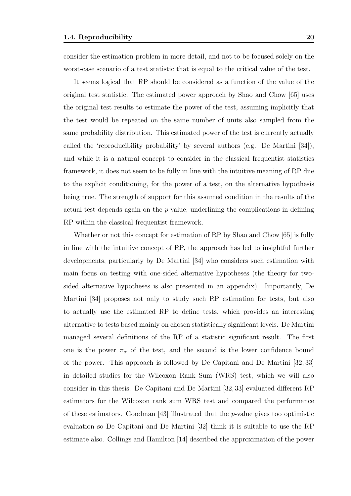consider the estimation problem in more detail, and not to be focused solely on the worst-case scenario of a test statistic that is equal to the critical value of the test.

It seems logical that RP should be considered as a function of the value of the original test statistic. The estimated power approach by Shao and Chow [65] uses the original test results to estimate the power of the test, assuming implicitly that the test would be repeated on the same number of units also sampled from the same probability distribution. This estimated power of the test is currently actually called the 'reproducibility probability' by several authors (e.g. De Martini [34]), and while it is a natural concept to consider in the classical frequentist statistics framework, it does not seem to be fully in line with the intuitive meaning of RP due to the explicit conditioning, for the power of a test, on the alternative hypothesis being true. The strength of support for this assumed condition in the results of the actual test depends again on the p-value, underlining the complications in defining RP within the classical frequentist framework.

Whether or not this concept for estimation of RP by Shao and Chow [65] is fully in line with the intuitive concept of RP, the approach has led to insightful further developments, particularly by De Martini [34] who considers such estimation with main focus on testing with one-sided alternative hypotheses (the theory for twosided alternative hypotheses is also presented in an appendix). Importantly, De Martini [34] proposes not only to study such RP estimation for tests, but also to actually use the estimated RP to define tests, which provides an interesting alternative to tests based mainly on chosen statistically significant levels. De Martini managed several definitions of the RP of a statistic significant result. The first one is the power  $\pi_{\alpha}$  of the test, and the second is the lower confidence bound of the power. This approach is followed by De Capitani and De Martini [32, 33] in detailed studies for the Wilcoxon Rank Sum (WRS) test, which we will also consider in this thesis. De Capitani and De Martini [32, 33] evaluated different RP estimators for the Wilcoxon rank sum WRS test and compared the performance of these estimators. Goodman [43] illustrated that the  $p$ -value gives too optimistic evaluation so De Capitani and De Martini [32] think it is suitable to use the RP estimate also. Collings and Hamilton [14] described the approximation of the power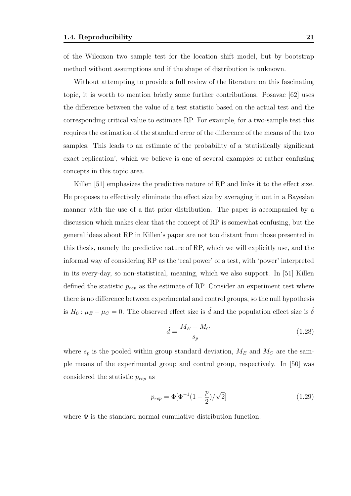of the Wilcoxon two sample test for the location shift model, but by bootstrap method without assumptions and if the shape of distribution is unknown.

Without attempting to provide a full review of the literature on this fascinating topic, it is worth to mention briefly some further contributions. Posavac [62] uses the difference between the value of a test statistic based on the actual test and the corresponding critical value to estimate RP. For example, for a two-sample test this requires the estimation of the standard error of the difference of the means of the two samples. This leads to an estimate of the probability of a 'statistically significant exact replication', which we believe is one of several examples of rather confusing concepts in this topic area.

Killen [51] emphasizes the predictive nature of RP and links it to the effect size. He proposes to effectively eliminate the effect size by averaging it out in a Bayesian manner with the use of a flat prior distribution. The paper is accompanied by a discussion which makes clear that the concept of RP is somewhat confusing, but the general ideas about RP in Killen's paper are not too distant from those presented in this thesis, namely the predictive nature of RP, which we will explicitly use, and the informal way of considering RP as the 'real power' of a test, with 'power' interpreted in its every-day, so non-statistical, meaning, which we also support. In [51] Killen defined the statistic  $p_{rep}$  as the estimate of RP. Consider an experiment test where there is no difference between experimental and control groups, so the null hypothesis is  $H_0: \mu_E - \mu_C = 0$ . The observed effect size is  $\hat{d}$  and the population effect size is  $\hat{\delta}$ 

$$
\acute{d} = \frac{M_E - M_C}{s_p} \tag{1.28}
$$

where  $s_p$  is the pooled within group standard deviation,  $M_E$  and  $M_C$  are the sample means of the experimental group and control group, respectively. In [50] was considered the statistic  $p_{rep}$  as

$$
p_{rep} = \Phi[\Phi^{-1}(1 - \frac{p}{2})/\sqrt{2}] \tag{1.29}
$$

where  $\Phi$  is the standard normal cumulative distribution function.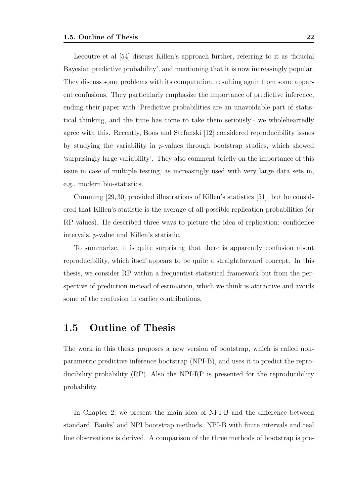Lecoutre et al [54] discuss Killen's approach further, referring to it as 'fiducial Bayesian predictive probability', and mentioning that it is now increasingly popular. They discuss some problems with its computation, resulting again from some apparent confusions. They particularly emphasize the importance of predictive inference, ending their paper with 'Predictive probabilities are an unavoidable part of statistical thinking, and the time has come to take them seriously'- we wholeheartedly agree with this. Recently, Boos and Stefanski [12] considered reproducibility issues by studying the variability in p-values through bootstrap studies, which showed 'surprisingly large variability'. They also comment briefly on the importance of this issue in case of multiple testing, as increasingly used with very large data sets in, e.g., modern bio-statistics.

Cumming [29, 30] provided illustrations of Killen's statistics [51], but he considered that Killen's statistic is the average of all possible replication probabilities (or RP values). He described three ways to picture the idea of replication: confidence intervals, p-value and Killen's statistic.

To summarize, it is quite surprising that there is apparently confusion about reproducibility, which itself appears to be quite a straightforward concept. In this thesis, we consider RP within a frequentist statistical framework but from the perspective of prediction instead of estimation, which we think is attractive and avoids some of the confusion in earlier contributions.

### 1.5 Outline of Thesis

The work in this thesis proposes a new version of bootstrap, which is called nonparametric predictive inference bootstrap (NPI-B), and uses it to predict the reproducibility probability (RP). Also the NPI-RP is presented for the reproducibility probability.

In Chapter 2, we present the main idea of NPI-B and the difference between standard, Banks' and NPI bootstrap methods. NPI-B with finite intervals and real line observations is derived. A comparison of the three methods of bootstrap is pre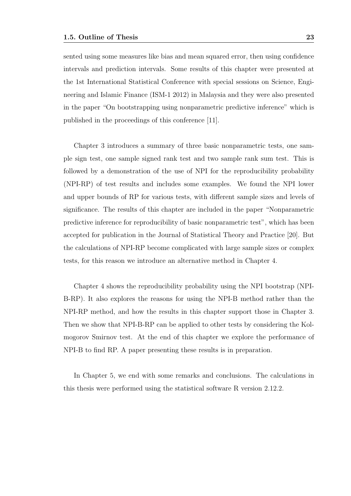sented using some measures like bias and mean squared error, then using confidence intervals and prediction intervals. Some results of this chapter were presented at the 1st International Statistical Conference with special sessions on Science, Engineering and Islamic Finance (ISM-1 2012) in Malaysia and they were also presented in the paper "On bootstrapping using nonparametric predictive inference" which is published in the proceedings of this conference [11].

Chapter 3 introduces a summary of three basic nonparametric tests, one sample sign test, one sample signed rank test and two sample rank sum test. This is followed by a demonstration of the use of NPI for the reproducibility probability (NPI-RP) of test results and includes some examples. We found the NPI lower and upper bounds of RP for various tests, with different sample sizes and levels of significance. The results of this chapter are included in the paper "Nonparametric predictive inference for reproducibility of basic nonparametric test", which has been accepted for publication in the Journal of Statistical Theory and Practice [20]. But the calculations of NPI-RP become complicated with large sample sizes or complex tests, for this reason we introduce an alternative method in Chapter 4.

Chapter 4 shows the reproducibility probability using the NPI bootstrap (NPI-B-RP). It also explores the reasons for using the NPI-B method rather than the NPI-RP method, and how the results in this chapter support those in Chapter 3. Then we show that NPI-B-RP can be applied to other tests by considering the Kolmogorov Smirnov test. At the end of this chapter we explore the performance of NPI-B to find RP. A paper presenting these results is in preparation.

In Chapter 5, we end with some remarks and conclusions. The calculations in this thesis were performed using the statistical software R version 2.12.2.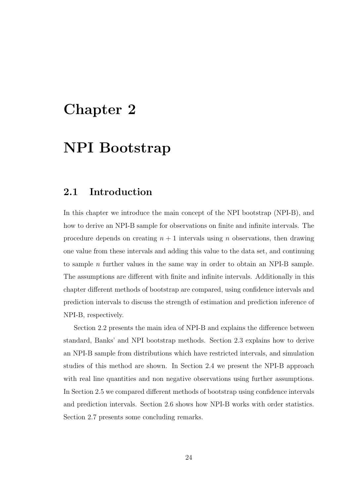## Chapter 2

## NPI Bootstrap

### 2.1 Introduction

In this chapter we introduce the main concept of the NPI bootstrap (NPI-B), and how to derive an NPI-B sample for observations on finite and infinite intervals. The procedure depends on creating  $n + 1$  intervals using n observations, then drawing one value from these intervals and adding this value to the data set, and continuing to sample n further values in the same way in order to obtain an NPI-B sample. The assumptions are different with finite and infinite intervals. Additionally in this chapter different methods of bootstrap are compared, using confidence intervals and prediction intervals to discuss the strength of estimation and prediction inference of NPI-B, respectively.

Section 2.2 presents the main idea of NPI-B and explains the difference between standard, Banks' and NPI bootstrap methods. Section 2.3 explains how to derive an NPI-B sample from distributions which have restricted intervals, and simulation studies of this method are shown. In Section 2.4 we present the NPI-B approach with real line quantities and non negative observations using further assumptions. In Section 2.5 we compared different methods of bootstrap using confidence intervals and prediction intervals. Section 2.6 shows how NPI-B works with order statistics. Section 2.7 presents some concluding remarks.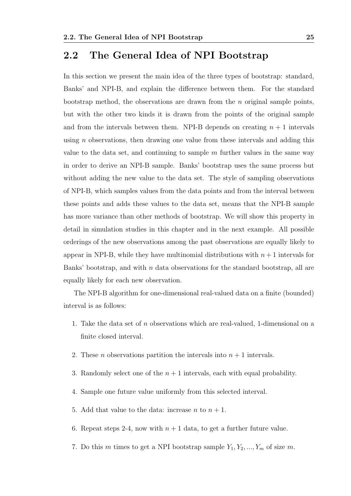### 2.2 The General Idea of NPI Bootstrap

In this section we present the main idea of the three types of bootstrap: standard, Banks' and NPI-B, and explain the difference between them. For the standard bootstrap method, the observations are drawn from the  $n$  original sample points, but with the other two kinds it is drawn from the points of the original sample and from the intervals between them. NPI-B depends on creating  $n + 1$  intervals using  $n$  observations, then drawing one value from these intervals and adding this value to the data set, and continuing to sample  $m$  further values in the same way in order to derive an NPI-B sample. Banks' bootstrap uses the same process but without adding the new value to the data set. The style of sampling observations of NPI-B, which samples values from the data points and from the interval between these points and adds these values to the data set, means that the NPI-B sample has more variance than other methods of bootstrap. We will show this property in detail in simulation studies in this chapter and in the next example. All possible orderings of the new observations among the past observations are equally likely to appear in NPI-B, while they have multinomial distributions with  $n+1$  intervals for Banks' bootstrap, and with n data observations for the standard bootstrap, all are equally likely for each new observation.

The NPI-B algorithm for one-dimensional real-valued data on a finite (bounded) interval is as follows:

- 1. Take the data set of n observations which are real-valued, 1-dimensional on a finite closed interval.
- 2. These *n* observations partition the intervals into  $n + 1$  intervals.
- 3. Randomly select one of the  $n + 1$  intervals, each with equal probability.
- 4. Sample one future value uniformly from this selected interval.
- 5. Add that value to the data: increase *n* to  $n + 1$ .
- 6. Repeat steps 2-4, now with  $n+1$  data, to get a further future value.
- 7. Do this m times to get a NPI bootstrap sample  $Y_1, Y_2, ..., Y_m$  of size m.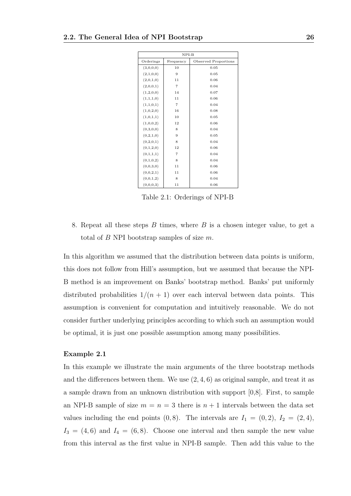| $NPI-B$   |                |                      |  |  |
|-----------|----------------|----------------------|--|--|
| Orderings | Frequency      | Observed Proportions |  |  |
| (3,0,0,0) | 10             | 0.05                 |  |  |
| (2,1,0,0) | 9              | 0.05                 |  |  |
| (2,0,1,0) | 11             | 0.06                 |  |  |
| (2,0,0,1) | $\overline{7}$ | 0.04                 |  |  |
| (1,2,0,0) | 14             | 0.07                 |  |  |
| (1,1,1,0) | 11             | 0.06                 |  |  |
| (1,1,0,1) | $\overline{7}$ | 0.04                 |  |  |
| (1,0,2,0) | 16             | 0.08                 |  |  |
| (1,0,1,1) | 10             | 0.05                 |  |  |
| (1,0,0,2) | 12             | 0.06                 |  |  |
| (0,3,0,0) | 8              | 0.04                 |  |  |
| (0,2,1,0) | 9              | 0.05                 |  |  |
| (0,2,0,1) | 8              | 0.04                 |  |  |
| (0,1,2,0) | 12             | 0.06                 |  |  |
| (0,1,1,1) | $\overline{7}$ | 0.04                 |  |  |
| (0,1,0,2) | 8              | 0.04                 |  |  |
| (0,0,3,0) | 11             | 0.06                 |  |  |
| (0,0,2,1) | 11             | 0.06                 |  |  |
| (0,0,1,2) | 8              | 0.04                 |  |  |
| (0,0,0,3) | 11             | 0.06                 |  |  |

Table 2.1: Orderings of NPI-B

8. Repeat all these steps  $B$  times, where  $B$  is a chosen integer value, to get a total of  $B$  NPI bootstrap samples of size  $m$ .

In this algorithm we assumed that the distribution between data points is uniform, this does not follow from Hill's assumption, but we assumed that because the NPI-B method is an improvement on Banks' bootstrap method. Banks' put uniformly distributed probabilities  $1/(n + 1)$  over each interval between data points. This assumption is convenient for computation and intuitively reasonable. We do not consider further underlying principles according to which such an assumption would be optimal, it is just one possible assumption among many possibilities.

#### Example 2.1

In this example we illustrate the main arguments of the three bootstrap methods and the differences between them. We use  $(2, 4, 6)$  as original sample, and treat it as a sample drawn from an unknown distribution with support [0,8]. First, to sample an NPI-B sample of size  $m = n = 3$  there is  $n + 1$  intervals between the data set values including the end points  $(0, 8)$ . The intervals are  $I_1 = (0, 2)$ ,  $I_2 = (2, 4)$ ,  $I_3 = (4, 6)$  and  $I_4 = (6, 8)$ . Choose one interval and then sample the new value from this interval as the first value in NPI-B sample. Then add this value to the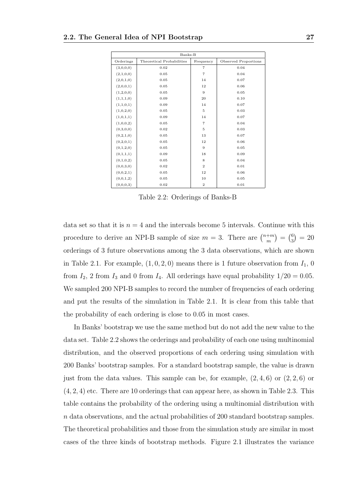| Banks-B   |                           |                |                      |  |
|-----------|---------------------------|----------------|----------------------|--|
| Orderings | Theoretical Probabilities | Frequency      | Observed Proportions |  |
| (3,0,0,0) | 0.02                      | $\overline{7}$ | 0.04                 |  |
| (2,1,0,0) | 0.05                      | $\overline{7}$ | 0.04                 |  |
| (2,0,1,0) | 0.05                      | 14             | 0.07                 |  |
| (2,0,0,1) | 0.05                      | 12             | 0.06                 |  |
| (1,2,0,0) | 0.05                      | 9              | 0.05                 |  |
| (1,1,1,0) | 0.09                      | 20             | 0.10                 |  |
| (1,1,0,1) | 0.09                      | 14             | 0.07                 |  |
| (1,0,2,0) | 0.05                      | 5              | 0.03                 |  |
| (1,0,1,1) | 0.09                      | 14             | 0.07                 |  |
| (1,0,0,2) | 0.05                      | $\overline{7}$ | 0.04                 |  |
| (0,3,0,0) | 0.02                      | 5              | 0.03                 |  |
| (0,2,1,0) | 0.05                      | 13             | 0.07                 |  |
| (0,2,0,1) | 0.05                      | 12             | 0.06                 |  |
| (0,1,2,0) | 0.05                      | 9              | 0.05                 |  |
| (0,1,1,1) | 0.09                      | 18             | 0.09                 |  |
| (0,1,0,2) | 0.05                      | 8              | 0.04                 |  |
| (0,0,3,0) | 0.02                      | $\overline{2}$ | 0.01                 |  |
| (0,0,2,1) | 0.05                      | 12             | 0.06                 |  |
| (0,0,1,2) | 0.05                      | 10             | 0.05                 |  |
| (0,0,0,3) | 0.02                      | $\overline{2}$ | 0.01                 |  |

Table 2.2: Orderings of Banks-B

data set so that it is  $n = 4$  and the intervals become 5 intervals. Continue with this procedure to derive an NPI-B sample of size  $m = 3$ . There are  $\binom{n+m}{m}$  $\binom{+m}{m} = \binom{6}{3}$  $\binom{6}{3} = 20$ orderings of 3 future observations among the 3 data observations, which are shown in Table 2.1. For example,  $(1, 0, 2, 0)$  means there is 1 future observation from  $I_1$ , 0 from  $I_2$ , 2 from  $I_3$  and 0 from  $I_4$ . All orderings have equal probability  $1/20 = 0.05$ . We sampled 200 NPI-B samples to record the number of frequencies of each ordering and put the results of the simulation in Table 2.1. It is clear from this table that the probability of each ordering is close to 0.05 in most cases.

In Banks' bootstrap we use the same method but do not add the new value to the data set. Table 2.2 shows the orderings and probability of each one using multinomial distribution, and the observed proportions of each ordering using simulation with 200 Banks' bootstrap samples. For a standard bootstrap sample, the value is drawn just from the data values. This sample can be, for example,  $(2, 4, 6)$  or  $(2, 2, 6)$  or (4, 2, 4) etc. There are 10 orderings that can appear here, as shown in Table 2.3. This table contains the probability of the ordering using a multinomial distribution with n data observations, and the actual probabilities of 200 standard bootstrap samples. The theoretical probabilities and those from the simulation study are similar in most cases of the three kinds of bootstrap methods. Figure 2.1 illustrates the variance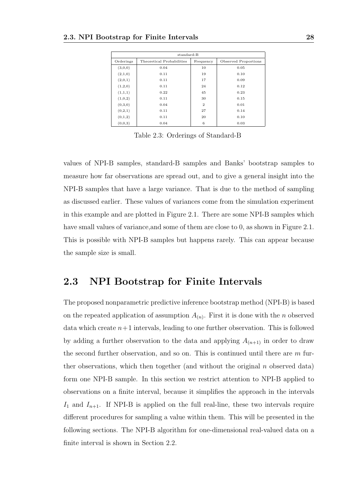| standard-B |                           |                |                      |  |  |
|------------|---------------------------|----------------|----------------------|--|--|
| Orderings  | Theoretical Probabilities | Frequency      | Observed Proportions |  |  |
| (3,0,0)    | 0.04                      | 10             | 0.05                 |  |  |
| (2,1,0)    | 0.11                      | 19             | 0.10                 |  |  |
| (2,0,1)    | 0.11                      | 17             | 0.09                 |  |  |
| (1,2,0)    | 0.11                      | 24             | 0.12                 |  |  |
| (1,1,1)    | 0.22                      | 45             | 0.23                 |  |  |
| (1,0,2)    | 0.11                      | 30             | 0.15                 |  |  |
| (0,3,0)    | 0.04                      | $\overline{2}$ | 0.01                 |  |  |
| (0,2,1)    | 0.11                      | 27             | 0.14                 |  |  |
| (0,1,2)    | 0.11                      | 20             | 0.10                 |  |  |
| (0,0,3)    | 0.04                      | 6              | 0.03                 |  |  |

Table 2.3: Orderings of Standard-B

values of NPI-B samples, standard-B samples and Banks' bootstrap samples to measure how far observations are spread out, and to give a general insight into the NPI-B samples that have a large variance. That is due to the method of sampling as discussed earlier. These values of variances come from the simulation experiment in this example and are plotted in Figure 2.1. There are some NPI-B samples which have small values of variance, and some of them are close to 0, as shown in Figure 2.1. This is possible with NPI-B samples but happens rarely. This can appear because the sample size is small.

### 2.3 NPI Bootstrap for Finite Intervals

The proposed nonparametric predictive inference bootstrap method (NPI-B) is based on the repeated application of assumption  $A_{(n)}$ . First it is done with the *n* observed data which create  $n+1$  intervals, leading to one further observation. This is followed by adding a further observation to the data and applying  $A_{(n+1)}$  in order to draw the second further observation, and so on. This is continued until there are  $m$  further observations, which then together (and without the original  $n$  observed data) form one NPI-B sample. In this section we restrict attention to NPI-B applied to observations on a finite interval, because it simplifies the approach in the intervals  $I_1$  and  $I_{n+1}$ . If NPI-B is applied on the full real-line, these two intervals require different procedures for sampling a value within them. This will be presented in the following sections. The NPI-B algorithm for one-dimensional real-valued data on a finite interval is shown in Section 2.2.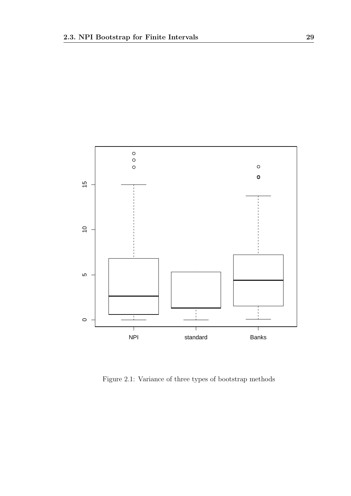

Figure 2.1: Variance of three types of bootstrap methods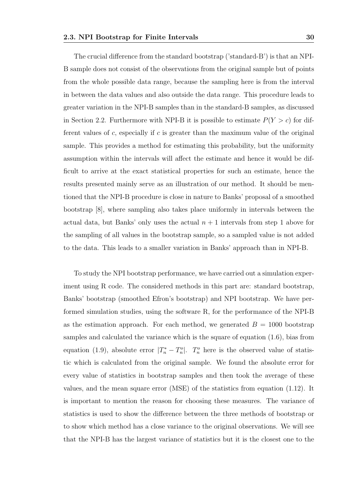The crucial difference from the standard bootstrap ('standard-B') is that an NPI-B sample does not consist of the observations from the original sample but of points from the whole possible data range, because the sampling here is from the interval in between the data values and also outside the data range. This procedure leads to greater variation in the NPI-B samples than in the standard-B samples, as discussed in Section 2.2. Furthermore with NPI-B it is possible to estimate  $P(Y > c)$  for different values of c, especially if c is greater than the maximum value of the original sample. This provides a method for estimating this probability, but the uniformity assumption within the intervals will affect the estimate and hence it would be difficult to arrive at the exact statistical properties for such an estimate, hence the results presented mainly serve as an illustration of our method. It should be mentioned that the NPI-B procedure is close in nature to Banks' proposal of a smoothed bootstrap [8], where sampling also takes place uniformly in intervals between the actual data, but Banks' only uses the actual  $n + 1$  intervals from step 1 above for the sampling of all values in the bootstrap sample, so a sampled value is not added to the data. This leads to a smaller variation in Banks' approach than in NPI-B.

To study the NPI bootstrap performance, we have carried out a simulation experiment using R code. The considered methods in this part are: standard bootstrap, Banks' bootstrap (smoothed Efron's bootstrap) and NPI bootstrap. We have performed simulation studies, using the software R, for the performance of the NPI-B as the estimation approach. For each method, we generated  $B = 1000$  bootstrap samples and calculated the variance which is the square of equation (1.6), bias from equation (1.9), absolute error  $|T_n^* - T_n^o|$ .  $T_n^o$  here is the observed value of statistic which is calculated from the original sample. We found the absolute error for every value of statistics in bootstrap samples and then took the average of these values, and the mean square error (MSE) of the statistics from equation (1.12). It is important to mention the reason for choosing these measures. The variance of statistics is used to show the difference between the three methods of bootstrap or to show which method has a close variance to the original observations. We will see that the NPI-B has the largest variance of statistics but it is the closest one to the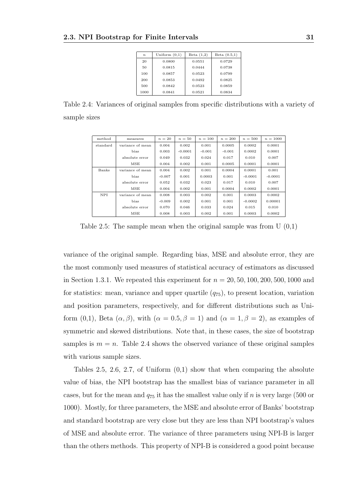| $\boldsymbol{n}$ | Uniform $(0,1)$ | Beta $(1,2)$ | Beta $(0.5,1)$ |
|------------------|-----------------|--------------|----------------|
| 20               | 0.0800          | 0.0551       | 0.0729         |
| 50               | 0.0815          | 0.0444       | 0.0738         |
| 100              | 0.0857          | 0.0523       | 0.0799         |
| 200              | 0.0853          | 0.0492       | 0.0825         |
| 500              | 0.0842          | 0.0523       | 0.0859         |
| 1000             | 0.0841          | 0.0521       | 0.0834         |

Table 2.4: Variances of original samples from specific distributions with a variety of sample sizes

| method   | measures         | $n=20$   | $n=50$    | $n = 100$ | $n = 200$ | $n = 500$ | $n = 1000$ |
|----------|------------------|----------|-----------|-----------|-----------|-----------|------------|
| standard | variance of mean | 0.004    | 0.002     | 0.001     | 0.0005    | 0.0002    | 0.0001     |
|          | bias             | 0.003    | $-0.0001$ | $-0.001$  | $-0.001$  | 0.0002    | 0.0001     |
|          | absolute error   | 0.049    | 0.032     | 0.024     | 0.017     | 0.010     | 0.007      |
|          | MSE              | 0.004    | 0.002     | 0.001     | 0.0005    | 0.0001    | 0.0001     |
| Banks    | variance of mean | 0.004    | 0.002     | 0.001     | 0.0004    | 0.0001    | 0.001      |
|          | bias             | $-0.007$ | 0.001     | 0.0003    | 0.001     | $-0.0001$ | $-0.0001$  |
|          | absolute error   | 0.052    | 0.032     | 0.023     | 0.017     | 0.010     | 0.007      |
|          | MSE              | 0.004    | 0.002     | 0.001     | 0.0004    | 0.0002    | 0.0001     |
| NPI.     | variance of mean | 0.008    | 0.003     | 0.002     | 0.001     | 0.0003    | 0.0002     |
|          | bias             | $-0.009$ | 0.002     | 0.001     | 0.001     | $-0.0002$ | 0.00001    |
|          | absolute error   | 0.070    | 0.046     | 0.033     | 0.024     | 0.015     | 0.010      |
|          | MSE              | 0.008    | 0.003     | 0.002     | 0.001     | 0.0003    | 0.0002     |

Table 2.5: The sample mean when the original sample was from  $U(0,1)$ 

variance of the original sample. Regarding bias, MSE and absolute error, they are the most commonly used measures of statistical accuracy of estimators as discussed in Section 1.3.1. We repeated this experiment for  $n = 20, 50, 100, 200, 500, 1000$  and for statistics: mean, variance and upper quartile  $(q_{75})$ , to present location, variation and position parameters, respectively, and for different distributions such as Uniform (0,1), Beta  $(\alpha, \beta)$ , with  $(\alpha = 0.5, \beta = 1)$  and  $(\alpha = 1, \beta = 2)$ , as examples of symmetric and skewed distributions. Note that, in these cases, the size of bootstrap samples is  $m = n$ . Table 2.4 shows the observed variance of these original samples with various sample sizes.

Tables 2.5, 2.6, 2.7, of Uniform  $(0,1)$  show that when comparing the absolute value of bias, the NPI bootstrap has the smallest bias of variance parameter in all cases, but for the mean and  $q_{75}$  it has the smallest value only if n is very large (500 or 1000). Mostly, for three parameters, the MSE and absolute error of Banks' bootstrap and standard bootstrap are very close but they are less than NPI bootstrap's values of MSE and absolute error. The variance of three parameters using NPI-B is larger than the others methods. This property of NPI-B is considered a good point because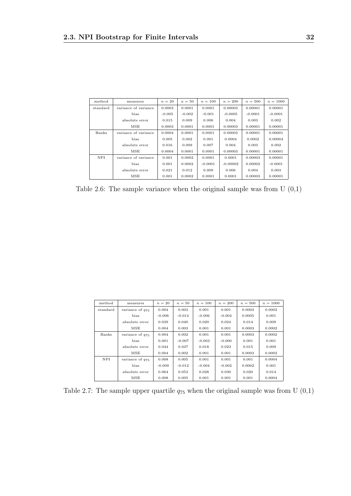| method   | measures             | $n=20$   | $n=50$   | $n = 100$ | $n = 200$  | $n = 500$ | $n = 1000$ |
|----------|----------------------|----------|----------|-----------|------------|-----------|------------|
| standard | variance of variance | 0.0003   | 0.0001   | 0.0001    | 0.00003    | 0.00001   | 0.00001    |
|          | bias                 | $-0.005$ | $-0.002$ | $-0.001$  | $-0.0005$  | $-0.0001$ | $-0.0001$  |
|          | absolute error       | 0.015    | 0.009    | 0.006     | 0.004      | 0.003     | 0.002      |
|          | MSE                  | 0.0003   | 0.0001   | 0.0001    | 0.00003    | 0.00001   | 0.00001    |
| Banks    | variance of variance | 0.0004   | 0.0001   | 0.0001    | 0.00003    | 0.00001   | 0.00001    |
|          | bias                 | 0.005    | 0.002    | 0.001     | 0.0004     | 0.0002    | 0.00004    |
|          | absolute error       | 0.016    | 0.009    | 0.007     | 0.004      | 0.003     | 0.002      |
|          | MSE                  | 0.0004   | 0.0001   | 0.0001    | 0.00003    | 0.00001   | 0.00001    |
| NPI      | variance of variance | 0.001    | 0.0002   | 0.0001    | 0.0001     | 0.00003   | 0.00001    |
|          | bias                 | 0.001    | 0.0002   | $-0.0001$ | $-0.00002$ | 0.00002   | $-0.0001$  |
|          | absolute error       | 0.021    | 0.012    | 0.009     | 0.006      | 0.004     | 0.003      |
|          | MSE                  | 0.001    | 0.0002   | 0.0001    | 0.0001     | 0.00003   | 0.00001    |

Table 2.6: The sample variance when the original sample was from  $U(0,1)$ 

| method     | measures             | $n=20$   | $n=50$   | $n = 100$ | $n = 200$ | $n=500$ | $n = 1000$ |
|------------|----------------------|----------|----------|-----------|-----------|---------|------------|
| standard   | variance of $q_{75}$ | 0.004    | 0.003    | 0.001     | 0.001     | 0.0003  | 0.0002     |
|            | bias                 | $-0.006$ | $-0.014$ | $-0.006$  | $-0.004$  | 0.0005  | 0.001      |
|            | absolute error       | 0.039    | 0.040    | 0.020     | 0.024     | 0.014   | 0.009      |
|            | MSE                  | 0.004    | 0.003    | 0.001     | 0.001     | 0.0003  | 0.0002     |
| Banks      | variance of $q_{75}$ | 0.004    | 0.002    | 0.001     | 0.001     | 0.0003  | 0.0002     |
|            | bias                 | 0.001    | $-0.007$ | $-0.003$  | $-0.000$  | 0.001   | 0.001      |
|            | absolute error       | 0.044    | 0.037    | 0.018     | 0.023     | 0.015   | 0.009      |
|            | MSE                  | 0.004    | 0.002    | 0.001     | 0.001     | 0.0003  | 0.0002     |
| <b>NPI</b> | variance of $q_{75}$ | 0.008    | 0.005    | 0.001     | 0.001     | 0.001   | 0.0004     |
|            | bias                 | $-0.009$ | $-0.012$ | $-0.004$  | $-0.002$  | 0.0002  | 0.001      |
|            | absolute error       | 0.064    | 0.053    | 0.028     | 0.030     | 0.020   | 0.014      |
|            | MSE                  | 0.008    | 0.005    | 0.001     | 0.001     | 0.001   | 0.0004     |

Table 2.7: The sample upper quartile  $q_{75}$  when the original sample was from U  $(0,1)$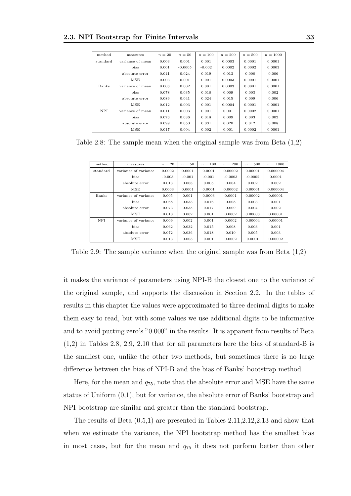| method     | measures         | $n=20$ | $n=50$    | $n = 100$ | $n = 200$ | $n = 500$ | $n = 1000$ |
|------------|------------------|--------|-----------|-----------|-----------|-----------|------------|
| standard   | variance of mean | 0.003  | 0.001     | 0.001     | 0.0003    | 0.0001    | 0.0001     |
|            | bias             | 0.001  | $-0.0005$ | $-0.002$  | 0.0002    | 0.0002    | 0.0003     |
|            | absolute error   | 0.041  | 0.024     | 0.019     | 0.013     | 0.008     | 0.006      |
|            | MSE              | 0.003  | 0.001     | 0.001     | 0.0003    | 0.0001    | 0.0001     |
| Banks      | variance of mean | 0.006  | 0.002     | 0.001     | 0.0003    | 0.0001    | 0.0001     |
|            | bias             | 0.078  | 0.035     | 0.018     | 0.009     | 0.003     | 0.002      |
|            | absolute error   | 0.089  | 0.041     | 0.024     | 0.015     | 0.009     | 0.006      |
|            | MSE              | 0.012  | 0.003     | 0.001     | 0.0004    | 0.0001    | 0.0001     |
| <b>NPI</b> | variance of mean | 0.011  | 0.003     | 0.001     | 0.001     | 0.0002    | 0.0001     |
|            | bias             | 0.076  | 0.036     | 0.018     | 0.009     | 0.003     | 0.002      |
|            | absolute error   | 0.099  | 0.050     | 0.031     | 0.020     | 0.012     | 0.008      |
|            | MSE              | 0.017  | 0.004     | 0.002     | 0.001     | 0.0002    | 0.0001     |

Table 2.8: The sample mean when the original sample was from Beta (1,2)

| method   | measures             | $n=20$   | $n=50$   | $n = 100$ | $n = 200$ | $n=500$   | $n = 1000$ |
|----------|----------------------|----------|----------|-----------|-----------|-----------|------------|
| standard | variance of variance | 0.0002   | 0.0001   | 0.0001    | 0.00002   | 0.00001   | 0.000004   |
|          | bias                 | $-0.003$ | $-0.001$ | $-0.001$  | $-0.0003$ | $-0.0002$ | 0.0001     |
|          | absolute error       | 0.013    | 0.008    | 0.005     | 0.004     | 0.002     | 0.002      |
|          | MSE                  | 0.0003   | 0.0001   | 0.0001    | 0.00002   | 0.00001   | 0.000004   |
| Banks    | variance of variance | 0.005    | 0.001    | 0.0003    | 0.0001    | 0.00002   | 0.00001    |
|          | bias                 | 0.068    | 0.033    | 0.016     | 0.008     | 0.003     | 0.001      |
|          | absolute error       | 0.073    | 0.035    | 0.017     | 0.009     | 0.004     | 0.002      |
|          | MSE                  | 0.010    | 0.002    | 0.001     | 0.0002    | 0.00003   | 0.00001    |
| NPI      | variance of variance | 0.009    | 0.002    | 0.001     | 0.0002    | 0.00004   | 0.00001    |
|          | bias                 | 0.062    | 0.032    | 0.015     | 0.008     | 0.003     | 0.001      |
|          | absolute error       | 0.072    | 0.036    | 0.018     | 0.010     | 0.005     | 0.003      |
|          | MSE                  | 0.013    | 0.003    | 0.001     | 0.0002    | 0.0001    | 0.00002    |

Table 2.9: The sample variance when the original sample was from Beta (1,2)

it makes the variance of parameters using NPI-B the closest one to the variance of the original sample, and supports the discussion in Section 2.2. In the tables of results in this chapter the values were approximated to three decimal digits to make them easy to read, but with some values we use additional digits to be informative and to avoid putting zero's "0.000" in the results. It is apparent from results of Beta (1,2) in Tables 2.8, 2.9, 2.10 that for all parameters here the bias of standard-B is the smallest one, unlike the other two methods, but sometimes there is no large difference between the bias of NPI-B and the bias of Banks' bootstrap method.

Here, for the mean and  $q_{75}$ , note that the absolute error and MSE have the same status of Uniform (0,1), but for variance, the absolute error of Banks' bootstrap and NPI bootstrap are similar and greater than the standard bootstrap.

The results of Beta (0.5,1) are presented in Tables 2.11,2.12,2.13 and show that when we estimate the variance, the NPI bootstrap method has the smallest bias in most cases, but for the mean and  $q_{75}$  it does not perform better than other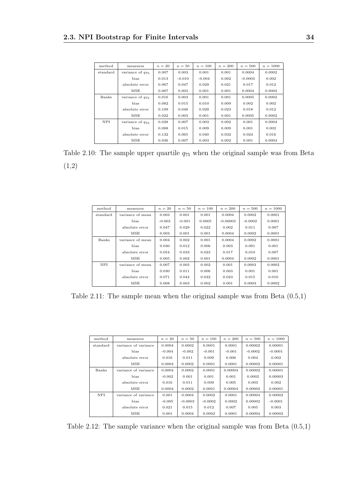| method     | measures             | $n=20$ | $n=50$   | $n = 100$ | $n = 200$ | $n=500$   | $n = 1000$ |
|------------|----------------------|--------|----------|-----------|-----------|-----------|------------|
| standard   | variance of $q_{75}$ | 0.007  | 0.003    | 0.001     | 0.001     | 0.0004    | 0.0002     |
|            | bias                 | 0.013  | $-0.010$ | $-0.004$  | 0.002     | $-0.0003$ | 0.002      |
|            | absolute error       | 0.067  | 0.047    | 0.029     | 0.021     | 0.017     | 0.012      |
|            | MSE                  | 0.007  | 0.003    | 0.001     | 0.001     | 0.0004    | 0.0002     |
| Banks      | variance of $q_{75}$ | 0.016  | 0.003    | 0.001     | 0.001     | 0.0005    | 0.0002     |
|            | bias                 | 0.082  | 0.015    | 0.010     | 0.009     | 0.002     | 0.002      |
|            | absolute error       | 0.109  | 0.048    | 0.029     | 0.023     | 0.018     | 0.012      |
|            | MSE                  | 0.022  | 0.003    | 0.001     | 0.001     | 0.0005    | 0.0002     |
| <b>NPI</b> | variance of $q_{75}$ | 0.028  | 0.007    | 0.003     | 0.002     | 0.001     | 0.0004     |
|            | bias                 | 0.088  | 0.015    | 0.009     | 0.009     | 0.001     | 0.002      |
|            | absolute error       | 0.132  | 0.065    | 0.040     | 0.032     | 0.024     | 0.016      |
|            | MSE                  | 0.036  | 0.007    | 0.003     | 0.002     | 0.001     | 0.0004     |

Table 2.10: The sample upper quartile  $q_{75}$  when the original sample was from Beta (1,2)

| method     | measures         | $n=20$   | $n=50$   | $n = 100$ | $n = 200$  | $n = 500$ | $n = 1000$ |
|------------|------------------|----------|----------|-----------|------------|-----------|------------|
| standard   | variance of mean | 0.003    | 0.001    | 0.001     | 0.0004     | 0.0002    | 0.0001     |
|            | bias             | $-0.003$ | $-0.001$ | 0.0005    | $-0.00003$ | $-0.0002$ | 0.0001     |
|            | absolute error   | 0.047    | 0.029    | 0.022     | 0.002      | 0.011     | 0.007      |
|            | MSE              | 0.003    | 0.001    | 0.001     | 0.0004     | 0.0002    | 0.0001     |
| Banks      | variance of mean | 0.004    | 0.002    | 0.001     | 0.0004     | 0.0002    | 0.0001     |
|            | bias             | 0.030    | 0.012    | 0.006     | 0.003      | 0.001     | 0.001      |
|            | absolute error   | 0.054    | 0.033    | 0.023     | 0.017      | 0.010     | 0.007      |
|            | MSE              | 0.005    | 0.002    | 0.001     | 0.0004     | 0.0002    | 0.0001     |
| <b>NPI</b> | variance of mean | 0.007    | 0.003    | 0.002     | 0.001      | 0.0003    | 0.0002     |
|            | bias             | 0.030    | 0.011    | 0.006     | 0.003      | 0.001     | 0.001      |
|            | absolute error   | 0.071    | 0.044    | 0.032     | 0.023      | 0.015     | 0.010      |
|            | MSE              | 0.008    | 0.003    | 0.002     | 0.001      | 0.0003    | 0.0002     |

Table 2.11: The sample mean when the original sample was from Beta (0.5,1)

| method   | measures             | $n=20$   | $n=50$    | $n = 100$ | $n = 200$ | $n = 500$ | $n = 1000$ |
|----------|----------------------|----------|-----------|-----------|-----------|-----------|------------|
| standard | variance of variance | 0.0004   | 0.0002    | 0.0001    | 0.0001    | 0.00002   | 0.00001    |
|          | bias                 | $-0.004$ | $-0.002$  | $-0.001$  | $-0.001$  | $-0.0002$ | $-0.0001$  |
|          | absolute error       | 0.016    | 0.011     | 0.009     | 0.006     | 0.004     | 0.002      |
|          | MSE                  | 0.0004   | 0.0002    | 0.0001    | 0.0001    | 0.00002   | 0.00001    |
| Banks    | variance of variance | 0.0004   | 0.0002    | 0.0001    | 0.00004   | 0.00002   | 0.00001    |
|          | bias                 | $-0.002$ | 0.001     | 0.001     | 0.001     | 0.0002    | 0.00003    |
|          | absolute error       | 0.016    | 0.011     | 0.009     | 0.005     | 0.003     | 0.002      |
|          | MSE                  | 0.0004   | 0.0002    | 0.0001    | 0.00004   | 0.00002   | 0.00001    |
| NPI      | variance of variance | 0.001    | 0.0004    | 0.0002    | 0.0001    | 0.00004   | 0.00002    |
|          | bias                 | $-0.005$ | $-0.0003$ | $-0.0002$ | 0.0002    | 0.00002   | $-0.0001$  |
|          | absolute error       | 0.021    | 0.015     | 0.012     | 0.007     | 0.005     | 0.003      |
|          | MSE                  | 0.001    | 0.0004    | 0.0002    | 0.0001    | 0.00004   | 0.00002    |

Table 2.12: The sample variance when the original sample was from Beta (0.5,1)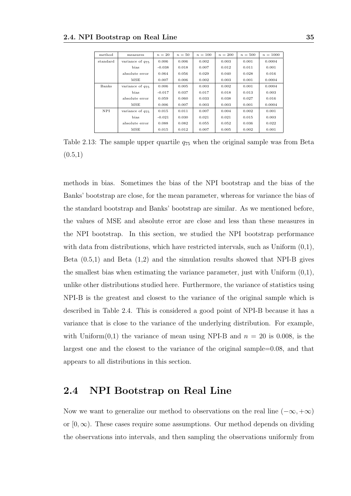| method     | measures             | $n=20$   | $n=50$ | $n = 100$ | $n = 200$ | $n = 500$ | $n = 1000$ |
|------------|----------------------|----------|--------|-----------|-----------|-----------|------------|
| standard   | variance of $q_{75}$ | 0.006    | 0.006  | 0.002     | 0.003     | 0.001     | 0.0004     |
|            | bias                 | $-0.038$ | 0.018  | 0.007     | 0.012     | 0.011     | 0.001      |
|            | absolute error       | 0.064    | 0.056  | 0.029     | 0.040     | 0.028     | 0.016      |
|            | MSE                  | 0.007    | 0.006  | 0.002     | 0.003     | 0.001     | 0.0004     |
| Banks      | variance of $q_{75}$ | 0.006    | 0.005  | 0.003     | 0.002     | 0.001     | 0.0004     |
|            | bias                 | $-0.017$ | 0.037  | 0.017     | 0.018     | 0.013     | 0.003      |
|            | absolute error       | 0.059    | 0.060  | 0.033     | 0.038     | 0.027     | 0.016      |
|            | MSE                  | 0.006    | 0.007  | 0.003     | 0.003     | 0.001     | 0.0004     |
| <b>NPI</b> | variance of $q_{75}$ | 0.015    | 0.011  | 0.007     | 0.004     | 0.002     | 0.001      |
|            | bias                 | $-0.021$ | 0.030  | 0.021     | 0.021     | 0.015     | 0.003      |
|            | absolute error       | 0.088    | 0.082  | 0.055     | 0.052     | 0.036     | 0.022      |
|            | MSE                  | 0.015    | 0.012  | 0.007     | 0.005     | 0.002     | 0.001      |

Table 2.13: The sample upper quartile  $q_{75}$  when the original sample was from Beta  $(0.5,1)$ 

methods in bias. Sometimes the bias of the NPI bootstrap and the bias of the Banks' bootstrap are close, for the mean parameter, whereas for variance the bias of the standard bootstrap and Banks' bootstrap are similar. As we mentioned before, the values of MSE and absolute error are close and less than these measures in the NPI bootstrap. In this section, we studied the NPI bootstrap performance with data from distributions, which have restricted intervals, such as Uniform  $(0,1)$ , Beta (0.5,1) and Beta (1,2) and the simulation results showed that NPI-B gives the smallest bias when estimating the variance parameter, just with Uniform  $(0,1)$ , unlike other distributions studied here. Furthermore, the variance of statistics using NPI-B is the greatest and closest to the variance of the original sample which is described in Table 2.4. This is considered a good point of NPI-B because it has a variance that is close to the variance of the underlying distribution. For example, with Uniform $(0,1)$  the variance of mean using NPI-B and  $n = 20$  is 0.008, is the largest one and the closest to the variance of the original sample=0.08, and that appears to all distributions in this section.

#### 2.4 NPI Bootstrap on Real Line

Now we want to generalize our method to observations on the real line  $(-\infty, +\infty)$ or  $[0, \infty)$ . These cases require some assumptions. Our method depends on dividing the observations into intervals, and then sampling the observations uniformly from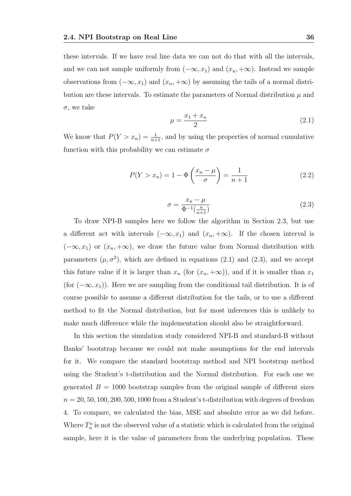these intervals. If we have real line data we can not do that with all the intervals, and we can not sample uniformly from  $(-\infty, x_1)$  and  $(x_n, +\infty)$ . Instead we sample observations from  $(-\infty, x_1)$  and  $(x_n, +\infty)$  by assuming the tails of a normal distribution are these intervals. To estimate the parameters of Normal distribution  $\mu$  and  $\sigma$ , we take

$$
\mu = \frac{x_1 + x_n}{2} \tag{2.1}
$$

We know that  $P(Y > x_n) = \frac{1}{n+1}$ , and by using the properties of normal cumulative function with this probability we can estimate  $\sigma$ 

$$
P(Y > x_n) = 1 - \Phi\left(\frac{x_n - \mu}{\sigma}\right) = \frac{1}{n+1}
$$
 (2.2)

$$
\sigma = \frac{x_n - \mu}{\Phi^{-1}\left(\frac{n}{n+1}\right)}\tag{2.3}
$$

To draw NPI-B samples here we follow the algorithm in Section 2.3, but use a different act with intervals  $(-\infty, x_1)$  and  $(x_n, +\infty)$ . If the chosen interval is  $(-\infty, x_1)$  or  $(x_n, +\infty)$ , we draw the future value from Normal distribution with parameters  $(\mu, \sigma^2)$ , which are defined in equations (2.1) and (2.3), and we accept this future value if it is larger than  $x_n$  (for  $(x_n, +\infty)$ ), and if it is smaller than  $x_1$ (for  $(-\infty, x_1)$ ). Here we are sampling from the conditional tail distribution. It is of course possible to assume a different distribution for the tails, or to use a different method to fit the Normal distribution, but for most inferences this is unlikely to make much difference while the implementation should also be straightforward.

In this section the simulation study considered NPI-B and standard-B without Banks' bootstrap because we could not make assumptions for the end intervals for it. We compare the standard bootstrap method and NPI bootstrap method using the Student's t-distribution and the Normal distribution. For each one we generated  $B = 1000$  bootstrap samples from the original sample of different sizes  $n = 20, 50, 100, 200, 500, 1000$  from a Student's t-distribution with degrees of freedom 4. To compare, we calculated the bias, MSE and absolute error as we did before. Where  $T_n^o$  is not the observed value of a statistic which is calculated from the original sample, here it is the value of parameters from the underlying population. These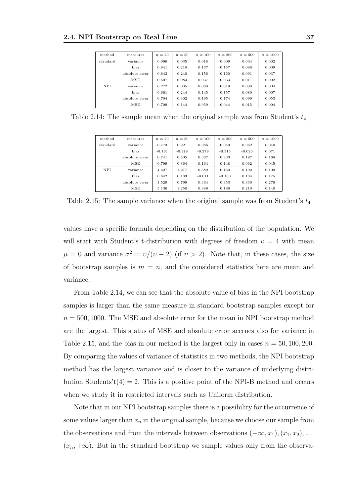| method     | measures       | $n=20$ | $n=50$ | $n = 100$ | $n = 200$ | $n = 500$ | $n = 1000$ |
|------------|----------------|--------|--------|-----------|-----------|-----------|------------|
| standard   | variance       | 0.096  | 0.035  | 0.018     | 0.009     | 0.004     | 0.002      |
|            | bias           | 0.641  | 0.218  | 0.137     | 0.157     | 0.086     | 0.009      |
|            | absolute error | 0.643  | 0.240  | 0.156     | 0.160     | 0.091     | 0.037      |
|            | MSE            | 0.507  | 0.083  | 0.037     | 0.033     | 0.011     | 0.002      |
| <b>NPI</b> | variance       | 0.272  | 0.085  | 0.038     | 0.019     | 0.008     | 0.004      |
|            | bias           | 0.661  | 0.244  | 0.145     | 0.157     | 0.080     | 0.007      |
|            | absolute error | 0.704  | 0.302  | 0.195     | 0.174     | 0.099     | 0.053      |
|            | MSE            | 0.709  | 0.144  | 0.059     | 0.044     | 0.015     | 0.004      |

Table 2.14: The sample mean when the original sample was from Student's  $t_4$ 

| method     | measures       | $n = 20$ | $n=50$   | $n = 100$ | $n = 200$ | $n = 500$ | $n = 1000$ |
|------------|----------------|----------|----------|-----------|-----------|-----------|------------|
| standard   | variance       | 0.773    | 0.221    | 0.086     | 0.049     | 0.062     | 0.040      |
|            | bias           | $-0.161$ | $-0.378$ | $-0.279$  | $-0.315$  | $-0.020$  | 0.071      |
|            | absolute error | 0.741    | 0.505    | 0.337     | 0.333     | 0.197     | 0.168      |
|            | MSE            | 0.799    | 0.364    | 0.164     | 0.148     | 0.062     | 0.045      |
| <b>NPI</b> | variance       | 4.427    | 1.217    | 0.389     | 0.160     | 0.192     | 0.109      |
|            | bias           | 0.842    | 0.183    | $-0.011$  | $-0.160$  | 0.134     | 0.175      |
|            | absolute error | 1.529    | 0.799    | 0.464     | 0.353     | 0.330     | 0.276      |
|            | MSE            | 5.136    | 1.250    | 0.389     | 0.186     | 0.210     | 0.140      |

Table 2.15: The sample variance when the original sample was from Student's  $t_4$ 

values have a specific formula depending on the distribution of the population. We will start with Student's t-distribution with degrees of freedom  $v = 4$  with mean  $\mu = 0$  and variance  $\sigma^2 = v/(v-2)$  (if  $v > 2$ ). Note that, in these cases, the size of bootstrap samples is  $m = n$ , and the considered statistics here are mean and variance.

From Table 2.14, we can see that the absolute value of bias in the NPI bootstrap samples is larger than the same measure in standard bootstrap samples except for  $n = 500, 1000$ . The MSE and absolute error for the mean in NPI bootstrap method are the largest. This status of MSE and absolute error accrues also for variance in Table 2.15, and the bias in our method is the largest only in cases  $n = 50, 100, 200$ . By comparing the values of variance of statistics in two methods, the NPI bootstrap method has the largest variance and is closer to the variance of underlying distribution Students't( $4$ ) = 2. This is a positive point of the NPI-B method and occurs when we study it in restricted intervals such as Uniform distribution.

Note that in our NPI bootstrap samples there is a possibility for the occurrence of some values larger than  $x_n$  in the original sample, because we choose our sample from the observations and from the intervals between observations  $(-\infty, x_1), (x_1, x_2), ...,$  $(x_n, +\infty)$ . But in the standard bootstrap we sample values only from the observa-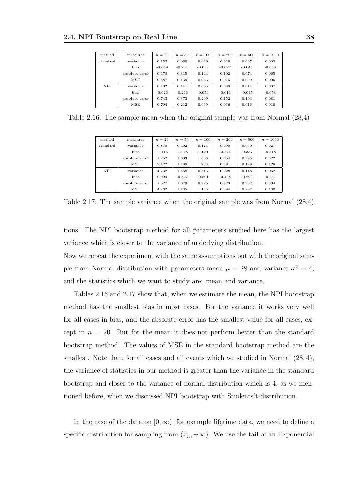| method   | measures       | $n=20$   | $n=50$   | $n = 100$ | $n = 200$ | $n=500$  | $n = 1000$ |
|----------|----------------|----------|----------|-----------|-----------|----------|------------|
| standard | variance       | 0.153    | 0.060    | 0.029     | 0.016     | 0.007    | 0.003      |
|          | bias           | $-0.659$ | $-0.281$ | $-0.058$  | $-0.022$  | $-0.045$ | $-0.053$   |
|          | absolute error | 0.678    | 0.315    | 0.144     | 0.102     | 0.074    | 0.065      |
|          | MSE            | 0.587    | 0.139    | 0.033     | 0.016     | 0.009    | 0.006      |
| NPI      | variance       | 0.402    | 0.141    | 0.065     | 0.036     | 0.014    | 0.007      |
|          | bias           | $-0.626$ | $-0.266$ | $-0.059$  | $-0.016$  | $-0.045$ | $-0.053$   |
|          | absolute error | 0.743    | 0.373    | 0.209     | 0.152     | 0.103    | 0.081      |
|          | MSE            | 0.794    | 0.212    | 0.069     | 0.036     | 0.016    | 0.010      |

Table 2.16: The sample mean when the original sample was from Normal (28,4)

| method   | measures       | $n=20$   | $n=50$   | $n = 100$ | $n = 200$ | $n = 500$ | $n = 1000$ |
|----------|----------------|----------|----------|-----------|-----------|-----------|------------|
| standard | variance       | 0.878    | 0.402    | 0.174     | 0.095     | 0.050     | 0.027      |
|          | bias           | $-1.115$ | $-1.048$ | $-1.031$  | $-0.544$  | $-0.387$  | $-0.318$   |
|          | absolute error | 1.252    | 1.083    | 1.036     | 0.554     | 0.395     | 0.322      |
|          | <b>MSE</b>     | 2.122    | 1.499    | 1.238     | 0.391     | 0.199     | 0.128      |
| NPI      | variance       | 4.732    | 1.458    | 0.513     | 0.228     | 0.118     | 0.062      |
|          | bias           | 0.004    | $-0.527$ | $-0.801$  | $-0.408$  | $-0.299$  | $-0.261$   |
|          | absolute error | 1.627    | 1.079    | 0.925     | 0.523     | 0.382     | 0.304      |
|          | MSE            | 4.732    | 1.735    | 1.155     | 0.394     | 0.207     | 0.130      |

Table 2.17: The sample variance when the original sample was from Normal (28,4)

tions. The NPI bootstrap method for all parameters studied here has the largest variance which is closer to the variance of underlying distribution.

Now we repeat the experiment with the same assumptions but with the original sample from Normal distribution with parameters mean  $\mu = 28$  and variance  $\sigma^2 = 4$ , and the statistics which we want to study are: mean and variance.

Tables 2.16 and 2.17 show that, when we estimate the mean, the NPI bootstrap method has the smallest bias in most cases. For the variance it works very well for all cases in bias, and the absolute error has the smallest value for all cases, except in  $n = 20$ . But for the mean it does not perform better than the standard bootstrap method. The values of MSE in the standard bootstrap method are the smallest. Note that, for all cases and all events which we studied in Normal (28, 4), the variance of statistics in our method is greater than the variance in the standard bootstrap and closer to the variance of normal distribution which is 4, as we mentioned before, when we discussed NPI bootstrap with Students't-distribution.

In the case of the data on  $[0,\infty)$ , for example lifetime data, we need to define a specific distribution for sampling from  $(x_n, +\infty)$ . We use the tail of an Exponential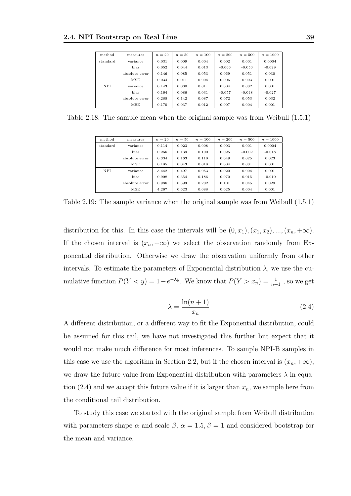| method     | measures       | $n=20$ | $n=50$ | $n = 100$ | $n = 200$ | $n = 500$ | $n = 1000$ |
|------------|----------------|--------|--------|-----------|-----------|-----------|------------|
| standard   | variance       | 0.031  | 0.009  | 0.004     | 0.002     | 0.001     | 0.0004     |
|            | bias           | 0.052  | 0.044  | 0.013     | $-0.066$  | $-0.050$  | $-0.029$   |
|            | absolute error | 0.146  | 0.085  | 0.053     | 0.069     | 0.051     | 0.030      |
|            | MSE            | 0.034  | 0.011  | 0.004     | 0.006     | 0.003     | 0.001      |
| <b>NPI</b> | variance       | 0.143  | 0.030  | 0.011     | 0.004     | 0.002     | 0.001      |
|            | bias           | 0.164  | 0.086  | 0.031     | $-0.057$  | $-0.048$  | $-0.027$   |
|            | absolute error | 0.288  | 0.142  | 0.087     | 0.072     | 0.053     | 0.032      |
|            | MSE            | 0.170  | 0.037  | 0.012     | 0.007     | 0.004     | 0.001      |

Table 2.18: The sample mean when the original sample was from Weibull (1.5,1)

| method     | measures       | $n=20$ | $n=50$ | $n = 100$ | $n = 200$ | $n = 500$ | $n = 1000$ |
|------------|----------------|--------|--------|-----------|-----------|-----------|------------|
| standard   | variance       | 0.114  | 0.023  | 0.008     | 0.003     | 0.001     | 0.0004     |
|            | bias           | 0.266  | 0.139  | 0.100     | 0.025     | $-0.002$  | $-0.018$   |
|            | absolute error | 0.334  | 0.163  | 0.110     | 0.049     | 0.025     | 0.023      |
|            | MSE            | 0.185  | 0.043  | 0.018     | 0.004     | 0.001     | 0.001      |
| <b>NPI</b> | variance       | 3.442  | 0.497  | 0.053     | 0.020     | 0.004     | 0.001      |
|            | bias           | 0.908  | 0.354  | 0.186     | 0.070     | 0.015     | $-0.010$   |
|            | absolute error | 0.986  | 0.393  | 0.202     | 0.101     | 0.045     | 0.029      |
|            | MSE            | 4.267  | 0.623  | 0.088     | 0.025     | 0.004     | 0.001      |

Table 2.19: The sample variance when the original sample was from Weibull (1.5,1)

distribution for this. In this case the intervals will be  $(0, x_1), (x_1, x_2), ..., (x_n, +\infty)$ . If the chosen interval is  $(x_n, +\infty)$  we select the observation randomly from Exponential distribution. Otherwise we draw the observation uniformly from other intervals. To estimate the parameters of Exponential distribution  $\lambda$ , we use the cumulative function  $P(Y < y) = 1 - e^{-\lambda y}$ . We know that  $P(Y > x_n) = \frac{1}{n+1}$ , so we get

$$
\lambda = \frac{\ln(n+1)}{x_n} \tag{2.4}
$$

A different distribution, or a different way to fit the Exponential distribution, could be assumed for this tail, we have not investigated this further but expect that it would not make much difference for most inferences. To sample NPI-B samples in this case we use the algorithm in Section 2.2, but if the chosen interval is  $(x_n, +\infty)$ , we draw the future value from Exponential distribution with parameters  $\lambda$  in equation (2.4) and we accept this future value if it is larger than  $x_n$ , we sample here from the conditional tail distribution.

To study this case we started with the original sample from Weibull distribution with parameters shape  $\alpha$  and scale  $\beta$ ,  $\alpha = 1.5$ ,  $\beta = 1$  and considered bootstrap for the mean and variance.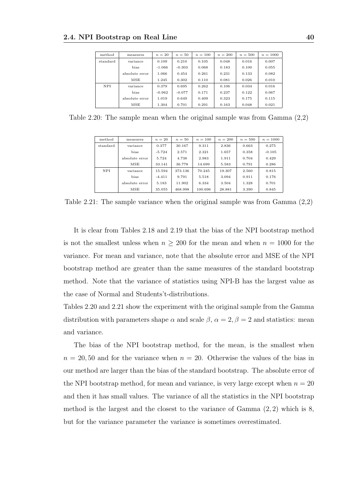| method   | measures       | $n=20$   | $n=50$   | $n = 100$ | $n = 200$ | $n = 500$ | $n = 1000$ |
|----------|----------------|----------|----------|-----------|-----------|-----------|------------|
| standard | variance       | 0.109    | 0.210    | 0.105     | 0.048     | 0.016     | 0.007      |
|          | bias           | $-1.066$ | $-0.303$ | 0.068     | 0.183     | 0.100     | 0.055      |
|          | absolute error | 1.066    | 0.454    | 0.261     | 0.231     | 0.133     | 0.082      |
|          | MSE            | 1.245    | 0.302    | 0.110     | 0.081     | 0.026     | 0.010      |
| NPI      | variance       | 0.379    | 0.695    | 0.262     | 0.106     | 0.034     | 0.016      |
|          | bias           | $-0.962$ | $-0.077$ | 0.171     | 0.237     | 0.122     | 0.067      |
|          | absolute error | 1.019    | 0.649    | 0.409     | 0.323     | 0.175     | 0.115      |
|          | MSE            | 1.304    | 0.701    | 0.291     | 0.163     | 0.048     | 0.021      |

Table 2.20: The sample mean when the original sample was from Gamma (2,2)

| method     | measures       | $n=20$   | $n=50$  | $n = 100$ | $n = 200$ | $n = 500$ | $n = 1000$ |
|------------|----------------|----------|---------|-----------|-----------|-----------|------------|
| standard   | variance       | 0.377    | 30.167  | 9.311     | 2.836     | 0.663     | 0.275      |
|            | bias           | $-5.724$ | 2.571   | 2.321     | 1.657     | 0.358     | $-0.105$   |
|            | absolute error | 5.724    | 4.738   | 2.983     | 1.911     | 0.704     | 0.429      |
|            | MSE            | 33.141   | 36.778  | 14.699    | 5.583     | 0.791     | 0.286      |
| <b>NPI</b> | variance       | 15.594   | 373.136 | 70.245    | 19.307    | 2.560     | 0.815      |
|            | bias           | $-4.411$ | 9.791   | 5.518     | 3.094     | 0.911     | 0.176      |
|            | absolute error | 5.183    | 11.902  | 6.334     | 3.504     | 1.328     | 0.701      |
|            | MSE            | 35.055   | 468.998 | 100.696   | 28.881    | 3.390     | 0.845      |

Table 2.21: The sample variance when the original sample was from Gamma (2,2)

It is clear from Tables 2.18 and 2.19 that the bias of the NPI bootstrap method is not the smallest unless when  $n \geq 200$  for the mean and when  $n = 1000$  for the variance. For mean and variance, note that the absolute error and MSE of the NPI bootstrap method are greater than the same measures of the standard bootstrap method. Note that the variance of statistics using NPI-B has the largest value as the case of Normal and Students't-distributions.

Tables 2.20 and 2.21 show the experiment with the original sample from the Gamma distribution with parameters shape  $\alpha$  and scale  $\beta$ ,  $\alpha = 2$ ,  $\beta = 2$  and statistics: mean and variance.

The bias of the NPI bootstrap method, for the mean, is the smallest when  $n = 20, 50$  and for the variance when  $n = 20$ . Otherwise the values of the bias in our method are larger than the bias of the standard bootstrap. The absolute error of the NPI bootstrap method, for mean and variance, is very large except when  $n = 20$ and then it has small values. The variance of all the statistics in the NPI bootstrap method is the largest and the closest to the variance of Gamma  $(2, 2)$  which is 8, but for the variance parameter the variance is sometimes overestimated.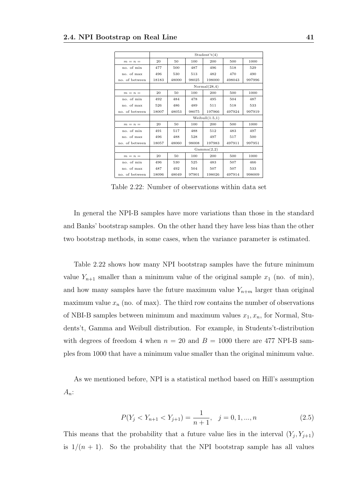|                |       |                                 |       | Student't(4)      |        |        |  |  |  |  |  |  |
|----------------|-------|---------------------------------|-------|-------------------|--------|--------|--|--|--|--|--|--|
| $m = n =$      | 20    | 50                              | 100   | 200               | 500    | 1000   |  |  |  |  |  |  |
| no. of min     | 477   | 500                             | 487   | 496               | 518    | 529    |  |  |  |  |  |  |
| no. of max     | 496   | 530                             | 513   | 482               | 470    | 490    |  |  |  |  |  |  |
| no. of between | 18183 | 48000                           | 98025 | 198000            | 498043 | 997996 |  |  |  |  |  |  |
|                |       | Normal(28,4)                    |       |                   |        |        |  |  |  |  |  |  |
| $m = n =$      | 20    | 50<br>100<br>200<br>500<br>1000 |       |                   |        |        |  |  |  |  |  |  |
| no. of min     | 492   | 484                             | 478   | 495               | 504    | 487    |  |  |  |  |  |  |
| no. of max     | 526   | 486                             | 489   | 511               | 518    | 533    |  |  |  |  |  |  |
| no. of between | 18007 | 48053                           | 98075 | 197966            | 497924 | 997919 |  |  |  |  |  |  |
|                |       |                                 |       | Weibull $(1.5,1)$ |        |        |  |  |  |  |  |  |
| $m = n =$      | 20    | 50                              | 100   | 200               | 500    | 1000   |  |  |  |  |  |  |
| no. of min     | 491   | 517                             | 488   | 512               | 483    | 497    |  |  |  |  |  |  |
| no. of max     | 496   | 488                             | 528   | 497               | 517    | 500    |  |  |  |  |  |  |
| no. of between | 18057 | 48060                           | 98008 | 197983            | 497911 | 997951 |  |  |  |  |  |  |
|                |       |                                 |       | Gamma(2,2)        |        |        |  |  |  |  |  |  |
| $m = n =$      | 20    | 50                              | 100   | 200               | 500    | 1000   |  |  |  |  |  |  |
| no. of min     | 496   | 530                             | 525   | 483               | 507    | 466    |  |  |  |  |  |  |
| no. of max     | 487   | 492                             | 504   | 507               | 507    | 533    |  |  |  |  |  |  |
| no. of between | 18096 | 48049                           | 97901 | 198026            | 497914 | 998009 |  |  |  |  |  |  |

Table 2.22: Number of observations within data set

In general the NPI-B samples have more variations than those in the standard and Banks' bootstrap samples. On the other hand they have less bias than the other two bootstrap methods, in some cases, when the variance parameter is estimated.

Table 2.22 shows how many NPI bootstrap samples have the future minimum value  $Y_{n+1}$  smaller than a minimum value of the original sample  $x_1$  (no. of min), and how many samples have the future maximum value  $Y_{n+m}$  larger than original maximum value  $x_n$  (no. of max). The third row contains the number of observations of NBI-B samples between minimum and maximum values  $x_1, x_n$ , for Normal, Students't, Gamma and Weibull distribution. For example, in Students't-distribution with degrees of freedom 4 when  $n = 20$  and  $B = 1000$  there are 477 NPI-B samples from 1000 that have a minimum value smaller than the original minimum value.

As we mentioned before, NPI is a statistical method based on Hill's assumption  $A_n$ :

$$
P(Y_j < Y_{n+1} < Y_{j+1}) = \frac{1}{n+1}, \quad j = 0, 1, \dots, n \tag{2.5}
$$

This means that the probability that a future value lies in the interval  $(Y_j, Y_{j+1})$ is  $1/(n + 1)$ . So the probability that the NPI bootstrap sample has all values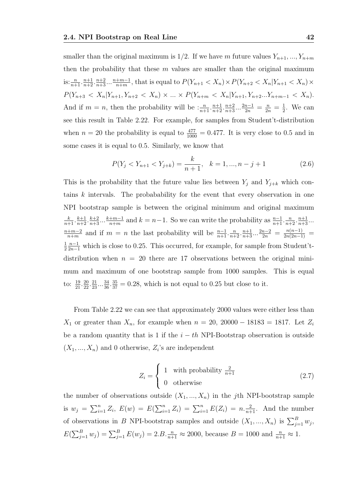smaller than the original maximum is 1/2. If we have m future values  $Y_{n+1},..., Y_{n+m}$ then the probability that these  $m$  values are smaller than the original maximum is:  $\frac{n}{n+1} \cdot \frac{n+1}{n+2} \cdot \frac{n+2}{n+3} \cdots \frac{n+m-1}{n+m}$  $\frac{+m-1}{n+m}$ , that is equal to  $P(Y_{n+1} < X_n) \times P(Y_{n+2} < X_n | Y_{n+1} < X_n) \times$  $P(Y_{n+3} < X_n | Y_{n+1}, Y_{n+2} < X_n) \times ... \times P(Y_{n+m} < X_n | Y_{n+1}, Y_{n+2}... Y_{n+m-1} < X_n).$ And if  $m = n$ , then the probability will be  $\frac{n}{n+1} \cdot \frac{n+1}{n+2} \cdot \frac{n+2}{n+3} \dots \frac{2n-1}{2n} = \frac{n}{2n} = \frac{1}{2n}$  $\frac{1}{2}$ . We can see this result in Table 2.22. For example, for samples from Student't-distribution when  $n = 20$  the probability is equal to  $\frac{477}{1000} = 0.477$ . It is very close to 0.5 and in some cases it is equal to 0.5. Similarly, we know that

$$
P(Y_j < Y_{n+1} < Y_{j+k}) = \frac{k}{n+1}, \quad k = 1, \dots, n-j+1 \tag{2.6}
$$

This is the probability that the future value lies between  $Y_j$  and  $Y_{j+k}$  which contains k intervals. The probabability for the event that every observation in one NPI bootstrap sample is between the original minimum and original maximum  $\frac{k}{n+1} \cdot \frac{k+1}{n+2} \cdot \frac{k+2}{n+3} \dots \frac{k+m-1}{n+m}$  $\frac{m+1}{n+m}$  and  $k = n-1$ . So we can write the probability as  $\frac{n-1}{n+1} \cdot \frac{n}{n+2} \cdot \frac{n+1}{n+3} \dots$  $n+m-2$  $\frac{1+m-2}{n+m}$  and if  $m = n$  the last probability will be  $\frac{n-1}{n+1} \cdot \frac{n}{n+2} \cdot \frac{n+1}{n+3} \cdot \cdot \frac{2n-2}{2n} = \frac{n(n-1)}{2n(2n-1)}$ 1 2  $\frac{n-1}{2n-1}$  which is close to 0.25. This occurred, for example, for sample from Student'tdistribution when  $n = 20$  there are 17 observations between the original minimum and maximum of one bootstrap sample from 1000 samples. This is equal to:  $\frac{19}{21} \cdot \frac{20}{22} \cdot \frac{21}{23} \cdot \dots \frac{34}{36} \cdot \frac{35}{37} = 0.28$ , which is not equal to 0.25 but close to it.

From Table 2.22 we can see that approximately 2000 values were either less than  $X_1$  or greater than  $X_n$ , for example when  $n = 20$ , 20000 – 18183 = 1817. Let  $Z_i$ be a random quantity that is 1 if the  $i - th$  NPI-Bootstrap observation is outside  $(X_1, ..., X_n)$  and 0 otherwise,  $Z_i$ 's are independent

$$
Z_i = \begin{cases} 1 & \text{with probability } \frac{2}{n+1} \\ 0 & \text{otherwise} \end{cases} \tag{2.7}
$$

the number of observations outside  $(X_1, ..., X_n)$  in the j<sup>th</sup> NPI-bootstrap sample is  $w_j = \sum_{i=1}^n Z_i$ ,  $E(w) = E(\sum_{i=1}^n Z_i) = \sum_{i=1}^n E(Z_i) = n \cdot \frac{2}{n+1}$ . And the number of observations in B NPI-bootstrap samples and outside  $(X_1, ..., X_n)$  is  $\sum_{j=1}^B w_j$ ,  $E(\sum_{j=1}^{B} w_j) = \sum_{j=1}^{B} E(w_j) = 2.B.\frac{n}{n+1} \approx 2000$ , because  $B = 1000$  and  $\frac{n}{n+1} \approx 1$ .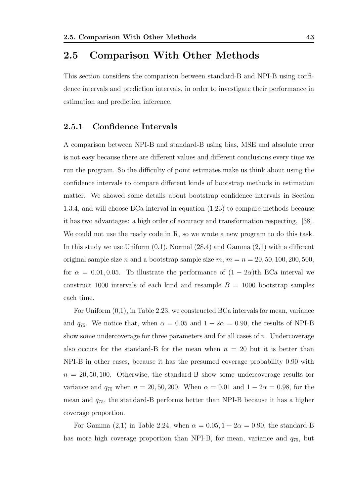#### 2.5 Comparison With Other Methods

This section considers the comparison between standard-B and NPI-B using confidence intervals and prediction intervals, in order to investigate their performance in estimation and prediction inference.

#### 2.5.1 Confidence Intervals

A comparison between NPI-B and standard-B using bias, MSE and absolute error is not easy because there are different values and different conclusions every time we run the program. So the difficulty of point estimates make us think about using the confidence intervals to compare different kinds of bootstrap methods in estimation matter. We showed some details about bootstrap confidence intervals in Section 1.3.4, and will choose BCa interval in equation (1.23) to compare methods because it has two advantages: a high order of accuracy and transformation respecting, [38]. We could not use the ready code in R, so we wrote a new program to do this task. In this study we use Uniform  $(0,1)$ , Normal  $(28,4)$  and Gamma  $(2,1)$  with a different original sample size n and a bootstrap sample size  $m, m = n = 20, 50, 100, 200, 500,$ for  $\alpha = 0.01, 0.05$ . To illustrate the performance of  $(1 - 2\alpha)$ th BCa interval we construct 1000 intervals of each kind and resample  $B = 1000$  bootstrap samples each time.

For Uniform (0,1), in Table 2.23, we constructed BCa intervals for mean, variance and  $q_{75}$ . We notice that, when  $\alpha = 0.05$  and  $1 - 2\alpha = 0.90$ , the results of NPI-B show some undercoverage for three parameters and for all cases of  $n$ . Undercoverage also occurs for the standard-B for the mean when  $n = 20$  but it is better than NPI-B in other cases, because it has the presumed coverage probability 0.90 with  $n = 20, 50, 100$ . Otherwise, the standard-B show some undercoverage results for variance and  $q_{75}$  when  $n = 20, 50, 200$ . When  $\alpha = 0.01$  and  $1 - 2\alpha = 0.98$ , for the mean and q75, the standard-B performs better than NPI-B because it has a higher coverage proportion.

For Gamma (2,1) in Table 2.24, when  $\alpha = 0.05, 1 - 2\alpha = 0.90$ , the standard-B has more high coverage proportion than NPI-B, for mean, variance and  $q_{75}$ , but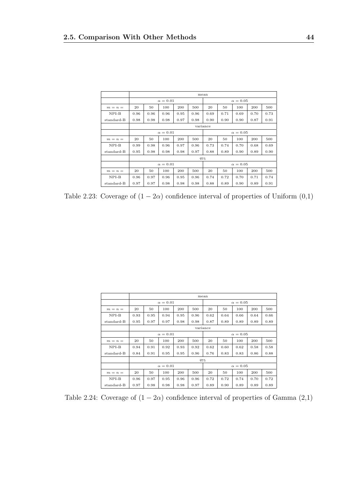|            |      |          |                 |      |      | mean            |      |                 |      |      |
|------------|------|----------|-----------------|------|------|-----------------|------|-----------------|------|------|
|            |      |          | $\alpha = 0.01$ |      |      | $\alpha = 0.05$ |      |                 |      |      |
| $m = n =$  | 20   | 50       | 100             | 200  | 500  | 20              | 50   | 100             | 200  | 500  |
| $NPI-B$    | 0.96 | 0.96     | 0.96            | 0.95 | 0.96 | 0.69            | 0.71 | 0.69            | 0.70 | 0.73 |
| standard-B | 0.98 | 0.98     | 0.98            | 0.97 | 0.98 | 0.90            | 0.90 | 0.90            | 0.87 | 0.91 |
|            |      | variance |                 |      |      |                 |      |                 |      |      |
|            |      |          | $\alpha = 0.01$ |      |      | $\alpha = 0.05$ |      |                 |      |      |
| $m = n =$  | 20   | 50       | 100             | 200  | 500  | 20              | 50   | 100             | 200  | 500  |
| $NPI-B$    | 0.99 | 0.98     | 0.96            | 0.97 | 0.96 | 0.73            | 0.74 | 0.70            | 0.68 | 0.69 |
| standard-B | 0.95 | 0.98     | 0.98            | 0.98 | 0.97 | 0.88            | 0.89 | 0.90            | 0.89 | 0.90 |
|            |      |          |                 |      | 975  |                 |      |                 |      |      |
|            |      |          | $\alpha = 0.01$ |      |      |                 |      | $\alpha = 0.05$ |      |      |
| $m = n =$  | 20   | 50       | 100             | 200  | 500  | 20              | 50   | 100             | 200  | 500  |
| $NPI-B$    | 0.96 | 0.97     | 0.96            | 0.95 | 0.96 | 0.74            | 0.72 | 0.70            | 0.71 | 0.74 |
| standard-B | 0.97 | 0.97     | 0.98            | 0.98 | 0.98 | 0.88            | 0.89 | 0.90            | 0.89 | 0.91 |

Table 2.23: Coverage of  $(1 - 2\alpha)$  confidence interval of properties of Uniform  $(0,1)$ 

|            |      |          |                 |      |      | mean            |      |                 |      |      |
|------------|------|----------|-----------------|------|------|-----------------|------|-----------------|------|------|
|            |      |          | $\alpha = 0.01$ |      |      | $\alpha = 0.05$ |      |                 |      |      |
| $m = n =$  | 20   | 50       | 100             | 200  | 500  | 20              | 50   | 100             | 200  | 500  |
| $NPI-B$    | 0.93 | 0.95     | 0.94            | 0.95 | 0.96 | 0.62            | 0.64 | 0.66            | 0.64 | 0.66 |
| standard-B | 0.95 | 0.97     | 0.97            | 0.98 | 0.98 | 0.87            | 0.89 | 0.89            | 0.89 | 0.89 |
|            |      | variance |                 |      |      |                 |      |                 |      |      |
|            |      |          | $\alpha = 0.01$ |      |      | $\alpha = 0.05$ |      |                 |      |      |
| $m = n =$  | 20   | 50       | 100             | 200  | 500  | 20              | 50   | 100             | 200  | 500  |
| $NPI-B$    | 0.94 | 0.91     | 0.92            | 0.93 | 0.92 | 0.62            | 0.60 | 0.62            | 0.58 | 0.58 |
| standard-B | 0.84 | 0.91     | 0.95            | 0.95 | 0.96 | 0.76            | 0.83 | 0.83            | 0.86 | 0.88 |
|            |      |          |                 |      |      | 975             |      |                 |      |      |
|            |      |          | $\alpha = 0.01$ |      |      |                 |      | $\alpha = 0.05$ |      |      |
| $m = n =$  | 20   | 50       | 100             | 200  | 500  | 20              | 50   | 100             | 200  | 500  |
| $NPI-B$    | 0.96 | 0.97     | 0.95            | 0.96 | 0.96 | 0.72            | 0.72 | 0.74            | 0.70 | 0.72 |
| standard-B | 0.97 | 0.98     | 0.98            | 0.98 | 0.97 | 0.89            | 0.90 | 0.89            | 0.89 | 0.89 |

Table 2.24: Coverage of  $(1 - 2\alpha)$  confidence interval of properties of Gamma  $(2,1)$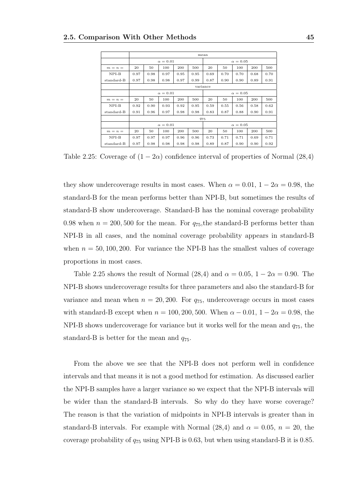|            |      |          |                 |      |      | mean            |      |                 |      |      |  |
|------------|------|----------|-----------------|------|------|-----------------|------|-----------------|------|------|--|
|            |      |          | $\alpha = 0.01$ |      |      |                 |      | $\alpha = 0.05$ |      |      |  |
| $m = n =$  | 20   | 50       | 100             | 200  | 500  | 20              | 50   | 100             | 200  | 500  |  |
| $NPI-B$    | 0.97 | 0.98     | 0.97            | 0.95 | 0.95 | 0.69            | 0.70 | 0.70            | 0.68 | 0.70 |  |
| standard-B | 0.97 | 0.98     | 0.98            | 0.97 | 0.99 | 0.87            | 0.90 | 0.90            | 0.89 | 0.91 |  |
|            |      | variance |                 |      |      |                 |      |                 |      |      |  |
|            |      |          | $\alpha = 0.01$ |      |      | $\alpha = 0.05$ |      |                 |      |      |  |
| $m = n =$  | 20   | 50       | 100             | 200  | 500  | 20              | 50   | 100             | 200  | 500  |  |
| $NPI-B$    | 0.92 | 0.90     | 0.93            | 0.92 | 0.95 | 0.59            | 0.55 | 0.56            | 0.58 | 0.62 |  |
| standard-B | 0.91 | 0.96     | 0.97            | 0.98 | 0.98 | 0.83            | 0.87 | 0.88            | 0.90 | 0.91 |  |
|            |      |          |                 |      |      | 975             |      |                 |      |      |  |
|            |      |          | $\alpha = 0.01$ |      |      |                 |      | $\alpha = 0.05$ |      |      |  |
| $m = n =$  | 20   | 50       | 100             | 200  | 500  | 20              | 50   | 100             | 200  | 500  |  |
| $NPI-B$    | 0.97 | 0.97     | 0.97            | 0.96 | 0.96 | 0.73            | 0.71 | 0.71            | 0.69 | 0.71 |  |
| standard-B | 0.97 | 0.98     | 0.98            | 0.98 | 0.98 | 0.89            | 0.87 | 0.90            | 0.90 | 0.92 |  |

Table 2.25: Coverage of  $(1 - 2\alpha)$  confidence interval of properties of Normal  $(28,4)$ 

they show undercoverage results in most cases. When  $\alpha = 0.01, 1 - 2\alpha = 0.98$ , the standard-B for the mean performs better than NPI-B, but sometimes the results of standard-B show undercoverage. Standard-B has the nominal coverage probability 0.98 when  $n = 200, 500$  for the mean. For  $q_{75}$ , the standard-B performs better than NPI-B in all cases, and the nominal coverage probability appears in standard-B when  $n = 50, 100, 200$ . For variance the NPI-B has the smallest values of coverage proportions in most cases.

Table 2.25 shows the result of Normal (28,4) and  $\alpha = 0.05, 1 - 2\alpha = 0.90$ . The NPI-B shows undercoverage results for three parameters and also the standard-B for variance and mean when  $n = 20, 200$ . For  $q_{75}$ , undercoverage occurs in most cases with standard-B except when  $n = 100, 200, 500$ . When  $\alpha - 0.01, 1 - 2\alpha = 0.98$ , the NPI-B shows undercoverage for variance but it works well for the mean and  $q_{75}$ , the standard-B is better for the mean and  $q_{75}$ .

From the above we see that the NPI-B does not perform well in confidence intervals and that means it is not a good method for estimation. As discussed earlier the NPI-B samples have a larger variance so we expect that the NPI-B intervals will be wider than the standard-B intervals. So why do they have worse coverage? The reason is that the variation of midpoints in NPI-B intervals is greater than in standard-B intervals. For example with Normal  $(28,4)$  and  $\alpha = 0.05$ ,  $n = 20$ , the coverage probability of  $q_{75}$  using NPI-B is 0.63, but when using standard-B it is 0.85.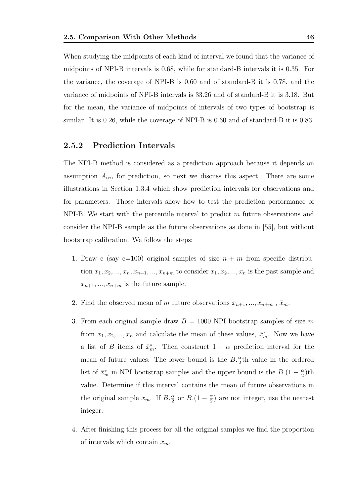When studying the midpoints of each kind of interval we found that the variance of midpoints of NPI-B intervals is 0.68, while for standard-B intervals it is 0.35. For the variance, the coverage of NPI-B is 0.60 and of standard-B it is 0.78, and the variance of midpoints of NPI-B intervals is 33.26 and of standard-B it is 3.18. But for the mean, the variance of midpoints of intervals of two types of bootstrap is similar. It is 0.26, while the coverage of NPI-B is 0.60 and of standard-B it is 0.83.

#### 2.5.2 Prediction Intervals

The NPI-B method is considered as a prediction approach because it depends on assumption  $A_{(n)}$  for prediction, so next we discuss this aspect. There are some illustrations in Section 1.3.4 which show prediction intervals for observations and for parameters. Those intervals show how to test the prediction performance of  $NPI-B$ . We start with the percentile interval to predict m future observations and consider the NPI-B sample as the future observations as done in [55], but without bootstrap calibration. We follow the steps:

- 1. Draw c (say  $c=100$ ) original samples of size  $n + m$  from specific distribution  $x_1, x_2, ..., x_n, x_{n+1}, ..., x_{n+m}$  to consider  $x_1, x_2, ..., x_n$  is the past sample and  $x_{n+1},..., x_{n+m}$  is the future sample.
- 2. Find the observed mean of m future observations  $x_{n+1},..., x_{n+m}$ ,  $\bar{x}_m$ .
- 3. From each original sample draw  $B = 1000$  NPI bootstrap samples of size m from  $x_1, x_2, ..., x_n$  and calculate the mean of these values,  $\bar{x}_m^*$ . Now we have a list of B items of  $\bar{x}_m^*$ . Then construct  $1 - \alpha$  prediction interval for the mean of future values: The lower bound is the  $B.\frac{\alpha}{2}$ th value in the ordered list of  $\bar{x}_m^*$  in NPI bootstrap samples and the upper bound is the  $B.(1-\frac{\alpha}{2})$  $\frac{\alpha}{2}$ )th value. Determine if this interval contains the mean of future observations in the original sample  $\bar{x}_m$ . If  $B.\frac{\alpha}{2}$  or  $B.(1-\frac{\alpha}{2})$  $\frac{\alpha}{2}$ ) are not integer, use the nearest integer.
- 4. After finishing this process for all the original samples we find the proportion of intervals which contain  $\bar{x}_m$ .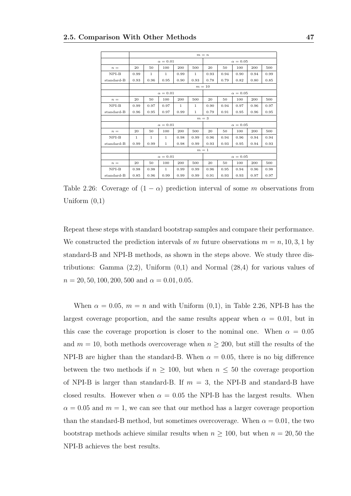|            |              |                                    |                 |              |              | $m = n$         |      |                 |      |      |  |
|------------|--------------|------------------------------------|-----------------|--------------|--------------|-----------------|------|-----------------|------|------|--|
|            |              |                                    | $\alpha = 0.01$ |              |              |                 |      | $\alpha = 0.05$ |      |      |  |
| $n =$      | 20           | 50                                 | 100             | 200          | 500          | 20              | 50   | 100             | 200  | 500  |  |
| $NPI-B$    | 0.99         | $\mathbf{1}$                       | $\mathbf{1}$    | 0.99         | $\mathbf{1}$ | 0.93            | 0.94 | 0.90            | 0.94 | 0.99 |  |
| standard-B | 0.93         | 0.96                               | 0.95            | 0.90         | 0.93         | 0.78            | 0.79 | 0.82            | 0.80 | 0.85 |  |
|            |              | $m=10$                             |                 |              |              |                 |      |                 |      |      |  |
|            |              | $\alpha = 0.01$<br>$\alpha = 0.05$ |                 |              |              |                 |      |                 |      |      |  |
| $n =$      | 20           | 50                                 | 100             | 200          | 500          | 20              | 50   | 100             | 200  | 500  |  |
| $NPI-B$    | 0.99         | 0.97                               | 0.97            | $\mathbf{1}$ | 1            | 0.90            | 0.94 | 0.97            | 0.96 | 0.97 |  |
| standard-B | 0.96         | 0.95                               | 0.97            | 0.99         | $\mathbf{1}$ | 0.79            | 0.91 | 0.95            | 0.96 | 0.95 |  |
|            |              |                                    |                 |              | $m=3$        |                 |      |                 |      |      |  |
|            |              |                                    | $\alpha = 0.01$ |              |              | $\alpha = 0.05$ |      |                 |      |      |  |
| $n =$      | 20           | 50                                 | 100             | 200          | 500          | 20              | 50   | 100             | 200  | 500  |  |
| $NPI-B$    | $\mathbf{1}$ | 1                                  | $\mathbf{1}$    | 0.98         | 0.99         | 0.96            | 0.94 | 0.96            | 0.94 | 0.94 |  |
| standard-B | 0.99         | 0.99                               | $\mathbf{1}$    | 0.98         | 0.99         | 0.93            | 0.93 | 0.95            | 0.94 | 0.93 |  |
|            |              |                                    |                 |              | $m=1$        |                 |      |                 |      |      |  |
|            |              |                                    | $\alpha = 0.01$ |              |              |                 |      | $\alpha=0.05$   |      |      |  |
| $n =$      | 20           | 50                                 | 100             | 200          | 500          | 20              | 50   | 100             | 200  | 500  |  |
| $NPI-B$    | 0.98         | 0.98                               | $\mathbf{1}$    | 0.99         | 0.99         | 0.96            | 0.95 | 0.94            | 0.96 | 0.98 |  |
| standard-B | 0.85         | 0.96                               | 0.99            | 0.99         | 0.99         | 0.91            | 0.93 | 0.93            | 0.97 | 0.97 |  |

Table 2.26: Coverage of  $(1 - \alpha)$  prediction interval of some m observations from Uniform  $(0,1)$ 

Repeat these steps with standard bootstrap samples and compare their performance. We constructed the prediction intervals of m future observations  $m = n, 10, 3, 1$  by standard-B and NPI-B methods, as shown in the steps above. We study three distributions: Gamma  $(2,2)$ , Uniform  $(0,1)$  and Normal  $(28,4)$  for various values of  $n = 20, 50, 100, 200, 500$  and  $\alpha = 0.01, 0.05$ .

When  $\alpha = 0.05$ ,  $m = n$  and with Uniform  $(0,1)$ , in Table 2.26, NPI-B has the largest coverage proportion, and the same results appear when  $\alpha = 0.01$ , but in this case the coverage proportion is closer to the nominal one. When  $\alpha = 0.05$ and  $m = 10$ , both methods overcoverage when  $n \geq 200$ , but still the results of the NPI-B are higher than the standard-B. When  $\alpha = 0.05$ , there is no big difference between the two methods if  $n \geq 100$ , but when  $n \leq 50$  the coverage proportion of NPI-B is larger than standard-B. If  $m = 3$ , the NPI-B and standard-B have closed results. However when  $\alpha = 0.05$  the NPI-B has the largest results. When  $\alpha = 0.05$  and  $m = 1$ , we can see that our method has a larger coverage proportion than the standard-B method, but sometimes overcoverage. When  $\alpha = 0.01$ , the two bootstrap methods achieve similar results when  $n \geq 100$ , but when  $n = 20, 50$  the NPI-B achieves the best results.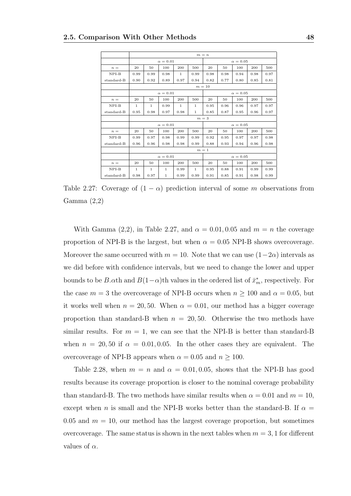|            |              |                                    |                 |              |              | $m = n$ |      |                 |      |      |  |
|------------|--------------|------------------------------------|-----------------|--------------|--------------|---------|------|-----------------|------|------|--|
|            |              |                                    | $\alpha = 0.01$ |              |              |         |      | $\alpha = 0.05$ |      |      |  |
| $n =$      | 20           | 50                                 | 100             | 200          | 500          | 20      | 50   | 100             | 200  | 500  |  |
| $NPI-B$    | 0.99         | 0.99                               | 0.98            | $\mathbf{1}$ | 0.99         | 0.98    | 0.98 | 0.94            | 0.98 | 0.97 |  |
| standard-B | 0.90         | 0.92                               | 0.89            | 0.97         | 0.94         | 0.82    | 0.77 | 0.80            | 0.85 | 0.81 |  |
|            |              | $m=10$                             |                 |              |              |         |      |                 |      |      |  |
|            |              | $\alpha = 0.01$<br>$\alpha = 0.05$ |                 |              |              |         |      |                 |      |      |  |
| $n =$      | 20           | 50                                 | 100             | 200          | 500          | 20      | 50   | 100             | 200  | 500  |  |
| $NPI-B$    | $\mathbf{1}$ | 1                                  | 0.99            | $\mathbf{1}$ | 1            | 0.95    | 0.96 | 0.96            | 0.97 | 0.97 |  |
| standard-B | 0.95         | 0.98                               | 0.97            | 0.98         | $\mathbf{1}$ | 0.85    | 0.87 | 0.95            | 0.96 | 0.97 |  |
|            |              |                                    |                 |              |              | $m=3$   |      |                 |      |      |  |
|            |              |                                    | $\alpha = 0.01$ |              |              |         |      | $\alpha = 0.05$ |      |      |  |
| $n =$      | 20           | 50                                 | 100             | 200          | 500          | 20      | 50   | 100             | 200  | 500  |  |
| $NPI-B$    | 0.99         | 0.97                               | 0.98            | 0.99         | 0.99         | 0.92    | 0.95 | 0.97            | 0.97 | 0.98 |  |
| standard-B | 0.96         | 0.96                               | 0.98            | 0.98         | 0.99         | 0.88    | 0.93 | 0.94            | 0.96 | 0.98 |  |
|            |              |                                    |                 |              | $m=1$        |         |      |                 |      |      |  |
|            |              |                                    | $\alpha = 0.01$ |              |              |         |      | $\alpha = 0.05$ |      |      |  |
| $n =$      | 20           | 50                                 | 100             | 200          | 500          | 20      | 50   | 100             | 200  | 500  |  |
| $NPI-B$    | $\mathbf{1}$ | $\mathbf{1}$                       | $\mathbf{1}$    | 0.99         | $\mathbf{1}$ | 0.95    | 0.88 | 0.91            | 0.99 | 0.99 |  |
| standard-B | 0.98         | 0.97                               | $\mathbf{1}$    | 0.99         | 0.99         | 0.91    | 0.85 | 0.91            | 0.98 | 0.99 |  |

Table 2.27: Coverage of  $(1 - \alpha)$  prediction interval of some m observations from Gamma (2,2)

With Gamma (2,2), in Table 2.27, and  $\alpha = 0.01, 0.05$  and  $m = n$  the coverage proportion of NPI-B is the largest, but when  $\alpha = 0.05$  NPI-B shows overcoverage. Moreover the same occurred with  $m = 10$ . Note that we can use  $(1-2\alpha)$  intervals as we did before with confidence intervals, but we need to change the lower and upper bounds to be B. $\alpha$ th and  $B(1-\alpha)$ th values in the ordered list of  $\bar{x}_m^*$ , respectively. For the case  $m = 3$  the overcoverage of NPI-B occurs when  $n \ge 100$  and  $\alpha = 0.05$ , but it works well when  $n = 20, 50$ . When  $\alpha = 0.01$ , our method has a bigger coverage proportion than standard-B when  $n = 20, 50$ . Otherwise the two methods have similar results. For  $m = 1$ , we can see that the NPI-B is better than standard-B when  $n = 20, 50$  if  $\alpha = 0.01, 0.05$ . In the other cases they are equivalent. The overcoverage of NPI-B appears when  $\alpha = 0.05$  and  $n \ge 100$ .

Table 2.28, when  $m = n$  and  $\alpha = 0.01, 0.05$ , shows that the NPI-B has good results because its coverage proportion is closer to the nominal coverage probability than standard-B. The two methods have similar results when  $\alpha = 0.01$  and  $m = 10$ , except when n is small and the NPI-B works better than the standard-B. If  $\alpha =$ 0.05 and  $m = 10$ , our method has the largest coverage proportion, but sometimes overcoverage. The same status is shown in the next tables when  $m = 3, 1$  for different values of  $\alpha$ .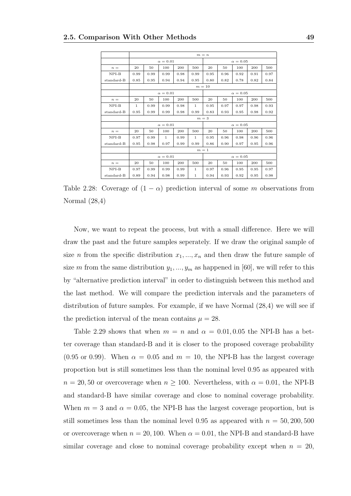|            |              |      |                 |      |              | $m = n$ |      |                 |      |      |
|------------|--------------|------|-----------------|------|--------------|---------|------|-----------------|------|------|
|            |              |      | $\alpha = 0.01$ |      |              |         |      | $\alpha = 0.05$ |      |      |
| $n =$      | 20           | 50   | 100             | 200  | 500          | 20      | 50   | 100             | 200  | 500  |
| $NPI-B$    | 0.99         | 0.99 | 0.99            | 0.98 | 0.99         | 0.95    | 0.96 | 0.92            | 0.91 | 0.97 |
| standard-B | 0.85         | 0.95 | 0.94            | 0.94 | 0.95         | 0.80    | 0.82 | 0.78            | 0.82 | 0.84 |
|            |              |      |                 |      |              | $m=10$  |      |                 |      |      |
|            |              |      | $\alpha = 0.01$ |      |              |         |      | $\alpha = 0.05$ |      |      |
| $n =$      | 20           | 50   | 100             | 200  | 500          | 20      | 50   | 100             | 200  | 500  |
| $NPI-B$    | $\mathbf{1}$ | 0.99 | 0.99            | 0.98 | 1            | 0.95    | 0.97 | 0.97            | 0.98 | 0.93 |
| standard-B | 0.95         | 0.99 | 0.99            | 0.98 | 0.99         | 0.83    | 0.93 | 0.95            | 0.98 | 0.92 |
|            |              |      |                 |      | $m=3$        |         |      |                 |      |      |
|            |              |      | $\alpha = 0.01$ |      |              |         |      | $\alpha = 0.05$ |      |      |
| $n =$      | 20           | 50   | 100             | 200  | 500          | 20      | 50   | 100             | 200  | 500  |
| $NPI-B$    | 0.97         | 0.99 | $\mathbf{1}$    | 0.99 | $\mathbf{1}$ | 0.95    | 0.96 | 0.98            | 0.96 | 0.96 |
| standard-B | 0.95         | 0.98 | 0.97            | 0.99 | 0.99         | 0.86    | 0.90 | 0.97            | 0.95 | 0.96 |
|            |              |      |                 |      | $m=1$        |         |      |                 |      |      |
|            |              |      | $\alpha = 0.01$ |      |              |         |      | $\alpha=0.05$   |      |      |
| $n =$      | 20           | 50   | 100             | 200  | 500          | 20      | 50   | 100             | 200  | 500  |
| $NPI-B$    | 0.97         | 0.99 | 0.99            | 0.99 | $\mathbf{1}$ | 0.97    | 0.96 | 0.95            | 0.95 | 0.97 |
| standard-B | 0.89         | 0.94 | 0.98            | 0.99 | 1            | 0.94    | 0.93 | 0.92            | 0.95 | 0.98 |

Table 2.28: Coverage of  $(1 - \alpha)$  prediction interval of some m observations from Normal (28,4)

Now, we want to repeat the process, but with a small difference. Here we will draw the past and the future samples seperately. If we draw the original sample of size *n* from the specific distribution  $x_1, ..., x_n$  and then draw the future sample of size m from the same distribution  $y_1, ..., y_m$  as happened in [60], we will refer to this by "alternative prediction interval" in order to distinguish between this method and the last method. We will compare the prediction intervals and the parameters of distribution of future samples. For example, if we have Normal (28,4) we will see if the prediction interval of the mean contains  $\mu = 28$ .

Table 2.29 shows that when  $m = n$  and  $\alpha = 0.01, 0.05$  the NPI-B has a better coverage than standard-B and it is closer to the proposed coverage probability  $(0.95 \text{ or } 0.99)$ . When  $\alpha = 0.05$  and  $m = 10$ , the NPI-B has the largest coverage proportion but is still sometimes less than the nominal level 0.95 as appeared with  $n = 20, 50$  or overcoverage when  $n \geq 100$ . Nevertheless, with  $\alpha = 0.01$ , the NPI-B and standard-B have similar coverage and close to nominal coverage probability. When  $m = 3$  and  $\alpha = 0.05$ , the NPI-B has the largest coverage proportion, but is still sometimes less than the nominal level 0.95 as appeared with  $n = 50, 200, 500$ or overcoverage when  $n = 20, 100$ . When  $\alpha = 0.01$ , the NPI-B and standard-B have similar coverage and close to nominal coverage probability except when  $n = 20$ ,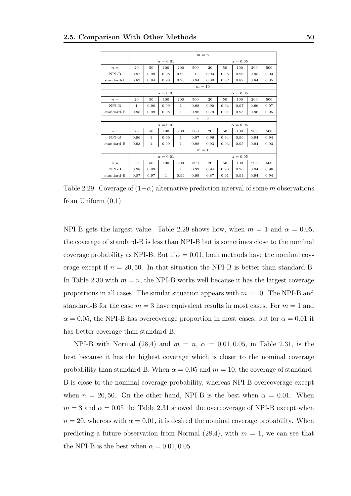|            |              |              |                 |              |        | $m = n$ |      |                 |      |      |
|------------|--------------|--------------|-----------------|--------------|--------|---------|------|-----------------|------|------|
|            |              |              | $\alpha = 0.01$ |              |        |         |      | $\alpha = 0.05$ |      |      |
| $n =$      | 20           | 50           | 100             | 200          | 500    | 20      | 50   | 100             | 200  | 500  |
| $NPI-B$    | 0.97         | 0.99         | 0.98            | 0.99         | 1      | 0.93    | 0.95 | 0.96            | 0.95 | 0.93 |
| standard-B | 0.83         | 0.94         | 0.90            | 0.96         | 0.94   | 0.80    | 0.82 | 0.82            | 0.84 | 0.85 |
|            |              |              |                 |              | $m=10$ |         |      |                 |      |      |
|            |              |              | $\alpha = 0.01$ |              |        |         |      | $\alpha = 0.05$ |      |      |
| $n =$      | 20           | 50           | 100             | 200          | 500    | 20      | 50   | 100             | 200  | 500  |
| $NPI-B$    | $\mathbf{1}$ | 0.98         | 0.99            | $\mathbf{1}$ | 0.98   | 0.90    | 0.94 | 0.97            | 0.96 | 0.97 |
| standard-B | 0.98         | 0.99         | 0.98            | $\mathbf{1}$ | 0.98   | 0.79    | 0.91 | 0.95            | 0.96 | 0.95 |
|            |              |              |                 |              | $m=3$  |         |      |                 |      |      |
|            |              |              | $\alpha = 0.01$ |              |        |         |      | $\alpha = 0.05$ |      |      |
| $n =$      | 20           | 50           | 100             | 200          | 500    | 20      | 50   | 100             | 200  | 500  |
| $NPI-B$    | 0.96         | $\mathbf{1}$ | 0.99            | $\mathbf{1}$ | 0.97   | 0.96    | 0.94 | 0.96            | 0.94 | 0.94 |
| standard-B | 0.93         | $\mathbf{1}$ | 0.99            | $\mathbf{1}$ | 0.98   | 0.93    | 0.93 | 0.95            | 0.94 | 0.93 |
|            |              |              |                 |              | $m=1$  |         |      |                 |      |      |
|            |              |              | $\alpha = 0.01$ |              |        |         |      | $\alpha = 0.05$ |      |      |
| $n =$      | 20           | 50           | 100             | 200          | 500    | 20      | 50   | 100             | 200  | 500  |
| $NPI-B$    | 0.98         | 0.99         | $\mathbf{1}$    | $\mathbf{1}$ | 0.99   | 0.94    | 0.93 | 0.96            | 0.94 | 0.96 |
| standard-B | 0.87         | 0.97         | $\mathbf{1}$    | 0.99         | 0.99   | 0.87    | 0.91 | 0.94            | 0.94 | 0.94 |

Table 2.29: Coverage of  $(1-\alpha)$  alternative prediction interval of some m observations from Uniform  $(0,1)$ 

NPI-B gets the largest value. Table 2.29 shows how, when  $m = 1$  and  $\alpha = 0.05$ , the coverage of standard-B is less than NPI-B but is sometimes close to the nominal coverage probability as NPI-B. But if  $\alpha = 0.01$ , both methods have the nominal coverage except if  $n = 20, 50$ . In that situation the NPI-B is better than standard-B. In Table 2.30 with  $m = n$ , the NPI-B works well because it has the largest coverage proportions in all cases. The similar situation appears with  $m = 10$ . The NPI-B and standard-B for the case  $m = 3$  have equivalent results in most cases. For  $m = 1$  and  $\alpha = 0.05$ , the NPI-B has overcoverage proportion in most cases, but for  $\alpha = 0.01$  it has better coverage than standard-B.

NPI-B with Normal (28,4) and  $m = n$ ,  $\alpha = 0.01, 0.05$ , in Table 2.31, is the best because it has the highest coverage which is closer to the nominal coverage probability than standard-B. When  $\alpha = 0.05$  and  $m = 10$ , the coverage of standard-B is close to the nominal coverage probability, whereas NPI-B overcoverage except when  $n = 20, 50$ . On the other hand, NPI-B is the best when  $\alpha = 0.01$ . When  $m = 3$  and  $\alpha = 0.05$  the Table 2.31 showed the overcoverage of NPI-B except when  $n = 20$ , whereas with  $\alpha = 0.01$ , it is desired the nominal coverage probability. When predicting a future observation from Normal  $(28,4)$ , with  $m = 1$ , we can see that the NPI-B is the best when  $\alpha = 0.01, 0.05$ .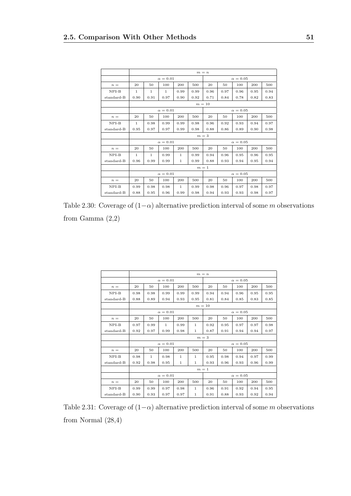|            |              |      |                 |              |      | $m = n$ |      |                 |      |      |
|------------|--------------|------|-----------------|--------------|------|---------|------|-----------------|------|------|
|            |              |      | $\alpha = 0.01$ |              |      |         |      | $\alpha = 0.05$ |      |      |
| $n =$      | 20           | 50   | 100             | 200          | 500  | 20      | 50   | 100             | 200  | 500  |
| $NPI-B$    | 1            | 1    | 1               | 0.99         | 0.99 | 0.96    | 0.97 | 0.96            | 0.95 | 0.94 |
| standard-B | 0.90         | 0.91 | 0.97            | 0.90         | 0.92 | 0.71    | 0.84 | 0.78            | 0.82 | 0.83 |
|            |              |      |                 |              |      | $m=10$  |      |                 |      |      |
|            |              |      | $\alpha = 0.01$ |              |      |         |      | $\alpha = 0.05$ |      |      |
| $n =$      | 20           | 50   | 100             | 200          | 500  | 20      | 50   | 100             | 200  | 500  |
| $NPI-B$    | 1            | 0.98 | 0.99            | 0.99         | 0.98 | 0.96    | 0.92 | 0.93            | 0.94 | 0.97 |
| standard-B | 0.95         | 0.97 | 0.97            | 0.99         | 0.98 | 0.88    | 0.86 | 0.89            | 0.98 |      |
|            |              |      |                 |              |      | $m=3$   |      |                 |      |      |
|            |              |      | $\alpha=0.01$   |              |      |         |      | $\alpha = 0.05$ |      |      |
| $n =$      | 20           | 50   | 100             | 200          | 500  | 20      | 50   | 100             | 200  | 500  |
| $NPI-B$    | $\mathbf{1}$ | 1    | 0.99            | $\mathbf{1}$ | 0.99 | 0.94    | 0.96 | 0.95            | 0.96 | 0.95 |
| standard-B | 0.96         | 0.99 | 0.99            | $\,1$        | 0.99 | 0.88    | 0.93 | 0.94            | 0.95 | 0.94 |
|            |              |      |                 |              |      | $m=1$   |      |                 |      |      |
|            |              |      | $\alpha = 0.01$ |              |      |         |      | $\alpha = 0.05$ |      |      |
| $n =$      | 20           | 50   | 100             | 200          | 500  | 20      | 50   | 100             | 200  | 500  |
| $NPI-B$    | 0.99         | 0.98 | 0.98            | $\mathbf{1}$ | 0.99 | 0.98    | 0.96 | 0.97            | 0.98 | 0.97 |
| standard-B | 0.88         | 0.95 | 0.96            | 0.99         | 0.98 | 0.94    | 0.93 | 0.93            | 0.98 | 0.97 |

Table 2.30: Coverage of  $(1-\alpha)$  alternative prediction interval of some m observations from Gamma (2,2)

|              |      |              |                 |              |              | $m = n$ |      |                 |      |      |
|--------------|------|--------------|-----------------|--------------|--------------|---------|------|-----------------|------|------|
|              |      |              | $\alpha = 0.01$ |              |              |         |      | $\alpha=0.05$   |      |      |
| $n =$        | 20   | 50           | 100             | 200          | 500          | 20      | 50   | 100             | 200  | 500  |
| $NPI-B$      | 0.98 | 0.98         | 0.99            | 0.99         | 0.99         | 0.94    | 0.94 | 0.96            | 0.95 | 0.95 |
| standard-B   | 0.88 | 0.89         | 0.94            | 0.93         | 0.95         | 0.81    | 0.84 | 0.85            | 0.83 | 0.85 |
|              |      |              |                 |              |              | $m=10$  |      |                 |      |      |
|              |      |              | $\alpha = 0.01$ |              |              |         |      | $\alpha = 0.05$ |      |      |
| $n =$        | 20   | 50           | 100             | 200          | 500          | 20      | 50   | 100             | 200  | 500  |
| $NPI-B$      | 0.97 | 0.99         | $\mathbf{1}$    | 0.99         | 1            | 0.92    | 0.95 | 0.97            | 0.97 | 0.98 |
| standard-B   | 0.92 | 0.97         | 0.99            | 0.98         | $\mathbf{1}$ | 0.87    | 0.91 | 0.94            | 0.94 | 0.97 |
|              |      |              |                 |              |              | $m=3$   |      |                 |      |      |
|              |      |              | $\alpha = 0.01$ |              |              |         |      | $\alpha = 0.05$ |      |      |
| $n =$        | 20   | 50           | 100             | 200          | 500          | 20      | 50   | 100             | 200  | 500  |
| $NPI-B$      | 0.98 | $\mathbf{1}$ | 0.98            | $\mathbf{1}$ | $\mathbf{1}$ | 0.95    | 0.98 | 0.94            | 0.97 | 0.99 |
| standard-B   | 0.92 | 0.98         | 0.95            | $\mathbf{1}$ | $\mathbf{1}$ | 0.93    | 0.96 | 0.93            | 0.96 | 0.99 |
|              |      |              |                 |              | $m=1$        |         |      |                 |      |      |
|              |      |              | $\alpha = 0.01$ |              |              |         |      | $\alpha = 0.05$ |      |      |
| $n =$        | 20   | 50           | 100             | 200          | 500          | 20      | 50   | 100             | 200  | 500  |
| $NPI-B$      | 0.99 | 0.99         | 0.97            | 0.98         | $\mathbf{1}$ | 0.96    | 0.91 | 0.92            | 0.94 | 0.95 |
| $standard-B$ | 0.90 | 0.93         | 0.97            | 0.97         | 1            | 0.91    | 0.88 | 0.93            | 0.92 | 0.94 |

Table 2.31: Coverage of  $(1-\alpha)$  alternative prediction interval of some m observations from Normal (28,4)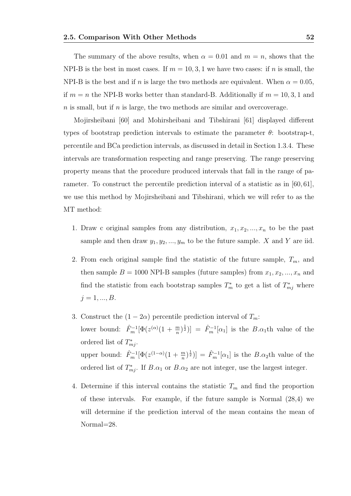The summary of the above results, when  $\alpha = 0.01$  and  $m = n$ , shows that the NPI-B is the best in most cases. If  $m = 10, 3, 1$  we have two cases: if n is small, the NPI-B is the best and if n is large the two methods are equivalent. When  $\alpha = 0.05$ , if  $m = n$  the NPI-B works better than standard-B. Additionally if  $m = 10, 3, 1$  and  $n$  is small, but if  $n$  is large, the two methods are similar and overcoverage.

Mojirsheibani [60] and Mohirsheibani and Tibshirani [61] displayed different types of bootstrap prediction intervals to estimate the parameter  $\theta$ : bootstrap-t, percentile and BCa prediction intervals, as discussed in detail in Section 1.3.4. These intervals are transformation respecting and range preserving. The range preserving property means that the procedure produced intervals that fall in the range of parameter. To construct the percentile prediction interval of a statistic as in [60, 61], we use this method by Mojirsheibani and Tibshirani, which we will refer to as the MT method:

- 1. Draw c original samples from any distribution,  $x_1, x_2, ..., x_n$  to be the past sample and then draw  $y_1, y_2, ..., y_m$  to be the future sample. X and Y are iid.
- 2. From each original sample find the statistic of the future sample,  $T_m$ , and then sample  $B = 1000$  NPI-B samples (future samples) from  $x_1, x_2, ..., x_n$  and find the statistic from each bootstrap samples  $T_m^*$  to get a list of  $T_{mj}^*$  where  $j = 1, ..., B$ .
- 3. Construct the  $(1 2\alpha)$  percentile prediction interval of  $T_m$ : lower bound:  $\hat{F}_m^{-1}[\Phi(z^{(\alpha)}(1+\frac{m}{n})^{\frac{1}{2}})] = \hat{F}_m^{-1}[\alpha_1]$  is the  $B.\alpha_1$ th value of the ordered list of  $T_{mj}^*$ . upper bound:  $\hat{F}_m^{-1}[\Phi(z^{(1-\alpha)}(1+\frac{m}{n})^{\frac{1}{2}})] = \hat{F}_m^{-1}[\alpha_1]$  is the  $B.\alpha_2$ th value of the ordered list of  $T_{mj}^*$ . If  $B.\alpha_1$  or  $B.\alpha_2$  are not integer, use the largest integer.
- 4. Determine if this interval contains the statistic  $T_m$  and find the proportion of these intervals. For example, if the future sample is Normal (28,4) we will determine if the prediction interval of the mean contains the mean of Normal=28.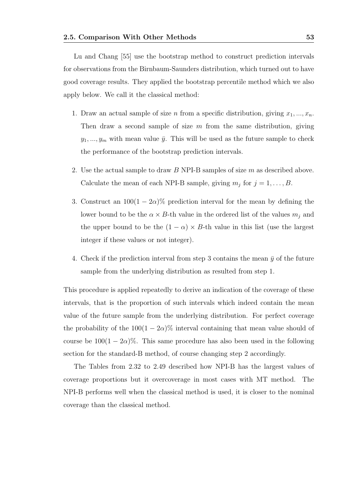Lu and Chang [55] use the bootstrap method to construct prediction intervals for observations from the Birnbaum-Saunders distribution, which turned out to have good coverage results. They applied the bootstrap percentile method which we also apply below. We call it the classical method:

- 1. Draw an actual sample of size n from a specific distribution, giving  $x_1, ..., x_n$ . Then draw a second sample of size  $m$  from the same distribution, giving  $y_1, \ldots, y_m$  with mean value  $\bar{y}$ . This will be used as the future sample to check the performance of the bootstrap prediction intervals.
- 2. Use the actual sample to draw B NPI-B samples of size m as described above. Calculate the mean of each NPI-B sample, giving  $m_j$  for  $j = 1, \ldots, B$ .
- 3. Construct an  $100(1 2\alpha)\%$  prediction interval for the mean by defining the lower bound to be the  $\alpha \times B$ -th value in the ordered list of the values  $m_i$  and the upper bound to be the  $(1 - \alpha) \times B$ -th value in this list (use the largest integer if these values or not integer).
- 4. Check if the prediction interval from step 3 contains the mean  $\bar{y}$  of the future sample from the underlying distribution as resulted from step 1.

This procedure is applied repeatedly to derive an indication of the coverage of these intervals, that is the proportion of such intervals which indeed contain the mean value of the future sample from the underlying distribution. For perfect coverage the probability of the  $100(1 - 2\alpha)\%$  interval containing that mean value should of course be  $100(1 - 2\alpha)\%$ . This same procedure has also been used in the following section for the standard-B method, of course changing step 2 accordingly.

The Tables from 2.32 to 2.49 described how NPI-B has the largest values of coverage proportions but it overcoverage in most cases with MT method. The NPI-B performs well when the classical method is used, it is closer to the nominal coverage than the classical method.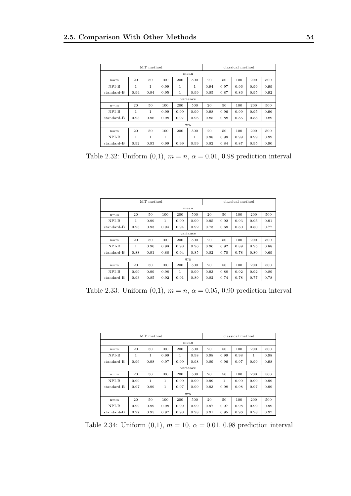|            |      | MT method      |              |              |          |      |      | classical method |      |      |
|------------|------|----------------|--------------|--------------|----------|------|------|------------------|------|------|
|            |      |                |              |              | mean     |      |      |                  |      |      |
| $n = m$    | 20   | 50             | 100          | 200          | 500      | 20   | 50   | 100              | 200  | 500  |
| NPI-B      | 1    | 1              | 0.99         | 1            | 1        | 0.94 | 0.97 | 0.96             | 0.99 | 0.99 |
| standard-B | 0.94 | 0.94           | 0.95         | $\mathbf{1}$ | 0.99     | 0.85 | 0.87 | 0.86             | 0.95 | 0.92 |
|            |      |                |              |              | variance |      |      |                  |      |      |
| $n = m$    | 20   | 50             | 100          | 200          | 500      | 20   | 50   | 100              | 200  | 500  |
| $NPI-B$    | 1    | $\mathbf{1}$   | 0.99         | 0.99         | 0.99     | 0.98 | 0.96 | 0.99             | 0.95 | 0.96 |
| standard-B | 0.93 | 0.96           | 0.98         | 0.97         | 0.96     | 0.85 | 0.88 | 0.85             | 0.88 | 0.89 |
|            |      |                |              |              | 975      |      |      |                  |      |      |
| $n = m$    | 20   | 50             | 100          | 200          | 500      | 20   | 50   | 100              | 200  | 500  |
| $NPI-B$    | 1    | $\overline{1}$ | $\mathbf{1}$ | 1            | 1        | 0.98 | 0.98 | 0.99             | 0.99 | 0.99 |
| standard-B | 0.92 | 0.93           | 0.99         | 0.99         | 0.99     | 0.82 | 0.84 | 0.87             | 0.95 | 0.90 |

Table 2.32: Uniform  $(0,1)$ ,  $m = n$ ,  $\alpha = 0.01$ , 0.98 prediction interval

|            |              | MT method |      |      |          |      |      | classical method |      |      |
|------------|--------------|-----------|------|------|----------|------|------|------------------|------|------|
|            |              |           |      |      | mean     |      |      |                  |      |      |
| $n = m$    | 20           | 50        | 100  | 200  | 500      | 20   | 50   | 100              | 200  | 500  |
| $NPI-B$    | 1            | 0.99      | 1    | 0.99 | 0.99     | 0.95 | 0.92 | 0.93             | 0.95 | 0.91 |
| standard-B | 0.93         | 0.93      | 0.94 | 0.94 | 0.92     | 0.73 | 0.68 | 0.80             | 0.80 | 0.77 |
|            |              |           |      |      | variance |      |      |                  |      |      |
| $n = m$    | 20           | 50        | 100  | 200  | 500      | 20   | 50   | 100              | 200  | 500  |
| $NPI-B$    | $\mathbf{1}$ | 0.96      | 0.98 | 0.98 | 0.96     | 0.96 | 0.92 | 0.89             | 0.95 | 0.88 |
| standard-B | 0.88         | 0.91      | 0.88 | 0.94 | 0.85     | 0.82 | 0.70 | 0.78             | 0.80 | 0.69 |
|            |              |           |      |      | 975      |      |      |                  |      |      |
| $n = m$    | 20           | 50        | 100  | 200  | 500      | 20   | 50   | 100              | 200  | 500  |
| $NPI-B$    | 0.99         | 0.99      | 0.98 | 1    | 0.99     | 0.93 | 0.88 | 0.92             | 0.92 | 0.89 |
| standard-B | 0.93         | 0.85      | 0.92 | 0.91 | 0.89     | 0.82 | 0.74 | 0.78             | 0.77 | 0.78 |

Table 2.33: Uniform  $(0,1)$ ,  $m = n$ ,  $\alpha = 0.05$ , 0.90 prediction interval

| MT method<br>classical method |      |      |              |      |          |      |      |      |      |      |
|-------------------------------|------|------|--------------|------|----------|------|------|------|------|------|
|                               |      |      |              |      |          |      |      |      |      |      |
|                               |      |      |              |      | mean     |      |      |      |      |      |
| $n = m$                       | 20   | 50   | 100          | 200  | 500      | 20   | 50   | 100  | 200  | 500  |
| NPI-B                         | 1    | 1    | 0.99         | 1    | 0.98     | 0.98 | 0.99 | 0.98 | 1    | 0.98 |
| standard-B                    | 0.96 | 0.98 | 0.97         | 0.99 | 0.98     | 0.89 | 0.96 | 0.97 | 0.99 | 0.98 |
|                               |      |      |              |      | variance |      |      |      |      |      |
| $n = m$                       | 20   | 50   | 100          | 200  | 500      | 20   | 50   | 100  | 200  | 500  |
| NPI-B                         | 0.99 | 1    | $\mathbf{1}$ | 0.99 | 0.99     | 0.99 | 1    | 0.99 | 0.99 | 0.99 |
| standard-B                    | 0.97 | 0.99 | $\mathbf{1}$ | 0.97 | 0.99     | 0.93 | 0.98 | 0.98 | 0.97 | 0.99 |
|                               |      |      |              |      | 975      |      |      |      |      |      |
| $n = m$                       | 20   | 50   | 100          | 200  | 500      | 20   | 50   | 100  | 200  | 500  |
| NPI-B                         | 0.99 | 0.99 | 0.98         | 0.99 | 0.99     | 0.97 | 0.97 | 0.98 | 0.99 | 0.99 |
| standard-B                    | 0.97 | 0.95 | 0.97         | 0.98 | 0.98     | 0.91 | 0.95 | 0.96 | 0.98 | 0.97 |

Table 2.34: Uniform  $(0,1)$ ,  $m = 10$ ,  $\alpha = 0.01$ , 0.98 prediction interval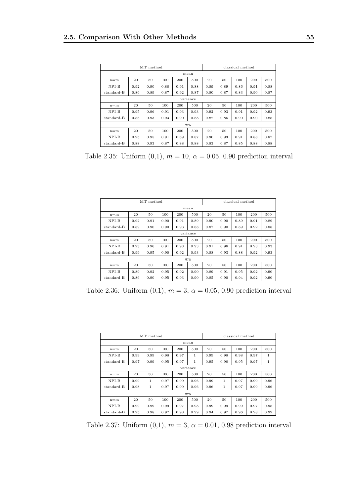|            |      | MT method |      |      |          |      |      | classical method |      |      |
|------------|------|-----------|------|------|----------|------|------|------------------|------|------|
|            |      |           |      |      | mean     |      |      |                  |      |      |
| $n = m$    | 20   | 50        | 100  | 200  | 500      | 20   | 50   | 100              | 200  | 500  |
| NPI-B      | 0.92 | 0.90      | 0.88 | 0.91 | 0.88     | 0.89 | 0.89 | 0.86             | 0.91 | 0.88 |
| standard-B | 0.86 | 0.89      | 0.87 | 0.92 | 0.87     | 0.80 | 0.87 | 0.83             | 0.90 | 0.87 |
|            |      |           |      |      | variance |      |      |                  |      |      |
| $n = m$    | 20   | 50        | 100  | 200  | 500      | 20   | 50   | 100              | 200  | 500  |
| $NPI-B$    | 0.95 | 0.96      | 0.91 | 0.93 | 0.93     | 0.92 | 0.93 | 0.91             | 0.92 | 0.93 |
| standard-B | 0.88 | 0.93      | 0.93 | 0.90 | 0.88     | 0.82 | 0.86 | 0.90             | 0.90 | 0.88 |
|            |      |           |      |      | 975      |      |      |                  |      |      |
| $n = m$    | 20   | 50        | 100  | 200  | 500      | 20   | 50   | 100              | 200  | 500  |
| NPI-B      | 0.95 | 0.95      | 0.91 | 0.89 | 0.87     | 0.90 | 0.93 | 0.91             | 0.88 | 0.87 |
| standard-B | 0.88 | 0.93      | 0.87 | 0.88 | 0.88     | 0.83 | 0.87 | 0.85             | 0.88 | 0.88 |

Table 2.35: Uniform  $(0,1)$ ,  $m = 10$ ,  $\alpha = 0.05$ , 0.90 prediction interval

|            |      | MT method |      |      |          |      |      | classical method |      |      |
|------------|------|-----------|------|------|----------|------|------|------------------|------|------|
|            |      |           |      |      | mean     |      |      |                  |      |      |
| $n = m$    | 20   | 50        | 100  | 200  | 500      | 20   | 50   | 100              | 200  | 500  |
| $NPI-B$    | 0.92 | 0.91      | 0.90 | 0.91 | 0.89     | 0.90 | 0.90 | 0.89             | 0.91 | 0.89 |
| standard-B | 0.89 | 0.90      | 0.90 | 0.93 | 0.88     | 0.87 | 0.90 | 0.89             | 0.92 | 0.88 |
|            |      |           |      |      | variance |      |      |                  |      |      |
| $n = m$    | 20   | 50        | 100  | 200  | 500      | 20   | 50   | 100              | 200  | 500  |
| $NPI-B$    | 0.93 | 0.96      | 0.91 | 0.93 | 0.93     | 0.91 | 0.96 | 0.91             | 0.93 | 0.93 |
| standard-B | 0.99 | 0.95      | 0.90 | 0.92 | 0.93     | 0.88 | 0.93 | 0.88             | 0.92 | 0.93 |
|            |      |           |      |      | 975      |      |      |                  |      |      |
| $n = m$    | 20   | 50        | 100  | 200  | 500      | 20   | 50   | 100              | 200  | 500  |
| $NPI-B$    | 0.89 | 0.92      | 0.95 | 0.92 | 0.90     | 0.89 | 0.91 | 0.95             | 0.92 | 0.90 |
| standard-B | 0.86 | 0.90      | 0.95 | 0.93 | 0.90     | 0.85 | 0.90 | 0.94             | 0.92 | 0.90 |

Table 2.36: Uniform  $(0,1)$ ,  $m = 3$ ,  $\alpha = 0.05$ , 0.90 prediction interval

| MT method<br>classical method |      |              |      |      |          |      |              |      |      |              |
|-------------------------------|------|--------------|------|------|----------|------|--------------|------|------|--------------|
|                               |      |              |      |      |          |      |              |      |      |              |
|                               |      |              |      |      | mean     |      |              |      |      |              |
| $n = m$                       | 20   | 50           | 100  | 200  | 500      | 20   | 50           | 100  | 200  | 500          |
| $NPI-B$                       | 0.99 | 0.99         | 0.98 | 0.97 | 1        | 0.99 | 0.98         | 0.98 | 0.97 | $\mathbf{1}$ |
| standard-B                    | 0.97 | 0.99         | 0.95 | 0.97 | 1        | 0.95 | 0.98         | 0.95 | 0.97 | $\mathbf{1}$ |
|                               |      |              |      |      | variance |      |              |      |      |              |
| $n = m$                       | 20   | 50           | 100  | 200  | 500      | 20   | 50           | 100  | 200  | 500          |
| NPI-B                         | 0.99 | 1            | 0.97 | 0.99 | 0.96     | 0.99 | $\mathbf{1}$ | 0.97 | 0.99 | 0.96         |
| standard-B                    | 0.98 | $\mathbf{1}$ | 0.97 | 0.99 | 0.96     | 0.96 | 1            | 0.97 | 0.99 | 0.96         |
|                               |      |              |      |      | 975      |      |              |      |      |              |
| $n = m$                       | 20   | 50           | 100  | 200  | 500      | 20   | 50           | 100  | 200  | 500          |
| NPI-B                         | 0.99 | 0.99         | 0.99 | 0.97 | 0.98     | 0.99 | 0.99         | 0.99 | 0.97 | 0.98         |
| standard-B                    | 0.95 | 0.98         | 0.97 | 0.98 | 0.99     | 0.94 | 0.97         | 0.96 | 0.98 | 0.99         |

Table 2.37: Uniform  $(0,1)$ ,  $m = 3$ ,  $\alpha = 0.01$ , 0.98 prediction interval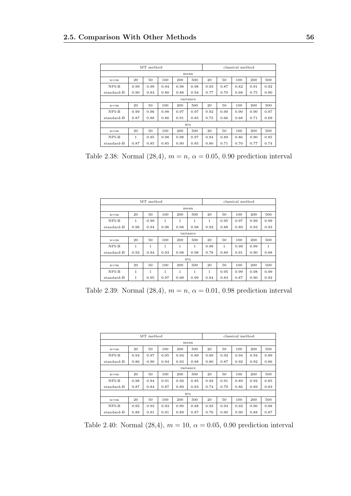|            |              | MT method |      |      |          |      |      | classical method |      |      |
|------------|--------------|-----------|------|------|----------|------|------|------------------|------|------|
|            |              |           |      |      | mean     |      |      |                  |      |      |
| $n = m$    | 20           | 50        | 100  | 200  | 500      | 20   | 50   | 100              | 200  | 500  |
| NPI-B      | 0.99         | 0.99      | 0.94 | 0.98 | 0.98     | 0.93 | 0.87 | 0.82             | 0.91 | 0.92 |
| standard-B | 0.90         | 0.84      | 0.80 | 0.88 | 0.94     | 0.77 | 0.70 | 0.68             | 0.75 | 0.80 |
|            |              |           |      |      | variance |      |      |                  |      |      |
| $n = m$    | 20           | 50        | 100  | 200  | 500      | 20   | 50   | 100              | 200  | 500  |
| $NPI-B$    | 0.99         | 0.96      | 0.98 | 0.97 | 0.97     | 0.92 | 0.90 | 0.90             | 0.90 | 0.87 |
| standard-B | 0.87         | 0.88      | 0.86 | 0.91 | 0.85     | 0.75 | 0.66 | 0.68             | 0.71 | 0.69 |
|            |              |           |      |      | 975      |      |      |                  |      |      |
| $n = m$    | 20           | 50        | 100  | 200  | 500      | 20   | 50   | 100              | 200  | 500  |
| NPI-B      | $\mathbf{1}$ | 0.95      | 0.98 | 0.98 | 0.97     | 0.94 | 0.89 | 0.86             | 0.90 | 0.85 |
| standard-B | 0.87         | 0.85      | 0.85 | 0.90 | 0.85     | 0.80 | 0.71 | 0.70             | 0.77 | 0.74 |

Table 2.38: Normal  $(28,4)$ ,  $m = n$ ,  $\alpha = 0.05, 0.90$  prediction interval

|            |              | MT method    |              |                |              |      |              | classical method |      |              |
|------------|--------------|--------------|--------------|----------------|--------------|------|--------------|------------------|------|--------------|
|            |              |              |              |                | mean         |      |              |                  |      |              |
| $n = m$    | 20           | 50           | 100          | 200            | 500          | 20   | 50           | 100              | 200  | 500          |
| $NPI-B$    | 1            | 0.99         | $\mathbf{1}$ | $\overline{1}$ | $\mathbf{1}$ | 1    | 0.95         | 0.97             | 0.99 | 0.99         |
| standard-B | 0.96         | 0.94         | 0.96         | 0.98           | 0.98         | 0.92 | 0.88         | 0.89             | 0.93 | 0.93         |
|            |              |              |              |                | variance     |      |              |                  |      |              |
| $n = m$    | 20           | 50           | 100          | 200            | 500          | 20   | 50           | 100              | 200  | 500          |
| $NPI-B$    | $\mathbf{1}$ | $\mathbf{1}$ | 1            | 1              | 1            | 0.98 | $\mathbf{1}$ | 0.99             | 0.99 | $\mathbf{1}$ |
| standard-B | 0.92         | 0.94         | 0.93         | 0.98           | 0.98         | 0.78 | 0.89         | 0.91             | 0.90 | 0.88         |
|            |              |              |              |                | 975          |      |              |                  |      |              |
| $n = m$    | 20           | 50           | 100          | 200            | 500          | 20   | 50           | 100              | 200  | 500          |
| $NPI-B$    | 1            | 1            | 1            | 1              | 1            | 1    | 0.95         | 0.99             | 0.98 | 0.99         |
| standard-B | 1            | 0.95         | 0.97         | 0.99           | 0.99         | 0.94 | 0.83         | 0.87             | 0.90 | 0.92         |

Table 2.39: Normal (28,4),  $m = n$ ,  $\alpha = 0.01$ , 0.98 prediction interval

|            |      | MT method |      |      | classical method |      |      |      |      |      |  |
|------------|------|-----------|------|------|------------------|------|------|------|------|------|--|
|            |      |           |      |      |                  |      |      |      |      |      |  |
|            |      |           |      | mean |                  |      |      |      |      |      |  |
| $n = m$    | 20   | 50        | 100  | 200  | 500              | 20   | 50   | 100  | 200  | 500  |  |
| NPI-B      | 0.94 | 0.97      | 0.95 | 0.94 | 0.89             | 0.89 | 0.92 | 0.94 | 0.94 | 0.89 |  |
| standard-B | 0.86 | 0.90      | 0.94 | 0.93 | 0.88             | 0.80 | 0.87 | 0.92 | 0.92 | 0.86 |  |
|            |      |           |      |      | variance         |      |      |      |      |      |  |
| $n = m$    | 20   | 50        | 100  | 200  | 500              | 20   | 50   | 100  | 200  | 500  |  |
| $NPI-B$    | 0.98 | 0.94      | 0.91 | 0.92 | 0.85             | 0.92 | 0.91 | 0.89 | 0.92 | 0.85 |  |
| standard-B | 0.87 | 0.84      | 0.87 | 0.89 | 0.83             | 0.74 | 0.79 | 0.86 | 0.89 | 0.83 |  |
|            |      |           |      |      | 975              |      |      |      |      |      |  |
| $n = m$    | 20   | 50        | 100  | 200  | 500              | 20   | 50   | 100  | 200  | 500  |  |
| NPI-B      | 0.95 | 0.93      | 0.93 | 0.90 | 0.88             | 0.93 | 0.93 | 0.92 | 0.90 | 0.88 |  |
| standard-B | 0.88 | 0.91      | 0.91 | 0.89 | 0.87             | 0.76 | 0.90 | 0.90 | 0.88 | 0.87 |  |

Table 2.40: Normal (28,4),  $m = 10$ ,  $\alpha = 0.05$ , 0.90 prediction interval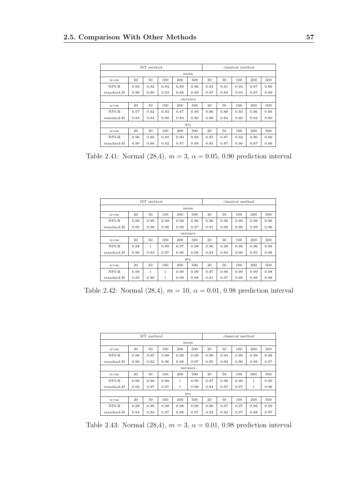|            | classical method |      |      |      |          |      |      |      |      |      |
|------------|------------------|------|------|------|----------|------|------|------|------|------|
|            |                  |      |      | mean |          |      |      |      |      |      |
| $n = m$    | 20               | 50   | 100  | 200  | 500      | 20   | 50   | 100  | 200  | 500  |
| NPI-B      | 0.93             | 0.92 | 0.94 | 0.89 | 0.86     | 0.93 | 0.91 | 0.94 | 0.87 | 0.86 |
| standard-B | 0.90             | 0.90 | 0.93 | 0.88 | 0.89     | 0.87 | 0.89 | 0.93 | 0.87 | 0.89 |
|            |                  |      |      |      | variance |      |      |      |      |      |
| $n = m$    | 20               | 50   | 100  | 200  | 500      | 20   | 50   | 100  | 200  | 500  |
| $NPI-B$    | 0.97             | 0.92 | 0.93 | 0.87 | 0.89     | 0.96 | 0.88 | 0.93 | 0.86 | 0.89 |
| standard-B | 0.94             | 0.84 | 0.90 | 0.83 | 0.90     | 0.88 | 0.84 | 0.90 | 0.83 | 0.90 |
|            |                  |      |      |      | 975      |      |      |      |      |      |
| $n = m$    | 20               | 50   | 100  | 200  | 500      | 20   | 50   | 100  | 200  | 500  |
| NPI-B      | 0.96             | 0.89 | 0.93 | 0.90 | 0.89     | 0.95 | 0.87 | 0.92 | 0.90 | 0.89 |
| standard-B | 0.90             | 0.88 | 0.92 | 0.87 | 0.88     | 0.85 | 0.87 | 0.90 | 0.87 | 0.88 |

Table 2.41: Normal  $(28,4)$ ,  $m = 3$ ,  $\alpha = 0.05, 0.90$  prediction interval

| MT method  |      |              |      |      |          |      | classical method |      |      |      |  |
|------------|------|--------------|------|------|----------|------|------------------|------|------|------|--|
| mean       |      |              |      |      |          |      |                  |      |      |      |  |
| $n = m$    | 20   | 50           | 100  | 200  | 500      | 20   | 50               | 100  | 200  | 500  |  |
| $NPI-B$    | 0.99 | 0.99         | 0.99 | 0.98 | 0.96     | 0.96 | 0.98             | 0.99 | 0.98 | 0.96 |  |
| standard-B | 0.95 | 0.98         | 0.96 | 0.99 | 0.97     | 0.91 | 0.98             | 0.96 | 0.99 | 0.96 |  |
|            |      |              |      |      | variance |      |                  |      |      |      |  |
| $n = m$    | 20   | 50           | 100  | 200  | 500      | 20   | 50               | 100  | 200  | 500  |  |
| $NPI-B$    | 0.98 | $\mathbf{1}$ | 0.99 | 0.97 | 0.98     | 0.96 | 0.98             | 0.98 | 0.96 | 0.98 |  |
| standard-B | 0.90 | 0.94         | 0.97 | 0.96 | 0.98     | 0.84 | 0.93             | 0.96 | 0.95 | 0.98 |  |
|            |      |              |      |      | 975      |      |                  |      |      |      |  |
| $n = m$    | 20   | 50           | 100  | 200  | 500      | 20   | 50               | 100  | 200  | 500  |  |
| $NPI-B$    | 0.99 | 1            | 1    | 0.99 | 0.99     | 0.97 | 0.99             | 0.99 | 0.99 | 0.98 |  |
| standard-B | 0.95 | 0.99         | 1    | 0.98 | 0.98     | 0.91 | 0.97             | 0.98 | 0.98 | 0.98 |  |

Table 2.42: Normal  $(28,4)$ ,  $m = 10$ ,  $\alpha = 0.01$ , 0.98 prediction interval

|            | MT method |      |      |      |          |      |      | classical method |      |      |  |  |
|------------|-----------|------|------|------|----------|------|------|------------------|------|------|--|--|
|            | mean      |      |      |      |          |      |      |                  |      |      |  |  |
| $n = m$    | 20        | 50   | 100  | 200  | 500      | 20   | 50   | 100              | 200  | 500  |  |  |
| NPI-B      | 0.98      | 0.95 | 0.98 | 0.98 | 0.98     | 0.98 | 0.94 | 0.98             | 0.98 | 0.98 |  |  |
| standard-B | 0.96      | 0.92 | 0.96 | 0.98 | 0.97     | 0.95 | 0.92 | 0.96             | 0.98 | 0.97 |  |  |
|            |           |      |      |      | variance |      |      |                  |      |      |  |  |
| $n = m$    | 20        | 50   | 100  | 200  | 500      | 20   | 50   | 100              | 200  | 500  |  |  |
| NPI-B      | 0.98      | 0.98 | 0.98 | 1    | 0.99     | 0.97 | 0.98 | 0.98             | 1    | 0.99 |  |  |
| standard-B | 0.94      | 0.97 | 0.97 | 1    | 0.98     | 0.94 | 0.97 | 0.97             | 1    | 0.98 |  |  |
|            |           |      |      |      | 975      |      |      |                  |      |      |  |  |
| $n = m$    | 20        | 50   | 100  | 200  | 500      | 20   | 50   | 100              | 200  | 500  |  |  |
| NPI-B      | 0.99      | 0.98 | 0.98 | 0.98 | 0.99     | 0.98 | 0.97 | 0.97             | 0.98 | 0.99 |  |  |
| standard-B | 0.94      | 0.93 | 0.97 | 0.98 | 0.97     | 0.92 | 0.92 | 0.97             | 0.98 | 0.97 |  |  |

Table 2.43: Normal  $(28,4)$ ,  $m = 3$ ,  $\alpha = 0.01$ , 0.98 prediction interval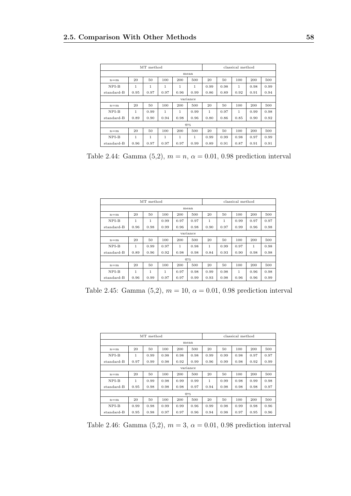|            | classical method |      |              |              |          |              |      |      |      |      |
|------------|------------------|------|--------------|--------------|----------|--------------|------|------|------|------|
| mean       |                  |      |              |              |          |              |      |      |      |      |
| $n = m$    | 20               | 50   | 100          | 200          | 500      | 20           | 50   | 100  | 200  | 500  |
| NPI-B      | 1                | 1    | 1            | 1            | 1        | 0.99         | 0.98 | 1    | 0.98 | 0.99 |
| standard-B | 0.95             | 0.97 | 0.97         | 0.96         | 0.99     | 0.86         | 0.89 | 0.92 | 0.91 | 0.94 |
|            |                  |      |              |              | variance |              |      |      |      |      |
| $n = m$    | 20               | 50   | 100          | 200          | 500      | 20           | 50   | 100  | 200  | 500  |
| $NPI-B$    | $\mathbf{1}$     | 0.99 | $\mathbf{1}$ | $\mathbf{1}$ | 0.99     | $\mathbf{1}$ | 0.97 | 1    | 0.99 | 0.98 |
| standard-B | 0.89             | 0.90 | 0.94         | 0.98         | 0.96     | 0.80         | 0.86 | 0.85 | 0.90 | 0.92 |
|            |                  |      |              |              | 975      |              |      |      |      |      |
| $n = m$    | 20               | 50   | 100          | 200          | 500      | 20           | 50   | 100  | 200  | 500  |
| NPI-B      | 1                | 1    | 1            | 1            | 1        | 0.99         | 0.99 | 0.98 | 0.97 | 0.99 |
| standard-B | 0.96             | 0.97 | 0.97         | 0.97         | 0.99     | 0.89         | 0.91 | 0.87 | 0.91 | 0.91 |

Table 2.44: Gamma  $(5,2)$ ,  $m = n$ ,  $\alpha = 0.01$ , 0.98 prediction interval

|            | MT method    |              |      |      |          |      |      | classical method |      |      |  |  |
|------------|--------------|--------------|------|------|----------|------|------|------------------|------|------|--|--|
|            | mean         |              |      |      |          |      |      |                  |      |      |  |  |
| $n = m$    | 20           | 50           | 100  | 200  | 500      | 20   | 50   | 100              | 200  | 500  |  |  |
| $NPI-B$    | 1            | $\mathbf{1}$ | 0.99 | 0.97 | 0.97     | 1    | 1    | 0.99             | 0.97 | 0.97 |  |  |
| standard-B | 0.96         | 0.98         | 0.99 | 0.96 | 0.98     | 0.90 | 0.97 | 0.99             | 0.96 | 0.98 |  |  |
|            |              |              |      |      | variance |      |      |                  |      |      |  |  |
| $n = m$    | 20           | 50           | 100  | 200  | 500      | 20   | 50   | 100              | 200  | 500  |  |  |
| $NPI-B$    | $\mathbf{1}$ | 0.99         | 0.97 | 1    | 0.98     | 1    | 0.99 | 0.97             | 1    | 0.98 |  |  |
| standard-B | 0.89         | 0.96         | 0.92 | 0.98 | 0.98     | 0.84 | 0.93 | 0.90             | 0.98 | 0.98 |  |  |
|            |              |              |      |      | 975      |      |      |                  |      |      |  |  |
| $n = m$    | 20           | 50           | 100  | 200  | 500      | 20   | 50   | 100              | 200  | 500  |  |  |
| $NPI-B$    | 1            | 1            | 1    | 0.97 | 0.98     | 0.99 | 0.98 | 1                | 0.96 | 0.98 |  |  |
| standard-B | 0.96         | 0.99         | 0.97 | 0.97 | 0.99     | 0.93 | 0.98 | 0.96             | 0.96 | 0.99 |  |  |

Table 2.45: Gamma (5,2),  $m = 10$ ,  $\alpha = 0.01$ , 0.98 prediction interval

|            |              | MT method |      | classical method |      |      |      |      |      |      |
|------------|--------------|-----------|------|------------------|------|------|------|------|------|------|
|            | mean         |           |      |                  |      |      |      |      |      |      |
| $n = m$    | 20           | 50        | 100  | 200              | 500  | 20   | 50   | 100  | 200  | 500  |
| $NPI-B$    | $\mathbf{1}$ | 0.99      | 0.98 | 0.98             | 0.98 | 0.99 | 0.99 | 0.98 | 0.97 | 0.97 |
| standard-B | 0.97         | 0.99      | 0.98 | 0.92             | 0.99 | 0.96 | 0.99 | 0.98 | 0.92 | 0.99 |
| variance   |              |           |      |                  |      |      |      |      |      |      |
| $n = m$    | 20           | 50        | 100  | 200              | 500  | 20   | 50   | 100  | 200  | 500  |
| NPI-B      | 1            | 0.99      | 0.98 | 0.99             | 0.99 | 1    | 0.99 | 0.98 | 0.99 | 0.98 |
| standard-B | 0.95         | 0.98      | 0.98 | 0.98             | 0.97 | 0.94 | 0.98 | 0.98 | 0.98 | 0.97 |
|            |              |           |      |                  | 975  |      |      |      |      |      |
| $n = m$    | 20           | 50        | 100  | 200              | 500  | 20   | 50   | 100  | 200  | 500  |
| NPI-B      | 0.99         | 0.98      | 0.99 | 0.99             | 0.96 | 0.99 | 0.98 | 0.99 | 0.98 | 0.96 |
| standard-B | 0.95         | 0.98      | 0.97 | 0.97             | 0.96 | 0.94 | 0.98 | 0.97 | 0.95 | 0.96 |

Table 2.46: Gamma  $(5,2)$ ,  $m = 3$ ,  $\alpha = 0.01$ , 0.98 prediction interval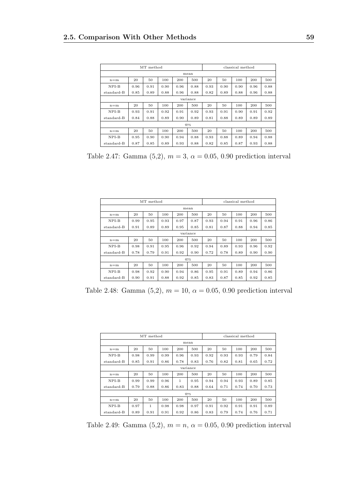|            | classical method |      |      |      |          |      |      |      |      |      |
|------------|------------------|------|------|------|----------|------|------|------|------|------|
|            |                  |      |      | mean |          |      |      |      |      |      |
| $n = m$    | 20               | 50   | 100  | 200  | 500      | 20   | 50   | 100  | 200  | 500  |
| $NPI-B$    | 0.96             | 0.91 | 0.90 | 0.96 | 0.88     | 0.93 | 0.90 | 0.90 | 0.96 | 0.88 |
| standard-B | 0.85             | 0.89 | 0.88 | 0.96 | 0.88     | 0.82 | 0.89 | 0.88 | 0.96 | 0.88 |
|            |                  |      |      |      | variance |      |      |      |      |      |
| $n = m$    | 20               | 50   | 100  | 200  | 500      | 20   | 50   | 100  | 200  | 500  |
| $NPI-B$    | 0.93             | 0.91 | 0.92 | 0.91 | 0.92     | 0.93 | 0.91 | 0.90 | 0.91 | 0.92 |
| standard-B | 0.84             | 0.88 | 0.89 | 0.90 | 0.89     | 0.81 | 0.88 | 0.89 | 0.89 | 0.89 |
|            |                  |      |      |      | 975      |      |      |      |      |      |
| $n = m$    | 20               | 50   | 100  | 200  | 500      | 20   | 50   | 100  | 200  | 500  |
| NPI-B      | 0.95             | 0.90 | 0.90 | 0.94 | 0.88     | 0.93 | 0.88 | 0.89 | 0.94 | 0.88 |
| standard-B | 0.87             | 0.85 | 0.89 | 0.93 | 0.88     | 0.82 | 0.85 | 0.87 | 0.93 | 0.88 |

Table 2.47: Gamma (5,2),  $m = 3$ ,  $\alpha = 0.05$ , 0.90 prediction interval

| MT method  |      |      |      |      |          |      | classical method |      |      |      |  |
|------------|------|------|------|------|----------|------|------------------|------|------|------|--|
| mean       |      |      |      |      |          |      |                  |      |      |      |  |
| $n = m$    | 20   | 50   | 100  | 200  | 500      | 20   | 50               | 100  | 200  | 500  |  |
| $NPI-B$    | 0.99 | 0.95 | 0.93 | 0.97 | 0.87     | 0.93 | 0.94             | 0.91 | 0.96 | 0.86 |  |
| standard-B | 0.91 | 0.89 | 0.89 | 0.95 | 0.85     | 0.81 | 0.87             | 0.88 | 0.94 | 0.85 |  |
|            |      |      |      |      | variance |      |                  |      |      |      |  |
| $n = m$    | 20   | 50   | 100  | 200  | 500      | 20   | 50               | 100  | 200  | 500  |  |
| $NPI-B$    | 0.98 | 0.91 | 0.95 | 0.96 | 0.92     | 0.94 | 0.89             | 0.93 | 0.96 | 0.92 |  |
| standard-B | 0.78 | 0.79 | 0.91 | 0.92 | 0.90     | 0.72 | 0.78             | 0.89 | 0.90 | 0.90 |  |
|            |      |      |      |      | 975      |      |                  |      |      |      |  |
| $n = m$    | 20   | 50   | 100  | 200  | 500      | 20   | 50               | 100  | 200  | 500  |  |
| $NPI-B$    | 0.98 | 0.92 | 0.90 | 0.94 | 0.86     | 0.95 | 0.91             | 0.89 | 0.94 | 0.86 |  |
| standard-B | 0.90 | 0.91 | 0.88 | 0.92 | 0.85     | 0.83 | 0.87             | 0.85 | 0.92 | 0.85 |  |

Table 2.48: Gamma (5,2),  $m = 10$ ,  $\alpha = 0.05$ , 0.90 prediction interval

|            | MT method |      |      |      |          |      |      | classical method |      |      |  |  |
|------------|-----------|------|------|------|----------|------|------|------------------|------|------|--|--|
|            | mean      |      |      |      |          |      |      |                  |      |      |  |  |
| $n = m$    | 20        | 50   | 100  | 200  | 500      | 20   | 50   | 100              | 200  | 500  |  |  |
| $NPI-B$    | 0.98      | 0.99 | 0.99 | 0.96 | 0.93     | 0.92 | 0.93 | 0.93             | 0.79 | 0.84 |  |  |
| standard-B | 0.85      | 0.91 | 0.86 | 0.78 | 0.83     | 0.76 | 0.82 | 0.81             | 0.65 | 0.72 |  |  |
|            |           |      |      |      | variance |      |      |                  |      |      |  |  |
| $n = m$    | 20        | 50   | 100  | 200  | 500      | 20   | 50   | 100              | 200  | 500  |  |  |
| NPI-B      | 0.99      | 0.99 | 0.96 | 1    | 0.95     | 0.94 | 0.94 | 0.93             | 0.89 | 0.85 |  |  |
| standard-B | 0.79      | 0.88 | 0.86 | 0.83 | 0.88     | 0.64 | 0.71 | 0.74             | 0.70 | 0.73 |  |  |
|            |           |      |      |      | 975      |      |      |                  |      |      |  |  |
| $n = m$    | 20        | 50   | 100  | 200  | 500      | 20   | 50   | 100              | 200  | 500  |  |  |
| NPI-B      | 0.97      | 1    | 0.98 | 0.98 | 0.97     | 0.91 | 0.92 | 0.91             | 0.91 | 0.89 |  |  |
| standard-B | 0.89      | 0.91 | 0.91 | 0.92 | 0.86     | 0.83 | 0.79 | 0.74             | 0.76 | 0.71 |  |  |

Table 2.49: Gamma  $(5,2)$ ,  $m = n$ ,  $\alpha = 0.05$ , 0.90 prediction interval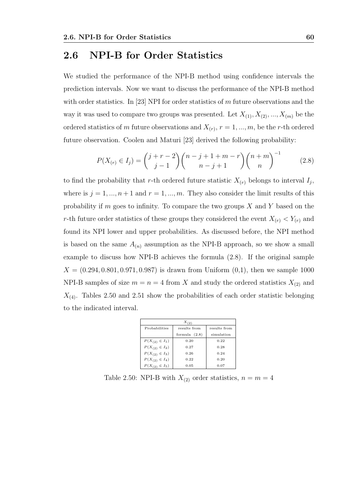#### 2.6 NPI-B for Order Statistics

We studied the performance of the NPI-B method using confidence intervals the prediction intervals. Now we want to discuss the performance of the NPI-B method with order statistics. In [23] NPI for order statistics of m future observations and the way it was used to compare two groups was presented. Let  $X_{(1)}, X_{(2)}, ..., X_{(m)}$  be the ordered statistics of m future observations and  $X_{(r)}$ ,  $r = 1, ..., m$ , be the r-th ordered future observation. Coolen and Maturi [23] derived the following probability:

$$
P(X_{(r)} \in I_j) = {j+r-2 \choose j-1} {n-j+1+m-r \choose n-j+1} {n+m \choose n}^{-1}
$$
 (2.8)

to find the probability that r-th ordered future statistic  $X_{(r)}$  belongs to interval  $I_j$ , where is  $j = 1, ..., n + 1$  and  $r = 1, ..., m$ . They also consider the limit results of this probability if  $m$  goes to infinity. To compare the two groups  $X$  and  $Y$  based on the r-th future order statistics of these groups they considered the event  $X_{(r)} < Y_{(r)}$  and found its NPI lower and upper probabilities. As discussed before, the NPI method is based on the same  $A_{(n)}$  assumption as the NPI-B approach, so we show a small example to discuss how NPI-B achieves the formula (2.8). If the original sample  $X = (0.294, 0.801, 0.971, 0.987)$  is drawn from Uniform  $(0,1)$ , then we sample 1000 NPI-B samples of size  $m = n = 4$  from X and study the ordered statistics  $X_{(2)}$  and  $X_{(4)}$ . Tables 2.50 and 2.51 show the probabilities of each order statistic belonging to the indicated interval.

| $X_{(2)}$            |                 |              |  |  |  |  |  |  |  |  |
|----------------------|-----------------|--------------|--|--|--|--|--|--|--|--|
| Probabilities        | results from    | results from |  |  |  |  |  |  |  |  |
|                      | formula $(2.8)$ | simulation   |  |  |  |  |  |  |  |  |
| $P(X_{(2)} \in I_1)$ | 0.20            | 0.22         |  |  |  |  |  |  |  |  |
| $P(X_{(2)} \in I_2)$ | 0.27            | 0.28         |  |  |  |  |  |  |  |  |
| $P(X_{(2)} \in I_3)$ | 0.26            | 0.24         |  |  |  |  |  |  |  |  |
| $P(X_{(2)} \in I_4)$ | 0.22            | 0.20         |  |  |  |  |  |  |  |  |
| $P(X_{(2)} \in I_5)$ | 0.05            | 0.07         |  |  |  |  |  |  |  |  |

Table 2.50: NPI-B with  $X_{(2)}$  order statistics,  $n = m = 4$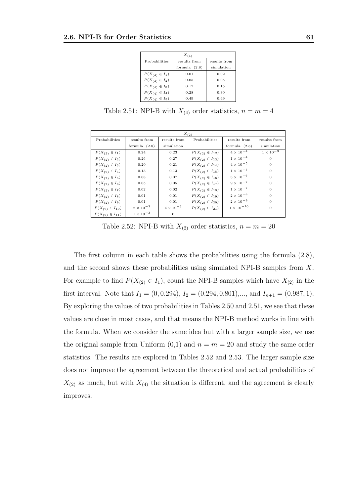|                      | $X_{(4)}$       |              |
|----------------------|-----------------|--------------|
| Probabilities        | results from    | results from |
|                      | formula $(2.8)$ | simulation   |
| $P(X_{(4)} \in I_1)$ | 0.01            | 0.02         |
| $P(X_{(4)} \in I_2)$ | 0.05            | 0.05         |
| $P(X_{(4)} \in I_3)$ | 0.17            | 0.15         |
| $P(X_{(4)} \in I_4)$ | 0.28            | 0.30         |
| $P(X_{(4)} \in I_5)$ | 0.49            | 0.49         |

Table 2.51: NPI-B with  $X_{(4)}$  order statistics,  $n = m = 4$ 

| $X_{(2)}$               |                    |                    |                         |                    |                    |  |  |  |
|-------------------------|--------------------|--------------------|-------------------------|--------------------|--------------------|--|--|--|
| Probabilities           | results from       | results from       | Probabilities           | results from       | results from       |  |  |  |
|                         | formula $(2.8)$    | simulation         |                         | formula $(2.8)$    | simulation         |  |  |  |
| $P(X_{(2)} \in I_1)$    | 0.24               | 0.23               | $P(X_{(2)} \in I_{12})$ | $4 \times 10^{-4}$ | $1 \times 10^{-3}$ |  |  |  |
| $P(X_{(2)} \in I_2)$    | 0.26               | 0.27               | $P(X_{(2)} \in I_{13})$ | $1 \times 10^{-4}$ | $\Omega$           |  |  |  |
| $P(X_{(2)} \in I_3)$    | 0.20               | 0.21               | $P(X_{(2)} \in I_{14})$ | $4 \times 10^{-5}$ | $\theta$           |  |  |  |
| $P(X_{(2)} \in I_4)$    | 0.13               | 0.13               | $P(X_{(2)} \in I_{15})$ | $1 \times 10^{-5}$ | $\Omega$           |  |  |  |
| $P(X_{(2)} \in I_5)$    | 0.08               | 0.07               | $P(X_{(2)} \in I_{16})$ | $3 \times 10^{-6}$ | $\Omega$           |  |  |  |
| $P(X_{(2)} \in I_6)$    | 0.05               | 0.05               | $P(X_{(2)} \in I_{17})$ | $9 \times 10^{-7}$ | $\Omega$           |  |  |  |
| $P(X_{(2)} \in I_7)$    | 0.02               | 0.02               | $P(X_{(2)} \in I_{18})$ | $1 \times 10^{-7}$ | $\Omega$           |  |  |  |
| $P(X_{(2)} \in I_8)$    | 0.01               | 0.01               | $P(X_{(2)} \in I_{19})$ | $2 \times 10^{-8}$ | $\Omega$           |  |  |  |
| $P(X_{(2)} \in I_9)$    | 0.01               | 0.01               | $P(X_{(2)} \in I_{20})$ | $2 \times 10^{-9}$ | $\Omega$           |  |  |  |
| $P(X_{(2)} \in I_{10})$ | $2 \times 10^{-3}$ | $4 \times 10^{-3}$ | $P(X_{(2)} \in I_{21})$ | $1\times10^{-10}$  | $\mathbf{0}$       |  |  |  |
| $P(X_{(2)} \in I_{11})$ | $1 \times 10^{-3}$ | $\mathbf{0}$       |                         |                    |                    |  |  |  |

Table 2.52: NPI-B with  $X_{(2)}$  order statistics,  $n = m = 20$ 

The first column in each table shows the probabilities using the formula (2.8), and the second shows these probabilities using simulated NPI-B samples from X. For example to find  $P(X_{(2)} \in I_1)$ , count the NPI-B samples which have  $X_{(2)}$  in the first interval. Note that  $I_1 = (0, 0.294), I_2 = (0.294, 0.801), \dots$ , and  $I_{n+1} = (0.987, 1)$ . By exploring the values of two probabilities in Tables 2.50 and 2.51, we see that these values are close in most cases, and that means the NPI-B method works in line with the formula. When we consider the same idea but with a larger sample size, we use the original sample from Uniform  $(0,1)$  and  $n = m = 20$  and study the same order statistics. The results are explored in Tables 2.52 and 2.53. The larger sample size does not improve the agreement between the threoretical and actual probabilities of  $X_{(2)}$  as much, but with  $X_{(4)}$  the situation is different, and the agreement is clearly improves.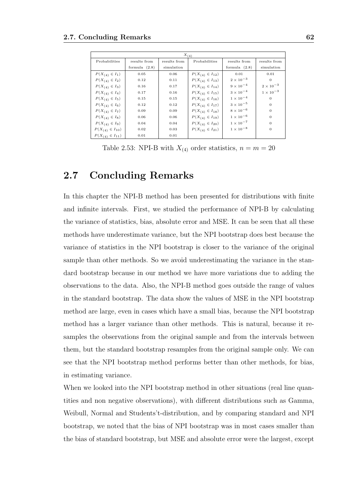| $X_{(4)}$               |                 |              |                         |                    |                    |  |  |  |
|-------------------------|-----------------|--------------|-------------------------|--------------------|--------------------|--|--|--|
| Probabilities           | results from    | results from | Probabilities           | results from       | results from       |  |  |  |
|                         | formula $(2.8)$ | simulation   |                         | formula $(2.8)$    | simulation         |  |  |  |
| $P(X_{(4)} \in I_1)$    | 0.05            | 0.06         | $P(X_{(4)} \in I_{12})$ | 0.01               | 0.01               |  |  |  |
| $P(X_{(4)} \in I_2)$    | 0.12            | 0.11         | $P(X_{(4)} \in I_{13})$ | $2 \times 10^{-3}$ | $\Omega$           |  |  |  |
| $P(X_{(4)} \in I_3)$    | 0.16            | 0.17         | $P(X_{(4)} \in I_{14})$ | $9 \times 10^{-4}$ | $2 \times 10^{-3}$ |  |  |  |
| $P(X_{(4)} \in I_4)$    | 0.17            | 0.16         | $P(X_{(4)} \in I_{15})$ | $3 \times 10^{-4}$ | $1 \times 10^{-3}$ |  |  |  |
| $P(X_{(4)} \in I_5)$    | 0.15            | 0.15         | $P(X_{(4)} \in I_{16})$ | $1 \times 10^{-4}$ | $\theta$           |  |  |  |
| $P(X_{(4)} \in I_6)$    | 0.12            | 0.12         | $P(X_{(4)} \in I_{17})$ | $3 \times 10^{-5}$ | $\mathbf{0}$       |  |  |  |
| $P(X_{(4)} \in I_7)$    | 0.09            | 0.09         | $P(X_{(4)} \in I_{18})$ | $8 \times 10^{-6}$ | $\Omega$           |  |  |  |
| $P(X_{(4)} \in I_8)$    | 0.06            | 0.06         | $P(X_{(4)} \in I_{19})$ | $1 \times 10^{-6}$ | $\mathbf{0}$       |  |  |  |
| $P(X_{(4)} \in I_9)$    | 0.04            | 0.04         | $P(X_{(4)} \in I_{20})$ | $1 \times 10^{-7}$ | $\theta$           |  |  |  |
| $P(X_{(4)} \in I_{10})$ | 0.02            | 0.03         | $P(X_{(4)} \in I_{21})$ | $1 \times 10^{-8}$ | $\theta$           |  |  |  |
| $P(X_{(4)} \in I_{11})$ | 0.01            | 0.01         |                         |                    |                    |  |  |  |

Table 2.53: NPI-B with  $X_{(4)}$  order statistics,  $n = m = 20$ 

### 2.7 Concluding Remarks

In this chapter the NPI-B method has been presented for distributions with finite and infinite intervals. First, we studied the performance of NPI-B by calculating the variance of statistics, bias, absolute error and MSE. It can be seen that all these methods have underestimate variance, but the NPI bootstrap does best because the variance of statistics in the NPI bootstrap is closer to the variance of the original sample than other methods. So we avoid underestimating the variance in the standard bootstrap because in our method we have more variations due to adding the observations to the data. Also, the NPI-B method goes outside the range of values in the standard bootstrap. The data show the values of MSE in the NPI bootstrap method are large, even in cases which have a small bias, because the NPI bootstrap method has a larger variance than other methods. This is natural, because it resamples the observations from the original sample and from the intervals between them, but the standard bootstrap resamples from the original sample only. We can see that the NPI bootstrap method performs better than other methods, for bias, in estimating variance.

When we looked into the NPI bootstrap method in other situations (real line quantities and non negative observations), with different distributions such as Gamma, Weibull, Normal and Students't-distribution, and by comparing standard and NPI bootstrap, we noted that the bias of NPI bootstrap was in most cases smaller than the bias of standard bootstrap, but MSE and absolute error were the largest, except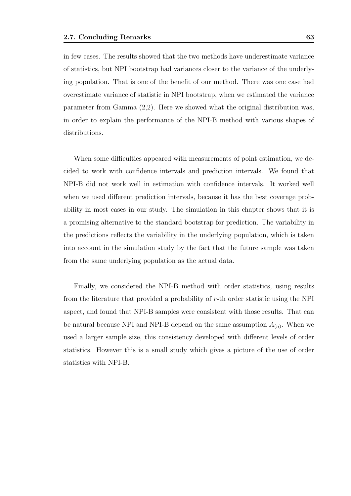in few cases. The results showed that the two methods have underestimate variance of statistics, but NPI bootstrap had variances closer to the variance of the underlying population. That is one of the benefit of our method. There was one case had overestimate variance of statistic in NPI bootstrap, when we estimated the variance parameter from Gamma (2,2). Here we showed what the original distribution was, in order to explain the performance of the NPI-B method with various shapes of distributions.

When some difficulties appeared with measurements of point estimation, we decided to work with confidence intervals and prediction intervals. We found that NPI-B did not work well in estimation with confidence intervals. It worked well when we used different prediction intervals, because it has the best coverage probability in most cases in our study. The simulation in this chapter shows that it is a promising alternative to the standard bootstrap for prediction. The variability in the predictions reflects the variability in the underlying population, which is taken into account in the simulation study by the fact that the future sample was taken from the same underlying population as the actual data.

Finally, we considered the NPI-B method with order statistics, using results from the literature that provided a probability of r-th order statistic using the NPI aspect, and found that NPI-B samples were consistent with those results. That can be natural because NPI and NPI-B depend on the same assumption  $A_{(n)}$ . When we used a larger sample size, this consistency developed with different levels of order statistics. However this is a small study which gives a picture of the use of order statistics with NPI-B.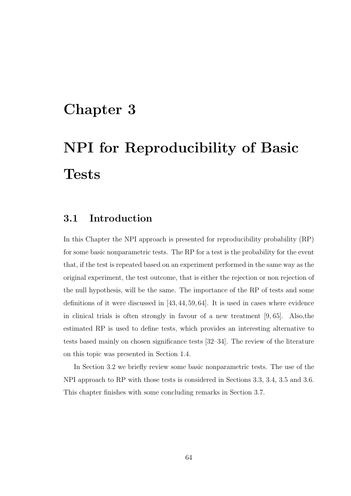# Chapter 3

# NPI for Reproducibility of Basic **Tests**

## 3.1 Introduction

In this Chapter the NPI approach is presented for reproducibility probability (RP) for some basic nonparametric tests. The RP for a test is the probability for the event that, if the test is repeated based on an experiment performed in the same way as the original experiment, the test outcome, that is either the rejection or non rejection of the null hypothesis, will be the same. The importance of the RP of tests and some definitions of it were discussed in [43, 44, 59, 64]. It is used in cases where evidence in clinical trials is often strongly in favour of a new treatment [9, 65]. Also,the estimated RP is used to define tests, which provides an interesting alternative to tests based mainly on chosen significance tests [32–34]. The review of the literature on this topic was presented in Section 1.4.

In Section 3.2 we briefly review some basic nonparametric tests. The use of the NPI approach to RP with those tests is considered in Sections 3.3, 3.4, 3.5 and 3.6. This chapter finishes with some concluding remarks in Section 3.7.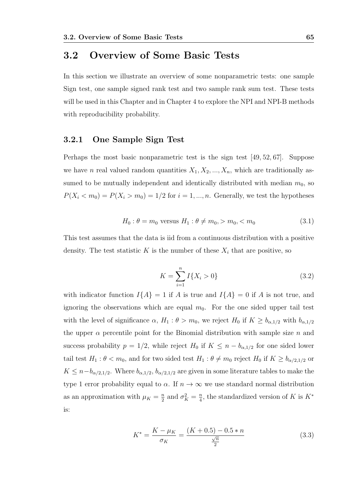# 3.2 Overview of Some Basic Tests

In this section we illustrate an overview of some nonparametric tests: one sample Sign test, one sample signed rank test and two sample rank sum test. These tests will be used in this Chapter and in Chapter 4 to explore the NPI and NPI-B methods with reproducibility probability.

## 3.2.1 One Sample Sign Test

Perhaps the most basic nonparametric test is the sign test [49, 52, 67]. Suppose we have n real valued random quantities  $X_1, X_2, ..., X_n$ , which are traditionally assumed to be mutually independent and identically distributed with median  $m_0$ , so  $P(X_i < m_0) = P(X_i > m_0) = 1/2$  for  $i = 1, ..., n$ . Generally, we test the hypotheses

$$
H_0: \theta = m_0 \text{ versus } H_1: \theta \neq m_0, > m_0, < m_0 \tag{3.1}
$$

This test assumes that the data is iid from a continuous distribution with a positive density. The test statistic K is the number of these  $X_i$  that are positive, so

$$
K = \sum_{i=1}^{n} I\{X_i > 0\}
$$
 (3.2)

with indicator function  $I{A} = 1$  if A is true and  $I{A} = 0$  if A is not true, and ignoring the observations which are equal  $m_0$ . For the one sided upper tail test with the level of significance  $\alpha$ ,  $H_1: \theta > m_0$ , we reject  $H_0$  if  $K \geq b_{\alpha,1/2}$  with  $b_{\alpha,1/2}$ the upper  $\alpha$  percentile point for the Binomial distribution with sample size n and success probability  $p = 1/2$ , while reject  $H_0$  if  $K \leq n - b_{\alpha,1/2}$  for one sided lower tail test  $H_1: \theta < m_0$ , and for two sided test  $H_1: \theta \neq m_0$  reject  $H_0$  if  $K \geq b_{\alpha/2,1/2}$  or  $K \leq n - b_{\alpha/2,1/2}$ . Where  $b_{\alpha,1/2}, b_{\alpha/2,1/2}$  are given in some literature tables to make the type 1 error probability equal to  $\alpha$ . If  $n \to \infty$  we use standard normal distribution as an approximation with  $\mu_K = \frac{n}{2}$  $\frac{n}{2}$  and  $\sigma_K^2 = \frac{n}{4}$  $\frac{n}{4}$ , the standardized version of K is  $K^*$ is:

$$
K^* = \frac{K - \mu_K}{\sigma_K} = \frac{(K + 0.5) - 0.5 * n}{\frac{\sqrt{n}}{2}}
$$
(3.3)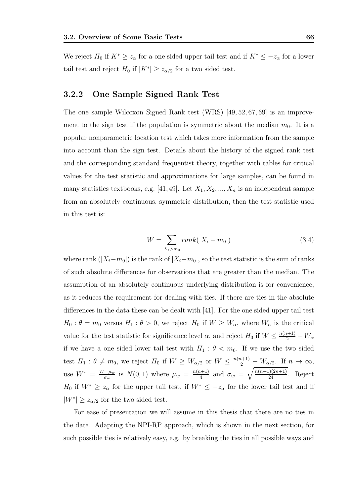We reject  $H_0$  if  $K^* \geq z_\alpha$  for a one sided upper tail test and if  $K^* \leq -z_\alpha$  for a lower tail test and reject  $H_0$  if  $|K^*| \geq z_{\alpha/2}$  for a two sided test.

### 3.2.2 One Sample Signed Rank Test

The one sample Wilcoxon Signed Rank test (WRS) [49, 52, 67, 69] is an improvement to the sign test if the population is symmetric about the median  $m_0$ . It is a popular nonparametric location test which takes more information from the sample into account than the sign test. Details about the history of the signed rank test and the corresponding standard frequentist theory, together with tables for critical values for the test statistic and approximations for large samples, can be found in many statistics textbooks, e.g. [41, 49]. Let  $X_1, X_2, ..., X_n$  is an independent sample from an absolutely continuous, symmetric distribution, then the test statistic used in this test is:

$$
W = \sum_{X_i > m_0} rank(|X_i - m_0|)
$$
\n(3.4)

where rank  $(|X_i-m_0|)$  is the rank of  $|X_i-m_0|$ , so the test statistic is the sum of ranks of such absolute differences for observations that are greater than the median. The assumption of an absolutely continuous underlying distribution is for convenience, as it reduces the requirement for dealing with ties. If there are ties in the absolute differences in the data these can be dealt with [41]. For the one sided upper tail test  $H_0$ :  $\theta = m_0$  versus  $H_1$ :  $\theta > 0$ , we reject  $H_0$  if  $W \geq W_\alpha$ , where  $W_\alpha$  is the critical value for the test statistic for significance level  $\alpha$ , and reject  $H_0$  if  $W \leq \frac{n(n+1)}{2} - W_\alpha$ if we have a one sided lower tail test with  $H_1: \theta < m_0$ . If we use the two sided test  $H_1: \theta \neq m_0$ , we reject  $H_0$  if  $W \geq W_{\alpha/2}$  or  $W \leq \frac{n(n+1)}{2} - W_{\alpha/2}$ . If  $n \to \infty$ , use  $W^* = \frac{W - \mu_w}{\sigma_w}$  $\frac{(-\mu_w)}{\sigma_w}$  is  $N(0, 1)$  where  $\mu_w = \frac{n(n+1)}{4}$  $\frac{n+1}{4}$  and  $\sigma_w = \sqrt{\frac{n(n+1)(2n+1)}{24}}$ . Reject  $H_0$  if  $W^* \geq z_\alpha$  for the upper tail test, if  $W^* \leq -z_\alpha$  for the lower tail test and if  $|W^*| \geq z_{\alpha/2}$  for the two sided test.

For ease of presentation we will assume in this thesis that there are no ties in the data. Adapting the NPI-RP approach, which is shown in the next section, for such possible ties is relatively easy, e.g. by breaking the ties in all possible ways and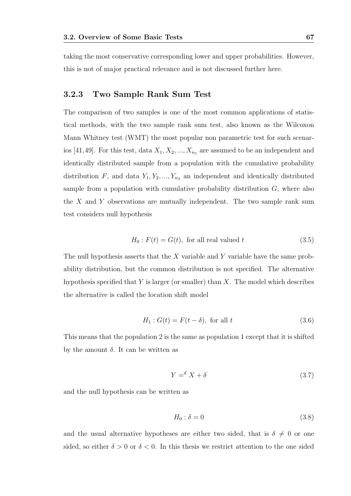taking the most conservative corresponding lower and upper probabilities. However, this is not of major practical relevance and is not discussed further here.

### 3.2.3 Two Sample Rank Sum Test

The comparison of two samples is one of the most common applications of statistical methods, with the two sample rank sum test, also known as the Wilcoxon Mann Whitney test (WMT) the most popular non parametric test for such scenarios [41,49]. For this test, data  $X_1, X_2, ..., X_{n_1}$  are assumed to be an independent and identically distributed sample from a population with the cumulative probability distribution F, and data  $Y_1, Y_2, ..., Y_{n_2}$  an independent and identically distributed sample from a population with cumulative probability distribution  $G$ , where also the  $X$  and  $Y$  observations are mutually independent. The two sample rank sum test considers null hypothesis

$$
H_0: F(t) = G(t), \text{ for all real valued } t \tag{3.5}
$$

The null hypothesis asserts that the  $X$  variable and  $Y$  variable have the same probability distribution, but the common distribution is not specified. The alternative hypothesis specified that  $Y$  is larger (or smaller) than  $X$ . The model which describes the alternative is called the location shift model

$$
H_1: G(t) = F(t - \delta), \text{ for all } t \tag{3.6}
$$

This means that the population 2 is the same as population 1 except that it is shifted by the amount  $\delta$ . It can be written as

$$
Y = d X + \delta \tag{3.7}
$$

and the null hypothesis can be written as

$$
H_0: \delta = 0 \tag{3.8}
$$

and the usual alternative hypotheses are either two sided, that is  $\delta \neq 0$  or one sided, so either  $\delta > 0$  or  $\delta < 0$ . In this thesis we restrict attention to the one sided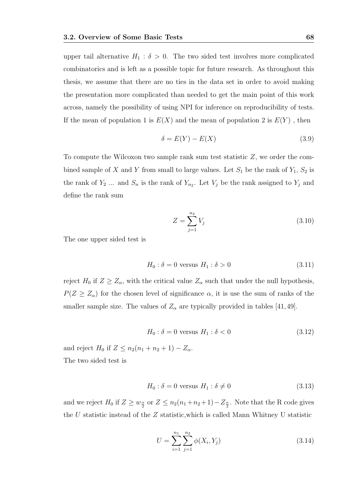upper tail alternative  $H_1 : \delta > 0$ . The two sided test involves more complicated combinatorics and is left as a possible topic for future research. As throughout this thesis, we assume that there are no ties in the data set in order to avoid making the presentation more complicated than needed to get the main point of this work across, namely the possibility of using NPI for inference on reproducibility of tests. If the mean of population 1 is  $E(X)$  and the mean of population 2 is  $E(Y)$ , then

$$
\delta = E(Y) - E(X) \tag{3.9}
$$

To compute the Wilcoxon two sample rank sum test statistic Z, we order the combined sample of X and Y from small to large values. Let  $S_1$  be the rank of  $Y_1$ ,  $S_2$  is the rank of  $Y_2$  ... and  $S_n$  is the rank of  $Y_{n_2}$ . Let  $V_j$  be the rank assigned to  $Y_j$  and define the rank sum

$$
Z = \sum_{j=1}^{n_2} V_j \tag{3.10}
$$

The one upper sided test is

$$
H_0: \delta = 0 \text{ versus } H_1: \delta > 0 \tag{3.11}
$$

reject  $H_0$  if  $Z \ge Z_\alpha$ , with the critical value  $Z_\alpha$  such that under the null hypothesis,  $P(Z \geq Z_{\alpha})$  for the chosen level of significance  $\alpha$ , it is use the sum of ranks of the smaller sample size. The values of  $Z_{\alpha}$  are typically provided in tables [41, 49].

$$
H_0: \delta = 0 \text{ versus } H_1: \delta < 0 \tag{3.12}
$$

and reject  $H_0$  if  $Z \leq n_2(n_1 + n_2 + 1) - Z_\alpha$ . The two sided test is

$$
H_0: \delta = 0 \text{ versus } H_1: \delta \neq 0 \tag{3.13}
$$

and we reject  $H_0$  if  $Z \geq w_{\frac{\alpha}{2}}$  or  $Z \leq n_2(n_1+n_2+1)-Z_{\frac{\alpha}{2}}$ . Note that the R code gives the U statistic instead of the Z statistic,which is called Mann Whitney U statistic

$$
U = \sum_{i=1}^{n_1} \sum_{j=1}^{n_2} \phi(X_i, Y_j)
$$
\n(3.14)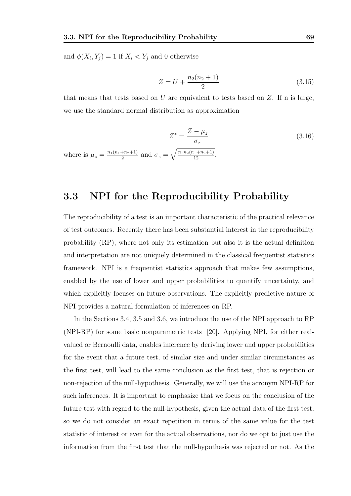and  $\phi(X_i, Y_j) = 1$  if  $X_i < Y_j$  and 0 otherwise

wh

$$
Z = U + \frac{n_2(n_2 + 1)}{2} \tag{3.15}
$$

that means that tests based on  $U$  are equivalent to tests based on  $Z$ . If n is large, we use the standard normal distribution as approximation

$$
Z^* = \frac{Z - \mu_z}{\sigma_z}
$$
  
ere is  $\mu_z = \frac{n_1(n_1 + n_2 + 1)}{2}$  and  $\sigma_z = \sqrt{\frac{n_1 n_2(n_1 + n_2 + 1)}{12}}$ . (3.16)

## 3.3 NPI for the Reproducibility Probability

The reproducibility of a test is an important characteristic of the practical relevance of test outcomes. Recently there has been substantial interest in the reproducibility probability (RP), where not only its estimation but also it is the actual definition and interpretation are not uniquely determined in the classical frequentist statistics framework. NPI is a frequentist statistics approach that makes few assumptions, enabled by the use of lower and upper probabilities to quantify uncertainty, and which explicitly focuses on future observations. The explicitly predictive nature of NPI provides a natural formulation of inferences on RP.

In the Sections 3.4, 3.5 and 3.6, we introduce the use of the NPI approach to RP (NPI-RP) for some basic nonparametric tests [20]. Applying NPI, for either realvalued or Bernoulli data, enables inference by deriving lower and upper probabilities for the event that a future test, of similar size and under similar circumstances as the first test, will lead to the same conclusion as the first test, that is rejection or non-rejection of the null-hypothesis. Generally, we will use the acronym NPI-RP for such inferences. It is important to emphasize that we focus on the conclusion of the future test with regard to the null-hypothesis, given the actual data of the first test; so we do not consider an exact repetition in terms of the same value for the test statistic of interest or even for the actual observations, nor do we opt to just use the information from the first test that the null-hypothesis was rejected or not. As the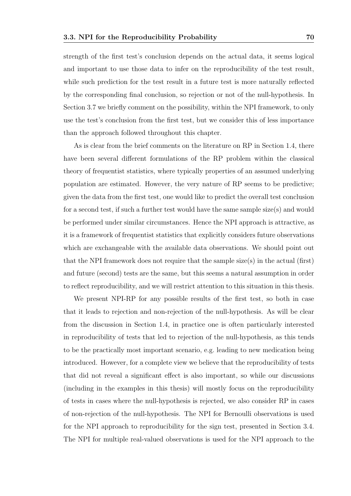strength of the first test's conclusion depends on the actual data, it seems logical and important to use those data to infer on the reproducibility of the test result, while such prediction for the test result in a future test is more naturally reflected by the corresponding final conclusion, so rejection or not of the null-hypothesis. In Section 3.7 we briefly comment on the possibility, within the NPI framework, to only use the test's conclusion from the first test, but we consider this of less importance than the approach followed throughout this chapter.

As is clear from the brief comments on the literature on RP in Section 1.4, there have been several different formulations of the RP problem within the classical theory of frequentist statistics, where typically properties of an assumed underlying population are estimated. However, the very nature of RP seems to be predictive; given the data from the first test, one would like to predict the overall test conclusion for a second test, if such a further test would have the same sample size(s) and would be performed under similar circumstances. Hence the NPI approach is attractive, as it is a framework of frequentist statistics that explicitly considers future observations which are exchangeable with the available data observations. We should point out that the NPI framework does not require that the sample size(s) in the actual (first) and future (second) tests are the same, but this seems a natural assumption in order to reflect reproducibility, and we will restrict attention to this situation in this thesis.

We present NPI-RP for any possible results of the first test, so both in case that it leads to rejection and non-rejection of the null-hypothesis. As will be clear from the discussion in Section 1.4, in practice one is often particularly interested in reproducibility of tests that led to rejection of the null-hypothesis, as this tends to be the practically most important scenario, e.g. leading to new medication being introduced. However, for a complete view we believe that the reproducibility of tests that did not reveal a significant effect is also important, so while our discussions (including in the examples in this thesis) will mostly focus on the reproducibility of tests in cases where the null-hypothesis is rejected, we also consider RP in cases of non-rejection of the null-hypothesis. The NPI for Bernoulli observations is used for the NPI approach to reproducibility for the sign test, presented in Section 3.4. The NPI for multiple real-valued observations is used for the NPI approach to the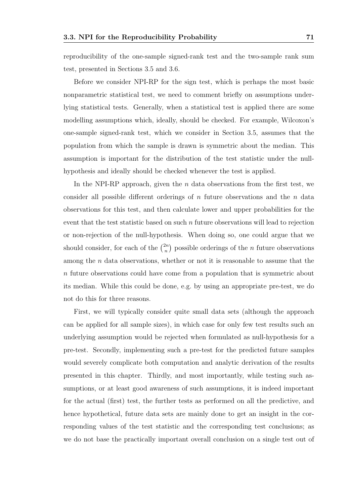reproducibility of the one-sample signed-rank test and the two-sample rank sum test, presented in Sections 3.5 and 3.6.

Before we consider NPI-RP for the sign test, which is perhaps the most basic nonparametric statistical test, we need to comment briefly on assumptions underlying statistical tests. Generally, when a statistical test is applied there are some modelling assumptions which, ideally, should be checked. For example, Wilcoxon's one-sample signed-rank test, which we consider in Section 3.5, assumes that the population from which the sample is drawn is symmetric about the median. This assumption is important for the distribution of the test statistic under the nullhypothesis and ideally should be checked whenever the test is applied.

In the NPI-RP approach, given the  $n$  data observations from the first test, we consider all possible different orderings of  $n$  future observations and the  $n$  data observations for this test, and then calculate lower and upper probabilities for the event that the test statistic based on such  $n$  future observations will lead to rejection or non-rejection of the null-hypothesis. When doing so, one could argue that we should consider, for each of the  $\binom{2n}{n}$  $\binom{2n}{n}$  possible orderings of the *n* future observations among the n data observations, whether or not it is reasonable to assume that the n future observations could have come from a population that is symmetric about its median. While this could be done, e.g. by using an appropriate pre-test, we do not do this for three reasons.

First, we will typically consider quite small data sets (although the approach can be applied for all sample sizes), in which case for only few test results such an underlying assumption would be rejected when formulated as null-hypothesis for a pre-test. Secondly, implementing such a pre-test for the predicted future samples would severely complicate both computation and analytic derivation of the results presented in this chapter. Thirdly, and most importantly, while testing such assumptions, or at least good awareness of such assumptions, it is indeed important for the actual (first) test, the further tests as performed on all the predictive, and hence hypothetical, future data sets are mainly done to get an insight in the corresponding values of the test statistic and the corresponding test conclusions; as we do not base the practically important overall conclusion on a single test out of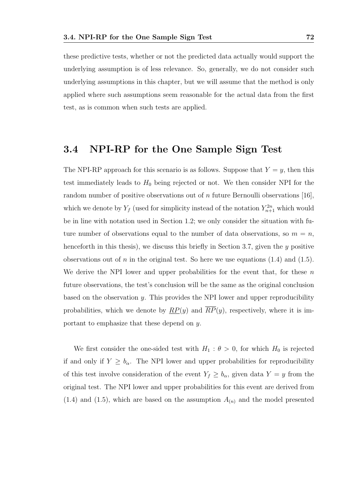underlying assumption is of less relevance. So, generally, we do not consider such underlying assumptions in this chapter, but we will assume that the method is only applied where such assumptions seem reasonable for the actual data from the first test, as is common when such tests are applied.

# 3.4 NPI-RP for the One Sample Sign Test

The NPI-RP approach for this scenario is as follows. Suppose that  $Y = y$ , then this test immediately leads to  $H_0$  being rejected or not. We then consider NPI for the random number of positive observations out of n future Bernoulli observations [16], which we denote by  $Y_f$  (used for simplicity instead of the notation  $Y_{n+1}^{2n}$  which would be in line with notation used in Section 1.2; we only consider the situation with future number of observations equal to the number of data observations, so  $m = n$ . henceforth in this thesis), we discuss this briefly in Section 3.7, given the y positive observations out of n in the original test. So here we use equations  $(1.4)$  and  $(1.5)$ . We derive the NPI lower and upper probabilities for the event that, for these  $n$ future observations, the test's conclusion will be the same as the original conclusion based on the observation y. This provides the NPI lower and upper reproducibility probabilities, which we denote by  $\overline{RP}(y)$  and  $\overline{RP}(y)$ , respectively, where it is important to emphasize that these depend on y.

We first consider the one-sided test with  $H_1 : \theta > 0$ , for which  $H_0$  is rejected if and only if  $Y \ge b_{\alpha}$ . The NPI lower and upper probabilities for reproducibility of this test involve consideration of the event  $Y_f \geq b_\alpha$ , given data  $Y = y$  from the original test. The NPI lower and upper probabilities for this event are derived from  $(1.4)$  and  $(1.5)$ , which are based on the assumption  $A_{(n)}$  and the model presented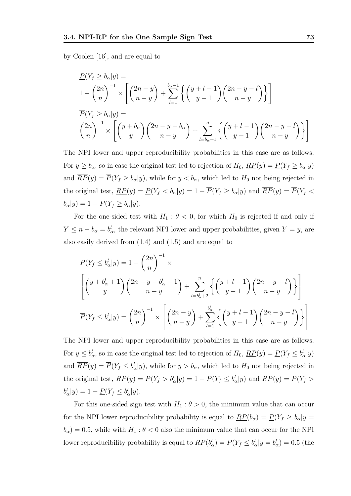by Coolen [16], and are equal to

$$
\underline{P}(Y_f \ge b_{\alpha}|y) =
$$
\n
$$
1 - \binom{2n}{n}^{-1} \times \left[ \binom{2n-y}{n-y} + \sum_{l=1}^{b_{\alpha}-1} \left\{ \binom{y+l-1}{y-1} \binom{2n-y-l}{n-y} \right\} \right]
$$
\n
$$
\overline{P}(Y_f \ge b_{\alpha}|y) =
$$
\n
$$
\binom{2n}{n}^{-1} \times \left[ \binom{y+b_{\alpha}}{y} \binom{2n-y-b_{\alpha}}{n-y} + \sum_{l=b_{\alpha}+1}^{n} \left\{ \binom{y+l-1}{y-1} \binom{2n-y-l}{n-y} \right\} \right]
$$

The NPI lower and upper reproducibility probabilities in this case are as follows. For  $y \ge b_\alpha$ , so in case the original test led to rejection of  $H_0$ ,  $\overline{RP}(y) = \underline{P}(Y_f \ge b_\alpha | y)$ and  $\overline{RP}(y) = \overline{P}(Y_f \ge b_\alpha | y)$ , while for  $y < b_\alpha$ , which led to  $H_0$  not being rejected in the original test,  $\overline{RP}(y) = \overline{P}(Y_f < b_\alpha|y) = 1 - \overline{P}(Y_f \ge b_\alpha|y)$  and  $\overline{RP}(y) = \overline{P}(Y_f < b_\alpha|y)$  $b_{\alpha}|y\rangle = 1 - \underline{P}(Y_f \geq b_{\alpha}|y).$ 

For the one-sided test with  $H_1$ :  $\theta$  < 0, for which  $H_0$  is rejected if and only if  $Y \leq n - b_{\alpha} = b_{\alpha}^{l}$ , the relevant NPI lower and upper probabilities, given  $Y = y$ , are also easily derived from (1.4) and (1.5) and are equal to

$$
\underline{P}(Y_f \le b_\alpha^l | y) = 1 - \binom{2n}{n}^{-1} \times \left[ \binom{y + b_\alpha^l + 1}{y} \binom{2n - y - b_\alpha^l - 1}{n - y} + \sum_{l=b_\alpha^l+2}^{n} \left\{ \binom{y + l - 1}{y - 1} \binom{2n - y - l}{n - y} \right\} \right]
$$
  

$$
\overline{P}(Y_f \le b_\alpha^l | y) = \binom{2n}{n}^{-1} \times \left[ \binom{2n - y}{n - y} + \sum_{l=1}^{b_\alpha^l} \left\{ \binom{y + l - 1}{y - 1} \binom{2n - y - l}{n - y} \right\} \right]
$$

The NPI lower and upper reproducibility probabilities in this case are as follows. For  $y \le b_\alpha^l$ , so in case the original test led to rejection of  $H_0$ ,  $\overline{RP}(y) = \underline{P}(Y_f \le b_\alpha^l | y)$ and  $\overline{RP}(y) = \overline{P}(Y_f \leq b_{\alpha}^l | y)$ , while for  $y > b_{\alpha}$ , which led to  $H_0$  not being rejected in the original test,  $\underline{RP}(y) = \underline{P}(Y_f > b_\alpha^l | y) = 1 - \overline{P}(Y_f \leq b_\alpha^l | y)$  and  $\overline{RP}(y) = \overline{P}(Y_f > b_\alpha^l | y)$  $b^l_\alpha|y\rangle = 1 - \underline{P}(Y_f \leq b^l_\alpha|y).$ 

For this one-sided sign test with  $H_1$  :  $\theta > 0$ , the minimum value that can occur for the NPI lower reproducibility probability is equal to  $\underline{RP}(b_\alpha) = \underline{P}(Y_f \geq b_\alpha | y =$  $b_{\alpha}$ ) = 0.5, while with  $H_1: \theta < 0$  also the minimum value that can occur for the NPI lower reproducibility probability is equal to  $\underline{RP}(b^l_\alpha) = \underline{P}(Y_f \leq b^l_\alpha | y = b^l_\alpha) = 0.5$  (the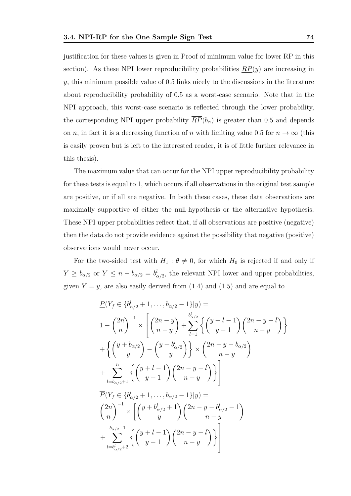justification for these values is given in Proof of minimum value for lower RP in this section). As these NPI lower reproducibility probabilities  $\overline{RP}(y)$  are increasing in  $y$ , this minimum possible value of 0.5 links nicely to the discussions in the literature about reproducibility probability of 0.5 as a worst-case scenario. Note that in the NPI approach, this worst-case scenario is reflected through the lower probability, the corresponding NPI upper probability  $\overline{RP}(b_\alpha)$  is greater than 0.5 and depends on *n*, in fact it is a decreasing function of *n* with limiting value 0.5 for  $n \to \infty$  (this is easily proven but is left to the interested reader, it is of little further relevance in this thesis).

The maximum value that can occur for the NPI upper reproducibility probability for these tests is equal to 1, which occurs if all observations in the original test sample are positive, or if all are negative. In both these cases, these data observations are maximally supportive of either the null-hypothesis or the alternative hypothesis. These NPI upper probabilities reflect that, if all observations are positive (negative) then the data do not provide evidence against the possibility that negative (positive) observations would never occur.

For the two-sided test with  $H_1$ :  $\theta \neq 0$ , for which  $H_0$  is rejected if and only if  $Y \ge b_{\alpha/2}$  or  $Y \le n - b_{\alpha/2} = b_{\alpha/2}^l$ , the relevant NPI lower and upper probabilities, given  $Y = y$ , are also easily derived from (1.4) and (1.5) and are equal to

$$
\underline{P}(Y_f \in \{b_{\alpha/2}^l + 1, \dots, b_{\alpha/2} - 1\}|y) =
$$
\n
$$
1 - {2n \choose n}^{-1} \times \left[ {2n - y \choose n - y} + \sum_{l=1}^{b_{\alpha/2}^l} \left\{ {y + l - 1 \choose y - 1} {2n - y - l \choose n - y} \right\} + \left\{ {y + b_{\alpha/2} \choose y} - {y + b_{\alpha/2} \choose y} \right\} \times {2n - y - b_{\alpha/2} \choose n - y} + \sum_{l=b_{\alpha/2}+1}^{n} \left\{ {y + l - 1 \choose y - 1} {2n - y - l \choose n - y} \right\}
$$
\n
$$
\overline{P}(Y_f \in \{b_{\alpha/2}^l + 1, \dots, b_{\alpha/2} - 1\}|y) =
$$
\n
$$
{2n \choose n}^{-1} \times \left[ {y + b_{\alpha/2}^l + 1 \choose y} {2n - y - b_{\alpha/2}^l - 1 \choose n - y} + \sum_{l=b_{\alpha/2}^{l-1-1}+1}^{b_{\alpha/2}^{l-1-1}} \left\{ {y + l - 1 \choose y - 1} {2n - y - l \choose n - y} \right\} \right]
$$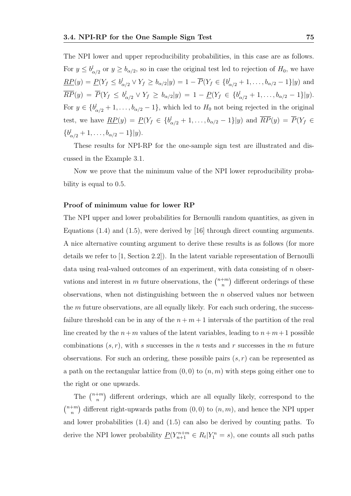The NPI lower and upper reproducibility probabilities, in this case are as follows. For  $y \le b_{\alpha/2}^l$  or  $y \ge b_{\alpha/2}$ , so in case the original test led to rejection of  $H_0$ , we have  $\underline{RP}(y) = \underline{P}(Y_f \leq b_{\alpha/2}^l \vee Y_f \geq b_{\alpha/2}|y) = 1 - \overline{P}(Y_f \in \{b_{\alpha/2}^l + 1, \ldots, b_{\alpha/2} - 1\}|y)$  and  $\overline{RP}(y) = \overline{P}(Y_f \leq b_{\alpha/2}^l \vee Y_f \geq b_{\alpha/2}|y) = 1 - \underline{P}(Y_f \in \{b_{\alpha/2}^l + 1, \ldots, b_{\alpha/2} - 1\}|y).$ For  $y \in \{b_{\alpha/2}^l + 1, \ldots, b_{\alpha/2} - 1\}$ , which led to  $H_0$  not being rejected in the original test, we have  $\underline{RP}(y) = \underline{P}(Y_f \in \{b_{\alpha/2}^l + 1, \ldots, b_{\alpha/2} - 1\}|y)$  and  $\overline{RP}(y) = \overline{P}(Y_f \in$  ${b^l_{\alpha/2}+1,\ldots,b_{\alpha/2}-1}$ |y).

These results for NPI-RP for the one-sample sign test are illustrated and discussed in the Example 3.1.

Now we prove that the minimum value of the NPI lower reproducibility probability is equal to 0.5.

### Proof of minimum value for lower RP

The NPI upper and lower probabilities for Bernoulli random quantities, as given in Equations (1.4) and (1.5), were derived by [16] through direct counting arguments. A nice alternative counting argument to derive these results is as follows (for more details we refer to [1, Section 2.2]). In the latent variable representation of Bernoulli data using real-valued outcomes of an experiment, with data consisting of n observations and interest in m future observations, the  $\binom{n+m}{n}$  $\binom{+m}{n}$  different orderings of these observations, when not distinguishing between the n observed values nor between the  $m$  future observations, are all equally likely. For each such ordering, the successfailure threshold can be in any of the  $n + m + 1$  intervals of the partition of the real line created by the  $n+m$  values of the latent variables, leading to  $n+m+1$  possible combinations  $(s, r)$ , with s successes in the n tests and r successes in the m future observations. For such an ordering, these possible pairs  $(s, r)$  can be represented as a path on the rectangular lattice from  $(0, 0)$  to  $(n, m)$  with steps going either one to the right or one upwards.

The  $\binom{n+m}{n}$  $\binom{+m}{n}$  different orderings, which are all equally likely, correspond to the  $\binom{n+m}{n}$  $\binom{+m}{n}$  different right-upwards paths from  $(0,0)$  to  $(n,m)$ , and hence the NPI upper and lower probabilities (1.4) and (1.5) can also be derived by counting paths. To derive the NPI lower probability  $\underline{P}(Y_{n+1}^{n+m} \in R_t | Y_1^n = s)$ , one counts all such paths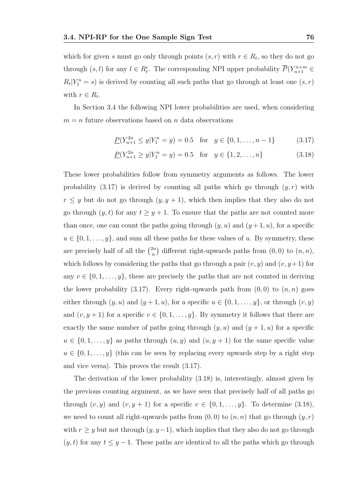which for given s must go only through points  $(s, r)$  with  $r \in R_t$ , so they do not go through  $(s, l)$  for any  $l \in R_t^c$ . The corresponding NPI upper probability  $\overline{P}(Y_{n+1}^{n+m} \in$  $R_t|Y_1^n = s$ ) is derived by counting all such paths that go through at least one  $(s, r)$ with  $r \in R_t$ .

In Section 3.4 the following NPI lower probabilities are used, when considering  $m = n$  future observations based on n data observations

$$
\underline{P}(Y_{n+1}^{2n} \le y | Y_1^n = y) = 0.5 \quad \text{for} \quad y \in \{0, 1, \dots, n-1\} \tag{3.17}
$$

$$
\underline{P}(Y_{n+1}^{2n} \ge y | Y_1^n = y) = 0.5 \quad \text{for} \quad y \in \{1, 2, \dots, n\}
$$
\n(3.18)

These lower probabilities follow from symmetry arguments as follows. The lower probability  $(3.17)$  is derived by counting all paths which go through  $(y, r)$  with  $r \leq y$  but do not go through  $(y, y + 1)$ , which then implies that they also do not go through  $(y, t)$  for any  $t \geq y + 1$ . To ensure that the paths are not counted more than once, one can count the paths going through  $(y, u)$  and  $(y + 1, u)$ , for a specific  $u \in \{0, 1, \ldots, y\}$ , and sum all these paths for these values of u. By symmetry, these are precisely half of all the  $\binom{2n}{n}$  ${n \choose n}$  different right-upwards paths from  $(0,0)$  to  $(n,n)$ , which follows by considering the paths that go through a pair  $(v, y)$  and  $(v, y+1)$  for any  $v \in \{0, 1, \ldots, y\}$ , these are precisely the paths that are not counted in deriving the lower probability (3.17). Every right-upwards path from  $(0,0)$  to  $(n, n)$  goes either through  $(y, u)$  and  $(y + 1, u)$ , for a specific  $u \in \{0, 1, \ldots, y\}$ , or through  $(v, y)$ and  $(v, y + 1)$  for a specific  $v \in \{0, 1, \ldots, y\}$ . By symmetry it follows that there are exactly the same number of paths going through  $(y, u)$  and  $(y + 1, u)$  for a specific  $u \in \{0, 1, \ldots, y\}$  as paths through  $(u, y)$  and  $(u, y + 1)$  for the same specific value  $u \in \{0, 1, \ldots, y\}$  (this can be seen by replacing every upwards step by a right step and vice versa). This proves the result (3.17).

The derivation of the lower probability (3.18) is, interestingly, almost given by the previous counting argument, as we have seen that precisely half of all paths go through  $(v, y)$  and  $(v, y + 1)$  for a specific  $v \in \{0, 1, \ldots, y\}$ . To determine  $(3.18)$ , we need to count all right-upwards paths from  $(0, 0)$  to  $(n, n)$  that go through  $(y, r)$ with  $r \geq y$  but not through  $(y, y-1)$ , which implies that they also do not go through  $(y, t)$  for any  $t \leq y - 1$ . These paths are identical to all the paths which go through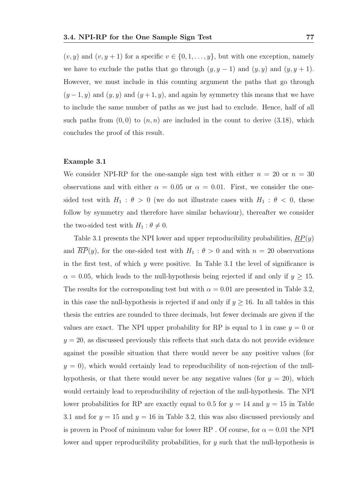$(v, y)$  and  $(v, y + 1)$  for a specific  $v \in \{0, 1, \ldots, y\}$ , but with one exception, namely we have to exclude the paths that go through  $(y, y - 1)$  and  $(y, y)$  and  $(y, y + 1)$ . However, we must include in this counting argument the paths that go through  $(y-1, y)$  and  $(y, y)$  and  $(y+1, y)$ , and again by symmetry this means that we have to include the same number of paths as we just had to exclude. Hence, half of all such paths from  $(0, 0)$  to  $(n, n)$  are included in the count to derive  $(3.18)$ , which concludes the proof of this result.

#### Example 3.1

We consider NPI-RP for the one-sample sign test with either  $n = 20$  or  $n = 30$ observations and with either  $\alpha = 0.05$  or  $\alpha = 0.01$ . First, we consider the onesided test with  $H_1$ :  $\theta > 0$  (we do not illustrate cases with  $H_1$ :  $\theta < 0$ , these follow by symmetry and therefore have similar behaviour), thereafter we consider the two-sided test with  $H_1$  :  $\theta \neq 0$ .

Table 3.1 presents the NPI lower and upper reproducibility probabilities,  $RP(y)$ and  $\overline{RP}(y)$ , for the one-sided test with  $H_1 : \theta > 0$  and with  $n = 20$  observations in the first test, of which  $y$  were positive. In Table 3.1 the level of significance is  $\alpha = 0.05$ , which leads to the null-hypothesis being rejected if and only if  $y \ge 15$ . The results for the corresponding test but with  $\alpha = 0.01$  are presented in Table 3.2, in this case the null-hypothesis is rejected if and only if  $y \ge 16$ . In all tables in this thesis the entries are rounded to three decimals, but fewer decimals are given if the values are exact. The NPI upper probability for RP is equal to 1 in case  $y = 0$  or  $y = 20$ , as discussed previously this reflects that such data do not provide evidence against the possible situation that there would never be any positive values (for  $y = 0$ , which would certainly lead to reproducibility of non-rejection of the nullhypothesis, or that there would never be any negative values (for  $y = 20$ ), which would certainly lead to reproducibility of rejection of the null-hypothesis. The NPI lower probabilities for RP are exactly equal to 0.5 for  $y = 14$  and  $y = 15$  in Table 3.1 and for  $y = 15$  and  $y = 16$  in Table 3.2, this was also discussed previously and is proven in Proof of minimum value for lower RP. Of course, for  $\alpha = 0.01$  the NPI lower and upper reproducibility probabilities, for  $y$  such that the null-hypothesis is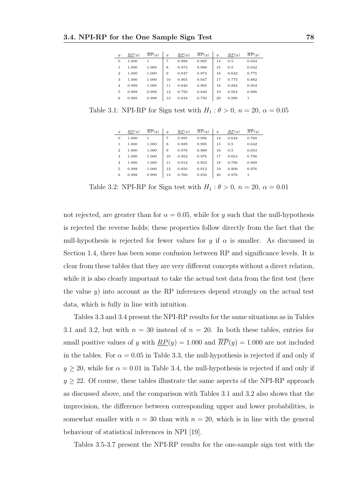| $\boldsymbol{y}$ | RP(y) | $\overline{RP}(y)$ | $\boldsymbol{y}$ | $\overline{RP}(y)$ | $\overline{RP}(y)$ | $\overline{y}$ | RP(y) | $\overline{RP}(y)$ |
|------------------|-------|--------------------|------------------|--------------------|--------------------|----------------|-------|--------------------|
| $\mathbf{0}$     | 1.000 |                    | 7                | 0.988              | 0.995              | 14             | 0.5   | 0.634              |
| 1                | 1.000 | 1.000              | 8                | 0.973              | 0.988              | 15             | 0.5   | 0.642              |
| $\overline{2}$   | 1.000 | 1.000              | 9                | 0.947              | 0.973              | 16             | 0.642 | 0.775              |
| 3                | 1.000 | 1.000              | 10               | 0.905              | 0.947              | 17             | 0.775 | 0.882              |
| $\overline{4}$   | 0.999 | 1.000              | 11               | 0.840              | 0.905              | 18             | 0.882 | 0.954              |
| 5                | 0.998 | 0.999              | 12               | 0.750              | 0.840              | 19             | 0.954 | 0.990              |
| 6                | 0.995 | 0.998              | 13               | 0.634              | 0.750              | 20             | 0.990 |                    |
|                  |       |                    |                  |                    |                    |                |       |                    |

Table 3.1: NPI-RP for Sign test with  $H_1$ :  $\theta > 0$ ,  $n = 20$ ,  $\alpha = 0.05$ 

| $\boldsymbol{y}$ | RP(y) | $\overline{R}P(y)$ | $\boldsymbol{y}$ | RP(y) | $\overline{RP}(y)$ | $\boldsymbol{y}$ | RP(y) | $\overline{RP}(u)$ |
|------------------|-------|--------------------|------------------|-------|--------------------|------------------|-------|--------------------|
| $\theta$         | 1.000 |                    | 7                | 0.995 | 0.998              | 14               | 0.642 | 0.760              |
| 1                | 1.000 | 1.000              | 8                | 0.989 | 0.995              | 15               | 0.5   | 0.642              |
| $\overline{2}$   | 1.000 | 1.000              | 9                | 0.976 | 0.989              | 16               | 0.5   | 0.653              |
| 3                | 1.000 | 1.000              | 10               | 0.952 | 0.976              | 17               | 0.653 | 0.796              |
| $\overline{4}$   | 1.000 | 1.000              | 11               | 0.912 | 0.952              | 18               | 0.796 | 0.909              |
| 5                | 0.999 | 1.000              | 12               | 0.850 | 0.912              | 19               | 0.909 | 0.976              |
| 6                | 0.998 | 0.999              | 13               | 0.760 | 0.850              | 20               | 0.976 |                    |

Table 3.2: NPI-RP for Sign test with  $H_1: \theta > 0$ ,  $n = 20$ ,  $\alpha = 0.01$ 

not rejected, are greater than for  $\alpha = 0.05$ , while for y such that the null-hypothesis is rejected the reverse holds; these properties follow directly from the fact that the null-hypothesis is rejected for fewer values for y if  $\alpha$  is smaller. As discussed in Section 1.4, there has been some confusion between RP and significance levels. It is clear from these tables that they are very different concepts without a direct relation, while it is also clearly important to take the actual test data from the first test (here the value  $y$ ) into account as the RP inferences depend strongly on the actual test data, which is fully in line with intuition.

Tables 3.3 and 3.4 present the NPI-RP results for the same situations as in Tables 3.1 and 3.2, but with  $n = 30$  instead of  $n = 20$ . In both these tables, entries for small positive values of y with  $\underline{RP}(y) = 1.000$  and  $\overline{RP}(y) = 1.000$  are not included in the tables. For  $\alpha = 0.05$  in Table 3.3, the null-hypothesis is rejected if and only if  $y \ge 20$ , while for  $\alpha = 0.01$  in Table 3.4, the null-hypothesis is rejected if and only if  $y \geq 22$ . Of course, these tables illustrate the same aspects of the NPI-RP approach as discussed above, and the comparison with Tables 3.1 and 3.2 also shows that the imprecision, the difference between corresponding upper and lower probabilities, is somewhat smaller with  $n = 30$  than with  $n = 20$ , which is in line with the general behaviour of statistical inferences in NPI [19].

Tables 3.5-3.7 present the NPI-RP results for the one-sample sign test with the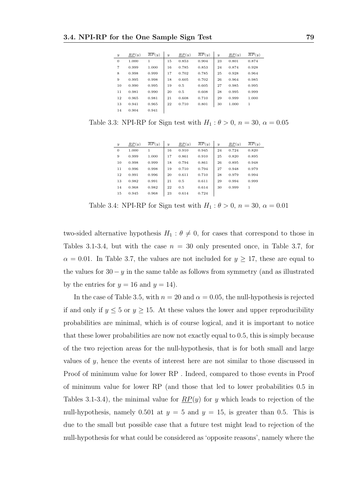| $\overline{y}$ | $\overline{RP}(y)$ | RP(y) | $\boldsymbol{y}$ | $\underline{RP}(y)$ | $\overline{RP}(y)$ | $\boldsymbol{y}$ | $\overline{RP}(y)$ | $\overline{RP}(y)$ |
|----------------|--------------------|-------|------------------|---------------------|--------------------|------------------|--------------------|--------------------|
| $\mathbf{0}$   | 1.000              | 1     | 15               | 0.853               | 0.904              | 23               | 0.801              | 0.874              |
| $\overline{7}$ | 0.999              | 1.000 | 16               | 0.785               | 0.853              | 24               | 0.874              | 0.928              |
| 8              | 0.998              | 0.999 | 17               | 0.702               | 0.785              | 25               | 0.928              | 0.964              |
| 9              | 0.995              | 0.998 | 18               | 0.605               | 0.702              | 26               | 0.964              | 0.985              |
| 10             | 0.990              | 0.995 | 19               | 0.5                 | 0.605              | 27               | 0.985              | 0.995              |
| 11             | 0.981              | 0.990 | 20               | 0.5                 | 0.608              | 28               | 0.995              | 0.999              |
| 12             | 0.965              | 0.981 | 21               | 0.608               | 0.710              | 29               | 0.999              | 1.000              |
| 13             | 0.941              | 0.965 | 22               | 0.710               | 0.801              | 30               | 1.000              | 1                  |
| 14             | 0.904              | 0.941 |                  |                     |                    |                  |                    |                    |

Table 3.3: NPI-RP for Sign test with  $H_1$ :  $\theta > 0$ ,  $n = 30$ ,  $\alpha = 0.05$ 

| $\boldsymbol{y}$ | $\overline{RP}(y)$ | $\overline{RP}(y)$ | $\boldsymbol{y}$ | RP(y) | $\overline{RP}(y)$ | $\boldsymbol{y}$ | RP(y) | $\overline{RP}(y)$ |
|------------------|--------------------|--------------------|------------------|-------|--------------------|------------------|-------|--------------------|
| $\overline{0}$   | 1.000              | 1                  | 16               | 0.910 | 0.945              | 24               | 0.724 | 0.820              |
| 9                | 0.999              | 1.000              | 17               | 0.861 | 0.910              | 25               | 0.820 | 0.895              |
| 10               | 0.998              | 0.999              | 18               | 0.794 | 0.861              | 26               | 0.895 | 0.948              |
| 11               | 0.996              | 0.998              | 19               | 0.710 | 0.794              | 27               | 0.948 | 0.979              |
| 12               | 0.991              | 0.996              | 20               | 0.611 | 0.710              | 28               | 0.979 | 0.994              |
| 13               | 0.982              | 0.991              | 21               | 0.5   | 0.611              | 29               | 0.994 | 0.999              |
| 14               | 0.968              | 0.982              | 22               | 0.5   | 0.614              | 30               | 0.999 | 1                  |
| 15               | 0.945              | 0.968              | 23               | 0.614 | 0.724              |                  |       |                    |

Table 3.4: NPI-RP for Sign test with  $H_1$ :  $\theta > 0$ ,  $n = 30$ ,  $\alpha = 0.01$ 

two-sided alternative hypothesis  $H_1$ :  $\theta \neq 0$ , for cases that correspond to those in Tables 3.1-3.4, but with the case  $n = 30$  only presented once, in Table 3.7, for  $\alpha = 0.01$ . In Table 3.7, the values are not included for  $y \ge 17$ , these are equal to the values for  $30 - y$  in the same table as follows from symmetry (and as illustrated by the entries for  $y = 16$  and  $y = 14$ .

In the case of Table 3.5, with  $n = 20$  and  $\alpha = 0.05$ , the null-hypothesis is rejected if and only if  $y \leq 5$  or  $y \geq 15$ . At these values the lower and upper reproducibility probabilities are minimal, which is of course logical, and it is important to notice that these lower probabilities are now not exactly equal to 0.5, this is simply because of the two rejection areas for the null-hypothesis, that is for both small and large values of y, hence the events of interest here are not similar to those discussed in Proof of minimum value for lower RP . Indeed, compared to those events in Proof of minimum value for lower RP (and those that led to lower probabilities 0.5 in Tables 3.1-3.4), the minimal value for  $\mathbb{RP}(y)$  for y which leads to rejection of the null-hypothesis, namely 0.501 at  $y = 5$  and  $y = 15$ , is greater than 0.5. This is due to the small but possible case that a future test might lead to rejection of the null-hypothesis for what could be considered as 'opposite reasons', namely where the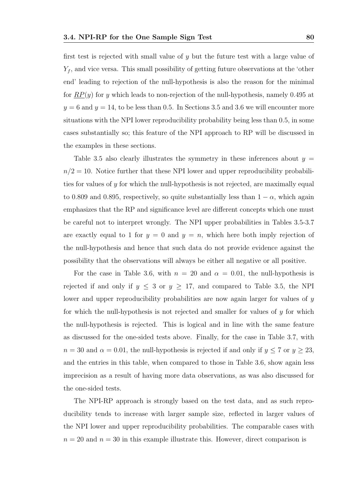first test is rejected with small value of  $y$  but the future test with a large value of  $Y_f$ , and vice versa. This small possibility of getting future observations at the 'other end' leading to rejection of the null-hypothesis is also the reason for the minimal for  $RP(y)$  for y which leads to non-rejection of the null-hypothesis, namely 0.495 at  $y = 6$  and  $y = 14$ , to be less than 0.5. In Sections 3.5 and 3.6 we will encounter more situations with the NPI lower reproducibility probability being less than 0.5, in some cases substantially so; this feature of the NPI approach to RP will be discussed in the examples in these sections.

Table 3.5 also clearly illustrates the symmetry in these inferences about  $y =$  $n/2 = 10$ . Notice further that these NPI lower and upper reproducibility probabilities for values of y for which the null-hypothesis is not rejected, are maximally equal to 0.809 and 0.895, respectively, so quite substantially less than  $1 - \alpha$ , which again emphasizes that the RP and significance level are different concepts which one must be careful not to interpret wrongly. The NPI upper probabilities in Tables 3.5-3.7 are exactly equal to 1 for  $y = 0$  and  $y = n$ , which here both imply rejection of the null-hypothesis and hence that such data do not provide evidence against the possibility that the observations will always be either all negative or all positive.

For the case in Table 3.6, with  $n = 20$  and  $\alpha = 0.01$ , the null-hypothesis is rejected if and only if  $y \leq 3$  or  $y \geq 17$ , and compared to Table 3.5, the NPI lower and upper reproducibility probabilities are now again larger for values of y for which the null-hypothesis is not rejected and smaller for values of  $y$  for which the null-hypothesis is rejected. This is logical and in line with the same feature as discussed for the one-sided tests above. Finally, for the case in Table 3.7, with  $n = 30$  and  $\alpha = 0.01$ , the null-hypothesis is rejected if and only if  $y \le 7$  or  $y \ge 23$ , and the entries in this table, when compared to those in Table 3.6, show again less imprecision as a result of having more data observations, as was also discussed for the one-sided tests.

The NPI-RP approach is strongly based on the test data, and as such reproducibility tends to increase with larger sample size, reflected in larger values of the NPI lower and upper reproducibility probabilities. The comparable cases with  $n = 20$  and  $n = 30$  in this example illustrate this. However, direct comparison is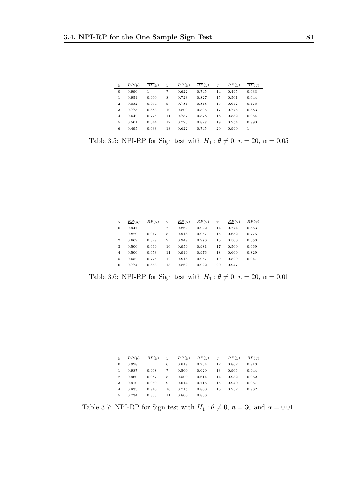| $\boldsymbol{y}$ | RP(y) | $\overline{RP}(y)$ | $\boldsymbol{y}$ | RP(y) | $\overline{RP}(y)$ | $\boldsymbol{y}$ | RP(y) | $\overline{RP}(y)$ |
|------------------|-------|--------------------|------------------|-------|--------------------|------------------|-------|--------------------|
| $\mathbf{0}$     | 0.990 |                    | 7                | 0.622 | 0.745              | 14               | 0.495 | 0.633              |
| 1                | 0.954 | 0.990              | 8                | 0.723 | 0.827              | 15               | 0.501 | 0.644              |
| $\overline{2}$   | 0.882 | 0.954              | 9                | 0.787 | 0.878              | 16               | 0.642 | 0.775              |
| 3                | 0.775 | 0.883              | 10               | 0.809 | 0.895              | 17               | 0.775 | 0.883              |
| $\overline{4}$   | 0.642 | 0.775              | 11               | 0.787 | 0.878              | 18               | 0.882 | 0.954              |
| 5                | 0.501 | 0.644              | 12               | 0.723 | 0.827              | 19               | 0.954 | 0.990              |
| 6                | 0.495 | 0.633              | 13               | 0.622 | 0.745              | 20               | 0.990 |                    |

Table 3.5: NPI-RP for Sign test with  $H_1$  :  $\theta \neq 0,$   $n = 20,$   $\alpha = 0.05$ 

| $\boldsymbol{y}$ | RP(y) | $\overline{RP}(y)$ | $\boldsymbol{y}$ | RP(y) | RP(y) | $\overline{y}$ | RP(y) | $\overline{RP}(y)$ |
|------------------|-------|--------------------|------------------|-------|-------|----------------|-------|--------------------|
| $\mathbf{0}$     | 0.947 | 1                  | 7                | 0.862 | 0.922 | 14             | 0.774 | 0.863              |
| 1                | 0.829 | 0.947              | 8                | 0.918 | 0.957 | 15             | 0.652 | 0.775              |
| $\overline{2}$   | 0.669 | 0.829              | 9                | 0.949 | 0.976 | 16             | 0.500 | 0.653              |
| 3                | 0.500 | 0.669              | 10               | 0.959 | 0.981 | 17             | 0.500 | 0.669              |
| $\overline{4}$   | 0.500 | 0.653              | 11               | 0.949 | 0.976 | 18             | 0.669 | 0.829              |
| 5                | 0.652 | 0.775              | 12               | 0.918 | 0.957 | 19             | 0.829 | 0.947              |
| 6                | 0.774 | 0.863              | 13               | 0.862 | 0.922 | 20             | 0.947 | 1                  |

Table 3.6: NPI-RP for Sign test with  $H_1$  :  $\theta \neq 0,$   $n = 20,$   $\alpha = 0.01$ 

| $\boldsymbol{y}$ | RP(y) | $\overline{RP}(y)$ | $\boldsymbol{y}$ | RP(y) | $\overline{RP}(y)$ | $\boldsymbol{y}$ | RP(y) | $\overline{RP}(y)$ |
|------------------|-------|--------------------|------------------|-------|--------------------|------------------|-------|--------------------|
| $\theta$         | 0.998 |                    | 6                | 0.619 | 0.734              | 12               | 0.862 | 0.913              |
|                  | 0.987 | 0.998              | 7                | 0.500 | 0.620              | 13               | 0.906 | 0.944              |
| $\overline{2}$   | 0.960 | 0.987              | 8                | 0.500 | 0.614              | 14               | 0.932 | 0.962              |
| 3                | 0.910 | 0.960              | 9                | 0.614 | 0.716              | 15               | 0.940 | 0.967              |
| $\overline{4}$   | 0.833 | 0.910              | 10               | 0.715 | 0.800              | 16               | 0.932 | 0.962              |
| 5                | 0.734 | 0.833              | 11               | 0.800 | 0.866              |                  |       |                    |

Table 3.7: NPI-RP for Sign test with  $H_1$  :  $\theta \neq 0$ ,  $n = 30$  and  $\alpha = 0.01$ .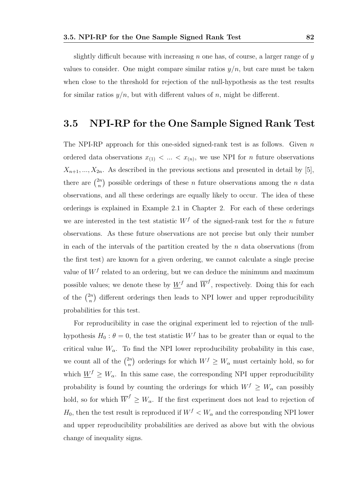slightly difficult because with increasing n one has, of course, a larger range of  $y$ values to consider. One might compare similar ratios  $y/n$ , but care must be taken when close to the threshold for rejection of the null-hypothesis as the test results for similar ratios  $y/n$ , but with different values of n, might be different.

## 3.5 NPI-RP for the One Sample Signed Rank Test

The NPI-RP approach for this one-sided signed-rank test is as follows. Given  $n$ ordered data observations  $x_{(1)} < ... < x_{(n)}$ , we use NPI for *n* future observations  $X_{n+1},..., X_{2n}$ . As described in the previous sections and presented in detail by [5]. there are  $\binom{2n}{n}$  $\binom{2n}{n}$  possible orderings of these *n* future observations among the *n* data observations, and all these orderings are equally likely to occur. The idea of these orderings is explained in Example 2.1 in Chapter 2. For each of these orderings we are interested in the test statistic  $W<sup>f</sup>$  of the signed-rank test for the n future observations. As these future observations are not precise but only their number in each of the intervals of the partition created by the  $n$  data observations (from the first test) are known for a given ordering, we cannot calculate a single precise value of  $W<sup>f</sup>$  related to an ordering, but we can deduce the minimum and maximum possible values; we denote these by  $\underline{W}^f$  and  $\overline{W}^f$ , respectively. Doing this for each of the  $\binom{2n}{n}$  $\binom{2n}{n}$  different orderings then leads to NPI lower and upper reproducibility probabilities for this test.

For reproducibility in case the original experiment led to rejection of the nullhypothesis  $H_0$ :  $\theta = 0$ , the test statistic  $W<sup>f</sup>$  has to be greater than or equal to the critical value  $W_{\alpha}$ . To find the NPI lower reproducibility probability in this case, we count all of the  $\binom{2n}{n}$  $\binom{2n}{n}$  orderings for which  $W^f \geq W_\alpha$  must certainly hold, so for which  $W^f \geq W_\alpha$ . In this same case, the corresponding NPI upper reproducibility probability is found by counting the orderings for which  $W^f \geq W_\alpha$  can possibly hold, so for which  $\overline{W}^f \geq W_\alpha$ . If the first experiment does not lead to rejection of  $H_0$ , then the test result is reproduced if  $W^f < W_\alpha$  and the corresponding NPI lower and upper reproducibility probabilities are derived as above but with the obvious change of inequality signs.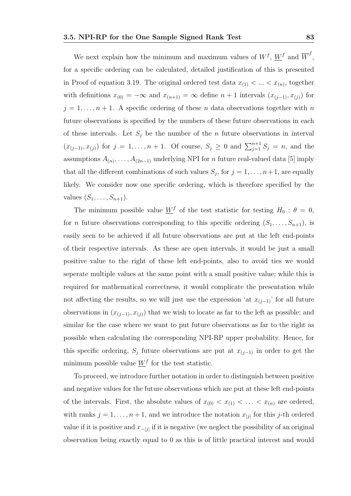We next explain how the minimum and maximum values of  $W^f$ ,  $\underline{W}^f$  and  $\overline{W}^f$ , for a specific ordering can be calculated, detailed justification of this is presented in Proof of equation 3.19. The original ordered test data  $x_{(1)} < ... < x_{(n)}$ , together with definitions  $x_{(0)} = -\infty$  and  $x_{(n+1)} = \infty$  define  $n+1$  intervals  $(x_{(j-1)}, x_{(j)})$  for  $j = 1, \ldots, n + 1$ . A specific ordering of these n data observations together with n future observations is specified by the numbers of these future observations in each of these intervals. Let  $S_j$  be the number of the n future observations in interval  $(x_{(j-1)}, x_{(j)})$  for  $j = 1, \ldots, n+1$ . Of course,  $S_j \geq 0$  and  $\sum_{j=1}^{n+1} S_j = n$ , and the assumptions  $A_{(n)}, \ldots, A_{(2n-1)}$  underlying NPI for *n* future real-valued data [5] imply that all the different combinations of such values  $S_j$ , for  $j = 1, \ldots, n+1$ , are equally likely. We consider now one specific ordering, which is therefore specified by the values  $(S_1, \ldots, S_{n+1})$ .

The minimum possible value  $\underline{W}^f$  of the test statistic for testing  $H_0: \theta = 0$ , for *n* future observations corresponding to this specific ordering  $(S_1, \ldots, S_{n+1})$ , is easily seen to be achieved if all future observations are put at the left end-points of their respective intervals. As these are open intervals, it would be just a small positive value to the right of these left end-points, also to avoid ties we would seperate multiple values at the same point with a small positive value; while this is required for mathematical correctness, it would complicate the presentation while not affecting the results, so we will just use the expression 'at  $x_{(i-1)}$ ' for all future observations in  $(x_{(j-1)}, x_{(j)})$  that we wish to locate as far to the left as possible; and similar for the case where we want to put future observations as far to the right as possible when calculating the corresponding NPI-RP upper probability. Hence, for this specific ordering,  $S_j$  future observations are put at  $x_{(j-1)}$  in order to get the minimum possible value  $\underline{W}^f$  for the test statistic.

To proceed, we introduce further notation in order to distinguish between positive and negative values for the future observations which are put at these left end-points of the intervals. First, the absolute values of  $x_{(0)} < x_{(1)} < \ldots < x_{(n)}$  are ordered, with ranks  $j = 1, \ldots, n + 1$ , and we introduce the notation  $x_{j}$  for this j-th ordered value if it is positive and  $x_{-|j|}$  if it is negative (we neglect the possibility of an original observation being exactly equal to 0 as this is of little practical interest and would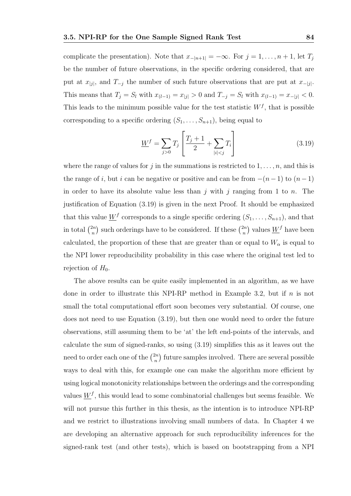complicate the presentation). Note that  $x_{-|n+1|} = -\infty$ . For  $j = 1, \ldots, n + 1$ , let  $T_j$ be the number of future observations, in the specific ordering considered, that are put at  $x_{j,j}$ , and  $T_{-j}$  the number of such future observations that are put at  $x_{-|j|}$ . This means that  $T_j = S_l$  with  $x_{(l-1)} = x_{|j|} > 0$  and  $T_{-j} = S_l$  with  $x_{(l-1)} = x_{-|j|} < 0$ . This leads to the minimum possible value for the test statistic  $W<sup>f</sup>$ , that is possible corresponding to a specific ordering  $(S_1, \ldots, S_{n+1})$ , being equal to

$$
\underline{W}^{f} = \sum_{j>0} T_{j} \left[ \frac{T_{j} + 1}{2} + \sum_{|i| < j} T_{i} \right] \tag{3.19}
$$

where the range of values for j in the summations is restricted to  $1, \ldots, n$ , and this is the range of i, but i can be negative or positive and can be from  $-(n-1)$  to  $(n-1)$ in order to have its absolute value less than  $j$  with  $j$  ranging from 1 to  $n$ . The justification of Equation (3.19) is given in the next Proof. It should be emphasized that this value  $\underline{W}^f$  corresponds to a single specific ordering  $(S_1, \ldots, S_{n+1})$ , and that in total  $\binom{2n}{n}$  ${n \choose n}$  such orderings have to be considered. If these  ${n \choose n}$  $\binom{2n}{n}$  values  $\underline{W}^f$  have been calculated, the proportion of these that are greater than or equal to  $W_{\alpha}$  is equal to the NPI lower reproducibility probability in this case where the original test led to rejection of  $H_0$ .

The above results can be quite easily implemented in an algorithm, as we have done in order to illustrate this NPI-RP method in Example 3.2, but if  $n$  is not small the total computational effort soon becomes very substantial. Of course, one does not need to use Equation (3.19), but then one would need to order the future observations, still assuming them to be 'at' the left end-points of the intervals, and calculate the sum of signed-ranks, so using (3.19) simplifies this as it leaves out the need to order each one of the  $\binom{2n}{n}$  $\binom{2n}{n}$  future samples involved. There are several possible ways to deal with this, for example one can make the algorithm more efficient by using logical monotonicity relationships between the orderings and the corresponding values  $\underline{W}^f$ , this would lead to some combinatorial challenges but seems feasible. We will not pursue this further in this thesis, as the intention is to introduce NPI-RP and we restrict to illustrations involving small numbers of data. In Chapter 4 we are developing an alternative approach for such reproducibility inferences for the signed-rank test (and other tests), which is based on bootstrapping from a NPI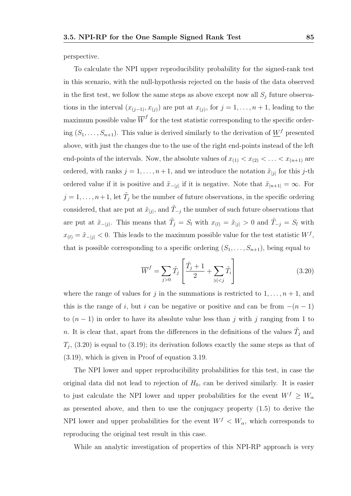perspective.

To calculate the NPI upper reproducibility probability for the signed-rank test in this scenario, with the null-hypothesis rejected on the basis of the data observed in the first test, we follow the same steps as above except now all  $S_j$  future observations in the interval  $(x_{(j-1)}, x_{(j)})$  are put at  $x_{(j)}$ , for  $j = 1, \ldots, n+1$ , leading to the maximum possible value  $\overline{W}^f$  for the test statistic corresponding to the specific ordering  $(S_1, \ldots, S_{n+1})$ . This value is derived similarly to the derivation of  $\underline{W}^f$  presented above, with just the changes due to the use of the right end-points instead of the left end-points of the intervals. Now, the absolute values of  $x_{(1)} < x_{(2)} < \ldots < x_{(n+1)}$  are ordered, with ranks  $j = 1, \ldots, n + 1$ , and we introduce the notation  $\tilde{x}_{j}$  for this j-th ordered value if it is positive and  $\tilde{x}_{-|j|}$  if it is negative. Note that  $\tilde{x}_{|n+1|} = \infty$ . For  $j = 1, \ldots, n+1$ , let  $\tilde{T}_j$  be the number of future observations, in the specific ordering considered, that are put at  $\tilde{x}_{|j|}$ , and  $\tilde{T}_{-j}$  the number of such future observations that are put at  $\tilde{x}_{-|j|}$ . This means that  $\tilde{T}_j = S_l$  with  $x_{(l)} = \tilde{x}_{|j|} > 0$  and  $\tilde{T}_{-j} = S_l$  with  $x_{(l)} = \tilde{x}_{-|j|} < 0$ . This leads to the maximum possible value for the test statistic  $W^f$ , that is possible corresponding to a specific ordering  $(S_1, \ldots, S_{n+1})$ , being equal to

$$
\overline{W}^f = \sum_{j>0} \tilde{T}_j \left[ \frac{\tilde{T}_j + 1}{2} + \sum_{|i| < j} \tilde{T}_i \right] \tag{3.20}
$$

where the range of values for j in the summations is restricted to  $1, \ldots, n+1$ , and this is the range of i, but i can be negative or positive and can be from  $-(n-1)$ to  $(n-1)$  in order to have its absolute value less than j with j ranging from 1 to n. It is clear that, apart from the differences in the definitions of the values  $\tilde{T}_j$  and  $T_j$ , (3.20) is equal to (3.19); its derivation follows exactly the same steps as that of (3.19), which is given in Proof of equation 3.19.

The NPI lower and upper reproducibility probabilities for this test, in case the original data did not lead to rejection of  $H_0$ , can be derived similarly. It is easier to just calculate the NPI lower and upper probabilities for the event  $W^f \geq W_\alpha$ as presented above, and then to use the conjugacy property (1.5) to derive the NPI lower and upper probabilities for the event  $W^f \n\langle W_\alpha, \n\phi \rangle$  which corresponds to reproducing the original test result in this case.

While an analytic investigation of properties of this NPI-RP approach is very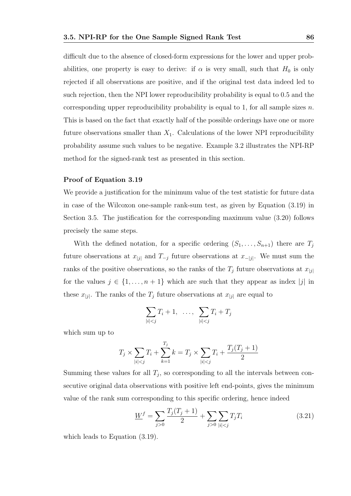difficult due to the absence of closed-form expressions for the lower and upper probabilities, one property is easy to derive: if  $\alpha$  is very small, such that  $H_0$  is only rejected if all observations are positive, and if the original test data indeed led to such rejection, then the NPI lower reproducibility probability is equal to 0.5 and the corresponding upper reproducibility probability is equal to 1, for all sample sizes  $n$ . This is based on the fact that exactly half of the possible orderings have one or more future observations smaller than  $X_1$ . Calculations of the lower NPI reproducibility probability assume such values to be negative. Example 3.2 illustrates the NPI-RP method for the signed-rank test as presented in this section.

#### Proof of Equation 3.19

We provide a justification for the minimum value of the test statistic for future data in case of the Wilcoxon one-sample rank-sum test, as given by Equation (3.19) in Section 3.5. The justification for the corresponding maximum value (3.20) follows precisely the same steps.

With the defined notation, for a specific ordering  $(S_1, \ldots, S_{n+1})$  there are  $T_j$ future observations at  $x_{[j]}$  and  $T_{-j}$  future observations at  $x_{-[j]}$ . We must sum the ranks of the positive observations, so the ranks of the  $T_j$  future observations at  $x_{[j]}$ for the values  $j \in \{1, \ldots, n+1\}$  which are such that they appear as index |j| in these  $x_{[j]}$ . The ranks of the  $T_j$  future observations at  $x_{[j]}$  are equal to

$$
\sum_{|i|< j} T_i + 1, \ \ldots, \ \sum_{|i|< j} T_i + T_j
$$

which sum up to

$$
T_j \times \sum_{|i| < j} T_i + \sum_{k=1}^{T_j} k = T_j \times \sum_{|i| < j} T_i + \frac{T_j(T_j + 1)}{2}
$$

Summing these values for all  $T_j$ , so corresponding to all the intervals between consecutive original data observations with positive left end-points, gives the minimum value of the rank sum corresponding to this specific ordering, hence indeed

$$
\underline{W}^f = \sum_{j>0} \frac{T_j(T_j+1)}{2} + \sum_{j>0} \sum_{|i|
$$

which leads to Equation (3.19).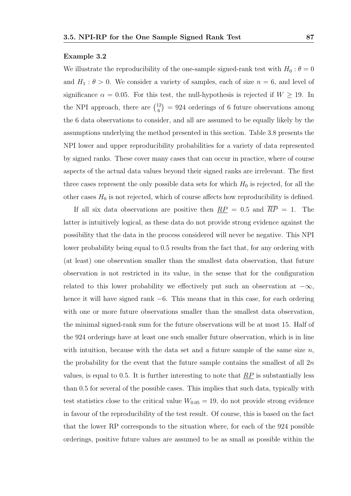#### Example 3.2

We illustrate the reproducibility of the one-sample signed-rank test with  $H_0$ :  $\theta = 0$ and  $H_1: \theta > 0$ . We consider a variety of samples, each of size  $n = 6$ , and level of significance  $\alpha = 0.05$ . For this test, the null-hypothesis is rejected if  $W \ge 19$ . In the NPI approach, there are  $\binom{12}{6}$  $\binom{12}{6}$  = 924 orderings of 6 future observations among the 6 data observations to consider, and all are assumed to be equally likely by the assumptions underlying the method presented in this section. Table 3.8 presents the NPI lower and upper reproducibility probabilities for a variety of data represented by signed ranks. These cover many cases that can occur in practice, where of course aspects of the actual data values beyond their signed ranks are irrelevant. The first three cases represent the only possible data sets for which  $H_0$  is rejected, for all the other cases  $H_0$  is not rejected, which of course affects how reproducibility is defined.

If all six data observations are positive then  $\frac{RP}{P} = 0.5$  and  $\overline{RP} = 1$ . The latter is intuitively logical, as these data do not provide strong evidence against the possibility that the data in the process considered will never be negative. This NPI lower probability being equal to 0.5 results from the fact that, for any ordering with (at least) one observation smaller than the smallest data observation, that future observation is not restricted in its value, in the sense that for the configuration related to this lower probability we effectively put such an observation at  $-\infty$ , hence it will have signed rank −6. This means that in this case, for each ordering with one or more future observations smaller than the smallest data observation, the minimal signed-rank sum for the future observations will be at most 15. Half of the 924 orderings have at least one such smaller future observation, which is in line with intuition, because with the data set and a future sample of the same size  $n$ , the probability for the event that the future sample contains the smallest of all  $2n$ values, is equal to 0.5. It is further interesting to note that  $RP$  is substantially less than 0.5 for several of the possible cases. This implies that such data, typically with test statistics close to the critical value  $W_{0.05} = 19$ , do not provide strong evidence in favour of the reproducibility of the test result. Of course, this is based on the fact that the lower RP corresponds to the situation where, for each of the 924 possible orderings, positive future values are assumed to be as small as possible within the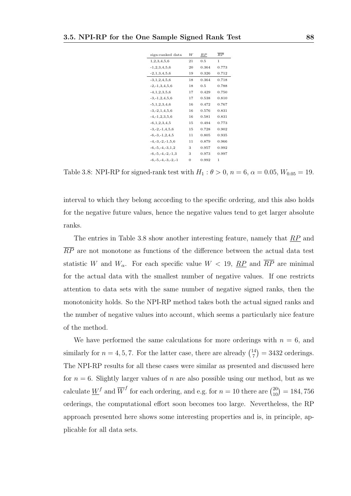| sign-ranked data         | W  | RΡ    | $\overline{RP}$ |
|--------------------------|----|-------|-----------------|
| 1.2.3.4.5.6              | 21 | 0.5   | 1               |
| $-1, 2, 3, 4, 5, 6$      | 20 | 0.364 | 0.773           |
| $-2,1,3,4,5,6$           | 19 | 0.326 | 0.712           |
| $-3,1,2,4,5,6$           | 18 | 0.364 | 0.718           |
| $-2, -1, 3, 4, 5, 6$     | 18 | 0.5   | 0.788           |
| $-4, 1, 2, 3, 5, 6$      | 17 | 0.429 | 0.750           |
| $-3, -1, 2, 4, 5, 6$     | 17 | 0.538 | 0.810           |
| $-5, 1, 2, 3, 4, 6$      | 16 | 0.472 | 0.767           |
| $-3, -2, 1, 4, 5, 6$     | 16 | 0.576 | 0.831           |
| $-4, -1, 2, 3, 5, 6$     | 16 | 0.581 | 0.831           |
| $-6, 1, 2, 3, 4, 5$      | 15 | 0.494 | 0.773           |
| $-3, -2, -1, 4, 5, 6$    | 15 | 0.728 | 0.902           |
| $-6, -3, -1, 2, 4, 5$    | 11 | 0.805 | 0.935           |
| $-4, -3, -2, -1, 5, 6$   | 11 | 0.879 | 0.966           |
| $-6, -5, -4, -3, 1, 2$   | 3  | 0.957 | 0.992           |
| $-6, -5, -4, -2, -1, 3$  | 3  | 0.973 | 0.997           |
| $-6, -5, -4, -3, -2, -1$ | 0  | 0.992 | 1               |

Table 3.8: NPI-RP for signed-rank test with  $H_1$  :  $\theta > 0$ ,  $n = 6$ ,  $\alpha = 0.05$ ,  $W_{0.05} = 19$ .

interval to which they belong according to the specific ordering, and this also holds for the negative future values, hence the negative values tend to get larger absolute ranks.

The entries in Table 3.8 show another interesting feature, namely that RP and  $\overline{RP}$  are not monotone as functions of the difference between the actual data test statistic W and  $W_{\alpha}$ . For each specific value  $W < 19$ ,  $\overline{RP}$  and  $\overline{RP}$  are minimal for the actual data with the smallest number of negative values. If one restricts attention to data sets with the same number of negative signed ranks, then the monotonicity holds. So the NPI-RP method takes both the actual signed ranks and the number of negative values into account, which seems a particularly nice feature of the method.

We have performed the same calculations for more orderings with  $n = 6$ , and similarly for  $n = 4, 5, 7$ . For the latter case, there are already  $\binom{14}{7}$  $t_7^{14}$ ) = 3432 orderings. The NPI-RP results for all these cases were similar as presented and discussed here for  $n = 6$ . Slightly larger values of n are also possible using our method, but as we calculate  $\underline{W}^f$  and  $\overline{W}^f$  for each ordering, and e.g. for  $n = 10$  there are  $\binom{20}{10} = 184,756$ orderings, the computational effort soon becomes too large. Nevertheless, the RP approach presented here shows some interesting properties and is, in principle, applicable for all data sets.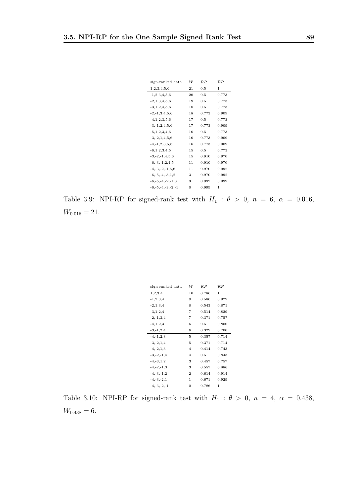| sign-ranked data         | W  | RΡ    | $\overline{RP}$ |
|--------------------------|----|-------|-----------------|
| 1,2,3,4,5,6              | 21 | 0.5   | 1               |
| $-1, 2, 3, 4, 5, 6$      | 20 | 0.5   | 0.773           |
| $-2,1,3,4,5,6$           | 19 | 0.5   | 0.773           |
| $-3,1,2,4,5,6$           | 18 | 0.5   | 0.773           |
| $-2, -1, 3, 4, 5, 6$     | 18 | 0.773 | 0.909           |
| $-4, 1, 2, 3, 5, 6$      | 17 | 0.5   | 0.773           |
| $-3, -1, 2, 4, 5, 6$     | 17 | 0.773 | 0.909           |
| $-5,1,2,3,4,6$           | 16 | 0.5   | 0.773           |
| $-3, -2, 1, 4, 5, 6$     | 16 | 0.773 | 0.909           |
| $-4, -1, 2, 3, 5, 6$     | 16 | 0.773 | 0.909           |
| $-6, 1, 2, 3, 4, 5$      | 15 | 0.5   | 0.773           |
| $-3, -2, -1, 4, 5, 6$    | 15 | 0.910 | 0.970           |
| $-6, -3, -1, 2, 4, 5$    | 11 | 0.910 | 0.970           |
| $-4, -3, -2, -1, 5, 6$   | 11 | 0.970 | 0.992           |
| $-6, -5, -4, -3, 1, 2$   | 3  | 0.970 | 0.992           |
| $-6, -5, -4, -2, -1, 3$  | 3  | 0.992 | 0.999           |
| $-6, -5, -4, -3, -2, -1$ | 0  | 0.999 | 1               |

Table 3.9: NPI-RP for signed-rank test with  $H_1$  :  $\theta > 0$ ,  $n = 6$ ,  $\alpha = 0.016$ ,  $W_{0.016} = 21.$ 

| sign-ranked data | W              | RΡ    | $\overline{RP}$ |
|------------------|----------------|-------|-----------------|
| 1,2,3,4          | 10             | 0.786 | $\mathbf{1}$    |
| $-1, 2, 3, 4$    | 9              | 0.586 | 0.929           |
| $-2, 1, 3, 4$    | 8              | 0.543 | 0.871           |
| $-3, 1, 2, 4$    | 7              | 0.514 | 0.829           |
| $-2, -1, 3, 4$   | 7              | 0.371 | 0.757           |
| $-4, 1, 2, 3$    | 6              | 0.5   | 0.800           |
| $-3, -1, 2, 4$   | 6              | 0.329 | 0.700           |
| $-4, -1, 2, 3$   | 5              | 0.357 | 0.714           |
| $-3, -2, 1, 4$   | 5              | 0.371 | 0.714           |
| $-4, -2, 1, 3$   | $\overline{4}$ | 0.414 | 0.743           |
| $-3, -2, -1, 4$  | $\overline{4}$ | 0.5   | 0.843           |
| $-4, -3, 1, 2$   | 3              | 0.457 | 0.757           |
| $-4, -2, -1, 3$  | 3              | 0.557 | 0.886           |
| $-4, -3, -1, 2$  | $\overline{2}$ | 0.614 | 0.914           |
| $-4, -3, -2, 1$  | 1              | 0.671 | 0.929           |
| $-4, -3, -2, -1$ | 0              | 0.786 | 1               |

Table 3.10: NPI-RP for signed-rank test with  $H_1$  :  $\theta > 0$ ,  $n = 4$ ,  $\alpha = 0.438$ ,  $W_{0.438} = 6.$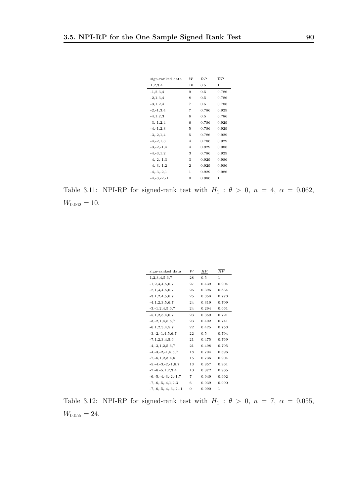| sign-ranked data | W              | RΡ    | $\overline{RP}$ |
|------------------|----------------|-------|-----------------|
| 1,2,3,4          | 10             | 0.5   | 1               |
| $-1, 2, 3, 4$    | 9              | 0.5   | 0.786           |
| $-2, 1, 3, 4$    | 8              | 0.5   | 0.786           |
| $-3, 1, 2, 4$    | 7              | 0.5   | 0.786           |
| $-2, -1, 3, 4$   | 7              | 0.786 | 0.929           |
| $-4, 1, 2, 3$    | 6              | 0.5   | 0.786           |
| $-3, -1, 2, 4$   | 6              | 0.786 | 0.929           |
| $-4, -1, 2, 3$   | 5              | 0.786 | 0.929           |
| $-3, -2, 1, 4$   | 5              | 0.786 | 0.929           |
| $-4, -2, 1, 3$   | $\overline{4}$ | 0.786 | 0.929           |
| $-3, -2, -1, 4$  | $\overline{4}$ | 0.929 | 0.986           |
| $-4, -3, 1, 2$   | 3              | 0.786 | 0.929           |
| $-4, -2, -1, 3$  | 3              | 0.929 | 0.986           |
| $-4, -3, -1, 2$  | $\overline{2}$ | 0.929 | 0.986           |
| $-4, -3, -2, 1$  | 1              | 0.929 | 0.986           |
| $-4, -3, -2, -1$ | 0              | 0.986 | 1               |
|                  |                |       |                 |

Table 3.11: NPI-RP for signed-rank test with  $H_1$  :  $\theta > 0$ ,  $n = 4$ ,  $\alpha = 0.062$ ,  $W_{0.062} = 10.$ 

| sign-ranked data             | W            | RP    | $\overline{RP}$ |
|------------------------------|--------------|-------|-----------------|
| 1,2,3,4,5,6,7                | 28           | 0.5   | 1               |
| $-1, 2, 3, 4, 5, 6, 7$       | 27           | 0.439 | 0.904           |
| $-2,1,3,4,5,6,7$             | 26           | 0.396 | 0.834           |
| $-3, 1, 2, 4, 5, 6, 7$       | 25           | 0.358 | 0.773           |
| $-4, 1, 2, 3, 5, 6, 7$       | 24           | 0.319 | 0.709           |
| $-3, -1, 2, 4, 5, 6, 7$      | 24           | 0.294 | 0.661           |
| $-5, 1, 2, 3, 4, 6, 7$       | 23           | 0.359 | 0.721           |
| $-3, -2, 1, 4, 5, 6, 7$      | 23           | 0.402 | 0.741           |
| $-6,1,2,3,4,5,7$             | 22           | 0.425 | 0.753           |
| $-3, -2, -1, 4, 5, 6, 7$     | 22           | 0.5   | 0.794           |
| $-7, 1, 2, 3, 4, 5, 6$       | 21           | 0.475 | 0.769           |
| $-4, -3, 1, 2, 5, 6, 7$      | 21           | 0.498 | 0.795           |
| $-4, -3, -2, -1, 5, 6, 7$    | 18           | 0.704 | 0.896           |
| $-7, -6, 1, 2, 3, 4, 6$      | 15           | 0.736 | 0.904           |
| $-5, -4, -3, -2, -1, 6, 7$   | 13           | 0.857 | 0.961           |
| $-7, -6, -5, 1, 2, 3, 4$     | 10           | 0.872 | 0.965           |
| $-6, -5, -4, -3, -2, -1, 7$  | 7            | 0.949 | 0.992           |
| $-7, -6, -5, -4, 1, 2, 3$    | 6            | 0.939 | 0.990           |
| $-7, -6, -5, -4, -3, -2, -1$ | $\mathbf{0}$ | 0.990 | 1               |

Table 3.12: NPI-RP for signed-rank test with  $H_1$  :  $\theta > 0$ ,  $n = 7$ ,  $\alpha = 0.055$ ,  $W_{0.055} = 24.$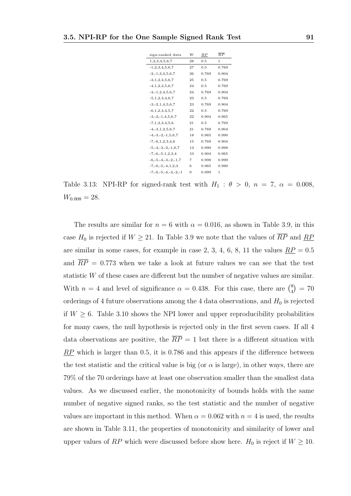| sign-ranked data             | W        | $_{RP}$ | $\overline{RP}$ |
|------------------------------|----------|---------|-----------------|
| 1, 2, 3, 4, 5, 6, 7          | 28       | 0.5     | 1               |
| $-1, 2, 3, 4, 5, 6, 7$       | 27       | 0.5     | 0.769           |
| $-2, -1, 3, 4, 5, 6, 7$      | 26       | 0.769   | 0.904           |
| $-3, 1, 2, 4, 5, 6, 7$       | 25       | 0.5     | 0.769           |
| $-4, 1, 2, 3, 5, 6, 7$       | 24       | 0.5     | 0.769           |
| $-3, -1, 2, 4, 5, 6, 7$      | 24       | 0.769   | 0.904           |
| $-5, 1, 2, 3, 4, 6, 7$       | 23       | 0.5     | 0.769           |
| $-3, -2, 1, 4, 5, 6, 7$      | 23       | 0.769   | 0.904           |
| $-6, 1, 2, 3, 4, 5, 7$       | 22       | 0.5     | 0.769           |
| $-3, -2, -1, 4, 5, 6, 7$     | 22       | 0.904   | 0.965           |
| $-7,1,2,3,4,5,6$             | 21       | 0.5     | 0.769           |
| $-4, -3, 1, 2, 5, 6, 7$      | 21       | 0.769   | 0.904           |
| $-4, -3, -2, -1, 5, 6, 7$    | 18       | 0.965   | 0.990           |
| $-7, -6, 1, 2, 3, 4, 6$      | 15       | 0.769   | 0.904           |
| $-5, -4, -3, -2, -1, 6, 7$   | 13       | 0.990   | 0.998           |
| $-7, -6, -5, 1, 2, 3, 4$     | 10       | 0.904   | 0.965           |
| $-6, -5, -4, -3, -2, -1, 7$  | 7        | 0.998   | 0.999           |
| $-7, -6, -5, -4, 1, 2, 3$    | 6        | 0.965   | 0.990           |
| $-7, -6, -5, -4, -3, -2, -1$ | $\Omega$ | 0.999   | 1               |
|                              |          |         |                 |

Table 3.13: NPI-RP for signed-rank test with  $H_1$  :  $\theta > 0$ ,  $n = 7$ ,  $\alpha = 0.008$ ,  $W_{0.008} = 28.$ 

The results are similar for  $n = 6$  with  $\alpha = 0.016$ , as shown in Table 3.9, in this case  $H_0$  is rejected if  $W \ge 21$ . In Table 3.9 we note that the values of  $\overline{RP}$  and  $\overline{RP}$ are similar in some cases, for example in case 2, 3, 4, 6, 8, 11 the values  $\underline{RP} = 0.5$ and  $\overline{RP}$  = 0.773 when we take a look at future values we can see that the test statistic W of these cases are different but the number of negative values are similar. With  $n = 4$  and level of significance  $\alpha = 0.438$ . For this case, there are  $\binom{8}{4}$  $_{4}^{8}$ ) = 70 orderings of 4 future observations among the 4 data observations, and  $H_0$  is rejected if  $W \geq 6$ . Table 3.10 shows the NPI lower and upper reproducibility probabilities for many cases, the null hypothesis is rejected only in the first seven cases. If all 4 data observations are positive, the  $\overline{RP} = 1$  but there is a different situation with  $RP$  which is larger than 0.5, it is 0.786 and this appears if the difference between the test statistic and the critical value is big (or  $\alpha$  is large), in other ways, there are 79% of the 70 orderings have at least one observation smaller than the smallest data values. As we discussed earlier, the monotonicity of bounds holds with the same number of negative signed ranks, so the test statistic and the number of negative values are important in this method. When  $\alpha = 0.062$  with  $n = 4$  is used, the results are shown in Table 3.11, the properties of monotonicity and similarity of lower and upper values of RP which were discussed before show here.  $H_0$  is reject if  $W \ge 10$ .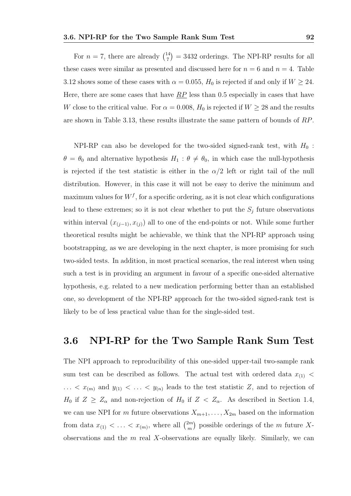For  $n = 7$ , there are already  $\binom{14}{7}$  $T_7^{(14)}$  = 3432 orderings. The NPI-RP results for all these cases were similar as presented and discussed here for  $n = 6$  and  $n = 4$ . Table 3.12 shows some of these cases with  $\alpha = 0.055$ ,  $H_0$  is rejected if and only if  $W \ge 24$ . Here, there are some cases that have  $RP$  less than 0.5 especially in cases that have W close to the critical value. For  $\alpha = 0.008$ ,  $H_0$  is rejected if  $W \ge 28$  and the results are shown in Table 3.13, these results illustrate the same pattern of bounds of RP.

NPI-RP can also be developed for the two-sided signed-rank test, with  $H_0$ :  $\theta = \theta_0$  and alternative hypothesis  $H_1 : \theta \neq \theta_0$ , in which case the null-hypothesis is rejected if the test statistic is either in the  $\alpha/2$  left or right tail of the null distribution. However, in this case it will not be easy to derive the minimum and maximum values for  $W<sup>f</sup>$ , for a specific ordering, as it is not clear which configurations lead to these extremes; so it is not clear whether to put the  $S_j$  future observations within interval  $(x_{(j-1)}, x_{(j)})$  all to one of the end-points or not. While some further theoretical results might be achievable, we think that the NPI-RP approach using bootstrapping, as we are developing in the next chapter, is more promising for such two-sided tests. In addition, in most practical scenarios, the real interest when using such a test is in providing an argument in favour of a specific one-sided alternative hypothesis, e.g. related to a new medication performing better than an established one, so development of the NPI-RP approach for the two-sided signed-rank test is likely to be of less practical value than for the single-sided test.

# 3.6 NPI-RP for the Two Sample Rank Sum Test

The NPI approach to reproducibility of this one-sided upper-tail two-sample rank sum test can be described as follows. The actual test with ordered data  $x_{(1)}$  <  $\ldots$  <  $x_{(m)}$  and  $y_{(1)}$  <  $\ldots$  <  $y_{(n)}$  leads to the test statistic Z, and to rejection of  $H_0$  if  $Z \geq Z_\alpha$  and non-rejection of  $H_0$  if  $Z < Z_\alpha$ . As described in Section 1.4, we can use NPI for m future observations  $X_{m+1}, \ldots, X_{2m}$  based on the information from data  $x_{(1)} < \ldots < x_{(m)}$ , where all  $\binom{2m}{m}$  $\binom{2m}{m}$  possible orderings of the m future Xobservations and the  $m$  real X-observations are equally likely. Similarly, we can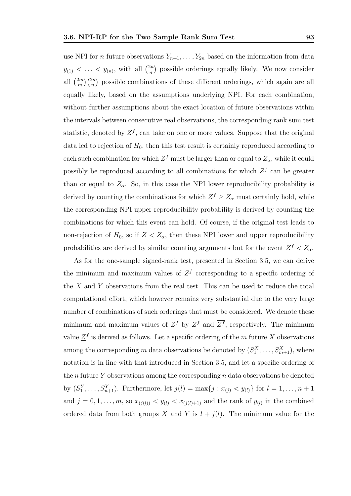use NPI for *n* future observations  $Y_{n+1}, \ldots, Y_{2n}$  based on the information from data  $y_{(1)} < \ldots < y_{(n)}$ , with all  $\binom{2n}{n}$  $\binom{2n}{n}$  possible orderings equally likely. We now consider all  $\binom{2m}{m}$  $\binom{2m}{m}\binom{2n}{n}$  possible combinations of these different orderings, which again are all equally likely, based on the assumptions underlying NPI. For each combination, without further assumptions about the exact location of future observations within the intervals between consecutive real observations, the corresponding rank sum test statistic, denoted by  $Z^f$ , can take on one or more values. Suppose that the original data led to rejection of  $H_0$ , then this test result is certainly reproduced according to each such combination for which  $Z^f$  must be larger than or equal to  $Z_\alpha$ , while it could possibly be reproduced according to all combinations for which  $Z<sup>f</sup>$  can be greater than or equal to  $Z_{\alpha}$ . So, in this case the NPI lower reproducibility probability is derived by counting the combinations for which  $Z^f \geq Z_\alpha$  must certainly hold, while the corresponding NPI upper reproducibility probability is derived by counting the combinations for which this event can hold. Of course, if the original test leads to non-rejection of  $H_0$ , so if  $Z < Z_\alpha$ , then these NPI lower and upper reproducibility probabilities are derived by similar counting arguments but for the event  $Z^f < Z_\alpha$ .

As for the one-sample signed-rank test, presented in Section 3.5, we can derive the minimum and maximum values of  $Z<sup>f</sup>$  corresponding to a specific ordering of the  $X$  and  $Y$  observations from the real test. This can be used to reduce the total computational effort, which however remains very substantial due to the very large number of combinations of such orderings that must be considered. We denote these minimum and maximum values of  $Z^f$  by  $Z^f$  and  $\overline{Z^f}$ , respectively. The minimum value  $\underline{Z}^f$  is derived as follows. Let a specific ordering of the m future X observations among the corresponding m data observations be denoted by  $(S_1^X, \ldots, S_{m+1}^X)$ , where notation is in line with that introduced in Section 3.5, and let a specific ordering of the n future Y observations among the corresponding  $n$  data observations be denoted by  $(S_1^Y, \ldots, S_{n+1}^Y)$ . Furthermore, let  $j(l) = \max\{j : x_{(j)} < y_{(l)}\}$  for  $l = 1, \ldots, n+1$ and  $j = 0, 1, \ldots, m$ , so  $x_{(j(l))} < y_{(l)} < x_{(j(l)+1)}$  and the rank of  $y_{(l)}$  in the combined ordered data from both groups X and Y is  $l + j(l)$ . The minimum value for the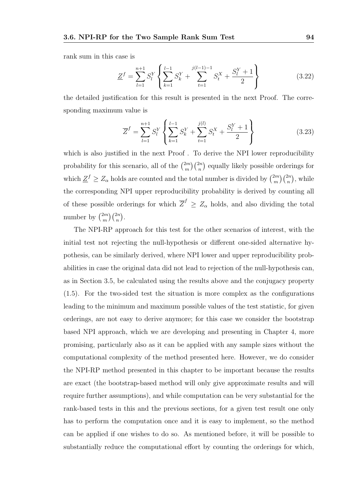rank sum in this case is

$$
\underline{Z}^{f} = \sum_{l=1}^{n+1} S_{l}^{Y} \left\{ \sum_{k=1}^{l-1} S_{k}^{Y} + \sum_{t=1}^{j(l-1)-1} S_{t}^{X} + \frac{S_{l}^{Y} + 1}{2} \right\}
$$
(3.22)

the detailed justification for this result is presented in the next Proof. The corresponding maximum value is

$$
\overline{Z}^{f} = \sum_{l=1}^{n+1} S_{l}^{Y} \left\{ \sum_{k=1}^{l-1} S_{k}^{Y} + \sum_{t=1}^{j(l)} S_{t}^{X} + \frac{S_{l}^{Y} + 1}{2} \right\}
$$
(3.23)

which is also justified in the next Proof. To derive the NPI lower reproducibility probability for this scenario, all of the  $\binom{2m}{m}$  $\binom{2m}{m}\binom{2n}{n}$  equally likely possible orderings for which  $\underline{Z}^f \geq \overline{Z}_{\alpha}$  holds are counted and the total number is divided by  $\binom{2m}{m}$  $\binom{2m}{m}\binom{2n}{n}$ , while the corresponding NPI upper reproducibility probability is derived by counting all of these possible orderings for which  $\overline{Z}^f \geq Z_\alpha$  holds, and also dividing the total number by  $\binom{2m}{m}$  $\binom{2m}{m}\binom{2n}{n}.$ 

The NPI-RP approach for this test for the other scenarios of interest, with the initial test not rejecting the null-hypothesis or different one-sided alternative hypothesis, can be similarly derived, where NPI lower and upper reproducibility probabilities in case the original data did not lead to rejection of the null-hypothesis can, as in Section 3.5, be calculated using the results above and the conjugacy property (1.5). For the two-sided test the situation is more complex as the configurations leading to the minimum and maximum possible values of the test statistic, for given orderings, are not easy to derive anymore; for this case we consider the bootstrap based NPI approach, which we are developing and presenting in Chapter 4, more promising, particularly also as it can be applied with any sample sizes without the computational complexity of the method presented here. However, we do consider the NPI-RP method presented in this chapter to be important because the results are exact (the bootstrap-based method will only give approximate results and will require further assumptions), and while computation can be very substantial for the rank-based tests in this and the previous sections, for a given test result one only has to perform the computation once and it is easy to implement, so the method can be applied if one wishes to do so. As mentioned before, it will be possible to substantially reduce the computational effort by counting the orderings for which,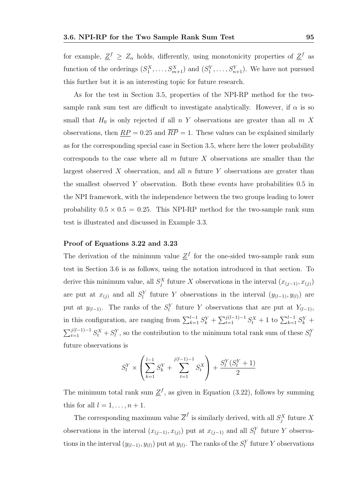for example,  $\underline{Z}^f \geq Z_\alpha$  holds, differently, using monotonicity properties of  $\underline{Z}^f$  as function of the orderings  $(S_1^X, \ldots, S_{m+1}^X)$  and  $(S_1^Y, \ldots, S_{n+1}^Y)$ . We have not pursued this further but it is an interesting topic for future research.

As for the test in Section 3.5, properties of the NPI-RP method for the twosample rank sum test are difficult to investigate analytically. However, if  $\alpha$  is so small that  $H_0$  is only rejected if all  $n Y$  observations are greater than all  $m X$ observations, then  $\overline{RP} = 0.25$  and  $\overline{RP} = 1$ . These values can be explained similarly as for the corresponding special case in Section 3.5, where here the lower probability corresponds to the case where all  $m$  future  $X$  observations are smaller than the largest observed X observation, and all  $n$  future Y observations are greater than the smallest observed Y observation. Both these events have probabilities 0.5 in the NPI framework, with the independence between the two groups leading to lower probability  $0.5 \times 0.5 = 0.25$ . This NPI-RP method for the two-sample rank sum test is illustrated and discussed in Example 3.3.

### Proof of Equations 3.22 and 3.23

The derivation of the minimum value  $\underline{Z}^f$  for the one-sided two-sample rank sum test in Section 3.6 is as follows, using the notation introduced in that section. To derive this minimum value, all  $S_j^X$  future X observations in the interval  $(x_{(j-1)}, x_{(j)})$ are put at  $x_{(j)}$  and all  $S_l^Y$  future Y observations in the interval  $(y_{(l-1)}, y_{(l)})$  are put at  $y_{(l-1)}$ . The ranks of the  $S_l^Y$  future Y observations that are put at  $Y_{(l-1)}$ , in this configuration, are ranging from  $\sum_{k=1}^{l-1} S_k^Y + \sum_{t=1}^{j(l-1)-1} S_t^X + 1$  to  $\sum_{k=1}^{l-1} S_k^Y +$  $\sum_{t=1}^{j(l-1)-1} S_t^X + S_l^Y$ , so the contribution to the minimum total rank sum of these  $S_l^Y$ future observations is

$$
S_l^Y \times \left(\sum_{k=1}^{l-1} S_k^Y + \sum_{t=1}^{j(l-1)-1} S_t^X\right) + \frac{S_l^Y(S_l^Y + 1)}{2}
$$

The minimum total rank sum  $\underline{Z}^f$ , as given in Equation (3.22), follows by summing this for all  $l = 1, \ldots, n + 1$ .

The corresponding maximum value  $\overline{Z}^f$  is similarly derived, with all  $S_j^X$  future X observations in the interval  $(x_{(j-1)}, x_{(j)})$  put at  $x_{(j-1)}$  and all  $S_l^Y$  future Y observations in the interval  $(y_{(l-1)}, y_{(l)})$  put at  $y_{(l)}$ . The ranks of the  $S_l^Y$  future Y observations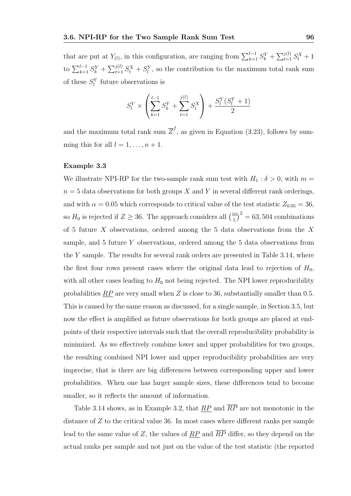that are put at  $Y_{(l)}$ , in this configuration, are ranging from  $\sum_{k=1}^{l-1} S_k^Y + \sum_{t=1}^{j(l)} S_t^X + 1$ to  $\sum_{k=1}^{l-1} S_k^Y + \sum_{t=1}^{j(l)} S_t^X + S_l^Y$ , so the contribution to the maximum total rank sum of these  $S_l^Y$  future observations is

$$
S_l^Y \times \left(\sum_{k=1}^{l-1} S_k^Y + \sum_{t=1}^{j(l)} S_t^X\right) + \frac{S_l^Y(S_l^Y + 1)}{2}
$$

and the maximum total rank sum  $\overline{Z}^f$ , as given in Equation (3.23), follows by summing this for all  $l = 1, \ldots, n + 1$ .

### Example 3.3

We illustrate NPI-RP for the two-sample rank sum test with  $H_1 : \delta > 0$ , with  $m =$  $n = 5$  data observations for both groups X and Y in several different rank orderings. and with  $\alpha = 0.05$  which corresponds to critical value of the test statistic  $Z_{0.05} = 36$ , so  $H_0$  is rejected if  $Z \geq 36$ . The approach considers all  $\binom{10}{5}$  $(10<sub>5</sub>)<sup>2</sup> = 63,504$  combinations of 5 future  $X$  observations, ordered among the 5 data observations from the  $X$ sample, and 5 future Y observations, ordered among the 5 data observations from the Y sample. The results for several rank orders are presented in Table 3.14, where the first four rows present cases where the original data lead to rejection of  $H_0$ , with all other cases leading to  $H_0$  not being rejected. The NPI lower reproducibility probabilities  $RP$  are very small when Z is close to 36, substantially smaller than 0.5. This is caused by the same reason as discussed, for a single sample, in Section 3.5, but now the effect is amplified as future observations for both groups are placed at endpoints of their respective intervals such that the overall reproducibility probability is minimized. As we effectively combine lower and upper probabilities for two groups, the resulting combined NPI lower and upper reproducibility probabilities are very imprecise, that is there are big differences between corresponding upper and lower probabilities. When one has larger sample sizes, these differences tend to become smaller, so it reflects the amount of information.

Table 3.14 shows, as in Example 3.2, that  $RP$  and  $\overline{RP}$  are not monotonic in the distance of Z to the critical value 36. In most cases where different ranks per sample lead to the same value of Z, the values of  $\overline{RP}$  and  $\overline{RP}$  differ, so they depend on the actual ranks per sample and not just on the value of the test statistic (the reported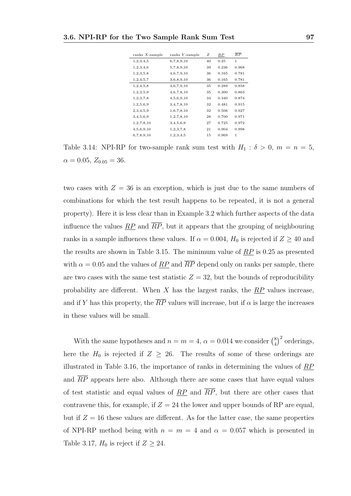| ranks $X$ -sample | ranks Y-sample | Ζ  | RP    | $\overline{RP}$ |
|-------------------|----------------|----|-------|-----------------|
| 1,2,3,4,5         | 6,7,8,9,10     | 40 | 0.25  | 1               |
| 1,2,3,4,6         | 5,7,8,9,10     | 39 | 0.236 | 0.968           |
| 1, 2, 3, 5, 8     | 4,6,7,9,10     | 36 | 0.165 | 0.781           |
| 1, 2, 4, 5, 7     | 3,6,8,9,10     | 36 | 0.165 | 0.781           |
| 1,2,4,5,8         | 3,6,7,9,10     | 35 | 0.289 | 0.858           |
| 1, 2, 3, 5, 9     | 4,6,7,8,10     | 35 | 0.300 | 0.863           |
| 1,2,3,7,8         | 4,5,6,9,10     | 34 | 0.340 | 0.874           |
| 1,2,5,6,9         | 3,4,7,8,10     | 32 | 0.481 | 0.915           |
| 2,3,4,5,9         | 1,6,7,8,10     | 32 | 0.506 | 0.927           |
| 3,4,5,6,9         | 1,2,7,8,10     | 28 | 0.700 | 0.971           |
| 1,2,7,8,10        | 3,4,5,6,9      | 27 | 0.725 | 0.972           |
| 4,5,6,9,10        | 1, 2, 3, 7, 8  | 21 | 0.904 | 0.998           |
| 6,7,8,9,10        | 1,2,3,4,5      | 15 | 0.969 | 1               |

Table 3.14: NPI-RP for two-sample rank sum test with  $H_1 : \delta > 0$ ,  $m = n = 5$ ,  $\alpha = 0.05, Z_{0.05} = 36.$ 

two cases with  $Z = 36$  is an exception, which is just due to the same numbers of combinations for which the test result happens to be repeated, it is not a general property). Here it is less clear than in Example 3.2 which further aspects of the data influence the values  $\overline{RP}$  and  $\overline{RP}$ , but it appears that the grouping of neighbouring ranks in a sample influences these values. If  $\alpha = 0.004$ ,  $H_0$  is rejected if  $Z \ge 40$  and the results are shown in Table 3.15. The minimum value of  $RP$  is 0.25 as presented with  $\alpha = 0.05$  and the values of  $\overline{RP}$  and  $\overline{RP}$  depend only on ranks per sample, there are two cases with the same test statistic  $Z = 32$ , but the bounds of reproducibility probability are different. When  $X$  has the largest ranks, the  $RP$  values increase. and if Y has this property, the  $\overline{RP}$  values will increase, but if  $\alpha$  is large the increases in these values will be small.

With the same hypotheses and  $n = m = 4$ ,  $\alpha = 0.014$  we consider  $\binom{8}{4}$  $\binom{8}{4}^2$  orderings, here the  $H_0$  is rejected if  $Z \geq 26$ . The results of some of these orderings are illustrated in Table 3.16, the importance of ranks in determining the values of  $RP$ and  $\overline{RP}$  appears here also. Although there are some cases that have equal values of test statistic and equal values of  $\overline{RP}$  and  $\overline{RP}$ , but there are other cases that contravene this, for example, if  $Z = 24$  the lower and upper bounds of RP are equal. but if  $Z = 16$  these values are different. As for the latter case, the same properties of NPI-RP method being with  $n = m = 4$  and  $\alpha = 0.057$  which is presented in Table 3.17,  $H_0$  is reject if  $Z \geq 24$ .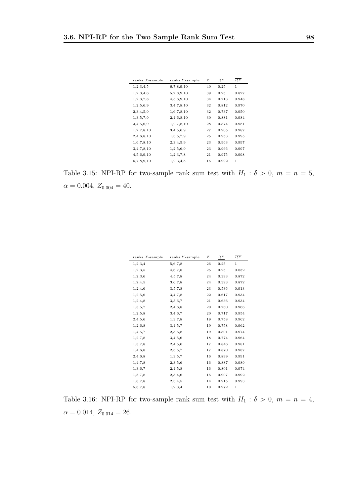| ranks $X$ -sample | ranks Y-sample | Ζ  | RP    | $\overline{RP}$ |
|-------------------|----------------|----|-------|-----------------|
| 1, 2, 3, 4, 5     | 6,7,8,9,10     | 40 | 0.25  | 1               |
| 1,2,3,4,6         | 5,7,8,9,10     | 39 | 0.25  | 0.827           |
| 1, 2, 3, 7, 8     | 4,5,6,9,10     | 34 | 0.713 | 0.948           |
| 1,2,5,6,9         | 3,4,7,8,10     | 32 | 0.812 | 0.970           |
| 2,3,4,5,9         | 1,6,7,8,10     | 32 | 0.737 | 0.950           |
| 1,3,5,7,9         | 2,4,6,8,10     | 30 | 0.881 | 0.984           |
| 3,4,5,6,9         | 1,2,7,8,10     | 28 | 0.874 | 0.981           |
| 1, 2, 7, 8, 10    | 3,4,5,6,9      | 27 | 0.905 | 0.987           |
| 2,4,6,8,10        | 1,3,5,7,9      | 25 | 0.953 | 0.995           |
| 1,6,7,8,10        | 2,3,4,5,9      | 23 | 0.963 | 0.997           |
| 3,4,7,8,10        | 1,2,5,6,9      | 23 | 0.966 | 0.997           |
| 4,5,6,9,10        | 1, 2, 3, 7, 8  | 21 | 0.975 | 0.998           |
| 6,7,8,9,10        | 1,2,3,4,5      | 15 | 0.992 | 1               |
|                   |                |    |       |                 |

Table 3.15: NPI-RP for two-sample rank sum test with  $H_1$  :  $\delta > 0$ ,  $m = n = 5$ ,  $\alpha = 0.004, Z_{0.004} = 40.$ 

| ranks $X$ -sample | $ranks$ $Y$ -sample | Ζ  | $_{RP}$ | $\overline{RP}$ |
|-------------------|---------------------|----|---------|-----------------|
| 1, 2, 3, 4        | 5,6,7,8             | 26 | 0.25    | 1               |
| 1,2,3,5           | 4,6,7,8             | 25 | 0.25    | 0.832           |
| 1,2,3,6           | 4,5,7,8             | 24 | 0.393   | 0.872           |
| 1, 2, 4, 5        | 3,6,7,8             | 24 | 0.393   | 0.872           |
| 1,2,4,6           | 3,5,7,8             | 23 | 0.536   | 0.913           |
| 1,2,5,6           | 3,4,7,8             | 22 | 0.617   | 0.934           |
| 1, 2, 4, 8        | 3,5,6,7             | 21 | 0.636   | 0.934           |
| 1,3,5,7           | 2,4,6,8             | 20 | 0.760   | 0.966           |
| 1, 2, 5, 8        | 3,4,6,7             | 20 | 0.717   | 0.954           |
| 2,4,5,6           | 1,3,7,8             | 19 | 0.758   | 0.962           |
| 1,2,6,8           | 3,4,5,7             | 19 | 0.758   | 0.962           |
| 1,4,5,7           | 2,3,6,8             | 19 | 0.801   | 0.974           |
| 1,2,7,8           | 3,4,5,6             | 18 | 0.774   | 0.964           |
| 1,3,7,8           | 2,4,5,6             | 17 | 0.846   | 0.981           |
| 1,4,6,8           | 2,3,5,7             | 17 | 0.870   | 0.987           |
| 2,4,6,8           | 1,3,5,7             | 16 | 0.899   | 0.991           |
| 1,4,7,8           | 2,3,5,6             | 16 | 0.887   | 0.989           |
| 1,3,6,7           | 2,4,5,8             | 16 | 0.801   | 0.974           |
| 1,5,7,8           | 2,3,4,6             | 15 | 0.907   | 0.992           |
| 1,6,7,8           | 2,3,4,5             | 14 | 0.915   | 0.993           |
| 5,6,7,8           | 1,2,3,4             | 10 | 0.972   | 1               |

Table 3.16: NPI-RP for two-sample rank sum test with  $H_1$  :  $\delta > 0$ ,  $m = n = 4$ ,  $\alpha = 0.014, Z_{0.014} = 26.$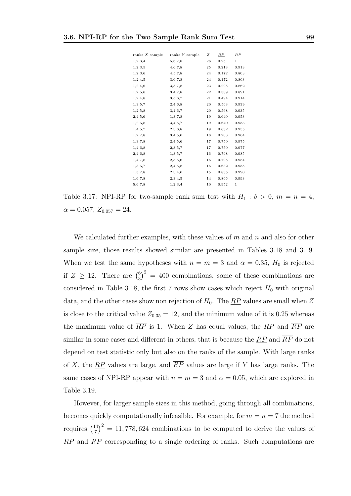| ranks $X$ -sample | $ranks$ $Y$ -sample | Ζ  | RP    | $\overline{RP}$ |
|-------------------|---------------------|----|-------|-----------------|
| 1,2,3,4           | 5,6,7,8             | 26 | 0.25  | $\mathbf{1}$    |
| 1, 2, 3, 5        | 4,6,7,8             | 25 | 0.213 | 0.913           |
| 1,2,3,6           | 4,5,7,8             | 24 | 0.172 | 0.803           |
| 1, 2, 4, 5        | 3,6,7,8             | 24 | 0.172 | 0.803           |
| 1,2,4,6           | 3,5,7,8             | 23 | 0.295 | 0.862           |
| 1,2,5,6           | 3,4,7,8             | 22 | 0.389 | 0.891           |
| 1,2,4,8           | 3,5,6,7             | 21 | 0.494 | 0.914           |
| 1, 3, 5, 7        | 2,4,6,8             | 20 | 0.563 | 0.939           |
| 1, 2, 5, 8        | 3,4,6,7             | 20 | 0.568 | 0.935           |
| 2,4,5,6           | 1,3,7,8             | 19 | 0.640 | 0.953           |
| 1,2,6,8           | 3,4,5,7             | 19 | 0.640 | 0.953           |
| 1, 4, 5, 7        | 2,3,6,8             | 19 | 0.632 | 0.955           |
| 1,2,7,8           | 3,4,5,6             | 18 | 0.703 | 0.964           |
| 1,3,7,8           | 2,4,5,6             | 17 | 0.750 | 0.975           |
| 1,4,6,8           | 2,3,5,7             | 17 | 0.750 | 0.977           |
| 2,4,6,8           | 1,3,5,7             | 16 | 0.798 | 0.985           |
| 1,4,7,8           | 2,3,5,6             | 16 | 0.795 | 0.984           |
| 1,3,6,7           | 2,4,5,8             | 16 | 0.632 | 0.955           |
| 1,5,7,8           | 2,3,4,6             | 15 | 0.835 | 0.990           |
| 1,6,7,8           | 2,3,4,5             | 14 | 0.866 | 0.993           |
| 5,6,7,8           | 1,2,3,4             | 10 | 0.952 | 1               |

Table 3.17: NPI-RP for two-sample rank sum test with  $H_1 : \delta > 0$ ,  $m = n = 4$ ,  $\alpha = 0.057, Z_{0.057} = 24.$ 

We calculated further examples, with these values of  $m$  and  $n$  and also for other sample size, those results showed similar are presented in Tables 3.18 and 3.19. When we test the same hypotheses with  $n = m = 3$  and  $\alpha = 0.35$ ,  $H_0$  is rejected if  $Z \geq 12$ . There are  $\binom{6}{3}$  $\binom{6}{3}^2 = 400$  combinations, some of these combinations are considered in Table 3.18, the first 7 rows show cases which reject  $H_0$  with original data, and the other cases show non rejection of  $H_0$ . The  $\overline{RP}$  values are small when Z is close to the critical value  $Z_{0.35} = 12$ , and the minimum value of it is 0.25 whereas the maximum value of  $\overline{RP}$  is 1. When Z has equal values, the  $\overline{RP}$  and  $\overline{RP}$  are similar in some cases and different in others, that is because the  $\overline{RP}$  and  $\overline{RP}$  do not depend on test statistic only but also on the ranks of the sample. With large ranks of X, the  $\overline{RP}$  values are large, and  $\overline{RP}$  values are large if Y has large ranks. The same cases of NPI-RP appear with  $n = m = 3$  and  $\alpha = 0.05$ , which are explored in Table 3.19.

However, for larger sample sizes in this method, going through all combinations, becomes quickly computationally infeasible. For example, for  $m = n = 7$  the method requires  $\binom{14}{7}$  $\binom{14}{7}^2 = 11,778,624$  combinations to be computed to derive the values of  $RP$  and  $\overline{RP}$  corresponding to a single ordering of ranks. Such computations are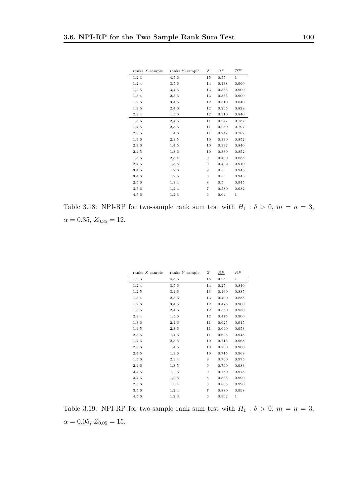| ranks $X$ -sample | $ranks$ $Y$ -sample | Ζ  | $_{RP}$ | $\overline{RP}$ |
|-------------------|---------------------|----|---------|-----------------|
| 1, 2, 3           | 4,5,6               | 15 | 0.55    | $\mathbf 1$     |
| 1, 2, 4           | 3,5,6               | 14 | 0.438   | 0.960           |
| 1, 2, 5           | 3,4,6               | 13 | 0.355   | 0.900           |
| 1,3,4             | 2,5,6               | 13 | 0.355   | 0.900           |
| 1, 2, 6           | 3,4,5               | 12 | 0.310   | 0.840           |
| 1, 3, 5           | 2,4,6               | 12 | 0.265   | 0.828           |
| 2,3,4             | 1,5,6               | 12 | 0.310   | 0.840           |
| 1,3,6             | 2,4,6               | 11 | 0.247   | 0.787           |
| 1, 4, 5           | 2,3,6               | 11 | 0.250   | 0.797           |
| 2,3,5             | 1,4,6               | 11 | 0.247   | 0.787           |
| 1,4,6             | 2,3,5               | 10 | 0.330   | 0.852           |
| 2,3,6             | 1,4,5               | 10 | 0.332   | 0.840           |
| 2,4,5             | 1,3,6               | 10 | 0.330   | 0.852           |
| 1, 5, 6           | 2,3,4               | 9  | 0.400   | 0.885           |
| 2,4,6             | 1, 3, 5             | 9  | 0.422   | 0.910           |
| 3, 4, 5           | 1, 2, 6             | 9  | 0.5     | 0.945           |
| 3,4,6             | 1, 2, 5             | 8  | 0.5     | 0.945           |
| 2,5,6             | 1,3,4               | 8  | 0.5     | 0.945           |
| 3,5,6             | 1,2,4               | 7  | 0.580   | 0.982           |
| 4, 5, 6           | 1, 2, 3             | 6  | 0.64    | 1               |

Table 3.18: NPI-RP for two-sample rank sum test with  $H_1$  :  $\delta > 0$ ,  $m = n = 3$ ,  $\alpha = 0.35, Z_{0.35} = 12.$ 

| ranks $X$ -sample | $ranks$ $Y$ -sample | Ζ  | $_{RP}$ | $\overline{RP}$ |
|-------------------|---------------------|----|---------|-----------------|
| 1, 2, 3           | 4,5,6               | 15 | 0.25    | $\mathbf 1$     |
| 1, 2, 4           | 3,5,6               | 14 | 0.25    | 0.840           |
| 1, 2, 5           | 3,4,6               | 13 | 0.400   | 0.885           |
| 1, 3, 4           | 2,5,6               | 13 | 0.400   | 0.885           |
| 1,2,6             | 3,4,5               | 12 | 0.475   | 0.900           |
| 1, 3, 5           | 2,4,6               | 12 | 0.550   | 0.930           |
| 2,3,4             | 1,5,6               | 12 | 0.475   | 0.900           |
| 1,3,6             | 2,4,6               | 11 | 0.625   | 0.945           |
| 1,4,5             | 2,3,6               | 11 | 0.640   | 0.953           |
| 2,3,5             | 1,4,6               | 11 | 0.625   | 0.945           |
| 1,4,6             | 2,3,5               | 10 | 0.715   | 0.968           |
| 2,3,6             | 1, 4, 5             | 10 | 0.700   | 0.960           |
| 2,4,5             | 1,3,6               | 10 | 0.715   | 0.968           |
| 1,5,6             | 2,3,4               | 9  | 0.760   | 0.975           |
| 2,4,6             | 1,3,5               | 9  | 0.790   | 0.983           |
| 3,4,5             | 1,2,6               | 9  | 0.760   | 0.975           |
| 3,4,6             | 1, 2, 5             | 8  | 0.835   | 0.990           |
| 2,5,6             | 1,3,4               | 8  | 0.835   | 0.990           |
| 3, 5, 6           | 1, 2, 4             | 7  | 0.880   | 0.998           |
| 4, 5, 6           | 1, 2, 3             | 6  | 0.902   | 1               |

Table 3.19: NPI-RP for two-sample rank sum test with  $H_1$  :  $\delta > 0$ ,  $m = n = 3$ ,  $\alpha = 0.05, Z_{0.05} = 15.$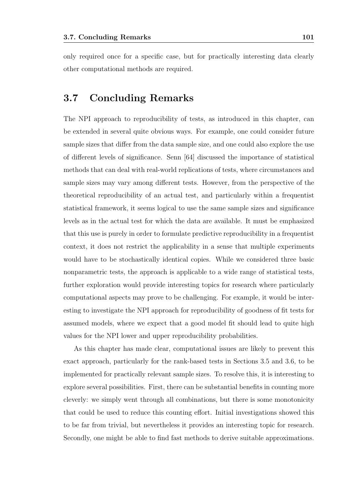only required once for a specific case, but for practically interesting data clearly other computational methods are required.

#### 3.7 Concluding Remarks

The NPI approach to reproducibility of tests, as introduced in this chapter, can be extended in several quite obvious ways. For example, one could consider future sample sizes that differ from the data sample size, and one could also explore the use of different levels of significance. Senn [64] discussed the importance of statistical methods that can deal with real-world replications of tests, where circumstances and sample sizes may vary among different tests. However, from the perspective of the theoretical reproducibility of an actual test, and particularly within a frequentist statistical framework, it seems logical to use the same sample sizes and significance levels as in the actual test for which the data are available. It must be emphasized that this use is purely in order to formulate predictive reproducibility in a frequentist context, it does not restrict the applicability in a sense that multiple experiments would have to be stochastically identical copies. While we considered three basic nonparametric tests, the approach is applicable to a wide range of statistical tests, further exploration would provide interesting topics for research where particularly computational aspects may prove to be challenging. For example, it would be interesting to investigate the NPI approach for reproducibility of goodness of fit tests for assumed models, where we expect that a good model fit should lead to quite high values for the NPI lower and upper reproducibility probabilities.

As this chapter has made clear, computational issues are likely to prevent this exact approach, particularly for the rank-based tests in Sections 3.5 and 3.6, to be implemented for practically relevant sample sizes. To resolve this, it is interesting to explore several possibilities. First, there can be substantial benefits in counting more cleverly: we simply went through all combinations, but there is some monotonicity that could be used to reduce this counting effort. Initial investigations showed this to be far from trivial, but nevertheless it provides an interesting topic for research. Secondly, one might be able to find fast methods to derive suitable approximations.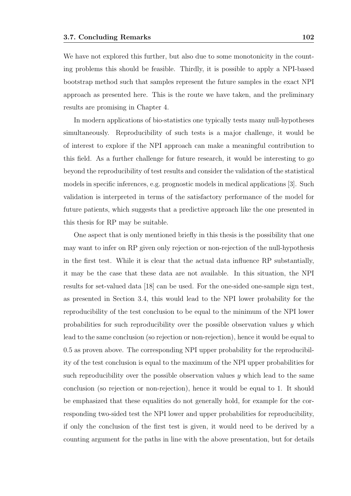We have not explored this further, but also due to some monotonicity in the counting problems this should be feasible. Thirdly, it is possible to apply a NPI-based bootstrap method such that samples represent the future samples in the exact NPI approach as presented here. This is the route we have taken, and the preliminary results are promising in Chapter 4.

In modern applications of bio-statistics one typically tests many null-hypotheses simultaneously. Reproducibility of such tests is a major challenge, it would be of interest to explore if the NPI approach can make a meaningful contribution to this field. As a further challenge for future research, it would be interesting to go beyond the reproducibility of test results and consider the validation of the statistical models in specific inferences, e.g. prognostic models in medical applications [3]. Such validation is interpreted in terms of the satisfactory performance of the model for future patients, which suggests that a predictive approach like the one presented in this thesis for RP may be suitable.

One aspect that is only mentioned briefly in this thesis is the possibility that one may want to infer on RP given only rejection or non-rejection of the null-hypothesis in the first test. While it is clear that the actual data influence RP substantially, it may be the case that these data are not available. In this situation, the NPI results for set-valued data [18] can be used. For the one-sided one-sample sign test, as presented in Section 3.4, this would lead to the NPI lower probability for the reproducibility of the test conclusion to be equal to the minimum of the NPI lower probabilities for such reproducibility over the possible observation values  $y$  which lead to the same conclusion (so rejection or non-rejection), hence it would be equal to 0.5 as proven above. The corresponding NPI upper probability for the reproducibility of the test conclusion is equal to the maximum of the NPI upper probabilities for such reproducibility over the possible observation values  $y$  which lead to the same conclusion (so rejection or non-rejection), hence it would be equal to 1. It should be emphasized that these equalities do not generally hold, for example for the corresponding two-sided test the NPI lower and upper probabilities for reproducibility, if only the conclusion of the first test is given, it would need to be derived by a counting argument for the paths in line with the above presentation, but for details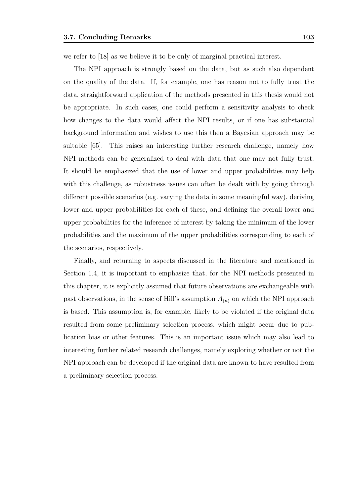we refer to [18] as we believe it to be only of marginal practical interest.

The NPI approach is strongly based on the data, but as such also dependent on the quality of the data. If, for example, one has reason not to fully trust the data, straightforward application of the methods presented in this thesis would not be appropriate. In such cases, one could perform a sensitivity analysis to check how changes to the data would affect the NPI results, or if one has substantial background information and wishes to use this then a Bayesian approach may be suitable [65]. This raises an interesting further research challenge, namely how NPI methods can be generalized to deal with data that one may not fully trust. It should be emphasized that the use of lower and upper probabilities may help with this challenge, as robustness issues can often be dealt with by going through different possible scenarios (e.g. varying the data in some meaningful way), deriving lower and upper probabilities for each of these, and defining the overall lower and upper probabilities for the inference of interest by taking the minimum of the lower probabilities and the maximum of the upper probabilities corresponding to each of the scenarios, respectively.

Finally, and returning to aspects discussed in the literature and mentioned in Section 1.4, it is important to emphasize that, for the NPI methods presented in this chapter, it is explicitly assumed that future observations are exchangeable with past observations, in the sense of Hill's assumption  $A_{(n)}$  on which the NPI approach is based. This assumption is, for example, likely to be violated if the original data resulted from some preliminary selection process, which might occur due to publication bias or other features. This is an important issue which may also lead to interesting further related research challenges, namely exploring whether or not the NPI approach can be developed if the original data are known to have resulted from a preliminary selection process.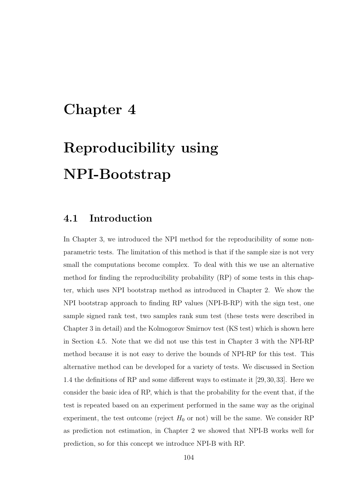### Chapter 4

# Reproducibility using NPI-Bootstrap

#### 4.1 Introduction

In Chapter 3, we introduced the NPI method for the reproducibility of some nonparametric tests. The limitation of this method is that if the sample size is not very small the computations become complex. To deal with this we use an alternative method for finding the reproducibility probability (RP) of some tests in this chapter, which uses NPI bootstrap method as introduced in Chapter 2. We show the NPI bootstrap approach to finding RP values (NPI-B-RP) with the sign test, one sample signed rank test, two samples rank sum test (these tests were described in Chapter 3 in detail) and the Kolmogorov Smirnov test (KS test) which is shown here in Section 4.5. Note that we did not use this test in Chapter 3 with the NPI-RP method because it is not easy to derive the bounds of NPI-RP for this test. This alternative method can be developed for a variety of tests. We discussed in Section 1.4 the definitions of RP and some different ways to estimate it [29,30,33]. Here we consider the basic idea of RP, which is that the probability for the event that, if the test is repeated based on an experiment performed in the same way as the original experiment, the test outcome (reject  $H_0$  or not) will be the same. We consider RP as prediction not estimation, in Chapter 2 we showed that NPI-B works well for prediction, so for this concept we introduce NPI-B with RP.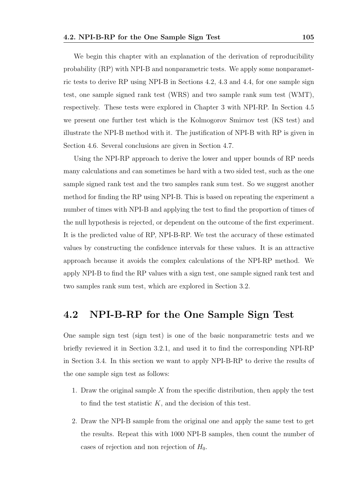We begin this chapter with an explanation of the derivation of reproducibility probability  $(RP)$  with NPI-B and nonparametric tests. We apply some nonparametric tests to derive RP using NPI-B in Sections 4.2, 4.3 and 4.4, for one sample sign test, one sample signed rank test (WRS) and two sample rank sum test (WMT), respectively. These tests were explored in Chapter 3 with NPI-RP. In Section 4.5 we present one further test which is the Kolmogorov Smirnov test (KS test) and illustrate the NPI-B method with it. The justification of NPI-B with RP is given in Section 4.6. Several conclusions are given in Section 4.7.

Using the NPI-RP approach to derive the lower and upper bounds of RP needs many calculations and can sometimes be hard with a two sided test, such as the one sample signed rank test and the two samples rank sum test. So we suggest another method for finding the RP using NPI-B. This is based on repeating the experiment a number of times with NPI-B and applying the test to find the proportion of times of the null hypothesis is rejected, or dependent on the outcome of the first experiment. It is the predicted value of RP, NPI-B-RP. We test the accuracy of these estimated values by constructing the confidence intervals for these values. It is an attractive approach because it avoids the complex calculations of the NPI-RP method. We apply NPI-B to find the RP values with a sign test, one sample signed rank test and two samples rank sum test, which are explored in Section 3.2.

#### 4.2 NPI-B-RP for the One Sample Sign Test

One sample sign test (sign test) is one of the basic nonparametric tests and we briefly reviewed it in Section 3.2.1, and used it to find the corresponding NPI-RP in Section 3.4. In this section we want to apply NPI-B-RP to derive the results of the one sample sign test as follows:

- 1. Draw the original sample X from the specific distribution, then apply the test to find the test statistic K, and the decision of this test.
- 2. Draw the NPI-B sample from the original one and apply the same test to get the results. Repeat this with 1000 NPI-B samples, then count the number of cases of rejection and non rejection of  $H_0$ .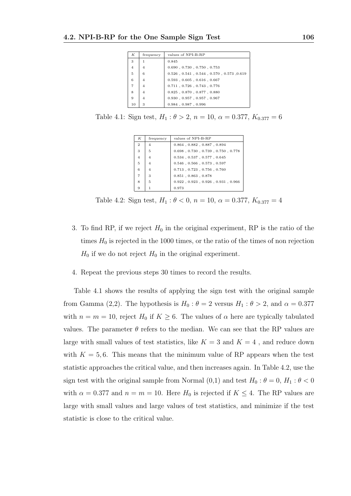| К              | frequency      | values of NPI-B-RP                                        |
|----------------|----------------|-----------------------------------------------------------|
| 3              | 1              | 0.845                                                     |
| $\overline{4}$ | $\overline{4}$ | $0.690$ , $0.730$ , $0.750$ , $0.753$                     |
| 5              | 6              | $0.526$ , $0.541$ , $0.544$ , $0.570$ , $0.573$ , $0.619$ |
| 6              | $\overline{4}$ | $0.593$ , $0.605$ , $0.616$ , $0.667$                     |
| $\overline{7}$ | 4              | $0.711$ , $0.726$ , $0.743$ , $0.776$                     |
| 8              | $\overline{4}$ | $0.825$ , $0.870$ , $0.877$ , $0.880$                     |
| 9              | $\overline{4}$ | $0.930$ , $0.957$ , $0.957$ , $0.967$                     |
| 10             | 3              | $0.984$ , $0.987$ , $0.996$                               |

Table 4.1: Sign test,  $H_1: \theta > 2$ ,  $n = 10$ ,  $\alpha = 0.377$ ,  $K_{0.377} = 6$ 

| K              | frequency      | values of NPI-B-RP                              |
|----------------|----------------|-------------------------------------------------|
| $\overline{2}$ | 4              | $0.864$ , $0.882$ , $0.887$ , $0.894$           |
| 3              | 5              | $0.698$ , $0.730$ , $0.739$ , $0.750$ , $0.778$ |
| $\overline{4}$ | $\overline{4}$ | $0.534$ , $0.537$ , $0.577$ , $0.645$           |
| 5              | $\overline{4}$ | $0.546$ , $0.566$ , $0.573$ , $0.597$           |
| 6              | 4              | $0.713$ , $0.723$ , $0.756$ , $0.760$           |
| $\overline{7}$ | 3              | $0.851$ , $0.863$ , $0.878$                     |
| 8              | 5              | $0.922$ , $0.923$ , $0.926$ , $0.931$ , $0.966$ |
| 9              |                | 0.973                                           |

Table 4.2: Sign test,  $H_1: \theta < 0$ ,  $n = 10$ ,  $\alpha = 0.377$ ,  $K_{0.377} = 4$ 

- 3. To find RP, if we reject  $H_0$  in the original experiment, RP is the ratio of the times  $H_0$  is rejected in the 1000 times, or the ratio of the times of non rejection  $H_0$  if we do not reject  $H_0$  in the original experiment.
- 4. Repeat the previous steps 30 times to record the results.

Table 4.1 shows the results of applying the sign test with the original sample from Gamma (2,2). The hypothesis is  $H_0$ :  $\theta = 2$  versus  $H_1$ :  $\theta > 2$ , and  $\alpha = 0.377$ with  $n = m = 10$ , reject  $H_0$  if  $K \geq 6$ . The values of  $\alpha$  here are typically tabulated values. The parameter  $\theta$  refers to the median. We can see that the RP values are large with small values of test statistics, like  $K=3$  and  $K=4$  , and reduce down with  $K = 5, 6$ . This means that the minimum value of RP appears when the test statistic approaches the critical value, and then increases again. In Table 4.2, use the sign test with the original sample from Normal  $(0,1)$  and test  $H_0: \theta = 0, H_1: \theta < 0$ with  $\alpha = 0.377$  and  $n = m = 10$ . Here  $H_0$  is rejected if  $K \leq 4$ . The RP values are large with small values and large values of test statistics, and minimize if the test statistic is close to the critical value.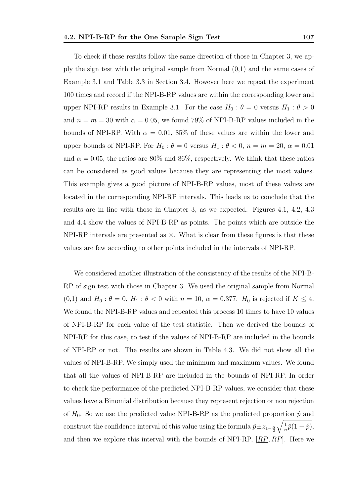To check if these results follow the same direction of those in Chapter 3, we apply the sign test with the original sample from Normal (0,1) and the same cases of Example 3.1 and Table 3.3 in Section 3.4. However here we repeat the experiment 100 times and record if the NPI-B-RP values are within the corresponding lower and upper NPI-RP results in Example 3.1. For the case  $H_0$ :  $\theta = 0$  versus  $H_1$ :  $\theta > 0$ and  $n = m = 30$  with  $\alpha = 0.05$ , we found 79% of NPI-B-RP values included in the bounds of NPI-RP. With  $\alpha = 0.01, 85\%$  of these values are within the lower and upper bounds of NPI-RP. For  $H_0: \theta = 0$  versus  $H_1: \theta < 0$ ,  $n = m = 20$ ,  $\alpha = 0.01$ and  $\alpha = 0.05$ , the ratios are 80% and 86%, respectively. We think that these ratios can be considered as good values because they are representing the most values. This example gives a good picture of NPI-B-RP values, most of these values are located in the corresponding NPI-RP intervals. This leads us to conclude that the results are in line with those in Chapter 3, as we expected. Figures 4.1, 4.2, 4.3 and 4.4 show the values of NPI-B-RP as points. The points which are outside the NPI-RP intervals are presented as  $\times$ . What is clear from these figures is that these values are few according to other points included in the intervals of NPI-RP.

We considered another illustration of the consistency of the results of the NPI-B-RP of sign test with those in Chapter 3. We used the original sample from Normal (0,1) and  $H_0: \theta = 0, H_1: \theta < 0$  with  $n = 10, \alpha = 0.377$ .  $H_0$  is rejected if  $K \leq 4$ . We found the NPI-B-RP values and repeated this process 10 times to have 10 values of NPI-B-RP for each value of the test statistic. Then we derived the bounds of NPI-RP for this case, to test if the values of NPI-B-RP are included in the bounds of NPI-RP or not. The results are shown in Table 4.3. We did not show all the values of NPI-B-RP. We simply used the minimum and maximum values. We found that all the values of NPI-B-RP are included in the bounds of NPI-RP. In order to check the performance of the predicted NPI-B-RP values, we consider that these values have a Binomial distribution because they represent rejection or non rejection of  $H_0$ . So we use the predicted value NPI-B-RP as the predicted proportion  $\hat{p}$  and construct the confidence interval of this value using the formula  $\hat{p} \pm z_{1-\frac{\alpha}{2}}$  $\sqrt{1}$  $\frac{1}{n}\hat{p}(1-\hat{p}),$ and then we explore this interval with the bounds of NPI-RP,  $[RP, \overline{RP}]$ . Here we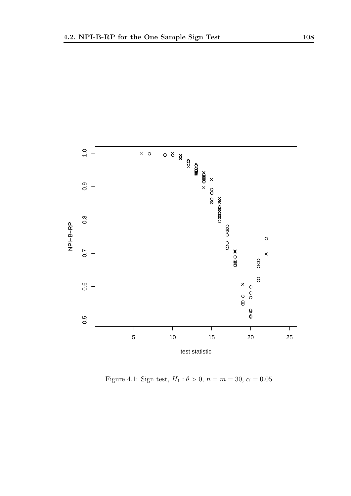

Figure 4.1: Sign test,  $H_1$  :  $\theta>0,$   $n=m=30,$   $\alpha=0.05$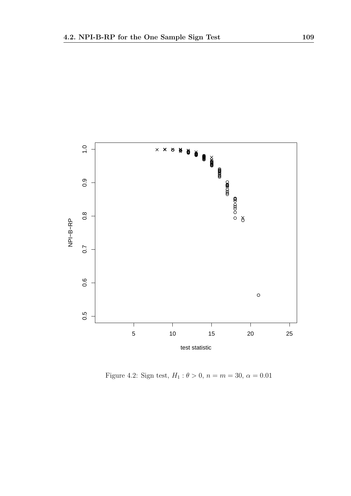

Figure 4.2: Sign test,  $H_1: \theta > 0$ ,  $n = m = 30$ ,  $\alpha = 0.01$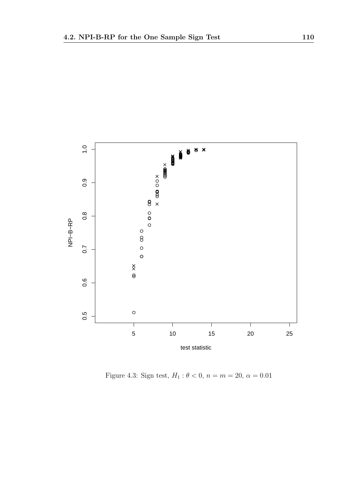

Figure 4.3: Sign test,  $H_1: \theta < 0$ ,  $n = m = 20$ ,  $\alpha = 0.01$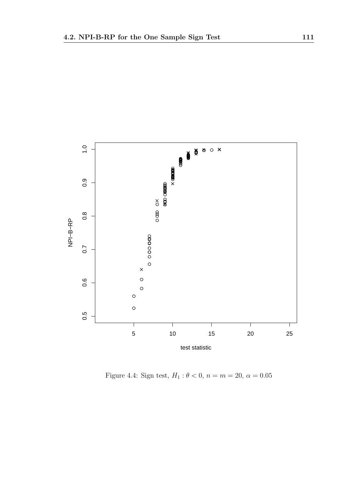

Figure 4.4: Sign test,  $H_1: \theta < 0$ ,  $n = m = 20$ ,  $\alpha = 0.05$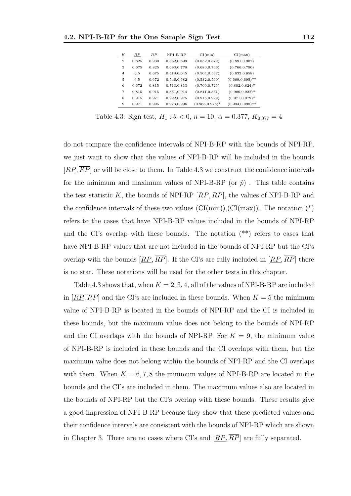| К              | RP    | $\overline{RP}$ | $NPI-B-RP$  | CI(min)            | CI(max)             |
|----------------|-------|-----------------|-------------|--------------------|---------------------|
| $\mathbf{2}$   | 0.825 | 0.930           | 0.862,0.899 | (0.852, 0.872)     | (0.891, 0.907)      |
| 3              | 0.675 | 0.825           | 0.693,0.778 | (0.680, 0.706)     | (0.766, 0.790)      |
| $\overline{4}$ | 0.5   | 0.675           | 0.518,0.645 | (0.504, 0.532)     | (0.632, 0.658)      |
| 5              | 0.5   | 0.672           | 0.546,0.682 | (0.532, 0.560)     | $(0.669, 0.695)$ ** |
| 6              | 0.672 | 0.815           | 0.713,0.813 | (0.700, 0.726)     | $(0.802, 0.824)^*$  |
| 7              | 0.815 | 0.915           | 0.851,0.914 | (0.841, 0.861)     | $(0.906, 0.922)^*$  |
| 8              | 0.915 | 0.971           | 0.922,0.975 | (0.915, 0.929)     | $(0.971, 0.979)^*$  |
| 9              | 0.971 | 0.995           | 0.973,0.996 | $(0.968, 0.978)^*$ | $(0.994, 0.998)$ ** |

Table 4.3: Sign test,  $H_1: \theta < 0$ ,  $n = 10$ ,  $\alpha = 0.377$ ,  $K_{0.377} = 4$ 

do not compare the confidence intervals of NPI-B-RP with the bounds of NPI-RP, we just want to show that the values of NPI-B-RP will be included in the bounds  $[RP, \overline{RP}]$  or will be close to them. In Table 4.3 we construct the confidence intervals for the minimum and maximum values of NPI-B-RP (or  $\hat{p}$ ). This table contains the test statistic K, the bounds of NPI-RP  $[RP, \overline{RP}]$ , the values of NPI-B-RP and the confidence intervals of these two values  $(Cl(min))$ ,  $Cl(max))$ . The notation  $(*)$ refers to the cases that have NPI-B-RP values included in the bounds of NPI-RP and the CI's overlap with these bounds. The notation (\*\*) refers to cases that have NPI-B-RP values that are not included in the bounds of NPI-RP but the CI's overlap with the bounds  $[RP, \overline{RP}]$ . If the CI's are fully included in  $[RP, \overline{RP}]$  there is no star. These notations will be used for the other tests in this chapter.

Table 4.3 shows that, when  $K = 2, 3, 4$ , all of the values of NPI-B-RP are included in  $[RP, \overline{RP}]$  and the CI's are included in these bounds. When  $K = 5$  the minimum value of NPI-B-RP is located in the bounds of NPI-RP and the CI is included in these bounds, but the maximum value does not belong to the bounds of NPI-RP and the CI overlaps with the bounds of NPI-RP. For  $K = 9$ , the minimum value of NPI-B-RP is included in these bounds and the CI overlaps with them, but the maximum value does not belong within the bounds of NPI-RP and the CI overlaps with them. When  $K = 6, 7, 8$  the minimum values of NPI-B-RP are located in the bounds and the CI's are included in them. The maximum values also are located in the bounds of NPI-RP but the CI's overlap with these bounds. These results give a good impression of NPI-B-RP because they show that these predicted values and their confidence intervals are consistent with the bounds of NPI-RP which are shown in Chapter 3. There are no cases where CI's and  $[RP, \overline{RP}]$  are fully separated.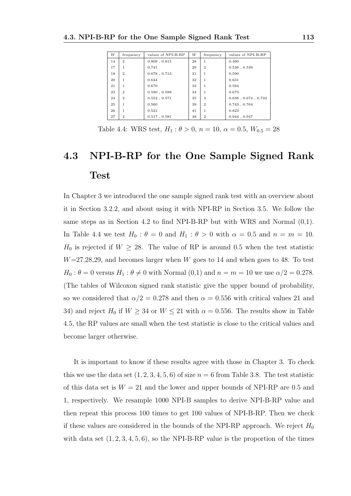| W  | frequency    | values of NPI-B-RP | W  | frequency      | values of NPI-B-RP          |
|----|--------------|--------------------|----|----------------|-----------------------------|
| 14 | $\mathbf{2}$ | $0.809$ , $0.815$  | 28 |                | 0.490                       |
| 17 | 1            | 0.741              | 29 | $\mathbf{2}$   | $0.536$ , $0.539$           |
| 18 | $\mathbf{2}$ | $0.678$ , $0.713$  | 31 | 1              | 0.590                       |
| 20 | 1            | 0.644              | 32 | 1              | 0.631                       |
| 21 | 1            | 0.670              | 33 | 1              | 0.594                       |
| 23 | $\mathbf{2}$ | 0.590, 0.599       | 34 | 1              | 0.675                       |
| 24 | $\mathbf{2}$ | 0.552, 0.571       | 35 | 3              | $0.638$ , $0.674$ , $0.733$ |
| 25 | 1            | 0.560              | 39 | $\mathbf{2}$   | 0.743, 0.764                |
| 26 | 1            | 0.521              | 41 | 1              | 0.823                       |
| 27 | $\mathbf{2}$ | $0.517$ , $0.581$  | 48 | $\overline{2}$ | 0.944, 0.947                |

Table 4.4: WRS test,  $H_1: \theta > 0$ ,  $n = 10$ ,  $\alpha = 0.5$ ,  $W_{0.5} = 28$ 

# 4.3 NPI-B-RP for the One Sample Signed Rank Test

In Chapter 3 we introduced the one sample signed rank test with an overview about it in Section 3.2.2, and about using it with NPI-RP in Section 3.5. We follow the same steps as in Section 4.2 to find NPI-B-RP but with WRS and Normal (0,1). In Table 4.4 we test  $H_0$ :  $\theta = 0$  and  $H_1$ :  $\theta > 0$  with  $\alpha = 0.5$  and  $n = m = 10$ .  $H_0$  is rejected if  $W \geq 28$ . The value of RP is around 0.5 when the test statistic  $W=27,28,29$ , and becomes larger when W goes to 14 and when goes to 48. To test  $H_0$ :  $\theta = 0$  versus  $H_1$ :  $\theta \neq 0$  with Normal  $(0,1)$  and  $n = m = 10$  we use  $\alpha/2 = 0.278$ . (The tables of Wilcoxon signed rank statistic give the upper bound of probability, so we considered that  $\alpha/2 = 0.278$  and then  $\alpha = 0.556$  with critical values 21 and 34) and reject  $H_0$  if  $W \geq 34$  or  $W \leq 21$  with  $\alpha = 0.556$ . The results show in Table 4.5, the RP values are small when the test statistic is close to the critical values and become larger otherwise.

It is important to know if these results agree with those in Chapter 3. To check this we use the data set  $(1, 2, 3, 4, 5, 6)$  of size  $n = 6$  from Table 3.8. The test statistic of this data set is  $W = 21$  and the lower and upper bounds of NPI-RP are 0.5 and 1, respectively. We resample 1000 NPI-B samples to derive NPI-B-RP value and then repeat this process 100 times to get 100 values of NPI-B-RP. Then we check if these values are considered in the bounds of the NPI-RP approach. We reject  $H_0$ with data set  $(1, 2, 3, 4, 5, 6)$ , so the NPI-B-RP value is the proportion of the times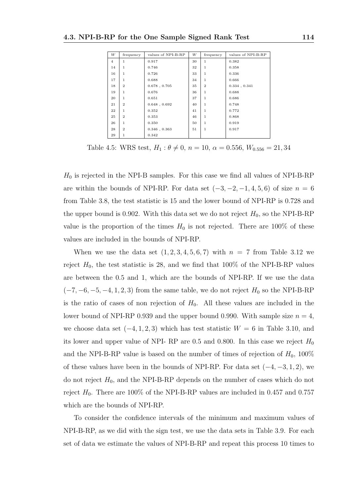| W              | frequency      | values of NPI-B-RP | W  | frequency    | values of NPI-B-RP |
|----------------|----------------|--------------------|----|--------------|--------------------|
| $\overline{4}$ | $\mathbf{1}$   | 0.917              | 30 | $\mathbf{1}$ | 0.382              |
| 14             | $\mathbf{1}$   | 0.746              | 32 | 1            | 0.358              |
| 16             | $\mathbf{1}$   | 0.726              | 33 | 1            | 0.336              |
| 17             | $\mathbf{1}$   | 0.688              | 34 | 1            | 0.666              |
| 18             | $\overline{2}$ | $0.678$ , $0.705$  | 35 | $\mathbf{2}$ | $0.334$ , $0.341$  |
| 19             | $\mathbf{1}$   | 0.676              | 36 | 1            | 0.688              |
| 20             | $\mathbf{1}$   | 0.651              | 37 | 1            | 0.686              |
| 21             | $\overline{2}$ | $0.648$ , $0.692$  | 40 | 1            | 0.748              |
| 22             | $\mathbf{1}$   | 0.352              | 41 | 1            | 0.772              |
| 25             | $\overline{2}$ | 0.353              | 46 | 1            | 0.868              |
| 26             | $\mathbf{1}$   | 0.350              | 50 | 1            | 0.919              |
| 28             | $\overline{2}$ | $0.346$ , $0.363$  | 51 | 1            | 0.917              |
| 29             | 1              | 0.342              |    |              |                    |

Table 4.5: WRS test,  $H_1: \theta \neq 0$ ,  $n = 10$ ,  $\alpha = 0.556$ ,  $W_{0.556} = 21,34$ 

 $H_0$  is rejected in the NPI-B samples. For this case we find all values of NPI-B-RP are within the bounds of NPI-RP. For data set  $(-3, -2, -1, 4, 5, 6)$  of size  $n = 6$ from Table 3.8, the test statistic is 15 and the lower bound of NPI-RP is 0.728 and the upper bound is 0.902. With this data set we do not reject  $H_0$ , so the NPI-B-RP value is the proportion of the times  $H_0$  is not rejected. There are 100% of these values are included in the bounds of NPI-RP.

When we use the data set  $(1, 2, 3, 4, 5, 6, 7)$  with  $n = 7$  from Table 3.12 we reject  $H_0$ , the test statistic is 28, and we find that 100% of the NPI-B-RP values are between the 0.5 and 1, which are the bounds of NPI-RP. If we use the data  $(-7, -6, -5, -4, 1, 2, 3)$  from the same table, we do not reject  $H_0$  so the NPI-B-RP is the ratio of cases of non rejection of  $H_0$ . All these values are included in the lower bound of NPI-RP 0.939 and the upper bound 0.990. With sample size  $n = 4$ , we choose data set  $(-4, 1, 2, 3)$  which has test statistic  $W = 6$  in Table 3.10, and its lower and upper value of NPI- RP are 0.5 and 0.800. In this case we reject  $H_0$ and the NPI-B-RP value is based on the number of times of rejection of  $H_0$ , 100% of these values have been in the bounds of NPI-RP. For data set  $(-4, -3, 1, 2)$ , we do not reject  $H_0$ , and the NPI-B-RP depends on the number of cases which do not reject  $H_0$ . There are 100% of the NPI-B-RP values are included in 0.457 and 0.757 which are the bounds of NPI-RP.

To consider the confidence intervals of the minimum and maximum values of NPI-B-RP, as we did with the sign test, we use the data sets in Table 3.9. For each set of data we estimate the values of NPI-B-RP and repeat this process 10 times to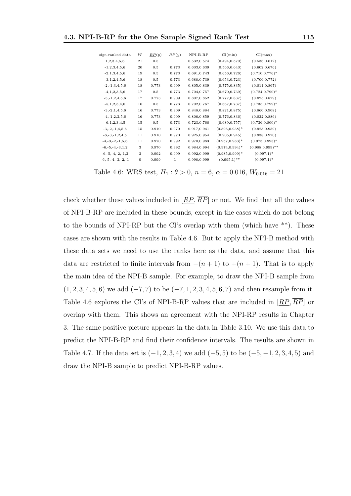| sign-ranked data         | W            | $\overline{RP}(y)$ | $\overline{RP}(y)$ | NPI-B-RP    | CI(min)            | CI(max)             |
|--------------------------|--------------|--------------------|--------------------|-------------|--------------------|---------------------|
| 1,2,3,4,5,6              | 21           | 0.5                | $\mathbf{1}$       | 0.532,0.574 | (0.494, 0.570)     | (0.536, 0.612)      |
| $-1, 2, 3, 4, 5, 6$      | 20           | 0.5                | 0.773              | 0.603,0.639 | (0.566, 0.640)     | (0.602, 0.676)      |
| $-2,1,3,4,5,6$           | 19           | 0.5                | 0.773              | 0.691,0.743 | (0.656, 0.726)     | $(0.710, 0.776)^*$  |
| $-3,1,2,4,5,6$           | 18           | 0.5                | 0.773              | 0.688,0.739 | (0.653, 0.723)     | (0.706, 0.772)      |
| $-2, -1, 3, 4, 5, 6$     | 18           | 0.773              | 0.909              | 0.805,0.839 | (0.775, 0.835)     | (0.811, 0.867)      |
| $-4, 1, 2, 3, 5, 6$      | 17           | 0.5                | 0.773              | 0.704,0.757 | (0.670, 0.739)     | $(0.724, 0.790)^*$  |
| $-3, -1, 2, 4, 5, 6$     | 17           | 0.773              | 0.909              | 0.807,0.852 | (0.777, 0.837)     | (0.825, 0.879)      |
| $-5,1,2,3,4,6$           | 16           | 0.5                | 0.773              | 0.702,0.767 | (0.667, 0.737)     | $(0.735, 0.799)^*$  |
| $-3, -2, 1, 4, 5, 6$     | 16           | 0.773              | 0.909              | 0.848,0.884 | (0.821, 0.875)     | (0.860, 0.908)      |
| $-4, -1, 2, 3, 5, 6$     | 16           | 0.773              | 0.909              | 0.806,0.859 | (0.776, 0.836)     | (0.832, 0.886)      |
| $-6,1,2,3,4,5$           | 15           | 0.5                | 0.773              | 0.723,0.768 | (0.689, 0.757)     | $(0.736, 0.800)^*$  |
| $-3, -2, -1, 4, 5, 6$    | 15           | 0.910              | 0.970              | 0.917,0.941 | $(0.896.0.938)^*$  | (0.923, 0.959)      |
| $-6, -3, -1, 2, 4, 5$    | 11           | 0.910              | 0.970              | 0.925,0.954 | (0.905, 0.945)     | (0.938, 0.970)      |
| $-4, -3, -2, -1, 5, 6$   | 11           | 0.970              | 0.992              | 0.970,0.983 | $(0.957, 0.983)^*$ | $(0.973, 0.993)^*$  |
| $-6, -5, -4, -3, 1, 2$   | 3            | 0.970              | 0.992              | 0.984,0.994 | $(0.974, 0.994)^*$ | $(0.988, 0.999)$ ** |
| $-6, -5, -4, -2, -1, 3$  | 3            | 0.992              | 0.999              | 0.992,0.999 | $(0.985, 0.999)^*$ | $(0.997,1)^*$       |
| $-6, -5, -4, -3, -2, -1$ | $\mathbf{0}$ | 0.999              | $\mathbf{1}$       | 0.998,0.999 | $(0.995,1)$ **     | $(0.997,1)^*$       |

Table 4.6: WRS test,  $H_1: \theta > 0$ ,  $n = 6$ ,  $\alpha = 0.016$ ,  $W_{0.016} = 21$ 

check whether these values included in  $[RP, \overline{RP}]$  or not. We find that all the values of NPI-B-RP are included in these bounds, except in the cases which do not belong to the bounds of NPI-RP but the CI's overlap with them (which have \*\*). These cases are shown with the results in Table 4.6. But to apply the NPI-B method with these data sets we need to use the ranks here as the data, and assume that this data are restricted to finite intervals from  $-(n+1)$  to  $+(n+1)$ . That is to apply the main idea of the NPI-B sample. For example, to draw the NPI-B sample from  $(1, 2, 3, 4, 5, 6)$  we add  $(-7, 7)$  to be  $(-7, 1, 2, 3, 4, 5, 6, 7)$  and then resample from it. Table 4.6 explores the CI's of NPI-B-RP values that are included in  $[RP, \overline{RP}]$  or overlap with them. This shows an agreement with the NPI-RP results in Chapter 3. The same positive picture appears in the data in Table 3.10. We use this data to predict the NPI-B-RP and find their confidence intervals. The results are shown in Table 4.7. If the data set is  $(-1, 2, 3, 4)$  we add  $(-5, 5)$  to be  $(-5, -1, 2, 3, 4, 5)$  and draw the NPI-B sample to predict NPI-B-RP values.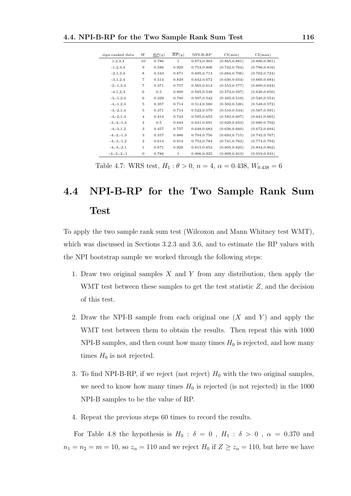| sign-ranked data | W                        | RP(y) | $\overline{RP}(y)$ | $NPI-B-RP$  | CI(min)        | CI(max)        |
|------------------|--------------------------|-------|--------------------|-------------|----------------|----------------|
| 1,2,3,4          | 10                       | 0.786 | $\mathbf{1}$       | 0.873,0.903 | (0.865, 0.881) | (0.896, 0.901) |
| $-1, 2, 3, 4$    | 9                        | 0.586 | 0.929              | 0.753,0.806 | (0.742, 0.764) | (0.796, 0.816) |
| $-2, 1, 3, 4$    | 8                        | 0.543 | 0.871              | 0.695,0.713 | (0.684, 0.706) | (0.702, 0.724) |
| $-3, 1, 2, 4$    | $\overline{\phantom{a}}$ | 0.514 | 0.829              | 0.642,0.672 | (0.630, 0.654) | (0.660, 0.684) |
| $-2, -1, 3, 4$   | $\overline{\phantom{a}}$ | 0.371 | 0.757              | 0.565,0.612 | (0.553, 0.577) | (0.600, 0.624) |
| $-4, 1, 2, 3$    | 6                        | 0.5   | 0.800              | 0.585,0.538 | (0.573, 0.597) | (0.626, 0.650) |
| $-3, -1, 2, 4$   | 6                        | 0.329 | 0.700              | 0.507,0.542 | (0.495, 0.519) | (0.530, 0.554) |
| $-4, -1, 2, 3$   | $\bf 5$                  | 0.357 | 0.714              | 0.514,0.560 | (0.502, 0.526) | (0.548, 0.572) |
| $-3, -2, 1, 4$   | $\bf 5$                  | 0.371 | 0.714              | 0.522,0.579 | (0.510, 0.534) | (0.567, 0.591) |
| $-4, -2, 1, 3$   | $\overline{4}$           | 0.414 | 0.743              | 0.595,0.653 | (0.583, 0.607) | (0.641, 0.665) |
| $-3, -2, -1, 4$  | $\overline{4}$           | 0.5   | 0.843              | 0.641,0.691 | (0.629, 0.653) | (0.680, 0.702) |
| $-4, -3, 1, 2$   | 3                        | 0.457 | 0.757              | 0.648,0.683 | (0.636, 0.660) | (0.672, 0.694) |
| $-4, -2, -1, 3$  | 3                        | 0.557 | 0.886              | 0.704,0.756 | (0.693, 0.715) | (0.745, 0.767) |
| $-4, -3, -1, 2$  | $\overline{2}$           | 0.614 | 0.914              | 0.752,0.784 | (0.741, 0.763) | (0.774, 0.794) |
| $-4, -3, -2, 1$  | $\,1$                    | 0.671 | 0.929              | 0.815,0.853 | (0.805, 0.825) | (0.844, 0.862) |
| $-4, -3, -2, -1$ | $\boldsymbol{0}$         | 0.786 | 1                  | 0.906,0.925 | (0.899, 0.913) | (0.919, 0.931) |

Table 4.7: WRS test,  $H_1: \theta > 0$ ,  $n = 4$ ,  $\alpha = 0.438$ ,  $W_{0.438} = 6$ 

# 4.4 NPI-B-RP for the Two Sample Rank Sum Test

To apply the two sample rank sum test (Wilcoxon and Mann Whitney test WMT), which was discussed in Sections 3.2.3 and 3.6, and to estimate the RP values with the NPI bootstrap sample we worked through the following steps:

- 1. Draw two original samples X and Y from any distribution, then apply the WMT test between these samples to get the test statistic  $Z$ , and the decision of this test.
- 2. Draw the NPI-B sample from each original one  $(X \text{ and } Y)$  and apply the WMT test between them to obtain the results. Then repeat this with 1000 NPI-B samples, and then count how many times  $H_0$  is rejected, and how many times  $H_0$  is not rejected.
- 3. To find NPI-B-RP, if we reject (not reject)  $H_0$  with the two original samples, we need to know how many times  $H_0$  is rejected (is not rejected) in the 1000 NPI-B samples to be the value of RP.
- 4. Repeat the previous steps 60 times to record the results.

For Table 4.8 the hypothesis is  $H_0$ :  $\delta = 0$ ,  $H_1$ :  $\delta > 0$ ,  $\alpha = 0.370$  and  $n_1 = n_2 = m = 10$ , so  $z_\alpha = 110$  and we reject  $H_0$  if  $Z \ge z_\alpha = 110$ , but here we have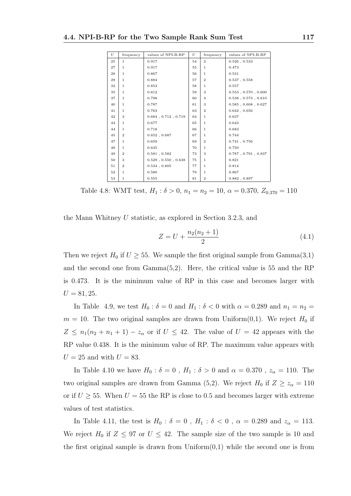| U  | frequency      | values of NPI-B-RP          | U  | frequency      | values of NPI-B-RP          |
|----|----------------|-----------------------------|----|----------------|-----------------------------|
| 25 | $\mathbf{1}$   | 0.917                       | 54 | $\overline{2}$ | $0.526$ , $0.533$           |
| 27 | $\mathbf{1}$   | 0.917                       | 55 | $\mathbf{1}$   | 0.473                       |
| 28 | 1              | 0.867                       | 56 | $\mathbf{1}$   | 0.531                       |
| 29 | $\mathbf{1}$   | 0.884                       | 57 | $\overline{2}$ | 0.537, 0.558                |
| 33 | $\mathbf{1}$   | 0.853                       | 58 | $\mathbf{1}$   | 0.557                       |
| 35 | $\mathbf{1}$   | 0.812                       | 59 | 3              | $0.553$ , $0.570$ , $0.600$ |
| 37 | $\mathbf{1}$   | 0.798                       | 60 | 3              | $0.538$ , $0.573$ , $0.610$ |
| 40 | $\mathbf{1}$   | 0.787                       | 61 | 3              | $0.585$ , $0.608$ , $0.627$ |
| 41 | $\mathbf{1}$   | 0.763                       | 63 | $\mathbf{2}$   | 0.642, 0.656                |
| 42 | 3              | $0.684$ , $0.712$ , $0.719$ | 64 | $\mathbf{1}$   | 0.637                       |
| 43 | 1              | 0.677                       | 65 | $\mathbf{1}$   | 0.643                       |
| 44 | $\mathbf{1}$   | 0.718                       | 66 | $\mathbf{1}$   | 0.683                       |
| 45 | $\mathbf{2}$   | 0.652, 0.687                | 67 | $\mathbf{1}$   | 0.744                       |
| 47 | $\mathbf{1}$   | 0.659                       | 69 | $\overline{2}$ | 0.741, 0.756                |
| 48 | 1              | 0.645                       | 70 | $\mathbf{1}$   | 0.750                       |
| 49 | $\mathbf{2}$   | $0.581$ , $0.582$           | 73 | 3              | $0.787$ , $0.791$ , $0.837$ |
| 50 | 3              | $0.529$ , $0.550$ , $0.638$ | 75 | $\mathbf{1}$   | 0.821                       |
| 51 | $\overline{2}$ | $0.534$ , $0.605$           | 77 | $\mathbf{1}$   | 0.814                       |
| 52 | $\mathbf{1}$   | 0.580                       | 79 | $\mathbf{1}$   | 0.867                       |
| 53 | $\mathbf{1}$   | 0.555                       | 81 | $\overline{2}$ | 0.882, 0.897                |

Table 4.8: WMT test,  $H_1$ :  $\delta > 0$ ,  $n_1 = n_2 = 10$ ,  $\alpha = 0.370$ ,  $Z_{0.370} = 110$ 

the Mann Whitney U statistic, as explored in Section 3.2.3, and

$$
Z = U + \frac{n_2(n_2 + 1)}{2} \tag{4.1}
$$

Then we reject  $H_0$  if  $U \geq 55$ . We sample the first original sample from Gamma $(3,1)$ and the second one from Gamma(5,2). Here, the critical value is 55 and the RP is 0.473. It is the minimum value of RP in this case and becomes larger with  $U = 81, 25.$ 

In Table 4.9, we test  $H_0$ :  $\delta = 0$  and  $H_1$ :  $\delta < 0$  with  $\alpha = 0.289$  and  $n_1 = n_2$  $m = 10$ . The two original samples are drawn from Uniform $(0,1)$ . We reject  $H_0$  if  $Z \leq n_1(n_2 + n_1 + 1) - z_\alpha$  or if  $U \leq 42$ . The value of  $U = 42$  appears with the RP value 0.438. It is the minimum value of RP. The maximum value appears with  $U = 25$  and with  $U = 83$ .

In Table 4.10 we have  $H_0$ :  $\delta = 0$ ,  $H_1$ :  $\delta > 0$  and  $\alpha = 0.370$ ,  $z_\alpha = 110$ . The two original samples are drawn from Gamma (5,2). We reject  $H_0$  if  $Z \ge z_\alpha = 110$ or if  $U \geq 55$ . When  $U = 55$  the RP is close to 0.5 and becomes larger with extreme values of test statistics.

In Table 4.11, the test is  $H_0$ :  $\delta = 0$ ,  $H_1$ :  $\delta < 0$ ,  $\alpha = 0.289$  and  $z_\alpha = 113$ . We reject  $H_0$  if  $Z \leq 97$  or  $U \leq 42$ . The sample size of the two sample is 10 and the first original sample is drawn from  $Uniform(0,1)$  while the second one is from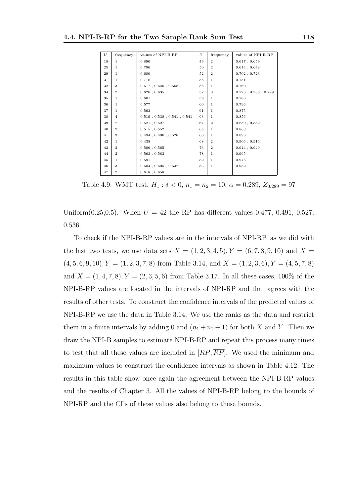| U  | frequency      | values of NPI-B-RP                    | U  | frequency      | values of NPI-B-RP          |
|----|----------------|---------------------------------------|----|----------------|-----------------------------|
| 18 | $\mathbf{1}$   | 0.896                                 | 49 | $\overline{2}$ | $0.617$ , $0.659$           |
| 25 | 1.             | 0.796                                 | 50 | $\mathbf{2}$   | $0.614$ , $0.648$           |
| 29 | $\mathbf{1}$   | 0.680                                 | 52 | $\overline{2}$ | $0.702$ , $0.723$           |
| 31 | 1              | 0.718                                 | 55 | $\mathbf{1}$   | 0.751                       |
| 32 | 3              | $0.617$ , $0.646$ , $0.668$           | 56 | 1              | 0.760                       |
| 34 | $\mathbf{2}$   | $0.626$ , $0.635$                     | 57 | 3              | $0.773$ , $0.786$ , $0.799$ |
| 35 | 1.             | 0.601                                 | 59 | 1.             | 0.768                       |
| 36 | $\mathbf{1}$   | 0.577                                 | 60 | $\mathbf{1}$   | 0.796                       |
| 37 | 1              | 0.563                                 | 61 | 1              | 0.875                       |
| 38 | $\overline{4}$ | $0.519$ , $0.538$ , $0.541$ , $0.541$ | 63 | $\mathbf{1}$   | 0.856                       |
| 39 | $\mathbf{2}$   | 0.521, 0.527                          | 64 | $\mathbf{2}$   | $0.850\ ,\ 0.882$           |
| 40 | $\mathbf{2}$   | $0.515$ , $0.552$                     | 65 | $\mathbf{1}$   | 0.868                       |
| 41 | 3              | $0.494$ , $0.496$ , $0.528$           | 66 | $\mathbf{1}$   | 0.893                       |
| 42 | 1              | 0.438                                 | 68 | $\overline{2}$ | 0.906, 0.916                |
| 43 | $\mathbf{2}$   | $0.506$ , $0.565$                     | 73 | $\overline{2}$ | 0.944, 0.949                |
| 44 | $\mathbf{2}$   | $0.563$ , $0.583$                     | 78 | $\mathbf{1}$   | 0.965                       |
| 45 | 1              | 0.591                                 | 82 | $\mathbf{1}$   | 0.976                       |
| 46 | 3              | $0.604$ , $0.605$ , $0.632$           | 83 | $\mathbf{1}$   | 0.982                       |
| 47 | $\overline{2}$ | $0.618$ , $0.658$                     |    |                |                             |

Table 4.9: WMT test,  $H_1 : \delta < 0$ ,  $n_1 = n_2 = 10$ ,  $\alpha = 0.289$ ,  $Z_{0.289} = 97$ 

Uniform $(0.25, 0.5)$ . When  $U = 42$  the RP has different values 0.477, 0.491, 0.527. 0.536.

To check if the NPI-B-RP values are in the intervals of NPI-RP, as we did with the last two tests, we use data sets  $X = (1, 2, 3, 4, 5), Y = (6, 7, 8, 9, 10)$  and  $X =$  $(4, 5, 6, 9, 10), Y = (1, 2, 3, 7, 8)$  from Table 3.14, and  $X = (1, 2, 3, 6), Y = (4, 5, 7, 8)$ and  $X = (1, 4, 7, 8), Y = (2, 3, 5, 6)$  from Table 3.17. In all these cases, 100% of the NPI-B-RP values are located in the intervals of NPI-RP and that agrees with the results of other tests. To construct the confidence intervals of the predicted values of NPI-B-RP we use the data in Table 3.14. We use the ranks as the data and restrict them in a finite intervals by adding 0 and  $(n_1 + n_2 + 1)$  for both X and Y. Then we draw the NPI-B samples to estimate NPI-B-RP and repeat this process many times to test that all these values are included in  $[RP, \overline{RP}]$ . We used the minimum and maximum values to construct the confidence intervals as shown in Table 4.12. The results in this table show once again the agreement between the NPI-B-RP values and the results of Chapter 3. All the values of NPI-B-RP belong to the bounds of NPI-RP and the CI's of these values also belong to these bounds.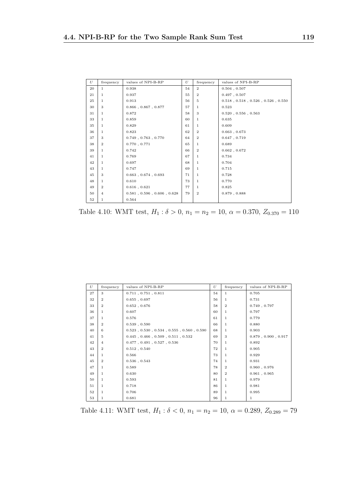| U      | frequency      | values of NPI-B-RP                    | U  | frequency      | values of NPI-B-RP                              |
|--------|----------------|---------------------------------------|----|----------------|-------------------------------------------------|
| 20     | $\mathbf{1}$   | 0.938                                 | 54 | $\overline{2}$ | $0.504$ , $0.507$                               |
| 21     | $\mathbf{1}$   | 0.937                                 | 55 | $\mathbf{2}$   | 0.497, 0.507                                    |
| 25     | $\mathbf{1}$   | 0.913                                 | 56 | 5              | $0.518$ , $0.518$ , $0.526$ , $0.526$ , $0.550$ |
| 30     | 3              | $0.866$ , $0.867$ , $0.877$           | 57 | $\mathbf{1}$   | 0.523                                           |
| 31     | $\mathbf{1}$   | 0.872                                 | 58 | 3              | $0.520$ , $0.556$ , $0.563$                     |
| 33     | 1              | 0.859                                 | 60 | $\mathbf{1}$   | 0.635                                           |
| 35     | $\mathbf{1}$   | 0.829                                 | 61 | $\mathbf{1}$   | 0.609                                           |
| 36     | 1              | 0.823                                 | 62 | $\mathbf{2}$   | $0.663$ , $0.673$                               |
| 37     | 3              | $0.749$ , $0.763$ , $0.770$           | 64 | $\mathbf{2}$   | 0.647, 0.719                                    |
| 38     | $\overline{2}$ | 0.770, 0.771                          | 65 | $\mathbf{1}$   | 0.689                                           |
| 39     | $\mathbf{1}$   | 0.742                                 | 66 | $\mathbf{2}$   | 0.662, 0.672                                    |
| 41     | $\mathbf{1}$   | 0.769                                 | 67 | $\mathbf{1}$   | 0.734                                           |
| 42     | $\mathbf{1}$   | 0.697                                 | 68 | $\mathbf{1}$   | 0.704                                           |
| 43     | 1              | 0.747                                 | 69 | $\mathbf{1}$   | 0.715                                           |
| 45     | 3              | $0.663$ , $0.674$ , $0.693$           | 71 | $\mathbf{1}$   | 0.728                                           |
| 48     | $\mathbf{1}$   | 0.610                                 | 73 | $\mathbf{1}$   | 0.770                                           |
| 49     | $\overline{2}$ | $0.616$ , $0.621$                     | 77 | $\mathbf{1}$   | 0.825                                           |
| 50     | $\overline{4}$ | $0.581$ , $0.596$ , $0.606$ , $0.628$ | 79 | $\mathbf{2}$   | $0.879$ , $0.888$                               |
| $52\,$ | 1              | 0.564                                 |    |                |                                                 |

Table 4.10: WMT test,  $H_1: \delta > 0$ ,  $n_1 = n_2 = 10$ ,  $\alpha = 0.370$ ,  $Z_{0.370} = 110$ 

| U  | frequency      | values of NPI-B-RP                                        | U  | frequency      | values of NPI-B-RP          |
|----|----------------|-----------------------------------------------------------|----|----------------|-----------------------------|
| 27 | 3              | $0.711$ , $0.751$ , $0.811$                               | 54 | $\mathbf{1}$   | 0.705                       |
| 32 | $\mathbf{2}$   | 0.655, 0.697                                              | 56 | 1              | 0.731                       |
| 33 | $\overline{2}$ | 0.652, 0.676                                              | 58 | $\mathbf{2}$   | $0.749$ , $0.797$           |
| 36 | 1              | 0.607                                                     | 60 | $\mathbf{1}$   | 0.797                       |
| 37 | $\mathbf{1}$   | 0.576                                                     | 61 | $\mathbf{1}$   | 0.779                       |
| 38 | $\mathbf{2}$   | $0.539$ , $0.590$                                         | 66 | 1              | 0.880                       |
| 40 | 6              | $0.523$ , $0.530$ , $0.534$ , $0.555$ , $0.560$ , $0.590$ | 68 | 1              | 0.903                       |
| 41 | 5              | $0.445$ , $0.466$ , $0.509$ , $0.511$ , $0.532$           | 69 | 3              | $0.879$ , $0.900$ , $0.917$ |
| 42 | $\overline{4}$ | $0.477$ , $0.491$ , $0.527$ , $0.536$                     | 70 | 1              | 0.892                       |
| 43 | $\mathbf{2}$   | 0.512, 0.540                                              | 72 | 1              | 0.905                       |
| 44 | $\mathbf{1}$   | 0.566                                                     | 73 | 1              | 0.929                       |
| 45 | $\overline{2}$ | $0.536$ , $0.543$                                         | 74 | 1.             | 0.931                       |
| 47 | 1              | 0.589                                                     | 78 | $\mathbf{2}$   | 0.960, 0.976                |
| 49 | $\mathbf{1}$   | 0.630                                                     | 80 | $\overline{2}$ | 0.961, 0.965                |
| 50 | 1              | 0.593                                                     | 81 | 1              | 0.979                       |
| 51 | $\mathbf{1}$   | 0.718                                                     | 86 | 1              | 0.981                       |
| 52 | $\mathbf{1}$   | 0.706                                                     | 89 | 1              | 0.995                       |
| 53 | $\mathbf{1}$   | 0.681                                                     | 96 | 1              | $\mathbf{1}$                |

Table 4.11: WMT test,  $H_1: \delta < 0$ ,  $n_1 = n_2 = 10$ ,  $\alpha = 0.289$ ,  $Z_{0.289} = 79$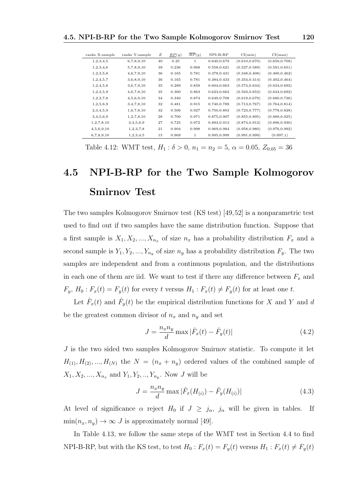| ranks X-sample | ranks Y-sample | Ζ  | $\mathbb{R}P(y)$ | $\overline{RP}(y)$ | $NPI-B-RP$  | CI(min)        | CI(max)        |
|----------------|----------------|----|------------------|--------------------|-------------|----------------|----------------|
| 1, 2, 3, 4, 5  | 6,7,8,9,10     | 40 | 0.25             | 1                  | 0.640,0.679 | (0.610, 0.670) | (0.650, 0.708) |
| 1, 2, 3, 4, 6  | 5,7,8,9,10     | 39 | 0.236            | 0.968              | 0.558,0.621 | (0.527, 0.589) | (0.591, 0.651) |
| 1, 2, 3, 5, 8  | 4,6,7,9,10     | 36 | 0.165            | 0.781              | 0.378,0.431 | (0.348, 0.408) | (0.400, 0.462) |
| 1, 2, 4, 5, 7  | 3,6,8,9,10     | 36 | 0.165            | 0.781              | 0.384,0.433 | (0.354, 0.414) | (0.402, 0.464) |
| 1, 2, 4, 5, 8  | 3,6,7,9,10     | 35 | 0.289            | 0.858              | 0.604,0.663 | (0.574, 0.634) | (0.634, 0.692) |
| 1, 2, 3, 5, 9  | 4,6,7,8,10     | 35 | 0.300            | 0.863              | 0.623,0.663 | (0.593, 0.653) | (0.634, 0.692) |
| 1, 2, 3, 7, 8  | 4,5,6,9,10     | 34 | 0.340            | 0.874              | 0.649,0.708 | (0.619, 0.679) | (0.680, 0.736) |
| 1,2,5,6,9      | 3,4,7,8,10     | 32 | 0.481            | 0.915              | 0.740,0.789 | (0.713, 0.767) | (0.764, 0.814) |
| 2,3,4,5,9      | 1,6,7,8,10     | 32 | 0.506            | 0.927              | 0.750,0.803 | (0.723, 0.777) | (0.778, 0.828) |
| 3,4,5,6,9      | 1, 2, 7, 8, 10 | 28 | 0.700            | 0.971              | 0.875,0.907 | (0.855, 0.895) | (0.889, 0.925) |
| 1, 2, 7, 8, 10 | 3,4,5,6,9      | 27 | 0.725            | 0.972              | 0.893,0.913 | (0.874, 0.912) | (0.896, 0.930) |
| 4,5,6,9,10     | 1, 2, 3, 7, 8  | 21 | 0.904            | 0.998              | 0.969,0.984 | (0.958, 0.980) | (0.976, 0.992) |
| 6,7,8,9,10     | 1, 2, 3, 4, 5  | 15 | 0.969            | 1                  | 0.995,0.999 | (0.991, 0.999) | (0.997,1)      |

Table 4.12: WMT test,  $H_1 : \delta > 0$ ,  $n_1 = n_2 = 5$ ,  $\alpha = 0.05$ ,  $Z_{0.05} = 36$ 

## 4.5 NPI-B-RP for the Two Sample Kolmogorov Smirnov Test

The two samples Kolmogorov Smirnov test (KS test) [49,52] is a nonparametric test used to find out if two samples have the same distribution function. Suppose that a first sample is  $X_1, X_2, ..., X_{n_x}$  of size  $n_x$  has a probability distribution  $F_x$  and a second sample is  $Y_1, Y_2, ..., Y_{n_y}$  of size  $n_y$  has a probability distribution  $F_y$ . The two samples are independent and from a continuous population, and the distributions in each one of them are iid. We want to test if there any difference between  $F_x$  and  $F_y$ ,  $H_0: F_x(t) = F_y(t)$  for every t versus  $H_1: F_x(t) \neq F_y(t)$  for at least one t.

Let  $\hat{F}_x(t)$  and  $\hat{F}_y(t)$  be the empirical distribution functions for X and Y and d be the greatest common divisor of  $n_x$  and  $n_y$  and set

$$
J = \frac{n_x n_y}{d} \max |\hat{F}_x(t) - \hat{F}_y(t)|
$$
\n(4.2)

J is the two sided two samples Kolmogorov Smirnov statistic. To compute it let  $H_{(1)}, H_{(2)}, ..., H_{(N)}$  the  $N = (n_x + n_y)$  ordered values of the combined sample of  $X_1, X_2, ..., X_{n_x}$  and  $Y_1, Y_2, ..., Y_{n_y}$ . Now J will be

$$
J = \frac{n_x n_y}{d} \max |\hat{F}_x(H_{(i)}) - \hat{F}_y(H_{(i)})|
$$
\n(4.3)

At level of significance  $\alpha$  reject  $H_0$  if  $J \geq j_\alpha$ ,  $j_\alpha$  will be given in tables. If  $\min(n_x, n_y) \to \infty$  *J* is approximately normal [49].

In Table 4.13, we follow the same steps of the WMT test in Section 4.4 to find NPI-B-RP, but with the KS test, to test  $H_0$ :  $F_x(t) = F_y(t)$  versus  $H_1$ :  $F_x(t) \neq F_y(t)$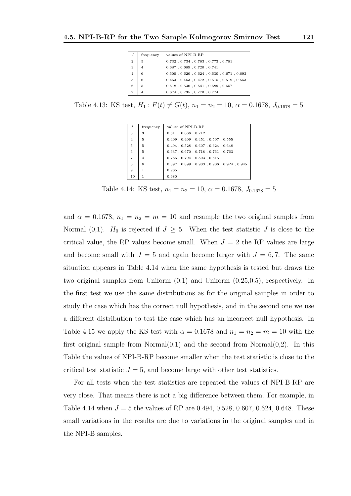| J              | frequency | values of NPI-B-RP                                        |
|----------------|-----------|-----------------------------------------------------------|
| $\overline{2}$ | 5         | $0.732$ , $0.734$ , $0.763$ , $0.773$ , $0.781$           |
| 3              | 4         | $0.687$ , $0.689$ , $0.720$ , $0.741$                     |
| 4              | 6         | $0.600$ , $0.620$ , $0.624$ , $0.630$ , $0.671$ , $0.693$ |
| 5              | 6         | $0.463$ , $0.463$ , $0.472$ , $0.515$ , $0.519$ , $0.553$ |
| 6              | 5         | $0.518$ , $0.530$ , $0.541$ , $0.589$ , $0.657$           |
|                | 4         | $0.674$ , $0.735$ , $0.770$ , $0.774$                     |

Table 4.13: KS test,  $H_1: F(t) \neq G(t)$ ,  $n_1 = n_2 = 10$ ,  $\alpha = 0.1678$ ,  $J_{0.1678} = 5$ 

| J              | frequency      | values of NPI-B-RP                                        |
|----------------|----------------|-----------------------------------------------------------|
| 3              | 3              | $0.611$ , $0.666$ , $0.712$                               |
| $\overline{4}$ | 5              | $0.409$ , $0.409$ , $0.451$ , $0.507$ , $0.555$           |
| 5              | 5              | $0.494$ , $0.528$ , $0.607$ , $0.624$ , $0.648$           |
| 6              | 5              | $0.637$ , $0.670$ , $0.718$ , $0.761$ , $0.763$           |
| $\overline{7}$ | $\overline{4}$ | $0.766$ , $0.794$ , $0.803$ , $0.815$                     |
| 8              | 6              | $0.897$ , $0.899$ , $0.903$ , $0.906$ , $0.924$ , $0.945$ |
| 9              | 1              | 0.965                                                     |
| 10             |                | 0.980                                                     |

Table 4.14: KS test,  $n_1 = n_2 = 10$ ,  $\alpha = 0.1678$ ,  $J_{0.1678} = 5$ 

and  $\alpha = 0.1678$ ,  $n_1 = n_2 = m = 10$  and resample the two original samples from Normal (0,1).  $H_0$  is rejected if  $J \geq 5$ . When the test statistic J is close to the critical value, the RP values become small. When  $J = 2$  the RP values are large and become small with  $J = 5$  and again become larger with  $J = 6, 7$ . The same situation appears in Table 4.14 when the same hypothesis is tested but draws the two original samples from Uniform (0,1) and Uniform (0.25,0.5), respectively. In the first test we use the same distributions as for the original samples in order to study the case which has the correct null hypothesis, and in the second one we use a different distribution to test the case which has an incorrect null hypothesis. In Table 4.15 we apply the KS test with  $\alpha = 0.1678$  and  $n_1 = n_2 = m = 10$  with the first original sample from Normal $(0,1)$  and the second from Normal $(0,2)$ . In this Table the values of NPI-B-RP become smaller when the test statistic is close to the critical test statistic  $J = 5$ , and become large with other test statistics.

For all tests when the test statistics are repeated the values of NPI-B-RP are very close. That means there is not a big difference between them. For example, in Table 4.14 when  $J = 5$  the values of RP are 0.494, 0.528, 0.607, 0.624, 0.648. These small variations in the results are due to variations in the original samples and in the NPI-B samples.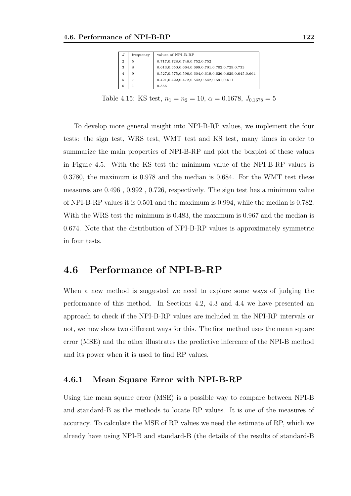| J            | frequency | values of NPI-B-RP                                    |
|--------------|-----------|-------------------------------------------------------|
| $\mathbf{2}$ | 5         | 0.717, 0.728, 0.746, 0.752, 0.752                     |
| 3            | 8         | 0.613,0.650,0.664,0.699,0.701,0.702,0.729,0.733       |
| 4            | 9         | 0.527,0.575,0.596,0.604,0.619,0.626,0.629,0.645,0.664 |
| 5            | 7         | $0.421, 0.422, 0.472, 0.542, 0.542, 0.591, 0.611$     |
| 6            |           | 0.566                                                 |

Table 4.15: KS test,  $n_1 = n_2 = 10$ ,  $\alpha = 0.1678$ ,  $J_{0.1678} = 5$ 

To develop more general insight into NPI-B-RP values, we implement the four tests: the sign test, WRS test, WMT test and KS test, many times in order to summarize the main properties of NPI-B-RP and plot the boxplot of these values in Figure 4.5. With the KS test the minimum value of the NPI-B-RP values is 0.3780, the maximum is 0.978 and the median is 0.684. For the WMT test these measures are 0.496 , 0.992 , 0.726, respectively. The sign test has a minimum value of NPI-B-RP values it is 0.501 and the maximum is 0.994, while the median is 0.782. With the WRS test the minimum is 0.483, the maximum is 0.967 and the median is 0.674. Note that the distribution of NPI-B-RP values is approximately symmetric in four tests.

#### 4.6 Performance of NPI-B-RP

When a new method is suggested we need to explore some ways of judging the performance of this method. In Sections 4.2, 4.3 and 4.4 we have presented an approach to check if the NPI-B-RP values are included in the NPI-RP intervals or not, we now show two different ways for this. The first method uses the mean square error (MSE) and the other illustrates the predictive inference of the NPI-B method and its power when it is used to find RP values.

#### 4.6.1 Mean Square Error with NPI-B-RP

Using the mean square error (MSE) is a possible way to compare between NPI-B and standard-B as the methods to locate RP values. It is one of the measures of accuracy. To calculate the MSE of RP values we need the estimate of RP, which we already have using NPI-B and standard-B (the details of the results of standard-B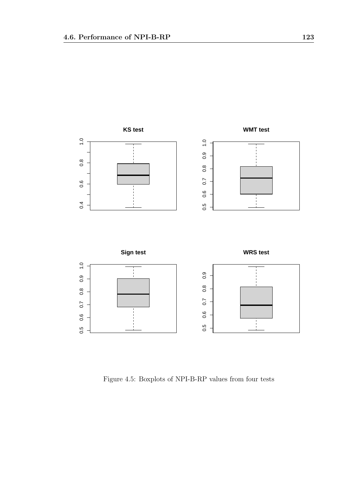

Figure 4.5: Boxplots of NPI-B-RP values from four tests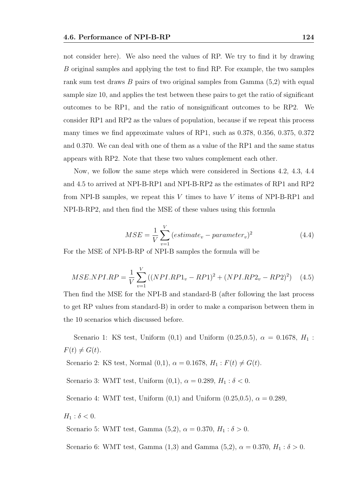not consider here). We also need the values of RP. We try to find it by drawing B original samples and applying the test to find RP. For example, the two samples rank sum test draws B pairs of two original samples from Gamma (5,2) with equal sample size 10, and applies the test between these pairs to get the ratio of significant outcomes to be RP1, and the ratio of nonsignificant outcomes to be RP2. We consider RP1 and RP2 as the values of population, because if we repeat this process many times we find approximate values of RP1, such as 0.378, 0.356, 0.375, 0.372 and 0.370. We can deal with one of them as a value of the RP1 and the same status appears with RP2. Note that these two values complement each other.

Now, we follow the same steps which were considered in Sections 4.2, 4.3, 4.4 and 4.5 to arrived at NPI-B-RP1 and NPI-B-RP2 as the estimates of RP1 and RP2 from NPI-B samples, we repeat this  $V$  times to have  $V$  items of NPI-B-RP1 and NPI-B-RP2, and then find the MSE of these values using this formula

$$
MSE = \frac{1}{V} \sum_{v=1}^{V} (estimate_v - parameter_v)^2
$$
 (4.4)

For the MSE of NPI-B-RP of NPI-B samples the formula will be

$$
MSE.NPI.RP = \frac{1}{V} \sum_{v=1}^{V} \left( (NPI.RP1_v - RP1)^2 + (NPI.RP2_v - RP2)^2 \right) \tag{4.5}
$$

Then find the MSE for the NPI-B and standard-B (after following the last process to get RP values from standard-B) in order to make a comparison between them in the 10 scenarios which discussed before.

Scenario 1: KS test, Uniform  $(0,1)$  and Uniform  $(0.25,0.5)$ ,  $\alpha = 0.1678$ ,  $H_1$ :  $F(t) \neq G(t)$ .

Scenario 2: KS test, Normal (0,1),  $\alpha = 0.1678$ ,  $H_1: F(t) \neq G(t)$ .

Scenario 3: WMT test, Uniform  $(0,1)$ ,  $\alpha = 0.289$ ,  $H_1 : \delta < 0$ .

Scenario 4: WMT test, Uniform  $(0,1)$  and Uniform  $(0.25,0.5)$ ,  $\alpha = 0.289$ ,

 $H_1$  :  $\delta$  < 0.

Scenario 5: WMT test, Gamma (5,2),  $\alpha = 0.370, H_1 : \delta > 0$ .

Scenario 6: WMT test, Gamma  $(1,3)$  and Gamma  $(5,2)$ ,  $\alpha = 0.370$ ,  $H_1 : \delta > 0$ .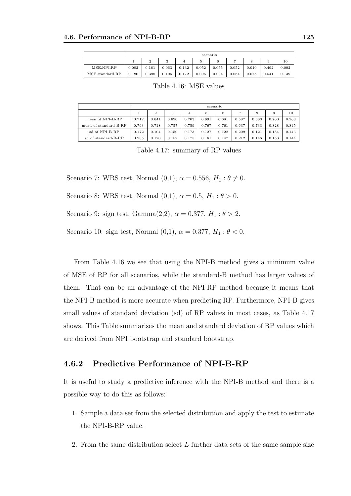|                 | scenario |       |       |       |       |       |       |       |       |       |  |
|-----------------|----------|-------|-------|-------|-------|-------|-------|-------|-------|-------|--|
|                 |          |       |       |       |       |       |       |       |       | 10    |  |
| MSE.NPI.RP      | 0.082    | 0.181 | 0.063 | 0.132 | 0.052 | 0.055 | 0.052 | 0.040 | 0.492 | 0.092 |  |
| MSE.standard.RP | 0.180    | 0.398 | 0.106 | 0.172 | 0.096 | 0.094 | 0.064 | 0.075 | 0.541 | 0.139 |  |

Table 4.16: MSE values

|                       | scenario |                |       |       |       |       |       |       |       |       |
|-----------------------|----------|----------------|-------|-------|-------|-------|-------|-------|-------|-------|
|                       |          | $\overline{2}$ | 3     | 4     | 5     | 6     |       | 8     | 9     | 10    |
| mean of NPI-B-RP      | 0.712    | 0.641          | 0.690 | 0.703 | 0.691 | 0.681 | 0.587 | 0.663 | 0.760 | 0.768 |
| mean of standard-B-RP | 0.793    | 0.718          | 0.757 | 0.759 | 0.767 | 0.761 | 0.637 | 0.733 | 0.828 | 0.845 |
| sd of NPI-B-RP        | 0.172    | 0.104          | 0.150 | 0.173 | 0.127 | 0.122 | 0.209 | 0.121 | 0.154 | 0.143 |
| sd of standard-B-RP   | 0.285    | 0.170          | 0.157 | 0.175 | 0.161 | 0.147 | 0.212 | 0.146 | 0.153 | 0.144 |

Table 4.17: summary of RP values

Scenario 7: WRS test, Normal  $(0,1)$ ,  $\alpha = 0.556$ ,  $H_1 : \theta \neq 0$ .

Scenario 8: WRS test, Normal  $(0,1)$ ,  $\alpha = 0.5$ ,  $H_1 : \theta > 0$ .

Scenario 9: sign test, Gamma $(2,2)$ ,  $\alpha = 0.377$ ,  $H_1 : \theta > 2$ .

Scenario 10: sign test, Normal  $(0,1)$ ,  $\alpha = 0.377$ ,  $H_1 : \theta < 0$ .

From Table 4.16 we see that using the NPI-B method gives a minimum value of MSE of RP for all scenarios, while the standard-B method has larger values of them. That can be an advantage of the NPI-RP method because it means that the NPI-B method is more accurate when predicting RP. Furthermore, NPI-B gives small values of standard deviation (sd) of RP values in most cases, as Table 4.17 shows. This Table summarises the mean and standard deviation of RP values which are derived from NPI bootstrap and standard bootstrap.

#### 4.6.2 Predictive Performance of NPI-B-RP

It is useful to study a predictive inference with the NPI-B method and there is a possible way to do this as follows:

- 1. Sample a data set from the selected distribution and apply the test to estimate the NPI-B-RP value.
- 2. From the same distribution select L further data sets of the same sample size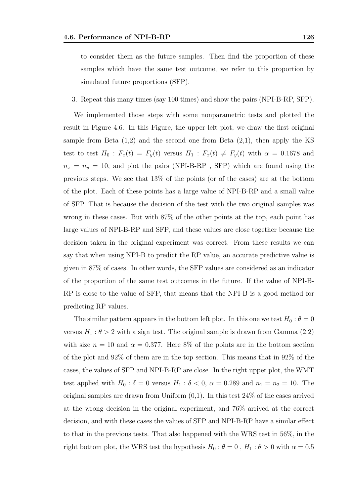to consider them as the future samples. Then find the proportion of these samples which have the same test outcome, we refer to this proportion by simulated future proportions (SFP).

3. Repeat this many times (say 100 times) and show the pairs (NPI-B-RP, SFP).

We implemented those steps with some nonparametric tests and plotted the result in Figure 4.6. In this Figure, the upper left plot, we draw the first original sample from Beta  $(1,2)$  and the second one from Beta  $(2,1)$ , then apply the KS test to test  $H_0$ :  $F_x(t) = F_y(t)$  versus  $H_1$ :  $F_x(t) \neq F_y(t)$  with  $\alpha = 0.1678$  and  $n_x = n_y = 10$ , and plot the pairs (NPI-B-RP , SFP) which are found using the previous steps. We see that 13% of the points (or of the cases) are at the bottom of the plot. Each of these points has a large value of NPI-B-RP and a small value of SFP. That is because the decision of the test with the two original samples was wrong in these cases. But with 87% of the other points at the top, each point has large values of NPI-B-RP and SFP, and these values are close together because the decision taken in the original experiment was correct. From these results we can say that when using NPI-B to predict the RP value, an accurate predictive value is given in 87% of cases. In other words, the SFP values are considered as an indicator of the proportion of the same test outcomes in the future. If the value of NPI-B-RP is close to the value of SFP, that means that the NPI-B is a good method for predicting RP values.

The similar pattern appears in the bottom left plot. In this one we test  $H_0$ :  $\theta = 0$ versus  $H_1: \theta > 2$  with a sign test. The original sample is drawn from Gamma (2,2) with size  $n = 10$  and  $\alpha = 0.377$ . Here 8% of the points are in the bottom section of the plot and 92% of them are in the top section. This means that in 92% of the cases, the values of SFP and NPI-B-RP are close. In the right upper plot, the WMT test applied with  $H_0$ :  $\delta = 0$  versus  $H_1$ :  $\delta < 0$ ,  $\alpha = 0.289$  and  $n_1 = n_2 = 10$ . The original samples are drawn from Uniform  $(0,1)$ . In this test  $24\%$  of the cases arrived at the wrong decision in the original experiment, and 76% arrived at the correct decision, and with these cases the values of SFP and NPI-B-RP have a similar effect to that in the previous tests. That also happened with the WRS test in 56%, in the right bottom plot, the WRS test the hypothesis  $H_0$ :  $\theta = 0$ ,  $H_1$ :  $\theta > 0$  with  $\alpha = 0.5$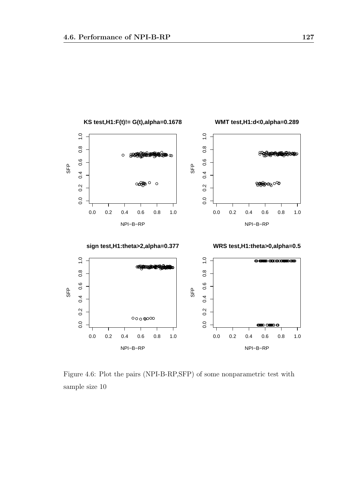

Figure 4.6: Plot the pairs (NPI-B-RP,SFP) of some nonparametric test with sample size 10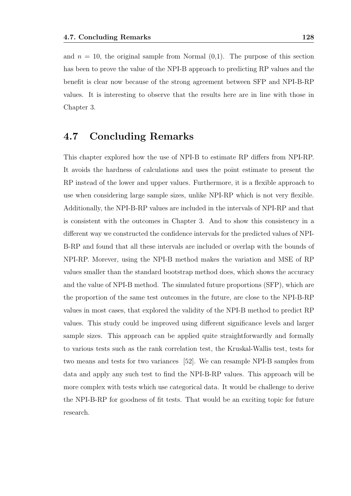and  $n = 10$ , the original sample from Normal  $(0,1)$ . The purpose of this section has been to prove the value of the NPI-B approach to predicting RP values and the benefit is clear now because of the strong agreement between SFP and NPI-B-RP values. It is interesting to observe that the results here are in line with those in Chapter 3.

#### 4.7 Concluding Remarks

This chapter explored how the use of NPI-B to estimate RP differs from NPI-RP. It avoids the hardness of calculations and uses the point estimate to present the RP instead of the lower and upper values. Furthermore, it is a flexible approach to use when considering large sample sizes, unlike NPI-RP which is not very flexible. Additionally, the NPI-B-RP values are included in the intervals of NPI-RP and that is consistent with the outcomes in Chapter 3. And to show this consistency in a different way we constructed the confidence intervals for the predicted values of NPI-B-RP and found that all these intervals are included or overlap with the bounds of NPI-RP. Morever, using the NPI-B method makes the variation and MSE of RP values smaller than the standard bootstrap method does, which shows the accuracy and the value of NPI-B method. The simulated future proportions (SFP), which are the proportion of the same test outcomes in the future, are close to the NPI-B-RP values in most cases, that explored the validity of the NPI-B method to predict RP values. This study could be improved using different significance levels and larger sample sizes. This approach can be applied quite straightforwardly and formally to various tests such as the rank correlation test, the Kruskal-Wallis test, tests for two means and tests for two variances [52]. We can resample NPI-B samples from data and apply any such test to find the NPI-B-RP values. This approach will be more complex with tests which use categorical data. It would be challenge to derive the NPI-B-RP for goodness of fit tests. That would be an exciting topic for future research.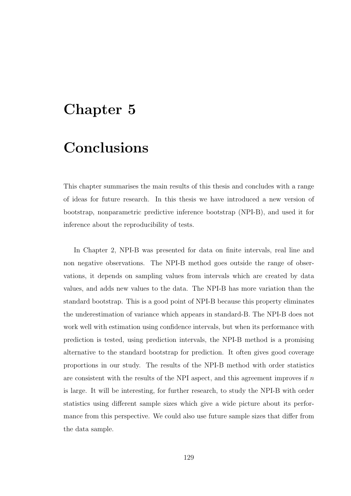### Chapter 5

### Conclusions

This chapter summarises the main results of this thesis and concludes with a range of ideas for future research. In this thesis we have introduced a new version of bootstrap, nonparametric predictive inference bootstrap (NPI-B), and used it for inference about the reproducibility of tests.

In Chapter 2, NPI-B was presented for data on finite intervals, real line and non negative observations. The NPI-B method goes outside the range of observations, it depends on sampling values from intervals which are created by data values, and adds new values to the data. The NPI-B has more variation than the standard bootstrap. This is a good point of NPI-B because this property eliminates the underestimation of variance which appears in standard-B. The NPI-B does not work well with estimation using confidence intervals, but when its performance with prediction is tested, using prediction intervals, the NPI-B method is a promising alternative to the standard bootstrap for prediction. It often gives good coverage proportions in our study. The results of the NPI-B method with order statistics are consistent with the results of the NPI aspect, and this agreement improves if  $n$ is large. It will be interesting, for further research, to study the NPI-B with order statistics using different sample sizes which give a wide picture about its performance from this perspective. We could also use future sample sizes that differ from the data sample.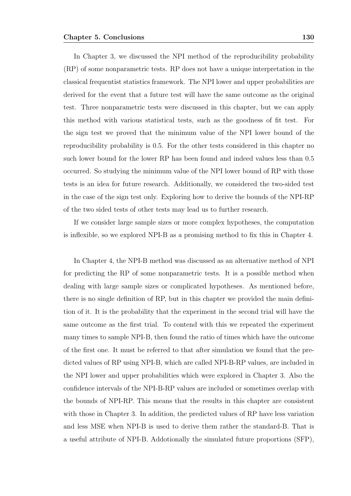In Chapter 3, we discussed the NPI method of the reproducibility probability (RP) of some nonparametric tests. RP does not have a unique interpretation in the classical frequentist statistics framework. The NPI lower and upper probabilities are derived for the event that a future test will have the same outcome as the original test. Three nonparametric tests were discussed in this chapter, but we can apply this method with various statistical tests, such as the goodness of fit test. For the sign test we proved that the minimum value of the NPI lower bound of the reproducibility probability is 0.5. For the other tests considered in this chapter no such lower bound for the lower RP has been found and indeed values less than 0.5 occurred. So studying the minimum value of the NPI lower bound of RP with those tests is an idea for future research. Additionally, we considered the two-sided test in the case of the sign test only. Exploring how to derive the bounds of the NPI-RP of the two sided tests of other tests may lead us to further research.

If we consider large sample sizes or more complex hypotheses, the computation is inflexible, so we explored NPI-B as a promising method to fix this in Chapter 4.

In Chapter 4, the NPI-B method was discussed as an alternative method of NPI for predicting the RP of some nonparametric tests. It is a possible method when dealing with large sample sizes or complicated hypotheses. As mentioned before, there is no single definition of RP, but in this chapter we provided the main definition of it. It is the probability that the experiment in the second trial will have the same outcome as the first trial. To contend with this we repeated the experiment many times to sample NPI-B, then found the ratio of times which have the outcome of the first one. It must be referred to that after simulation we found that the predicted values of RP using NPI-B, which are called NPI-B-RP values, are included in the NPI lower and upper probabilities which were explored in Chapter 3. Also the confidence intervals of the NPI-B-RP values are included or sometimes overlap with the bounds of NPI-RP. This means that the results in this chapter are consistent with those in Chapter 3. In addition, the predicted values of RP have less variation and less MSE when NPI-B is used to derive them rather the standard-B. That is a useful attribute of NPI-B. Addotionally the simulated future proportions (SFP),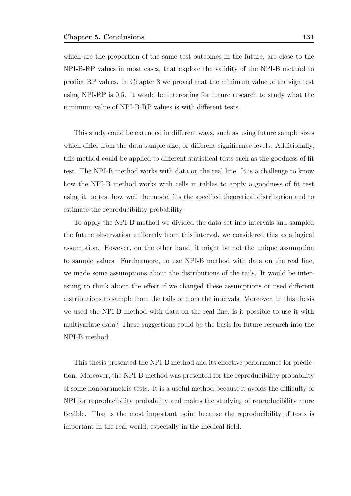which are the proportion of the same test outcomes in the future, are close to the NPI-B-RP values in most cases, that explore the validity of the NPI-B method to predict RP values. In Chapter 3 we proved that the minimum value of the sign test using NPI-RP is 0.5. It would be interesting for future research to study what the minimum value of NPI-B-RP values is with different tests.

This study could be extended in different ways, such as using future sample sizes which differ from the data sample size, or different significance levels. Additionally, this method could be applied to different statistical tests such as the goodness of fit test. The NPI-B method works with data on the real line. It is a challenge to know how the NPI-B method works with cells in tables to apply a goodness of fit test using it, to test how well the model fits the specified theoretical distribution and to estimate the reproducibility probability.

To apply the NPI-B method we divided the data set into intervals and sampled the future observation uniformly from this interval, we considered this as a logical assumption. However, on the other hand, it might be not the unique assumption to sample values. Furthermore, to use NPI-B method with data on the real line, we made some assumptions about the distributions of the tails. It would be interesting to think about the effect if we changed these assumptions or used different distributions to sample from the tails or from the intervals. Moreover, in this thesis we used the NPI-B method with data on the real line, is it possible to use it with multivariate data? These suggestions could be the basis for future research into the NPI-B method.

This thesis presented the NPI-B method and its effective performance for prediction. Moreover, the NPI-B method was presented for the reproducibility probability of some nonparametric tests. It is a useful method because it avoids the difficulty of NPI for reproducibility probability and makes the studying of reproducibility more flexible. That is the most important point because the reproducibility of tests is important in the real world, especially in the medical field.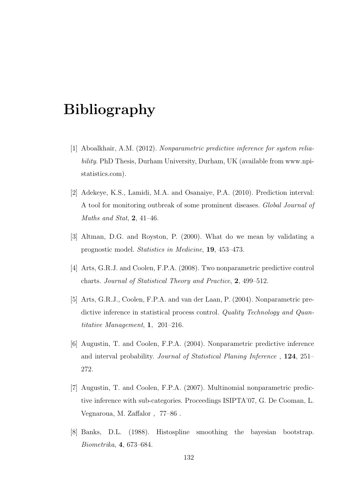# Bibliography

- [1] Aboalkhair, A.M. (2012). Nonparametric predictive inference for system reliability. PhD Thesis, Durham University, Durham, UK (available from www.npistatistics.com).
- [2] Adekeye, K.S., Lamidi, M.A. and Osanaiye, P.A. (2010). Prediction interval: A tool for monitoring outbreak of some prominent diseases. Global Journal of Maths and Stat,  $2, 41-46$ .
- [3] Altman, D.G. and Royston, P. (2000). What do we mean by validating a prognostic model. Statistics in Medicine, 19, 453–473.
- [4] Arts, G.R.J. and Coolen, F.P.A. (2008). Two nonparametric predictive control charts. Journal of Statistical Theory and Practice, 2, 499–512.
- [5] Arts, G.R.J., Coolen, F.P.A. and van der Laan, P. (2004). Nonparametric predictive inference in statistical process control. Quality Technology and Quantitative Management, 1, 201–216.
- [6] Augustin, T. and Coolen, F.P.A. (2004). Nonparametric predictive inference and interval probability. Journal of Statistical Planing Inference , 124, 251– 272.
- [7] Augustin, T. and Coolen, F.P.A. (2007). Multinomial nonparametric predictive inference with sub-categories. Proceedings ISIPTA'07, G. De Cooman, L. Vegnaroua, M. Zaffalor , 77–86 .
- [8] Banks, D.L. (1988). Histospline smoothing the bayesian bootstrap. Biometrika, 4, 673–684.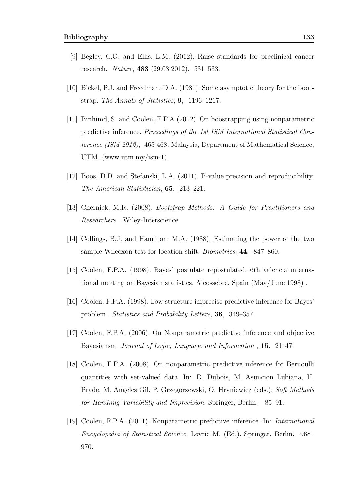- [9] Begley, C.G. and Ellis, L.M. (2012). Raise standards for preclinical cancer research. Nature, 483 (29.03.2012), 531–533.
- [10] Bickel, P.J. and Freedman, D.A. (1981). Some asymptotic theory for the bootstrap. The Annals of Statistics, 9, 1196–1217.
- [11] Binhimd, S. and Coolen, F.P.A (2012). On boostrapping using nonparametric predictive inference. Proceedings of the 1st ISM International Statistical Conference (ISM 2012), 465-468, Malaysia, Department of Mathematical Science, UTM. (www.utm.my/ism-1).
- [12] Boos, D.D. and Stefanski, L.A. (2011). P-value precision and reproducibility. The American Statistician, 65, 213–221.
- [13] Chernick, M.R. (2008). Bootstrap Methods: A Guide for Practitioners and Researchers . Wiley-Interscience.
- [14] Collings, B.J. and Hamilton, M.A. (1988). Estimating the power of the two sample Wilcoxon test for location shift. Biometrics, 44, 847–860.
- [15] Coolen, F.P.A. (1998). Bayes' postulate repostulated. 6th valencia international meeting on Bayesian statistics, Alcossebre, Spain (May/June 1998) .
- [16] Coolen, F.P.A. (1998). Low structure imprecise predictive inference for Bayes' problem. Statistics and Probability Letters, 36, 349–357.
- [17] Coolen, F.P.A. (2006). On Nonparametric predictive inference and objective Bayesiansm. Journal of Logic, Language and Information , 15, 21–47.
- [18] Coolen, F.P.A. (2008). On nonparametric predictive inference for Bernoulli quantities with set-valued data. In: D. Dubois, M. Asuncion Lubiana, H. Prade, M. Angeles Gil, P. Grzegorzewski, O. Hryniewicz (eds.), Soft Methods for Handling Variability and Imprecision. Springer, Berlin, 85–91.
- [19] Coolen, F.P.A. (2011). Nonparametric predictive inference. In: International Encyclopedia of Statistical Science, Lovric M. (Ed.). Springer, Berlin, 968– 970.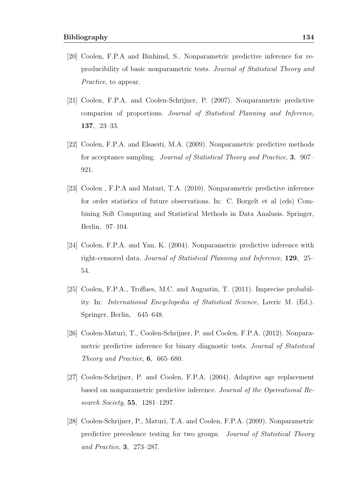- [20] Coolen, F.P.A and Binhimd, S.. Nonparametric predictive inference for reproducibility of basic nonparametric tests. Journal of Statistical Theory and Practice, to appear.
- [21] Coolen, F.P.A. and Coolen-Schrijner, P. (2007). Nonparametric predictive comparion of proportions. Journal of Statistical Planning and Inference, 137, 23–33.
- [22] Coolen, F.P.A. and Elsaeiti, M.A. (2009). Nonparametric predictive methods for acceptance sampling. Journal of Statistical Theory and Practice, 3, 907– 921.
- [23] Coolen , F.P.A and Maturi, T.A. (2010). Nonparametric predictive inference for order statistics of future observations. In: C. Borgelt et al (eds) Combining Soft Computing and Statistical Methods in Data Analusis. Springer, Berlin, 97–104.
- [24] Coolen, F.P.A. and Yan, K. (2004). Nonparametric predictive inference with right-censored data. Journal of Statistical Planning and Inference, 129, 25– 54.
- [25] Coolen, F.P.A., Troffaes, M.C. and Augustin, T. (2011). Imprecise probability. In: International Encyclopedia of Statistical Science, Lovric M. (Ed.). Springer, Berlin, 645–648.
- [26] Coolen-Maturi, T., Coolen-Schrijner, P. and Coolen, F.P.A. (2012). Nonparametric predictive inference for binary diagnostic tests. Journal of Statistical Theory and Practice, 6, 665–680.
- [27] Coolen-Schrijner, P. and Coolen, F.P.A. (2004). Adaptive age replacement based on nonparametric predictive inference. Journal of the Opereational Research Society, 55, 1281–1297.
- [28] Coolen-Schrijner, P., Maturi, T.A. and Coolen, F.P.A. (2009). Nonparametric predictive precedence testing for two groups. Journal of Statistical Theory and Practice, 3, 273–287.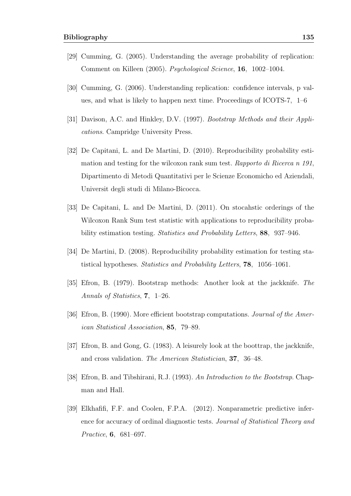- [29] Cumming, G. (2005). Understanding the average probability of replication: Comment on Killeen (2005). Psychological Science, 16, 1002–1004.
- [30] Cumming, G. (2006). Understanding replication: confidence intervals, p values, and what is likely to happen next time. Proceedings of ICOTS-7, 1–6
- [31] Davison, A.C. and Hinkley, D.V. (1997). *Bootstrap Methods and their Appli*cations. Campridge University Press.
- [32] De Capitani, L. and De Martini, D. (2010). Reproducibility probability estimation and testing for the wilcoxon rank sum test. Rapporto di Ricerca n 191, Dipartimento di Metodi Quantitativi per le Scienze Economicho ed Aziendali, Universit degli studi di Milano-Bicocca.
- [33] De Capitani, L. and De Martini, D. (2011). On stocahstic orderings of the Wilcoxon Rank Sum test statistic with applications to reproducibility probability estimation testing. Statistics and Probability Letters, 88, 937–946.
- [34] De Martini, D. (2008). Reproducibility probability estimation for testing statistical hypotheses. Statistics and Probability Letters, 78, 1056–1061.
- [35] Efron, B. (1979). Bootstrap methods: Another look at the jackknife. The Annals of Statistics, 7, 1–26.
- [36] Efron, B. (1990). More efficient bootstrap computations. Journal of the American Statistical Association, 85, 79–89.
- [37] Efron, B. and Gong, G. (1983). A leisurely look at the boottrap, the jackknife, and cross validation. The American Statistician, 37, 36–48.
- [38] Efron, B. and Tibshirani, R.J. (1993). An Introduction to the Bootstrap. Chapman and Hall.
- [39] Elkhafifi, F.F. and Coolen, F.P.A. (2012). Nonparametric predictive inference for accuracy of ordinal diagnostic tests. Journal of Statistical Theory and Practice, 6, 681–697.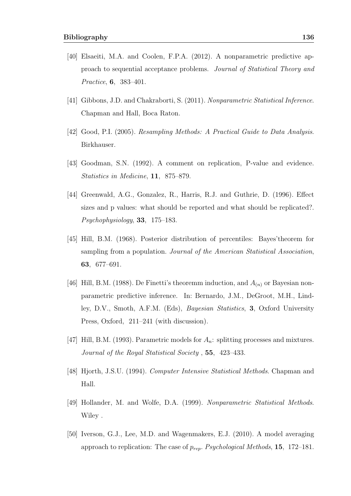- [40] Elsaeiti, M.A. and Coolen, F.P.A. (2012). A nonparametric predictive approach to sequential acceptance problems. Journal of Statistical Theory and Practice, 6, 383–401.
- [41] Gibbons, J.D. and Chakraborti, S. (2011). Nonparametric Statistical Inference. Chapman and Hall, Boca Raton.
- [42] Good, P.I. (2005). Resampling Methods: A Practical Guide to Data Analysis. Birkhauser.
- [43] Goodman, S.N. (1992). A comment on replication, P-value and evidence. Statistics in Medicine, 11, 875–879.
- [44] Greenwald, A.G., Gonzalez, R., Harris, R.J. and Guthrie, D. (1996). Effect sizes and p values: what should be reported and what should be replicated?. Psychophysiology, 33, 175–183.
- [45] Hill, B.M. (1968). Posterior distribution of percentiles: Bayes'theorem for sampling from a population. Journal of the American Statistical Association, 63, 677–691.
- [46] Hill, B.M. (1988). De Finetti's theoremm induction, and  $A_{(n)}$  or Bayesian nonparametric predictive inference. In: Bernardo, J.M., DeGroot, M.H., Lindley, D.V., Smoth, A.F.M. (Eds), Bayesian Statistics, 3, Oxford University Press, Oxford, 211–241 (with discussion).
- [47] Hill, B.M. (1993). Parametric models for  $A_n$ : splitting processes and mixtures. Journal of the Royal Statistical Society , 55, 423–433.
- [48] Hjorth, J.S.U. (1994). Computer Intensive Statistical Methods. Chapman and Hall.
- [49] Hollander, M. and Wolfe, D.A. (1999). Nonparametric Statistical Methods. Wiley .
- [50] Iverson, G.J., Lee, M.D. and Wagenmakers, E.J. (2010). A model averaging approach to replication: The case of  $p_{rep}$ . Psychological Methods, 15, 172–181.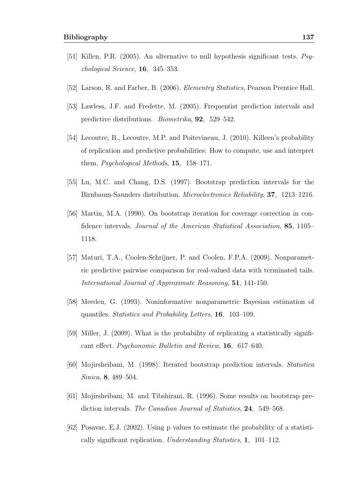- [51] Killen, P.R. (2005). An alternative to null hypothesis significant tests. Psychological Science, 16, 345–353.
- [52] Larson, R. and Farber, B. (2006). Elementry Statistics, Pearson Prentice Hall.
- [53] Lawless, J.F. and Fredette, M. (2005). Frequentist prediction intervals and predictive distributions. Biometrika, 92, 529–542.
- [54] Lecoutre, B., Lecoutre, M.P. and Poitevineau, J. (2010). Killeen's probability of replication and predictive probabilities: How to compute, use and interpret them. Psychological Methods, 15, 158–171.
- [55] Lu, M.C. and Chang, D.S. (1997). Bootstrap prediction intervals for the Birnbaum-Saunders distribution. Microelectronics Reliability, 37, 1213–1216.
- [56] Martin, M.A. (1990). On bootstrap iteration for coverage correction in confidence intervals. Journal of the American Statistical Association, 85, 1105– 1118.
- [57] Maturi, T.A., Coolen-Schrijner, P. and Coolen, F.P.A. (2009). Nonparametric predictive pairwise comparison for real-valued data with terminated tails. International Journal of Approximate Reasoning, 51, 141-150.
- [58] Meeden, G. (1993). Noninformative nonparametric Bayesian estimation of quantiles. Statistics and Probability Letters, 16, 103–109.
- [59] Miller, J. (2009). What is the probability of replicating a statistically significant effect. Psychonomic Bulletin and Review, 16, 617–640.
- [60] Mojirsheibani, M. (1998). Iterated bootstrap prediction intervals. Statistica Sinica, 8, 489–504.
- [61] Mojirsheibani, M. and Tibshirani, R. (1996). Some results on bootstrap prediction intervals. The Canadian Journal of Statistics, 24, 549–568.
- [62] Posavac, E.J. (2002). Using p values to estimate the probability of a statistically significant replication. Understanding Statistics, 1, 101–112.